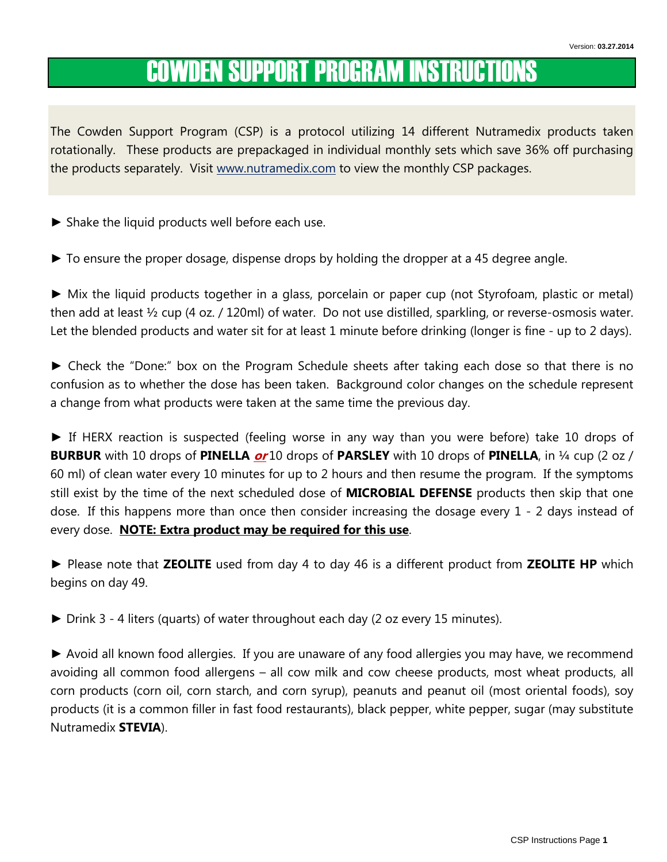# COWDEN SUPPORT PROGRAM INSTRUCTIONS

The Cowden Support Program (CSP) is a protocol utilizing 14 different Nutramedix products taken rotationally. These products are prepackaged in individual monthly sets which save 36% off purchasing the products separately. Visit www.nutramedix.com to view the monthly CSP packages.

- ► Shake the liquid products well before each use.
- ► To ensure the proper dosage, dispense drops by holding the dropper at a 45 degree angle.

► Mix the liquid products together in a glass, porcelain or paper cup (not Styrofoam, plastic or metal) then add at least ½ cup (4 oz. / 120ml) of water. Do not use distilled, sparkling, or reverse-osmosis water. Let the blended products and water sit for at least 1 minute before drinking (longer is fine - up to 2 days).

► Check the "Done:" box on the Program Schedule sheets after taking each dose so that there is no confusion as to whether the dose has been taken. Background color changes on the schedule represent a change from what products were taken at the same time the previous day.

► If HERX reaction is suspected (feeling worse in any way than you were before) take 10 drops of **BURBUR** with 10 drops of PINELLA  $or$ 10 drops of PARSLEY with 10 drops of PINELLA, in  $\frac{1}{4}$  cup (2 oz / 60 ml) of clean water every 10 minutes for up to 2 hours and then resume the program. If the symptoms still exist by the time of the next scheduled dose of **MICROBIAL DEFENSE** products then skip that one dose. If this happens more than once then consider increasing the dosage every 1 - 2 days instead of every dose. NOTE: Extra product may be required for this use.

► Please note that ZEOLITE used from day 4 to day 46 is a different product from ZEOLITE HP which begins on day 49.

► Drink 3 - 4 liters (quarts) of water throughout each day (2 oz every 15 minutes).

► Avoid all known food allergies. If you are unaware of any food allergies you may have, we recommend avoiding all common food allergens – all cow milk and cow cheese products, most wheat products, all corn products (corn oil, corn starch, and corn syrup), peanuts and peanut oil (most oriental foods), soy products (it is a common filler in fast food restaurants), black pepper, white pepper, sugar (may substitute Nutramedix STEVIA).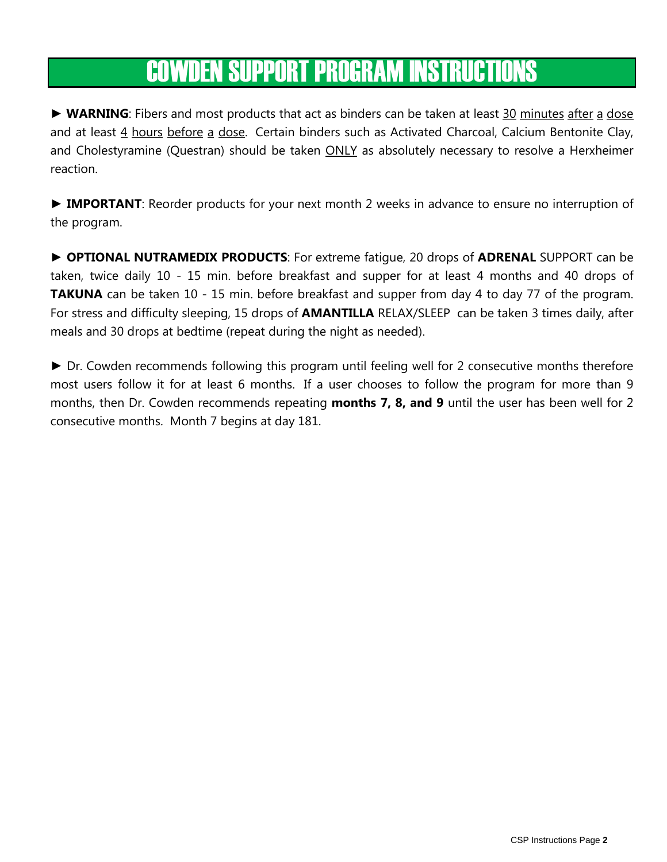# COWDEN SUPPORT PROGRAM INSTRUCTIONS

► WARNING: Fibers and most products that act as binders can be taken at least 30 minutes after a dose and at least 4 hours before a dose. Certain binders such as Activated Charcoal, Calcium Bentonite Clay, and Cholestyramine (Questran) should be taken **ONLY** as absolutely necessary to resolve a Herxheimer reaction.

► IMPORTANT: Reorder products for your next month 2 weeks in advance to ensure no interruption of the program.

► OPTIONAL NUTRAMEDIX PRODUCTS: For extreme fatigue, 20 drops of ADRENAL SUPPORT can be taken, twice daily 10 - 15 min. before breakfast and supper for at least 4 months and 40 drops of **TAKUNA** can be taken 10 - 15 min. before breakfast and supper from day 4 to day 77 of the program. For stress and difficulty sleeping, 15 drops of **AMANTILLA** RELAX/SLEEP can be taken 3 times daily, after meals and 30 drops at bedtime (repeat during the night as needed).

► Dr. Cowden recommends following this program until feeling well for 2 consecutive months therefore most users follow it for at least 6 months. If a user chooses to follow the program for more than 9 months, then Dr. Cowden recommends repeating **months 7, 8, and 9** until the user has been well for 2 consecutive months. Month 7 begins at day 181.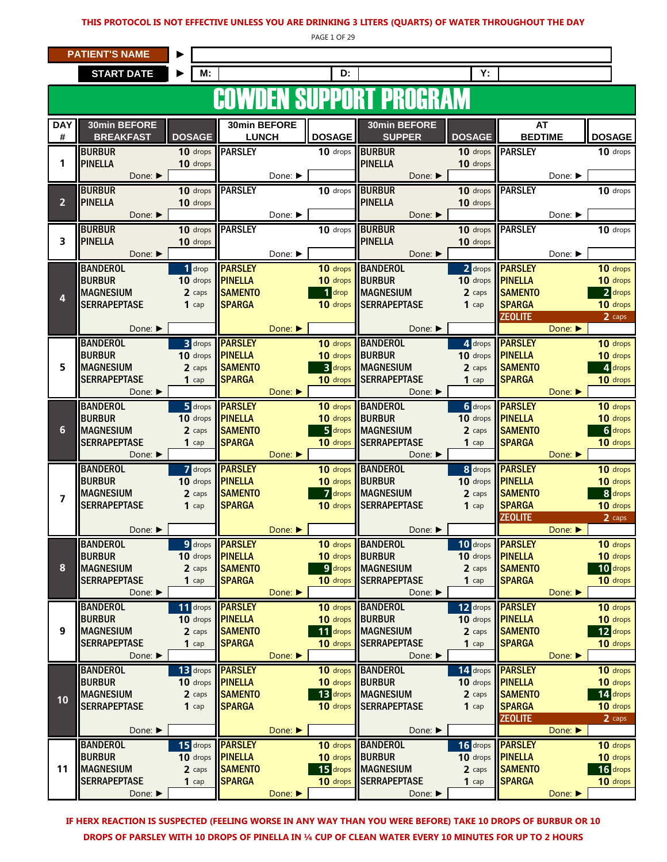#### THIS PROTOCOL IS NOT EFFECTIVE UNLESS YOU ARE DRINKING 3 LITERS (QUARTS) OF WATER THROUGHOUT THE DAY

PAGE 1 OF 29

|  | <b>PATIENT'S NAME</b> |
|--|-----------------------|
|  |                       |

|                  | <b>PATIENT'S NAME</b>                   |                      |                                  |         |                            |                                         |                        |                                  |                             |                      |
|------------------|-----------------------------------------|----------------------|----------------------------------|---------|----------------------------|-----------------------------------------|------------------------|----------------------------------|-----------------------------|----------------------|
|                  | <b>START DATE</b>                       | М:                   |                                  |         | D:                         |                                         | Υ:                     |                                  |                             |                      |
|                  |                                         |                      |                                  |         |                            | <b>SUPPORT PR</b>                       |                        |                                  |                             |                      |
|                  |                                         |                      |                                  | DEN     |                            |                                         |                        |                                  |                             |                      |
| <b>DAY</b><br>#  | 30min BEFORE<br><b>BREAKFAST</b>        | <b>DOSAGE</b>        | 30min BEFORE<br><b>LUNCH</b>     |         | <b>DOSAGE</b>              | 30min BEFORE<br><b>SUPPER</b>           | <b>DOSAGE</b>          | AT<br><b>BEDTIME</b>             |                             | <b>DOSAGE</b>        |
| 1                | <b>BURBUR</b><br><b>PINELLA</b>         | 10 drops<br>10 drops | <b>PARSLEY</b>                   |         | $\overline{10}$ drops      | <b>BURBUR</b><br><b>PINELLA</b>         | $10$ drops<br>10 drops | <b>PARSLEY</b>                   |                             | 10 drops             |
|                  | Done: ▶<br><b>BURBUR</b>                | 10 drops             | <b>PARSLEY</b>                   | Done: ▶ | 10 drops                   | Done:<br><b>BURBUR</b>                  | 10 drops               | <b>PARSLEY</b>                   | Done: ▶                     | 10 drops             |
| $\overline{2}$   | <b>PINELLA</b><br>Done: ▶               | 10 drops             |                                  | Done: ▶ |                            | <b>PINELLA</b><br>Done:                 | 10 drops               |                                  | Done: ▶                     |                      |
|                  | <b>BURBUR</b>                           | 10 drops             | <b>PARSLEY</b>                   |         | 10 drops                   | <b>BURBUR</b>                           | 10 drops               | <b>PARSLEY</b>                   |                             | 10 drops             |
| 3                | <b>PINELLA</b>                          | 10 drops             |                                  |         |                            | <b>PINELLA</b>                          | 10 drops               |                                  |                             |                      |
|                  | Done: ▶                                 |                      |                                  | Done: ▶ |                            | Done: ▶                                 |                        |                                  | Done: $\blacktriangleright$ |                      |
|                  | <b>BANDEROL</b><br><b>BURBUR</b>        | 1 drop<br>10 drops   | <b>PARSLEY</b><br><b>PINELLA</b> |         | 10 drops<br>10 drops       | <b>BANDEROL</b><br><b>BURBUR</b>        | 2 drops<br>10 drops    | <b>PARSLEY</b><br><b>PINELLA</b> |                             | 10 drops<br>10 drops |
| 4                | <b>MAGNESIUM</b>                        | 2 caps               | <b>SAMENTO</b>                   |         | 1 drop                     | <b>MAGNESIUM</b>                        | 2 caps                 | <b>SAMENTO</b>                   |                             | 2 drops              |
|                  | <b>SERRAPEPTASE</b>                     | $1$ cap              | <b>SPARGA</b>                    |         | 10 drops                   | <b>SERRAPEPTASE</b>                     | $1$ cap                | <b>SPARGA</b><br><b>ZEOLITE</b>  |                             | 10 drops<br>2 caps   |
|                  | Done: ▶                                 |                      |                                  | Done:   |                            | Done: ▶                                 |                        |                                  | Done:                       |                      |
|                  | <b>BANDEROL</b>                         | <b>3</b> drops       | <b>PARSLEY</b>                   |         | 10 drops                   | <b>BANDEROL</b>                         | 4 drops                | <b>PARSLEY</b>                   |                             | 10 drops             |
|                  | <b>BURBUR</b>                           | 10 drops             | <b>PINELLA</b>                   |         | 10 drops                   | <b>BURBUR</b>                           | $10$ drops             | <b>PINELLA</b>                   |                             | 10 drops             |
| 5                | <b>MAGNESIUM</b><br><b>SERRAPEPTASE</b> | 2 caps<br>1 $cap$    | <b>SAMENTO</b><br><b>SPARGA</b>  |         | <b>3</b> drops<br>10 drops | <b>MAGNESIUM</b><br><b>SERRAPEPTASE</b> | 2 caps<br>$1$ cap      | <b>SAMENTO</b><br><b>SPARGA</b>  |                             | 4 drops<br>10 drops  |
|                  | Done: ▶                                 |                      |                                  | Done: ▶ |                            | Done: ▶                                 |                        |                                  | Done:                       |                      |
|                  | <b>BANDEROL</b>                         |                      | 5 drops <b>PARSLEY</b>           |         | 10 drops                   | <b>BANDEROL</b>                         | <b>6</b> drops         | <b>PARSLEY</b>                   |                             | 10 drops             |
| 6                | <b>BURBUR</b><br><b>MAGNESIUM</b>       | 10 drops             | <b>PINELLA</b><br><b>SAMENTO</b> |         | 10 drops<br>5 drops        | <b>BURBUR</b><br><b>MAGNESIUM</b>       | 10 drops               | <b>PINELLA</b><br><b>SAMENTO</b> |                             | 10 drops<br>6 drops  |
|                  | <b>SERRAPEPTASE</b>                     | 2 caps<br>$1$ cap    | <b>SPARGA</b>                    |         | 10 drops                   | <b>SERRAPEPTASE</b>                     | 2 caps<br>$1$ cap      | <b>SPARGA</b>                    |                             | 10 drops             |
|                  | Done: ▶                                 |                      |                                  | Done:   |                            | Done: ▶                                 |                        |                                  | Done:                       |                      |
|                  | <b>BANDEROL</b>                         |                      | 7 drops <b>PARSLEY</b>           |         | 10 drops                   | <b>BANDEROL</b>                         | 8 drops                | <b>PARSLEY</b>                   |                             | 10 drops             |
|                  | <b>BURBUR</b><br><b>MAGNESIUM</b>       | 10 drops<br>2 caps   | <b>PINELLA</b><br><b>SAMENTO</b> |         | 10 drops<br>7 drops        | <b>BURBUR</b><br><b>MAGNESIUM</b>       | 10 drops<br>2 caps     | <b>PINELLA</b><br><b>SAMENTO</b> |                             | 10 drops<br>8 drops  |
| $\overline{7}$   | <b>SERRAPEPTASE</b>                     | $1$ cap              | <b>SPARGA</b>                    |         | 10 drops                   | <b>SERRAPEPTASE</b>                     | $1$ cap                | <b>SPARGA</b>                    |                             | 10 drops             |
|                  |                                         |                      |                                  |         |                            |                                         |                        | <b>ZEOLITE</b>                   |                             | 2 caps               |
|                  | Done: ▶                                 |                      | 9 drops <b>PARSLEY</b>           | Done: ▶ | 10 drops                   | Done: ▶<br><b>BANDEROL</b>              |                        | 10 drops <b>PARSLEY</b>          | Done:                       |                      |
|                  | <b>BANDEROL</b><br><b>BURBUR</b>        | 10 drops             | <b>PINELLA</b>                   |         | 10 drops                   | <b>BURBUR</b>                           | 10 drops               | <b>PINELLA</b>                   |                             | 10 drops<br>10 drops |
| 8                | <b>MAGNESIUM</b>                        | 2 caps               | <b>SAMENTO</b>                   |         | 9 drops                    | <b>MAGNESIUM</b>                        | 2 caps                 | <b>SAMENTO</b>                   |                             | 10 drops             |
|                  | <b>SERRAPEPTASE</b>                     | $1$ cap              | <b>SPARGA</b>                    |         | 10 drops                   | <b>SERRAPEPTASE</b>                     | $1$ cap                | <b>SPARGA</b>                    |                             | 10 drops             |
|                  | Done: ▶<br><b>BANDEROL</b>              | 11 drops             | <b>PARSLEY</b>                   | Done: ▶ | 10 drops                   | Done: ▶<br><b>BANDEROL</b>              | 12 drops               | <b>PARSLEY</b>                   | Done:                       | 10 drops             |
|                  | <b>BURBUR</b>                           |                      | 10 drops <b>PINELLA</b>          |         | 10 drops                   | <b>BURBUR</b>                           | $10$ drops             | <b>PINELLA</b>                   |                             | 10 drops             |
| $\boldsymbol{9}$ | <b>MAGNESIUM</b>                        | 2 caps               | <b>SAMENTO</b>                   |         | 11 drops                   | <b>MAGNESIUM</b>                        | 2 caps                 | <b>SAMENTO</b>                   |                             | 12 drops             |
|                  | <b>SERRAPEPTASE</b><br>Done: ▶          | $1$ cap              | <b>SPARGA</b>                    | Done:   | 10 drops                   | <b>SERRAPEPTASE</b><br>Done: ▶          | $1$ cap                | <b>SPARGA</b>                    | Done:                       | 10 drops             |
|                  | <b>BANDEROL</b>                         |                      | 13 drops <b>PARSLEY</b>          |         | 10 drops                   | <b>BANDEROL</b>                         | 14 drops               | <b>PARSLEY</b>                   |                             | 10 drops             |
|                  | <b>BURBUR</b>                           | 10 drops             | <b>PINELLA</b>                   |         | 10 drops                   | <b>BURBUR</b>                           | 10 drops               | <b>PINELLA</b>                   |                             | 10 drops             |
| 10               | <b>MAGNESIUM</b>                        | 2 caps               | <b>SAMENTO</b>                   |         | 13 drops                   | <b>MAGNESIUM</b>                        | 2 caps                 | <b>SAMENTO</b>                   |                             | 14 drops             |
|                  | <b>SERRAPEPTASE</b>                     | $1$ cap              | <b>SPARGA</b>                    |         | 10 drops                   | <b>SERRAPEPTASE</b>                     | $1$ cap                | <b>SPARGA</b><br><b>ZEOLITE</b>  |                             | 10 drops<br>2 caps   |
|                  | Done: ▶                                 |                      |                                  | Done:   |                            | Done: ▶                                 |                        |                                  | Done:                       |                      |
|                  | <b>BANDEROL</b>                         | 15 drops             | <b>PARSLEY</b>                   |         | 10 drops                   | <b>BANDEROL</b>                         | 16 drops               | <b>PARSLEY</b>                   |                             | 10 drops             |
| 11               | <b>BURBUR</b><br><b>MAGNESIUM</b>       | 10 drops<br>2 caps   | <b>PINELLA</b><br><b>SAMENTO</b> |         | 10 drops<br>15 drops       | <b>BURBUR</b><br><b>MAGNESIUM</b>       | 10 drops<br>2 caps     | <b>PINELLA</b><br><b>SAMENTO</b> |                             | 10 drops<br>16 drops |
|                  | <b>SERRAPEPTASE</b>                     | $1$ cap              | <b>SPARGA</b>                    |         | 10 drops                   | <b>SERRAPEPTASE</b>                     | $1$ cap                | <b>SPARGA</b>                    |                             | 10 drops             |
|                  | Done: ▶                                 |                      |                                  | Done:   |                            | Done: ▶                                 |                        |                                  | Done:                       |                      |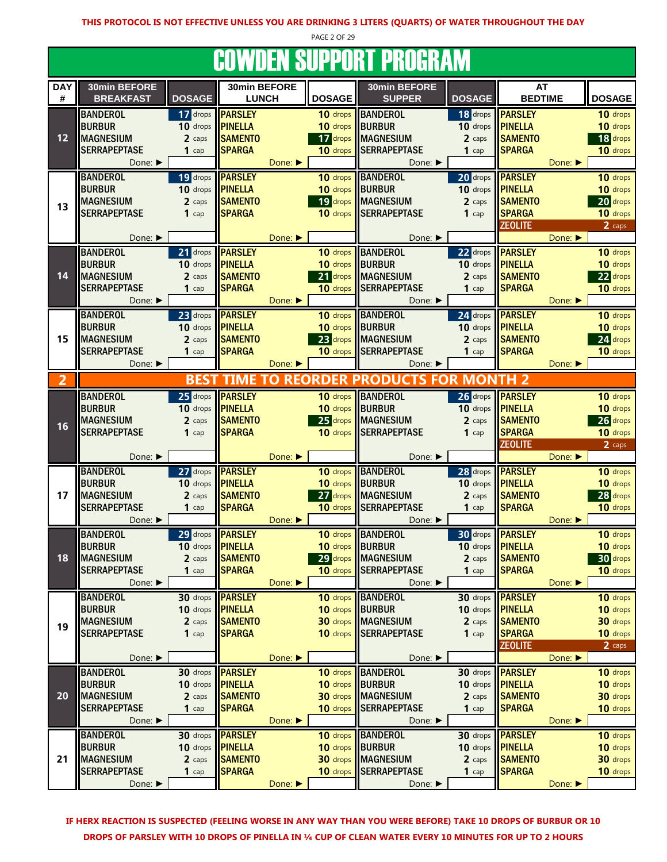PAGE 2 OF 29 DAY 30min BEFORE 30min BEFORE 30min BEFORE 30min BEFORE AT # || BREAKFAST || DOSAGE || LUNCH ||| DOSAGE || SUPPER || DOSAGE || BEDTIME COWDEN SUPPORT PROGRAM DOSAGE || LUNCH ||DOSAGE || SUPPER ||DOSAGE || BEDTIME ||DOSAGE BANDEROL 17 drops PARSLEY 10 drops BANDEROL 18 drops PARSLEY 10 drops BURBUR 10 drops PINELLA 10 drops BURBUR 10 drops PINELLA 10 drops 10 drops 10 drops 10 drops MAGNESIUM 2 caps SAMENTO 17 drops MAGNESIUM 2 caps SAMENTO 18 drops 18 drops in the set of the set of the set o SERRAPEPTASE 1 cap SPARGA 10 drops SERRAPEPTASE 1 cap SPARGA 10 drops Done: ► Done: ► Done: ► Done: ► Done: ► Done: ► Done: ► Done: ► Done: ► Done: ► Done: ► Done: ► Done: ► Done: BANDEROL 19 drops PARSLEY 10 drops BANDEROL 20 drops PARSLEY 10 drops BURBUR 10 drops PINELLA 10 drops BURBUR 10 drops PINELLA 10 drops 10 drops 10 drops 10 drops 10 drops MAGNESIUM 2 caps SAMENTO 19 drops MAGNESIUM 2 caps SAMENTO 20 drops 20 drops SERRAPEPTASE 1 cap SPARGA 10 drops SERRAPEPTASE 1 cap SPARGA 10 drops **ZEOLITE** 2 caps Done: ► | Done: ► Done: ► | Done: ► | Done: ► | Done: ► | Done: ► | Done: ► BANDEROL 21 drops PARSLEY 10 drops BANDEROL 22 drops PARSLEY 10 drops BURBUR 10 drops PINELLA 10 drops BURBUR 10 drops PINELLA 10 drops 10 drops 10 drops 10 drops 10 drops MAGNESIUM 2 caps SAMENTO 21 drops MAGNESIUM 2 caps SAMENTO 22 drops SERRAPEPTASE 1 cap SPARGA 10 drops SERRAPEPTASE 1 cap SPARGA 10 drops Done: ► Done: ► Done: ► Done: ► Done: ► Done: ► Done: ► Done: ► Done: ► Done: ► Done: ► Done: ► Done: ► Done: BANDEROL 23 drops PARSLEY 10 drops BANDEROL 24 drops PARSLEY 10 drops BURBUR 10 drops PINELLA 10 drops BURBUR 10 drops PINELLA 10 drops 10 drops 10 drops 10 drops 10 drops MAGNESIUM 2 caps SAMENTO 23 drops MAGNESIUM 2 caps SAMENTO 24 drops SERRAPEPTASE 1 cap SPARGA 10 drops SERRAPEPTASE 1 cap SPARGA 10 drops Done: ► Novell Bone: ► Done: ► Novell Bone: ► Novell Bone: ► Novell Bone: ► Novell Bone: ► Novell Bone: ► Novell Bone: ► Novell Bone: ► Novell Bone: ► Novell Bone: ► Novell Bone: ► Novell Bone: ► Novell Bone: ► Novell Bon 2 BANDEROL 25 drops PARSLEY 10 drops BANDEROL 26 drops PARSLEY 10 drops BURBUR 10 drops PINELLA 10 drops BURBUR 10 drops PINELLA 10 drops 10 drops 10 drops 10 drops 10 drops MAGNESIUM 2 caps SAMENTO 25 drops MAGNESIUM 2 caps SAMENTO 26 drops SERRAPEPTASE 1 cap SPARGA 10 10 drops SERRAPEPTASE 1 cap SPARGA 10 drops **ZEOLITE** 2 caps Done: ► | Done: ► Done: ► | Done: ► | Done: ► | Done: ► | Done: ► | Done: ► BANDEROL 27 drops PARSLEY 10 drops BANDEROL 28 drops PARSLEY 10 drops BURBUR 10 drops PINELLA 10 drops BURBUR 10 drops PINELLA 10 drops 10 drops 10 drops 10 drops 10 drops MAGNESIUM 2 caps SAMENTO 27 drops MAGNESIUM 2 caps SAMENTO 28 drops SERRAPEPTASE 1 cap SPARGA 10 drops SERRAPEPTASE 1 cap SPARGA 10 drops Done: ► Done: ► Done: ► Done: ► Done: ► Done: ► Done: ► Done: ► Done: ► Done: ► Done: ► Done: ► Done: ► Done: BANDEROL 29 drops PARSLEY 10 drops BANDEROL 30 drops PARSLEY 10 drops BURBUR 10 drops PINELLA 10 drops BURBUR 10 drops PINELLA 10 drops 10 drops 10 drops 10 drops 10 drops MAGNESIUM 2 caps Samento 29 drops MAGNESIUM 2 caps Samento 2 caps 30 drops 30 drops SERRAPEPTASE 1 cap SPARGA 10 10 drops SERRAPEPTASE 1 cap SPARGA 10 drops Done: ► Novell Bone: ► Done: ► Novell Bone: ► Novell Bone: ► Novell Bone: ► Novell Bone: ► Novell Bone: ► Novell Bone: ► Novell Bone: ► Novell Bone: ► Novell Bone: ► Novell Bone: ► Novell Bone: ► Novell Bone: ► Novell Bon BANDEROL 30 drops PARSLEY 10 drops BANDEROL 30 drops PARSLEY 10 drops BURBUR 10 drops PINELLA 10 drops BURBUR 10 drops PINELLA 10 drops 10 drops 10 drops 10 drops 10 drops MAGNESIUM 2 caps Samento 2 de 20 drops MAGNESIUM 2 caps Samento 2 caps Samento 30 drops in the set of the set o SERRAPEPTASE 1 cap SPARGA 10 drops SERRAPEPTASE 1 cap SPARGA 10 drops **ZEOLITE** 2 caps Done: ► Done: ► Done: ► Done: ► Done: ► Done: ► Done: ► Done: ► Done: ► Done: ► Done: ► Done: ► Done: ► Done: BANDEROL 30 drops PARSLEY 10 drops BANDEROL 30 drops PARSLEY 10 drops BURBUR 10 drops PINELLA 10 drops BURBUR 10 drops PINELLA 10 drops 10 drops 10 drops 10 drops in the 10 drops i MAGNESIUM 2 caps Samento 2 de 20 drops MAGNESIUM 2 caps Samento 2 caps Samento 30 drops in the set of the set o SERRAPEPTASE 1 cap SPARGA 10 drops SERRAPEPTASE 1 cap SPARGA 10 drops Done: ► Done: ► Done: ► Done: ► Done: ► Done: ► Done: ► Done: ► Done: ► Done: ► Done: ► Done: ► Done: ► Done: BANDEROL 30 drops PARSLEY 10 drops BANDEROL 30 drops PARSLEY 10 drops BURBUR 10 drops PINELLA 10 drops BURBUR 10 drops PINELLA 10 drops 10 drops 10 drops 10 drops 10 drops MAGNESIUM 2 caps Samento 2 de 20 drops MAGNESIUM 2 caps Samento 2 caps Samento 30 drops in the set of the set o SERRAPEPTASE 1 cap SPARGA 10 drops SERRAPEPTASE 1 cap SPARGA 10 drops 14 13 12 18 17 16 15 BEST TIME TO REORDER PRODUCTS FOR MONTH 21 20 19

IF HERX REACTION IS SUSPECTED (FEELING WORSE IN ANY WAY THAN YOU WERE BEFORE) TAKE 10 DROPS OF BURBUR OR 10 DROPS OF PARSLEY WITH 10 DROPS OF PINELLA IN ¼ CUP OF CLEAN WATER EVERY 10 MINUTES FOR UP TO 2 HOURS

Done: ► Novell Bone: ► Done: ► Novell Bone: ► Novell Bone: ► Novell Bone: ► Novell Bone: ► Novell Bone: ► Novell Bone: ► Novell Bone: ► Novell Bone: ► Novell Bone: ► Novell Bone: ► Novell Bone: ► Novell Bone: ► Novell Bon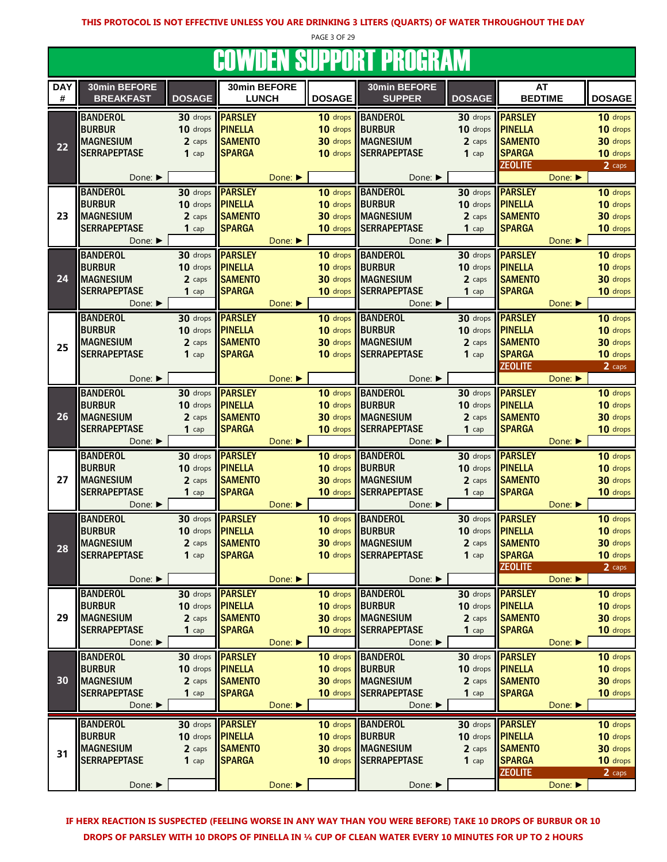PAGE 3 OF 29

#### **COWDEN SUPPORT PROGRAM**

|            |                             |                         |                         |                             |               | <u>JUMBEN UUI I UNI I NUUMMIN</u> |                         |                         |         |               |
|------------|-----------------------------|-------------------------|-------------------------|-----------------------------|---------------|-----------------------------------|-------------------------|-------------------------|---------|---------------|
| <b>DAY</b> | 30min BEFORE                |                         | 30min BEFORE            |                             |               | 30min BEFORE                      |                         | AT                      |         |               |
| $\#$       | <b>BREAKFAST</b>            | <b>DOSAGE</b>           | <b>LUNCH</b>            |                             | <b>DOSAGE</b> | <b>SUPPER</b>                     | <b>DOSAGE</b>           | <b>BEDTIME</b>          |         | <b>DOSAGE</b> |
|            |                             |                         |                         |                             |               |                                   |                         |                         |         |               |
|            | <b>BANDEROL</b>             |                         | 30 drops <b>PARSLEY</b> |                             | 10 drops      | <b>BANDEROL</b>                   | 30 drops                | <b>PARSLEY</b>          |         | 10 drops      |
|            | <b>BURBUR</b>               | 10 drops                | <b>PINELLA</b>          |                             | 10 drops      | <b>BURBUR</b>                     | 10 drops                | <b>PINELLA</b>          |         | 10 drops      |
| 22         | <b>MAGNESIUM</b>            | 2 caps                  | <b>SAMENTO</b>          |                             | 30 drops      | <b>MAGNESIUM</b>                  | 2 caps                  | <b>SAMENTO</b>          |         | 30 drops      |
|            | <b>SERRAPEPTASE</b>         | $1$ cap                 | <b>SPARGA</b>           |                             | 10 drops      | <b>SERRAPEPTASE</b>               | $1$ cap                 | <b>SPARGA</b>           |         | 10 drops      |
|            |                             |                         |                         |                             |               |                                   |                         | <b>ZEOLITE</b>          |         | 2 caps        |
|            | Done: $\blacktriangleright$ |                         |                         | Done: ▶                     |               | Done: ▶                           |                         |                         | Done:   |               |
|            | <b>BANDEROL</b>             | 30 drops                | <b>PARSLEY</b>          |                             | 10 drops      | <b>BANDEROL</b>                   | 30 drops                | <b>PARSLEY</b>          |         | 10 drops      |
|            | <b>BURBUR</b>               | 10 drops <b>PINELLA</b> |                         |                             | 10 drops      | <b>BURBUR</b>                     | 10 drops <b>PINELLA</b> |                         |         | 10 drops      |
| 23         | <b>MAGNESIUM</b>            | 2 caps                  | <b>SAMENTO</b>          |                             | 30 drops      | <b>MAGNESIUM</b>                  | 2 caps                  | <b>SAMENTO</b>          |         | 30 drops      |
|            | <b>SERRAPEPTASE</b>         | $1$ cap                 | <b>SPARGA</b>           |                             | 10 drops      | <b>SERRAPEPTASE</b>               | $1$ cap                 | <b>SPARGA</b>           |         | 10 drops      |
|            | Done: ▶                     |                         |                         | Done: ▶                     |               | Done: ▶                           |                         |                         | Done:   |               |
|            | <b>BANDEROL</b>             |                         | 30 drops <b>PARSLEY</b> |                             | 10 drops      | <b>BANDEROL</b>                   | 30 drops                | <b>PARSLEY</b>          |         | 10 drops      |
|            | <b>BURBUR</b>               | 10 drops                | <b>PINELLA</b>          |                             | 10 drops      | <b>BURBUR</b>                     | 10 drops                | <b>PINELLA</b>          |         | 10 drops      |
| 24         | <b>MAGNESIUM</b>            | 2 caps                  | <b>SAMENTO</b>          |                             | 30 drops      | <b>MAGNESIUM</b>                  | 2 caps                  | <b>SAMENTO</b>          |         | 30 drops      |
|            | <b>SERRAPEPTASE</b>         | $1$ cap                 | <b>SPARGA</b>           |                             | 10 drops      | <b>SERRAPEPTASE</b>               | $1$ cap                 | <b>SPARGA</b>           |         | 10 drops      |
|            | Done: ▶                     |                         |                         | Done: ▶                     |               | Done: ▶                           |                         |                         | Done:   |               |
|            |                             |                         |                         |                             |               |                                   |                         |                         |         |               |
|            | <b>BANDEROL</b>             |                         | 30 drops <b>PARSLEY</b> |                             | 10 drops      | <b>BANDEROL</b>                   | 30 drops                | <b>PARSLEY</b>          |         | 10 drops      |
|            | <b>BURBUR</b>               | 10 drops                | <b>PINELLA</b>          |                             | 10 drops      | <b>BURBUR</b>                     | 10 drops                | <b>PINELLA</b>          |         | 10 drops      |
| 25         | <b>MAGNESIUM</b>            | 2 caps                  | <b>SAMENTO</b>          |                             | 30 drops      | <b>MAGNESIUM</b>                  | 2 caps                  | <b>SAMENTO</b>          |         | 30 drops      |
|            | <b>SERRAPEPTASE</b>         | $1$ cap                 | <b>SPARGA</b>           |                             | 10 drops      | <b>SERRAPEPTASE</b>               | $1$ cap                 | <b>SPARGA</b>           |         | 10 drops      |
|            |                             |                         |                         |                             |               |                                   |                         | <b>ZEOLITE</b>          |         | 2 caps        |
|            | Done: ▶                     |                         |                         | Done:                       |               | Done: ▶                           |                         |                         | Done:   |               |
|            | <b>BANDEROL</b>             |                         | 30 drops <b>PARSLEY</b> |                             | 10 drops      | <b>BANDEROL</b>                   |                         | 30 drops <b>PARSLEY</b> |         | 10 drops      |
|            | <b>BURBUR</b>               | 10 drops                | <b>PINELLA</b>          |                             | 10 drops      | <b>BURBUR</b>                     | 10 drops                | <b>PINELLA</b>          |         | 10 drops      |
| 26         | <b>MAGNESIUM</b>            | 2 caps                  | <b>SAMENTO</b>          |                             | 30 drops      | <b>MAGNESIUM</b>                  | 2 caps                  | <b>SAMENTO</b>          |         | 30 drops      |
|            | <b>SERRAPEPTASE</b>         | $1$ cap                 | <b>SPARGA</b>           |                             | 10 drops      | <b>SERRAPEPTASE</b>               | $1$ cap                 | <b>SPARGA</b>           |         | 10 drops      |
|            | Done: $\blacktriangleright$ |                         |                         | Done: ▶                     |               | Done: ▶                           |                         |                         | Done:   |               |
|            | <b>BANDEROL</b>             | 30 drops                | <b>PARSLEY</b>          |                             | 10 drops      | <b>BANDEROL</b>                   | 30 drops                | <b>PARSLEY</b>          |         | 10 drops      |
|            | <b>BURBUR</b>               | 10 drops                | <b>PINELLA</b>          |                             | 10 drops      | <b>BURBUR</b>                     | 10 drops                | <b>PINELLA</b>          |         | 10 drops      |
| 27         | <b>MAGNESIUM</b>            | 2 caps                  | <b>SAMENTO</b>          |                             | 30 drops      | <b>MAGNESIUM</b>                  | 2 caps                  | <b>SAMENTO</b>          |         | 30 drops      |
|            | <b>SERRAPEPTASE</b>         | $1$ cap                 | <b>SPARGA</b>           |                             | 10 drops      | <b>SERRAPEPTASE</b>               | $1$ cap                 | <b>SPARGA</b>           |         | 10 drops      |
|            |                             |                         |                         |                             |               |                                   |                         |                         |         |               |
|            | Done: ▶                     |                         |                         | Done: $\blacktriangleright$ |               | Done: ▶                           |                         |                         | Done: ▶ |               |
|            | <b>BANDEROL</b>             | 30 drops                | <b>PARSLEY</b>          |                             | 10 drops      | <b>BANDEROL</b>                   | 30 drops                | <b>PARSLEY</b>          |         | 10 drops      |
|            | <b>BURBUR</b>               | 10 drops <b>PINELLA</b> |                         |                             | 10 drops      | <b>BURBUR</b>                     | 10 drops <b>PINELLA</b> |                         |         | 10 drops      |
| 28         | <b>MAGNESIUM</b>            | 2 caps                  | <b>SAMENTO</b>          |                             |               | 30 drops MAGNESIUM                | 2 caps                  | <b>SAMENTO</b>          |         | 30 drops      |
|            | <b>SERRAPEPTASE</b>         | $1$ cap                 | <b>SPARGA</b>           |                             |               | 10 drops SERRAPEPTASE             | $1$ cap                 | <b>SPARGA</b>           |         | 10 drops      |
|            |                             |                         |                         |                             |               |                                   |                         | <b>ZEOLITE</b>          |         | 2 caps        |
|            | Done:                       |                         |                         | Done:                       |               | Done: ▶                           |                         |                         | Done:   |               |
|            | <b>BANDEROL</b>             | 30 drops                | <b>PARSLEY</b>          |                             | 10 drops      | <b>BANDEROL</b>                   | 30 drops                | <b>PARSLEY</b>          |         | 10 drops      |
|            | <b>BURBUR</b>               | 10 drops                | <b>PINELLA</b>          |                             | 10 drops      | <b>BURBUR</b>                     | 10 drops                | <b>PINELLA</b>          |         | 10 drops      |
| 29         | <b>MAGNESIUM</b>            | 2 caps                  | <b>SAMENTO</b>          |                             | 30 drops      | <b>MAGNESIUM</b>                  | 2 caps                  | <b>SAMENTO</b>          |         | 30 drops      |
|            | <b>SERRAPEPTASE</b>         | $1$ cap                 | <b>SPARGA</b>           |                             | 10 drops      | <b>SERRAPEPTASE</b>               | $1$ cap                 | <b>SPARGA</b>           |         | 10 drops      |
|            | Done: ▶                     |                         |                         | Done:                       |               | Done:                             |                         |                         | Done:   |               |
|            | <b>BANDEROL</b>             | 30 drops <b>PARSLEY</b> |                         |                             | 10 drops      | <b>BANDEROL</b>                   | 30 drops                | <b>PARSLEY</b>          |         | 10 drops      |
|            | <b>BURBUR</b>               | 10 drops                | <b>PINELLA</b>          |                             | 10 drops      | <b>BURBUR</b>                     | 10 drops                | <b>PINELLA</b>          |         | 10 drops      |
| 30         | <b>MAGNESIUM</b>            | 2 caps                  | <b>SAMENTO</b>          |                             | 30 drops      | <b>MAGNESIUM</b>                  | 2 caps                  | <b>SAMENTO</b>          |         | 30 drops      |
|            | <b>SERRAPEPTASE</b>         | $1$ cap                 | <b>SPARGA</b>           |                             | 10 drops      | <b>SERRAPEPTASE</b>               | $1$ cap                 | <b>SPARGA</b>           |         | 10 drops      |
|            | Done: ▶                     |                         |                         | Done:                       |               | Done:                             |                         |                         | Done:   |               |
|            |                             |                         |                         |                             |               |                                   |                         |                         |         |               |
|            | <b>BANDEROL</b>             |                         | 30 drops <b>PARSLEY</b> |                             | 10 drops      | <b>BANDEROL</b>                   | 30 drops                | <b>PARSLEY</b>          |         | 10 drops      |
|            | <b>BURBUR</b>               | 10 drops                | <b>PINELLA</b>          |                             | 10 drops      | <b>BURBUR</b>                     | 10 drops                | <b>PINELLA</b>          |         | 10 drops      |
| 31         | <b>MAGNESIUM</b>            | 2 caps                  | <b>SAMENTO</b>          |                             | 30 drops      | <b>MAGNESIUM</b>                  | 2 caps                  | <b>SAMENTO</b>          |         | 30 drops      |
|            | <b>SERRAPEPTASE</b>         | $1$ cap                 | <b>SPARGA</b>           |                             | 10 drops      | <b>SERRAPEPTASE</b>               | $1$ cap                 | <b>SPARGA</b>           |         | 10 drops      |
|            |                             |                         |                         |                             |               |                                   |                         | <b>ZEOLITE</b>          |         | 2 caps        |
|            | Done: ▶                     |                         |                         | Done:                       |               | Done:                             |                         |                         | Done:   |               |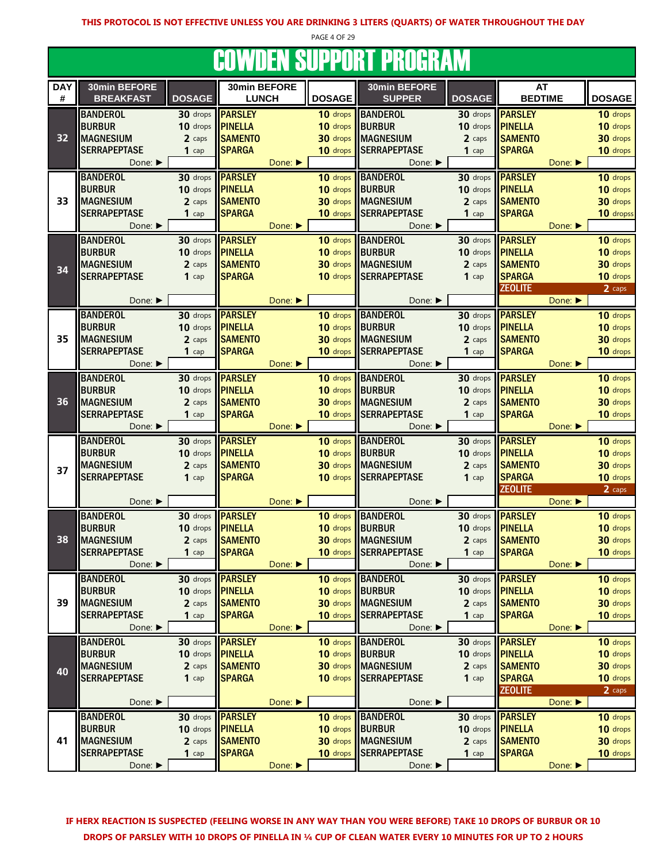PAGE 4 OF 29

#### COWDEN SUPPORT PROGRAM

| <b>DAY</b> |                                |               |                |         |                 |                             |               |                |                             |               |
|------------|--------------------------------|---------------|----------------|---------|-----------------|-----------------------------|---------------|----------------|-----------------------------|---------------|
|            | 30min BEFORE                   |               | 30min BEFORE   |         |                 | 30min BEFORE                |               | <b>AT</b>      |                             |               |
| #          | <b>BREAKFAST</b>               | <b>DOSAGE</b> | <b>LUNCH</b>   |         | <b>DOSAGE</b>   | <b>SUPPER</b>               | <b>DOSAGE</b> | <b>BEDTIME</b> |                             | <b>DOSAGE</b> |
|            | <b>BANDEROL</b>                | 30 drops      | <b>PARSLEY</b> |         |                 | 10 drops BANDEROL           | 30 drops      | <b>PARSLEY</b> |                             | 10 drops      |
|            | <b>BURBUR</b>                  | 10 drops      | <b>PINELLA</b> |         | 10 drops        | BURBUR                      | 10 drops      | <b>PINELLA</b> |                             | 10 drops      |
|            |                                |               |                |         |                 | <b>IMAGNESIUM</b>           |               | <b>SAMENTO</b> |                             |               |
| 32         | <b>MAGNESIUM</b>               | 2 caps        | <b>SAMENTO</b> |         | 30 drops        |                             | 2 caps        |                |                             | 30 drops      |
|            | <b>SERRAPEPTASE</b>            | $1$ cap       | <b>SPARGA</b>  |         | 10 drops        | <b>SERRAPEPTASE</b>         | $1$ cap       | <b>SPARGA</b>  |                             | 10 drops      |
|            | Done: ▶                        |               |                | Done:   |                 | Done: ▶                     |               |                | Done: ▶                     |               |
|            | <b>BANDEROL</b>                | 30 drops      | <b>PARSLEY</b> |         | 10 drops        | <b>BANDEROL</b>             | 30 drops      | <b>PARSLEY</b> |                             | 10 drops      |
|            | <b>BURBUR</b>                  | 10 drops      | <b>PINELLA</b> |         | 10 drops        | <b>BURBUR</b>               | 10 drops      | <b>PINELLA</b> |                             | 10 drops      |
| 33         | <b>MAGNESIUM</b>               | 2 caps        | <b>SAMENTO</b> |         | 30 drops        | <b>MAGNESIUM</b>            | 2 caps        | <b>SAMENTO</b> |                             | 30 drops      |
|            | <b>SERRAPEPTASE</b>            | $1$ cap       | <b>SPARGA</b>  |         | 10 drops        | <b>SERRAPEPTASE</b>         | $1$ cap       | <b>SPARGA</b>  |                             | 10 dropss     |
|            | Done: ▶                        |               |                | Done:   |                 | Done: ▶                     |               |                | Done:                       |               |
|            |                                |               | <b>PARSLEY</b> |         |                 |                             |               | <b>PARSLEY</b> |                             |               |
|            | <b>BANDEROL</b>                | 30 drops      |                |         | 10 drops        | <b>BANDEROL</b>             | 30 drops      |                |                             | 10 drops      |
|            | <b>BURBUR</b>                  | 10 drops      | <b>PINELLA</b> |         | 10 drops        | <b>BURBUR</b>               | 10 drops      | <b>PINELLA</b> |                             | 10 drops      |
| 34         | <b>MAGNESIUM</b>               | 2 caps        | <b>SAMENTO</b> |         | 30 drops        | <b>IMAGNESIUM</b>           | 2 caps        | <b>SAMENTO</b> |                             | 30 drops      |
|            | <b>SERRAPEPTASE</b>            | $1$ cap       | <b>SPARGA</b>  |         | 10 drops        | <b>SERRAPEPTASE</b>         | $1$ cap       | <b>SPARGA</b>  |                             | 10 drops      |
|            |                                |               |                |         |                 |                             |               | <b>ZEOLITE</b> |                             | 2 caps        |
|            | Done: $\blacktriangleright$    |               |                | Done: ▶ |                 | Done: ▶                     |               |                | Done:                       |               |
|            | <b>BANDEROL</b>                | 30 drops      | <b>PARSLEY</b> |         | 10 drops        | <b>BANDEROL</b>             | 30 drops      | <b>PARSLEY</b> |                             | 10 drops      |
|            | <b>BURBUR</b>                  | 10 drops      | <b>PINELLA</b> |         | 10 drops        | BURBUR                      | 10 drops      | <b>PINELLA</b> |                             | 10 drops      |
| 35         | <b>MAGNESIUM</b>               | 2 caps        | <b>SAMENTO</b> |         | 30 drops        | <b>MAGNESIUM</b>            | 2 caps        | <b>SAMENTO</b> |                             | 30 drops      |
|            | <b>SERRAPEPTASE</b>            | $1$ cap       | <b>SPARGA</b>  |         | 10 drops        | <b>SERRAPEPTASE</b>         | $1$ cap       | <b>SPARGA</b>  |                             | 10 drops      |
|            |                                |               |                |         |                 |                             |               |                |                             |               |
|            | Done: ▶                        |               |                | Done: ▶ |                 | Done: ▶                     |               |                | Done: $\blacktriangleright$ |               |
|            | <b>BANDEROL</b>                | 30 drops      | <b>PARSLEY</b> |         | 10 drops        | <b>BANDEROL</b>             | 30 drops      | <b>PARSLEY</b> |                             | 10 drops      |
|            | <b>BURBUR</b>                  | 10 drops      | <b>PINELLA</b> |         | 10 drops        | <b>BURBUR</b>               | 10 drops      | <b>PINELLA</b> |                             | 10 drops      |
| 36         | <b>MAGNESIUM</b>               | 2 caps        | <b>SAMENTO</b> |         | 30 drops        | <b>MAGNESIUM</b>            | 2 caps        | <b>SAMENTO</b> |                             | 30 drops      |
|            | <b>SERRAPEPTASE</b>            | $1$ cap       | <b>SPARGA</b>  |         | 10 drops        | <b>SERRAPEPTASE</b>         | $1$ cap       | <b>SPARGA</b>  |                             | 10 drops      |
|            | Done: ▶                        |               |                | Done: ▶ |                 | Done:                       |               |                | Done:                       |               |
|            | <b>BANDEROL</b>                | 30 drops      | <b>PARSLEY</b> |         | 10 drops        | BANDEROL                    | 30 drops      | <b>PARSLEY</b> |                             | 10 drops      |
|            | <b>BURBUR</b>                  | 10 drops      | <b>PINELLA</b> |         | 10 drops BURBUR |                             | 10 drops      | <b>PINELLA</b> |                             | 10 drops      |
|            | <b>MAGNESIUM</b>               | 2 caps        | <b>SAMENTO</b> |         |                 | 30 drops MAGNESIUM          | 2 caps        | <b>SAMENTO</b> |                             |               |
| 37         | <b>SERRAPEPTASE</b>            |               |                |         |                 |                             |               |                |                             |               |
|            |                                |               |                |         |                 |                             |               |                |                             | 30 drops      |
|            |                                | $1$ cap       | <b>SPARGA</b>  |         |                 | 10 drops SERRAPEPTASE       | $1$ cap       | <b>SPARGA</b>  |                             | 10 drops      |
|            |                                |               |                |         |                 |                             |               | <b>ZEOLITE</b> |                             | 2 caps        |
|            | Done: $\blacktriangleright$    |               |                | Done:   |                 | Done: $\blacktriangleright$ |               |                | Done: ▶                     |               |
|            | <b>BANDEROL</b>                | 30 drops      | <b>PARSLEY</b> |         |                 | 10 drops BANDEROL           | $30$ drops    | <b>PARSLEY</b> |                             | 10 drops      |
|            | <b>BURBUR</b>                  | 10 drops      | <b>PINELLA</b> |         | 10 drops        | <b>BURBUR</b>               | 10 drops      | <b>PINELLA</b> |                             | 10 drops      |
| 38         | <b>MAGNESIUM</b>               | 2 caps        | <b>SAMENTO</b> |         | 30 drops        | <b>MAGNESIUM</b>            | 2 caps        | <b>SAMENTO</b> |                             | 30 drops      |
|            | <b>SERRAPEPTASE</b>            |               |                |         |                 |                             | $1$ cap       |                |                             |               |
|            |                                | $1$ cap       | <b>SPARGA</b>  |         |                 | 10 drops SERRAPEPTASE       |               | <b>SPARGA</b>  |                             | 10 drops      |
|            | Done: ▶                        |               |                | Done: ▶ |                 | Done: ▶                     |               |                | Done:                       |               |
|            | <b>BANDEROL</b>                | 30 drops      | <b>PARSLEY</b> |         |                 | 10 drops BANDEROL           | 30 drops      | <b>PARSLEY</b> |                             | 10 drops      |
|            | <b>BURBUR</b>                  | 10 drops      | <b>PINELLA</b> |         |                 | 10 drops BURBUR             | $10$ drops    | <b>PINELLA</b> |                             | 10 drops      |
| 39         | <b>MAGNESIUM</b>               | 2 caps        | <b>SAMENTO</b> |         |                 | 30 drops MAGNESIUM          | 2 caps        | <b>SAMENTO</b> |                             | 30 drops      |
|            | <b>SERRAPEPTASE</b>            | $1$ cap       | <b>SPARGA</b>  |         |                 | 10 drops SERRAPEPTASE       | $1$ cap       | <b>SPARGA</b>  |                             | 10 drops      |
|            | Done: ▶                        |               |                | Done:   |                 | Done: ▶                     |               |                | Done: ▶                     |               |
|            | <b>BANDEROL</b>                | 30 drops      | <b>PARSLEY</b> |         |                 | 10 drops BANDEROL           | 30 drops      | <b>PARSLEY</b> |                             | 10 drops      |
|            |                                | 10 drops      | <b>PINELLA</b> |         |                 | 10 drops BURBUR             | 10 drops      | <b>PINELLA</b> |                             | 10 drops      |
|            | <b>BURBUR</b>                  |               |                |         |                 |                             |               |                |                             |               |
| 40         | <b>MAGNESIUM</b>               | 2 caps        | <b>SAMENTO</b> |         |                 | 30 drops MAGNESIUM          | 2 caps        | <b>SAMENTO</b> |                             | 30 drops      |
|            | <b>SERRAPEPTASE</b>            | $1$ cap       | <b>SPARGA</b>  |         | 10 drops        | <b>SERRAPEPTASE</b>         | $1$ cap       | <b>SPARGA</b>  |                             | 10 drops      |
|            |                                |               |                |         |                 |                             |               | <b>ZEOLITE</b> |                             | 2 caps        |
|            | Done: ▶                        |               |                | Done:   |                 | Done: ▶                     |               |                | Done:                       |               |
|            | <b>BANDEROL</b>                | 30 drops      | <b>PARSLEY</b> |         | 10 drops        | <b>BANDEROL</b>             | 30 drops      | <b>PARSLEY</b> |                             | 10 drops      |
|            | <b>BURBUR</b>                  | 10 drops      | <b>PINELLA</b> |         | 10 drops        | <b>BURBUR</b>               | 10 drops      | <b>PINELLA</b> |                             | 10 drops      |
| 41         | <b>MAGNESIUM</b>               | 2 caps        | <b>SAMENTO</b> |         |                 | 30 drops MAGNESIUM          | 2 caps        | <b>SAMENTO</b> |                             | 30 drops      |
|            | <b>SERRAPEPTASE</b><br>Done: ▶ | $1$ cap       | <b>SPARGA</b>  | Done: ▶ | 10 drops        | <b>SERRAPEPTASE</b>         | $1$ cap       | <b>SPARGA</b>  | Done:                       | 10 drops      |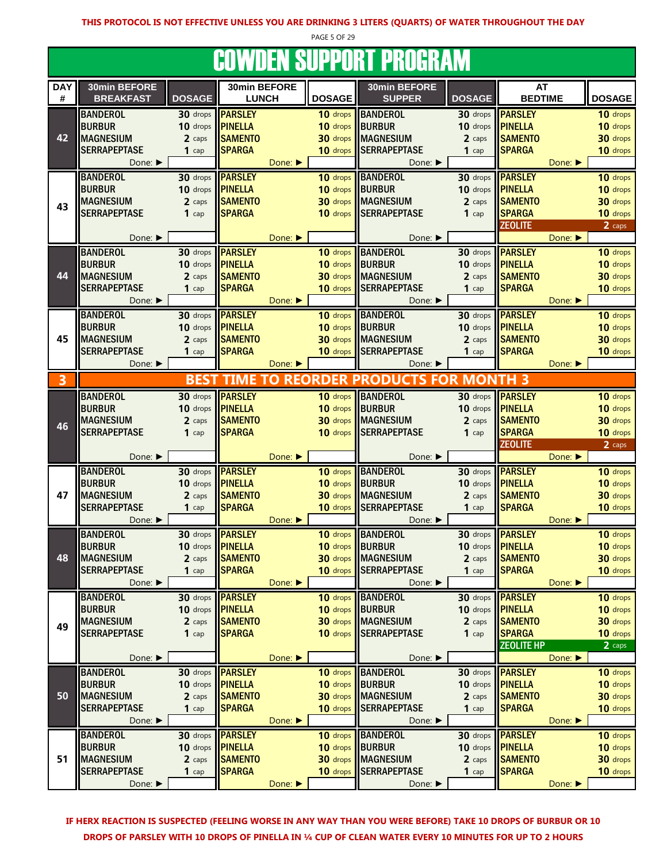PAGE 5 OF 29

#### **COWDEN SUPPORT PROGRAM**

|                 |                                  |                         |                              |                             |                 | <u>JUTTIJEN UUI I UNI I NUUNINII</u> |                         |                         |         |               |
|-----------------|----------------------------------|-------------------------|------------------------------|-----------------------------|-----------------|--------------------------------------|-------------------------|-------------------------|---------|---------------|
| <b>DAY</b><br># | 30min BEFORE<br><b>BREAKFAST</b> | <b>DOSAGE</b>           | 30min BEFORE<br><b>LUNCH</b> |                             | <b>DOSAGE</b>   | 30min BEFORE<br><b>SUPPER</b>        | <b>DOSAGE</b>           | AT<br><b>BEDTIME</b>    |         | <b>DOSAGE</b> |
|                 | <b>BANDEROL</b>                  | 30 drops                | <b>PARSLEY</b>               |                             | 10 drops        | <b>BANDEROL</b>                      | 30 drops                | <b>PARSLEY</b>          |         | 10 drops      |
|                 | <b>BURBUR</b>                    | 10 drops                | <b>PINELLA</b>               |                             | 10 drops        | <b>BURBUR</b>                        | 10 drops                | <b>PINELLA</b>          |         | 10 drops      |
| 42              | <b>MAGNESIUM</b>                 | 2 caps                  | <b>SAMENTO</b>               |                             | 30 drops        | <b>MAGNESIUM</b>                     | 2 caps                  | <b>SAMENTO</b>          |         | 30 drops      |
|                 | <b>SERRAPEPTASE</b>              | $1$ cap                 | <b>SPARGA</b>                |                             | 10 drops        | <b>SERRAPEPTASE</b>                  | $1$ cap                 | <b>SPARGA</b>           |         | 10 drops      |
|                 | Done: ▶                          |                         |                              | Done: ▶                     |                 | Done: ▶                              |                         |                         | Done:   |               |
|                 | <b>BANDEROL</b>                  |                         | 30 drops <b>PARSLEY</b>      |                             | 10 drops        | <b>BANDEROL</b>                      | 30 drops                | <b>PARSLEY</b>          |         | 10 drops      |
|                 | <b>BURBUR</b>                    | 10 drops <b>PINELLA</b> |                              |                             | 10 drops        | <b>BURBUR</b>                        | 10 drops                | <b>PINELLA</b>          |         | 10 drops      |
| 43              | <b>MAGNESIUM</b>                 | 2 caps                  | <b>SAMENTO</b>               |                             |                 | 30 drops MAGNESIUM                   | 2 caps                  | <b>SAMENTO</b>          |         | 30 drops      |
|                 | <b>SERRAPEPTASE</b>              | $1$ cap                 | <b>SPARGA</b>                |                             | 10 drops        | <b>SERRAPEPTASE</b>                  | $1$ cap                 | <b>SPARGA</b>           |         | 10 drops      |
|                 |                                  |                         |                              |                             |                 |                                      |                         | <b>ZEOLITE</b>          |         | 2 caps        |
|                 | Done: ▶                          |                         |                              | Done: $\blacktriangleright$ |                 | Done: ▶                              |                         |                         | Done:   |               |
|                 | <b>BANDEROL</b>                  | 30 drops                | <b>PARSLEY</b>               |                             | 10 drops        | <b>BANDEROL</b>                      | 30 drops                | <b>PARSLEY</b>          |         | 10 drops      |
|                 | <b>BURBUR</b>                    | 10 drops                | <b>PINELLA</b>               |                             | 10 drops        | <b>BURBUR</b>                        | 10 drops                | <b>PINELLA</b>          |         | 10 drops      |
| 44              | <b>MAGNESIUM</b>                 | 2 caps                  | <b>SAMENTO</b>               |                             | 30 drops        | <b>MAGNESIUM</b>                     | 2 caps                  | <b>SAMENTO</b>          |         | 30 drops      |
|                 | <b>SERRAPEPTASE</b>              | $1$ cap                 | <b>SPARGA</b>                |                             | 10 drops        | <b>SERRAPEPTASE</b>                  | $1$ cap                 | <b>SPARGA</b>           |         | 10 drops      |
|                 | Done: ▶                          |                         |                              | Done: ▶                     |                 | Done: ▶                              |                         |                         | Done:   |               |
|                 | <b>BANDEROL</b>                  |                         | 30 drops <b>PARSLEY</b>      |                             | 10 drops        | <b>BANDEROL</b>                      | 30 drops                | <b>PARSLEY</b>          |         | 10 drops      |
|                 | <b>BURBUR</b>                    | 10 drops                | <b>PINELLA</b>               |                             | 10 drops        | <b>BURBUR</b>                        | 10 drops                | <b>PINELLA</b>          |         | 10 drops      |
| 45              | <b>MAGNESIUM</b>                 | 2 caps                  | <b>SAMENTO</b>               |                             | 30 drops        | <b>MAGNESIUM</b>                     | 2 caps                  | <b>SAMENTO</b>          |         | 30 drops      |
|                 | <b>SERRAPEPTASE</b>              | $1$ cap                 | <b>SPARGA</b>                |                             | 10 drops        | <b>SERRAPEPTASE</b>                  | $1$ cap                 | <b>SPARGA</b>           |         | 10 drops      |
|                 | Done: ▶                          |                         |                              | Done:                       |                 | Done: ▶                              |                         |                         | Done:   |               |
| 3               |                                  | <b>BEST</b>             | <b>TIME TO</b>               |                             | <b>REORDER</b>  | <b>PRODUCTS FOR</b>                  | <b>MONTH 3</b>          |                         |         |               |
|                 | <b>BANDEROL</b>                  |                         | 30 drops <b>PARSLEY</b>      |                             | 10 drops        | <b>BANDEROL</b>                      |                         | 30 drops <b>PARSLEY</b> |         | 10 drops      |
|                 | <b>BURBUR</b>                    | 10 drops                | <b>PINELLA</b>               |                             | 10 drops        | <b>BURBUR</b>                        | 10 drops                | <b>PINELLA</b>          |         | 10 drops      |
| 46              | <b>MAGNESIUM</b>                 | 2 caps                  | <b>SAMENTO</b>               |                             | 30 drops        | <b>MAGNESIUM</b>                     | 2 caps                  | <b>SAMENTO</b>          |         | 30 drops      |
|                 | <b>SERRAPEPTASE</b>              | $1$ cap                 | <b>SPARGA</b>                |                             | 10 drops        | <b>SERRAPEPTASE</b>                  | $1$ cap                 | <b>SPARGA</b>           |         | 10 drops      |
|                 | Done: ▶                          |                         |                              | Done:                       |                 | Done: ▶                              |                         | <b>ZEOLITE</b>          | Done: ▶ | 2 caps        |
|                 | <b>BANDEROL</b>                  |                         | 30 drops <b>PARSLEY</b>      |                             | 10 drops        | <b>BANDEROL</b>                      | 30 drops                | <b>PARSLEY</b>          |         | 10 drops      |
|                 | <b>BURBUR</b>                    | 10 drops                | <b>PINELLA</b>               |                             | 10 drops        | <b>BURBUR</b>                        | 10 drops                | <b>PINELLA</b>          |         | 10 drops      |
| 47              | <b>MAGNESIUM</b>                 | 2 caps                  | <b>SAMENTO</b>               |                             | 30 drops        | <b>MAGNESIUM</b>                     | 2 caps                  | <b>SAMENTO</b>          |         | 30 drops      |
|                 | <b>SERRAPEPTASE</b>              | $1$ cap                 | <b>SPARGA</b>                |                             | 10 drops        | <b>SERRAPEPTASE</b>                  | $1$ cap                 | <b>SPARGA</b>           |         | 10 drops      |
|                 | Done: ▶                          |                         |                              | Done: ▶                     |                 | Done: ▶                              |                         |                         | Done: ▶ |               |
|                 | <b>BANDEROL</b>                  |                         | 30 drops <b>PARSLEY</b>      |                             | 10 drops        | <b>BANDEROL</b>                      | $30$ drops              | <b>PARSLEY</b>          |         | 10 drops      |
|                 | <b>BURBUR</b>                    | 10 drops PINELLA        |                              |                             | 10 drops BURBUR |                                      | 10 drops                | <b>PINELLA</b>          |         | 10 drops      |
| 48              | ∥MAGNESIUM                       | 2 caps                  | <b>SAMENTO</b>               |                             |                 | <b>30 drops    MAGNESIUM</b>         | 2 caps                  | <b>SAMENTO</b>          |         | 30 drops      |
|                 | <b>SERRAPEPTASE</b>              | $1$ cap                 | <b>SPARGA</b>                |                             | 10 drops        | <b>SERRAPEPTASE</b>                  | $1$ cap                 | <b>SPARGA</b>           |         | 10 drops      |
|                 | Done: ▶                          |                         |                              | Done:                       |                 | Done: ▶                              |                         |                         | Done: ▶ |               |
|                 | <b>BANDEROL</b>                  |                         | 30 drops <b>PARSLEY</b>      |                             | 10 drops        | <b>BANDEROL</b>                      | 30 drops                | <b>PARSLEY</b>          |         | 10 drops      |
|                 | <b>BURBUR</b>                    | 10 drops                | <b>PINELLA</b>               |                             | 10 drops BURBUR |                                      | 10 drops <b>PINELLA</b> |                         |         | 10 drops      |
| 49              | <b>MAGNESIUM</b>                 | 2 caps                  | <b>SAMENTO</b>               |                             |                 | 30 drops MAGNESIUM                   | 2 caps                  | <b>SAMENTO</b>          |         | 30 drops      |
|                 | <b>SERRAPEPTASE</b>              | $1$ cap                 | <b>SPARGA</b>                |                             | 10 drops        | <b>SERRAPEPTASE</b>                  | $1$ cap                 | <b>SPARGA</b>           |         | 10 drops      |
|                 | Done: ▶                          |                         |                              | Done:                       |                 | Done:                                |                         | <b>ZEOLITE HP</b>       | Done:   | 2 caps        |
|                 | <b>BANDEROL</b>                  |                         | 30 drops <b>PARSLEY</b>      |                             | 10 drops        | <b>BANDEROL</b>                      | 30 drops                | <b>PARSLEY</b>          |         | 10 drops      |
|                 | <b>BURBUR</b>                    | 10 drops <b>PINELLA</b> |                              |                             | 10 drops BURBUR |                                      | 10 drops                | <b>PINELLA</b>          |         | 10 drops      |
| 50              | <b>MAGNESIUM</b>                 | 2 caps                  | <b>SAMENTO</b>               |                             | 30 drops        | <b>MAGNESIUM</b>                     | 2 caps                  | <b>SAMENTO</b>          |         | 30 drops      |
|                 | <b>SERRAPEPTASE</b>              | $1$ cap                 | <b>SPARGA</b>                |                             | 10 drops        | <b>SERRAPEPTASE</b>                  | $1$ cap                 | <b>SPARGA</b>           |         | 10 drops      |
|                 | Done: ▶                          |                         |                              | Done: ▶                     |                 | Done: ▶                              |                         |                         | Done:   |               |
|                 | <b>BANDEROL</b>                  |                         | 30 drops <b>PARSLEY</b>      |                             |                 | 10 drops   BANDEROL                  | 30 drops                | <b>PARSLEY</b>          |         | 10 drops      |
|                 | <b>BURBUR</b>                    | 10 drops                | <b>PINELLA</b>               |                             | 10 drops        | <b>BURBUR</b>                        | 10 drops <b>PINELLA</b> |                         |         | 10 drops      |
| 51              | <b>MAGNESIUM</b>                 | 2 caps                  | <b>SAMENTO</b>               |                             |                 | 30 drops MAGNESIUM                   | 2 caps                  | <b>SAMENTO</b>          |         | 30 drops      |
|                 | <b>SERRAPEPTASE</b>              | $1$ cap                 | <b>SPARGA</b>                |                             | 10 drops        | <b>SERRAPEPTASE</b>                  | $1$ cap                 | <b>SPARGA</b>           |         | 10 drops      |
|                 | Done: ▶                          |                         |                              | Done: ▶                     |                 | Done: ▶                              |                         |                         | Done: ▶ |               |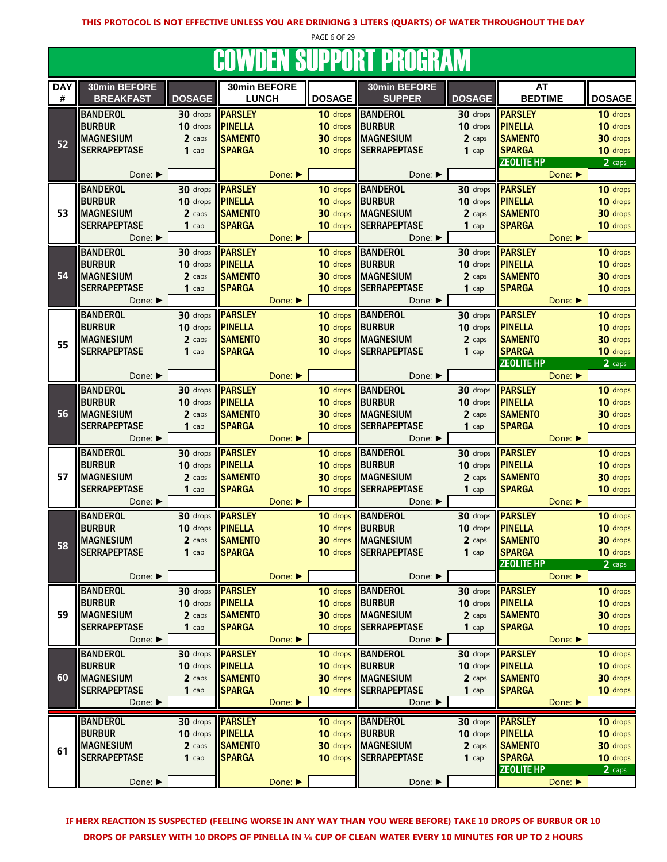PAGE 6 OF 29

### COWDEN SUPPORT PROGRAM

|            |                             |               |                |                             |                 | oottpen ooi i ont i noghtin. |               |                   |                             |
|------------|-----------------------------|---------------|----------------|-----------------------------|-----------------|------------------------------|---------------|-------------------|-----------------------------|
| <b>DAY</b> | 30min BEFORE                |               | 30min BEFORE   |                             |                 | 30min BEFORE                 |               | AT                |                             |
| #          | <b>BREAKFAST</b>            | <b>DOSAGE</b> | <b>LUNCH</b>   |                             | <b>DOSAGE</b>   | <b>SUPPER</b>                | <b>DOSAGE</b> | <b>BEDTIME</b>    | <b>DOSAGE</b>               |
|            |                             |               |                |                             |                 | <b>BANDEROL</b>              |               | <b>PARSLEY</b>    |                             |
|            | <b>BANDEROL</b>             | 30 drops      | <b>PARSLEY</b> |                             | 10 drops        |                              | 30 drops      |                   | 10 drops                    |
|            | <b>BURBUR</b>               | 10 drops      | <b>PINELLA</b> |                             | 10 drops        | BURBUR                       | 10 drops      | <b>PINELLA</b>    | 10 drops                    |
| 52         | <b>MAGNESIUM</b>            | 2 caps        | <b>SAMENTO</b> |                             |                 | <b>30 drops</b> MAGNESIUM    | 2 caps        | <b>SAMENTO</b>    | 30 drops                    |
|            | <b>SERRAPEPTASE</b>         | $1$ cap       | <b>SPARGA</b>  |                             |                 | 10 drops SERRAPEPTASE        | $1$ cap       | <b>SPARGA</b>     | 10 drops                    |
|            |                             |               |                |                             |                 |                              |               | <b>ZEOLITE HP</b> | 2 caps                      |
|            | Done: ▶                     |               |                | Done:                       |                 | Done: ▶                      |               |                   | Done: ▶                     |
|            | <b>BANDEROL</b>             | 30 drops      | <b>PARSLEY</b> |                             |                 | 10 drops BANDEROL            | 30 drops      | <b>PARSLEY</b>    | 10 drops                    |
|            | <b>BURBUR</b>               | 10 drops      | <b>PINELLA</b> |                             | 10 drops        | <b>BURBUR</b>                | 10 drops      | <b>PINELLA</b>    | 10 drops                    |
| 53         | <b>MAGNESIUM</b>            |               |                |                             | 30 drops        | <b>MAGNESIUM</b>             |               |                   |                             |
|            |                             | 2 caps        | <b>SAMENTO</b> |                             |                 |                              | 2 caps        | <b>SAMENTO</b>    | 30 drops                    |
|            | <b>SERRAPEPTASE</b>         | $1$ cap       | <b>SPARGA</b>  |                             | 10 drops        | <b>SERRAPEPTASE</b>          | $1$ cap       | <b>SPARGA</b>     | 10 drops                    |
|            | Done: ▶                     |               |                | Done: ▶                     |                 | Done: ▶                      |               |                   | Done: $\blacktriangleright$ |
|            | <b>BANDEROL</b>             | 30 drops      | <b>PARSLEY</b> |                             | 10 drops        | <b>BANDEROL</b>              | 30 drops      | <b>PARSLEY</b>    | 10 drops                    |
|            | <b>BURBUR</b>               | 10 drops      | <b>PINELLA</b> |                             | 10 drops        | <b>BURBUR</b>                | 10 drops      | <b>PINELLA</b>    | 10 drops                    |
| 54         | <b>MAGNESIUM</b>            | 2 caps        | <b>SAMENTO</b> |                             | 30 drops        | <b>IMAGNESIUM</b>            | 2 caps        | <b>SAMENTO</b>    | 30 drops                    |
|            | <b>SERRAPEPTASE</b>         | $1$ cap       | <b>SPARGA</b>  |                             | 10 drops        | <b>SERRAPEPTASE</b>          | $1$ cap       | <b>SPARGA</b>     | 10 drops                    |
|            | Done: ▶                     |               |                | Done:                       |                 | Done: ▶                      |               |                   | Done:                       |
|            |                             |               |                |                             |                 |                              |               |                   |                             |
|            | <b>BANDEROL</b>             | 30 drops      | <b>PARSLEY</b> |                             | 10 drops        | <b>BANDEROL</b>              | 30 drops      | <b>PARSLEY</b>    | 10 drops                    |
|            | <b>BURBUR</b>               | 10 drops      | <b>PINELLA</b> |                             | 10 drops        | <b>BURBUR</b>                | 10 drops      | <b>PINELLA</b>    | 10 drops                    |
| 55         | <b>MAGNESIUM</b>            | 2 caps        | <b>SAMENTO</b> |                             |                 | 30 drops MAGNESIUM           | 2 caps        | <b>SAMENTO</b>    | 30 drops                    |
|            | <b>SERRAPEPTASE</b>         | $1$ cap       | <b>SPARGA</b>  |                             | 10 drops        | <b>SERRAPEPTASE</b>          | $1$ cap       | <b>SPARGA</b>     | 10 drops                    |
|            |                             |               |                |                             |                 |                              |               | <b>ZEOLITE HP</b> | 2 caps                      |
|            | Done:                       |               |                | Done: ▶                     |                 | Done: ▶                      |               |                   | Done:                       |
|            | <b>BANDEROL</b>             | 30 drops      | <b>PARSLEY</b> |                             | 10 drops        | <b>BANDEROL</b>              | 30 drops      | <b>PARSLEY</b>    | 10 drops                    |
|            | <b>BURBUR</b>               | 10 drops      | <b>PINELLA</b> |                             | 10 drops        | <b>BURBUR</b>                | 10 drops      | <b>PINELLA</b>    | 10 drops                    |
| 56         |                             |               |                |                             |                 |                              |               | <b>SAMENTO</b>    |                             |
|            | <b>MAGNESIUM</b>            | 2 caps        | <b>SAMENTO</b> |                             | 30 drops        | <b>IMAGNESIUM</b>            | 2 caps        |                   | 30 drops                    |
|            | <b>SERRAPEPTASE</b>         | $1$ cap       | <b>SPARGA</b>  |                             | 10 drops        | <b>SERRAPEPTASE</b>          | $1$ cap       | <b>SPARGA</b>     | 10 drops                    |
|            | Done: ▶                     |               |                | Done: ▶                     |                 | Done: ▶                      |               |                   | Done:                       |
|            | <b>BANDEROL</b>             | 30 drops      | <b>PARSLEY</b> |                             | 10 drops        | BANDEROL                     | 30 drops      | <b>PARSLEY</b>    | 10 drops                    |
|            | <b>BURBUR</b>               | 10 drops      | <b>PINELLA</b> |                             | 10 drops        | <b>BURBUR</b>                | 10 drops      | <b>PINELLA</b>    | 10 drops                    |
| 57         | <b>MAGNESIUM</b>            | 2 caps        | <b>SAMENTO</b> |                             |                 | 30 drops MAGNESIUM           | 2 caps        | <b>SAMENTO</b>    | 30 drops                    |
|            | <b>SERRAPEPTASE</b>         | $1$ cap       | <b>SPARGA</b>  |                             | 10 drops        | <b>SERRAPEPTASE</b>          | 1 $cap$       | <b>SPARGA</b>     | 10 drops                    |
|            | Done: $\blacktriangleright$ |               |                | Done: ▶                     |                 | Done: $\blacktriangleright$  |               |                   | Done: ▶                     |
|            |                             | 30 drops      |                |                             |                 |                              |               |                   |                             |
|            | <b>BANDEROL</b>             |               | <b>PARSLEY</b> |                             |                 | 10 drops BANDEROL            | 30 drops      | <b>PARSLEY</b>    | 10 drops                    |
|            | <b>BURBUR</b>               | 10 drops      | <b>PINELLA</b> |                             | 10 drops        | BURBUR                       | 10 drops      | <b>PINELLA</b>    | 10 drops                    |
| 58         | <b>MAGNESIUM</b>            | 2 caps        | <b>SAMENTO</b> |                             | 30 drops        | <b>MAGNESIUM</b>             | 2 caps        | <b>SAMENTO</b>    | 30 drops                    |
|            | <b>SERRAPEPTASE</b>         | $1$ cap       | <b>SPARGA</b>  |                             |                 | 10 drops SERRAPEPTASE        | $1$ cap       | <b>SPARGA</b>     | 10 drops                    |
|            |                             |               |                |                             |                 |                              |               | <b>ZEOLITE HP</b> | 2 caps                      |
|            | Done: ▶                     |               |                | Done:                       |                 | Done: ▶                      |               |                   | Done: ▶                     |
|            | <b>BANDEROL</b>             | 30 drops      | <b>PARSLEY</b> |                             | 10 drops        | <b>BANDEROL</b>              | 30 drops      | <b>PARSLEY</b>    | 10 drops                    |
|            | <b>BURBUR</b>               | 10 drops      | <b>PINELLA</b> |                             | 10 drops        | BURBUR                       | 10 drops      | <b>PINELLA</b>    | 10 drops                    |
| 59         | <b>MAGNESIUM</b>            | 2 caps        | <b>SAMENTO</b> |                             | 30 drops        | <b>MAGNESIUM</b>             | 2 caps        | <b>SAMENTO</b>    | 30 drops                    |
|            | <b>SERRAPEPTASE</b>         | $1$ cap       | <b>SPARGA</b>  |                             | 10 drops        | <b>SERRAPEPTASE</b>          | $1$ cap       | <b>SPARGA</b>     | 10 drops                    |
|            |                             |               |                |                             |                 |                              |               |                   |                             |
|            | Done: $\blacktriangleright$ |               |                | Done: $\blacktriangleright$ |                 | Done: ▶                      |               |                   | Done: ▶                     |
|            | <b>BANDEROL</b>             | 30 drops      | <b>PARSLEY</b> |                             | 10 drops        | <b>BANDEROL</b>              | 30 drops      | <b>PARSLEY</b>    | 10 drops                    |
|            | <b>BURBUR</b>               | 10 drops      | <b>PINELLA</b> |                             | 10 drops        | BURBUR                       | 10 drops      | <b>PINELLA</b>    | 10 drops                    |
| 60         | <b>MAGNESIUM</b>            | 2 caps        | <b>SAMENTO</b> |                             | 30 drops        | <b>MAGNESIUM</b>             | 2 caps        | <b>SAMENTO</b>    | 30 drops                    |
|            | <b>SERRAPEPTASE</b>         | $1$ cap       | <b>SPARGA</b>  |                             | 10 drops        | <b>SERRAPEPTASE</b>          | $1$ cap       | <b>SPARGA</b>     | 10 drops                    |
|            | Done: ▶                     |               |                | Done:                       |                 | Done: ▶                      |               |                   | Done:                       |
|            |                             |               |                |                             |                 |                              |               |                   |                             |
|            | <b>BANDEROL</b>             | 30 drops      | <b>PARSLEY</b> |                             |                 | 10 drops BANDEROL            | 30 drops      | <b>PARSLEY</b>    | 10 drops                    |
|            | <b>BURBUR</b>               | 10 drops      | <b>PINELLA</b> |                             | 10 drops BURBUR |                              | 10 drops      | <b>PINELLA</b>    | 10 drops                    |
| 61         | <b>MAGNESIUM</b>            | 2 caps        | <b>SAMENTO</b> |                             |                 | 30 drops MAGNESIUM           | 2 caps        | <b>SAMENTO</b>    | 30 drops                    |
|            | <b>SERRAPEPTASE</b>         | $1$ cap       | <b>SPARGA</b>  |                             |                 | 10 drops SERRAPEPTASE        | $1$ cap       | <b>SPARGA</b>     | 10 drops                    |
|            |                             |               |                |                             |                 |                              |               | <b>ZEOLITE HP</b> | 2 caps                      |
|            | Done: ▶                     |               |                | Done:                       |                 | Done: ▶                      |               |                   | Done:                       |
|            |                             |               |                |                             |                 |                              |               |                   |                             |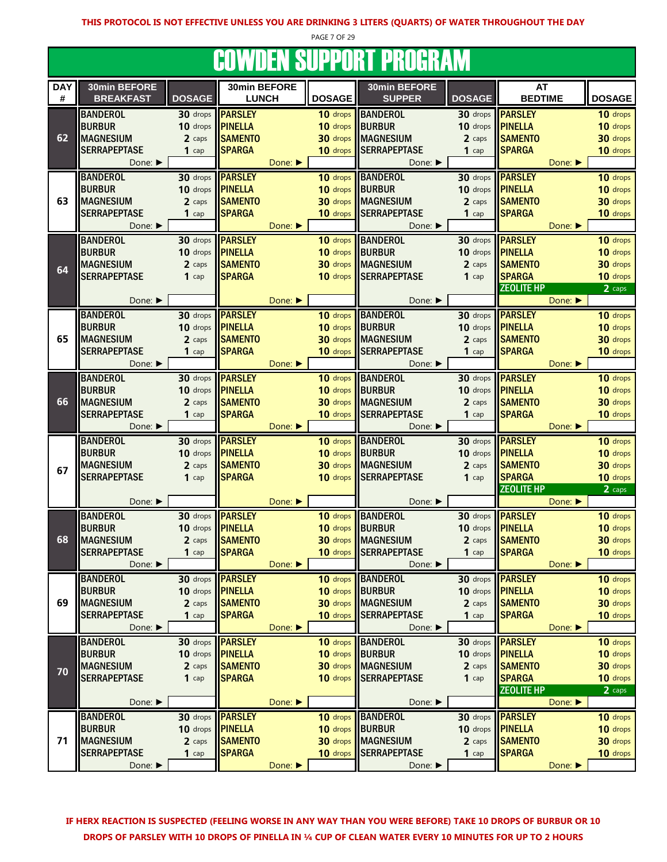PAGE 7 OF 29

#### **COWDEN SUPPORT PROGRAM**

|            |                             |                      |                |         |                      | UUTTIJLIT UUI I UILI I NUUNTIITI |                                     |                             |                      |
|------------|-----------------------------|----------------------|----------------|---------|----------------------|----------------------------------|-------------------------------------|-----------------------------|----------------------|
| <b>DAY</b> | 30min BEFORE                |                      | 30min BEFORE   |         |                      | 30min BEFORE                     |                                     | AT                          |                      |
| #          | <b>BREAKFAST</b>            | <b>DOSAGE</b>        | <b>LUNCH</b>   |         | <b>DOSAGE</b>        | <b>SUPPER</b>                    | <b>DOSAGE</b>                       | <b>BEDTIME</b>              | <b>DOSAGE</b>        |
|            | <b>BANDEROL</b>             | 30 drops             | <b>PARSLEY</b> |         | 10 drops             | <b>BANDEROL</b>                  | 30 drops                            | <b>PARSLEY</b>              | 10 drops             |
|            | <b>BURBUR</b>               | 10 drops             | <b>PINELLA</b> |         | 10 drops             | <b>BURBUR</b>                    | 10 drops <b>PINELLA</b>             |                             | 10 drops             |
| 62         | <b>MAGNESIUM</b>            | 2 caps               | <b>SAMENTO</b> |         | 30 drops             | <b>MAGNESIUM</b>                 | 2 caps                              | <b>SAMENTO</b>              | 30 drops             |
|            | <b>SERRAPEPTASE</b>         | $1$ cap              | <b>SPARGA</b>  |         | 10 drops             | <b>SERRAPEPTASE</b>              | $1$ cap                             | <b>SPARGA</b>               | 10 drops             |
|            |                             |                      |                |         |                      |                                  |                                     |                             |                      |
|            | Done: ▶                     |                      |                | Done:   |                      | Done:                            |                                     | Done:                       |                      |
|            | <b>BANDEROL</b>             | 30 drops             | <b>PARSLEY</b> |         | 10 drops             | <b>BANDEROL</b>                  |                                     | 30 drops <b>PARSLEY</b>     | 10 drops             |
|            | <b>BURBUR</b>               | 10 drops             | <b>PINELLA</b> |         | 10 drops             | <b>IBURBUR</b>                   | 10 drops <b>PINELLA</b>             |                             | 10 drops             |
| 63         | <b>MAGNESIUM</b>            | 2 caps               | <b>SAMENTO</b> |         |                      | 30 drops MAGNESIUM               | 2 caps                              | <b>SAMENTO</b>              | 30 drops             |
|            | <b>SERRAPEPTASE</b>         | $1$ cap              | <b>SPARGA</b>  |         | 10 drops             | <b>SERRAPEPTASE</b>              | $1$ cap                             | <b>SPARGA</b>               | 10 drops             |
|            | Done: $\blacktriangleright$ |                      |                | Done: ▶ |                      | Done: ▶                          |                                     | Done: ▶                     |                      |
|            | <b>BANDEROL</b>             | 30 drops             | <b>PARSLEY</b> |         |                      | 10 drops BANDEROL                | 30 drops                            | <b>PARSLEY</b>              | 10 drops             |
|            | <b>BURBUR</b>               | 10 drops             | <b>PINELLA</b> |         | 10 drops             | <b>BURBUR</b>                    | 10 drops <b>PINELLA</b>             |                             | 10 drops             |
|            | <b>MAGNESIUM</b>            | 2 caps               | <b>SAMENTO</b> |         | 30 drops             | <b>MAGNESIUM</b>                 | 2 caps                              | <b>SAMENTO</b>              | 30 drops             |
| 64         | <b>SERRAPEPTASE</b>         | $1$ cap              | <b>SPARGA</b>  |         | 10 drops             | <b>SERRAPEPTASE</b>              | $1$ cap                             | <b>SPARGA</b>               | 10 drops             |
|            |                             |                      |                |         |                      |                                  |                                     | <b>ZEOLITE HP</b>           | 2 caps               |
|            | Done:                       |                      |                | Done:   |                      | Done: ▶                          |                                     | Done:                       |                      |
|            | <b>BANDEROL</b>             |                      | <b>PARSLEY</b> |         |                      | 10 drops BANDEROL                |                                     | 30 drops <b>PARSLEY</b>     | 10 drops             |
|            | <b>BURBUR</b>               | 30 drops<br>10 drops |                |         | 10 drops             | <b>BURBUR</b>                    | 10 drops <b>PINELLA</b>             |                             |                      |
|            |                             |                      | <b>PINELLA</b> |         |                      |                                  |                                     | <b>SAMENTO</b>              | 10 drops             |
| 65         | <b>MAGNESIUM</b>            | 2 caps               | <b>SAMENTO</b> |         | 30 drops             | <b>MAGNESIUM</b>                 | 2 caps                              |                             | 30 drops             |
|            | <b>SERRAPEPTASE</b>         | $1$ cap              | <b>SPARGA</b>  |         | 10 drops             | <b>SERRAPEPTASE</b>              | $1$ cap                             | <b>SPARGA</b>               | 10 drops             |
|            | Done: ▶                     |                      |                | Done:   |                      | Done: ▶                          |                                     | Done: $\blacktriangleright$ |                      |
|            | <b>BANDEROL</b>             | 30 drops             | <b>PARSLEY</b> |         | 10 drops             | <b>BANDEROL</b>                  |                                     | 30 drops <b>PARSLEY</b>     | 10 drops             |
|            | <b>BURBUR</b>               | 10 drops             | <b>PINELLA</b> |         | 10 drops             | <b>BURBUR</b>                    | 10 drops <b>PINELLA</b>             |                             | 10 drops             |
| 66         | <b>MAGNESIUM</b>            | 2 caps               | <b>SAMENTO</b> |         | 30 drops             | <b>MAGNESIUM</b>                 | 2 caps                              | <b>SAMENTO</b>              | 30 drops             |
|            | <b>SERRAPEPTASE</b>         | $1$ cap              | <b>SPARGA</b>  |         | 10 drops             | <b>SERRAPEPTASE</b>              | $1$ cap                             | <b>SPARGA</b>               | 10 drops             |
|            | Done: ▶                     |                      |                | Done:   |                      | Done: ▶                          |                                     | Done:                       |                      |
|            | <b>BANDEROL</b>             | 30 drops             | <b>PARSLEY</b> |         | 10 drops             | <b>BANDEROL</b>                  | 30 drops                            | <b>PARSLEY</b>              | 10 drops             |
|            | <b>BURBUR</b>               | 10 drops             | <b>PINELLA</b> |         | 10 drops             | <b>BURBUR</b>                    | 10 drops <b>PINELLA</b>             |                             | 10 drops             |
|            | <b>MAGNESIUM</b>            | 2 caps               | <b>SAMENTO</b> |         |                      | <b>30 drops MAGNESIUM</b>        | 2 caps                              | <b>SAMENTO</b>              | 30 drops             |
| 67         | <b>SERRAPEPTASE</b>         | $1$ cap              | <b>SPARGA</b>  |         | 10 drops             | <b>SERRAPEPTASE</b>              | $1$ cap                             | <b>SPARGA</b>               | 10 drops             |
|            |                             |                      |                |         |                      |                                  |                                     | <b>ZEOLITE HP</b>           | 2 caps               |
|            | Done: ▶                     |                      |                | Done: ▶ |                      | Done: ▶                          |                                     | Done:                       |                      |
|            | <b>BANDEROL</b>             |                      | <b>PARSLEY</b> |         |                      | <b>BANDEROL</b>                  |                                     | <b>PARSLEY</b>              |                      |
|            | <b>BURBUR</b>               | 30 drops             | <b>PINELLA</b> |         | 10 drops<br>10 drops | <b>BURBUR</b>                    | 30 drops<br>10 drops <b>PINELLA</b> |                             | 10 drops<br>10 drops |
|            |                             | 10 drops             |                |         |                      |                                  |                                     |                             |                      |
| 68         | <b>MAGNESIUM</b>            | 2 caps               | <b>SAMENTO</b> |         |                      | 30 drops MAGNESIUM               | 2 caps                              | <b>SAMENTO</b>              | 30 drops             |
|            | <b>SERRAPEPTASE</b>         | $1$ cap              | <b>SPARGA</b>  |         |                      | 10 drops SERRAPEPTASE            | $1$ cap                             | <b>SPARGA</b>               | 10 drops             |
|            | Done: ▶                     |                      |                | Done:   |                      | Done: ▶                          |                                     | Done: ▶                     |                      |
|            | <b>BANDEROL</b>             | 30 drops             | <b>PARSLEY</b> |         | 10 drops             | <b>BANDEROL</b>                  |                                     | 30 drops <b>PARSLEY</b>     | 10 drops             |
|            | <b>BURBUR</b>               | 10 drops             | <b>PINELLA</b> |         | 10 drops             | <b>BURBUR</b>                    | 10 drops                            | <b>PINELLA</b>              | 10 drops             |
| 69         | <b>MAGNESIUM</b>            | 2 caps               | <b>SAMENTO</b> |         | 30 drops             | <b>MAGNESIUM</b>                 | 2 caps                              | <b>SAMENTO</b>              | 30 drops             |
|            | <b>SERRAPEPTASE</b>         | $1$ cap              | <b>SPARGA</b>  |         | 10 drops             | <b>SERRAPEPTASE</b>              | $1$ cap                             | <b>SPARGA</b>               | 10 drops             |
|            | Done: ▶                     |                      |                | Done: ▶ |                      | Done: ▶                          |                                     | Done:                       |                      |
|            | <b>BANDEROL</b>             | 30 drops             | <b>PARSLEY</b> |         | 10 drops             | <b>BANDEROL</b>                  |                                     | 30 drops <b>PARSLEY</b>     | 10 drops             |
|            | <b>BURBUR</b>               | 10 drops             | <b>PINELLA</b> |         | 10 drops             | <b>BURBUR</b>                    | 10 drops <b>PINELLA</b>             |                             | 10 drops             |
|            | <b>MAGNESIUM</b>            | 2 caps               | <b>SAMENTO</b> |         |                      | 30 drops MAGNESIUM               | 2 caps                              | <b>SAMENTO</b>              | 30 drops             |
| 70         | <b>SERRAPEPTASE</b>         | $1$ cap              | <b>SPARGA</b>  |         | 10 drops             | <b>SERRAPEPTASE</b>              | $1$ cap                             | <b>SPARGA</b>               | 10 drops             |
|            |                             |                      |                |         |                      |                                  |                                     | <b>ZEOLITE HP</b>           | 2 caps               |
|            | Done: $\blacktriangleright$ |                      |                | Done:   |                      | Done: ▶                          |                                     | Done:                       |                      |
|            |                             |                      |                |         |                      |                                  |                                     |                             |                      |
|            | <b>BANDEROL</b>             | 30 drops             | <b>PARSLEY</b> |         |                      | 10 drops   BANDEROL              |                                     | 30 drops <b>PARSLEY</b>     | 10 drops             |
|            | <b>BURBUR</b>               | 10 drops             | <b>PINELLA</b> |         | 10 drops             | <b>BURBUR</b>                    | 10 drops <b>PINELLA</b>             |                             | 10 drops             |
| 71         | <b>MAGNESIUM</b>            | 2 caps               | <b>SAMENTO</b> |         | 30 drops             | <b>MAGNESIUM</b>                 | 2 caps                              | <b>SAMENTO</b>              | 30 drops             |
|            | <b>SERRAPEPTASE</b>         | $1$ cap              | <b>SPARGA</b>  |         | 10 drops             | <b>SERRAPEPTASE</b>              | $1$ cap                             | <b>SPARGA</b>               | 10 drops             |
|            | Done: ▶                     |                      |                | Done:   |                      | Done: ▶                          |                                     | Done: ▶                     |                      |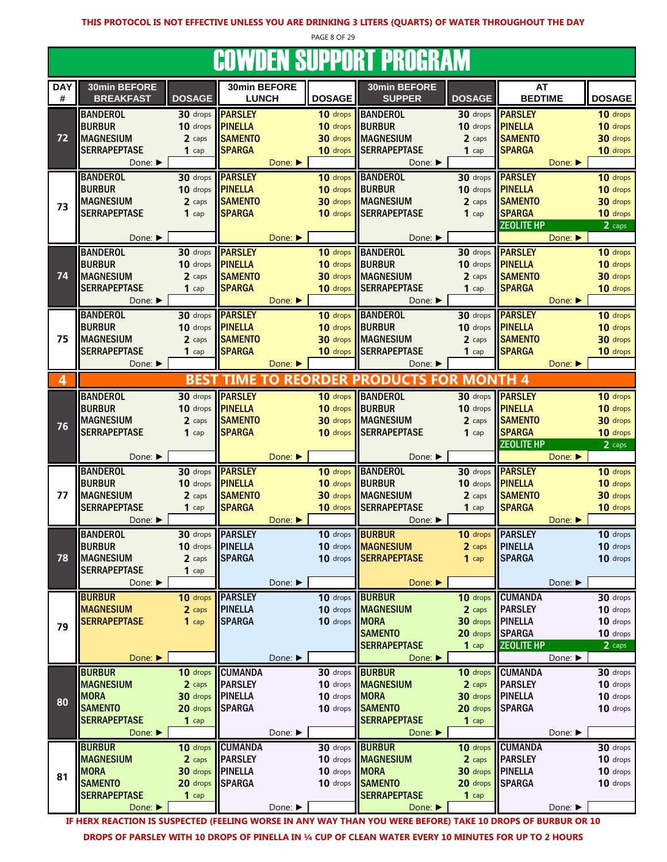PAGE 8 OF 29

#### **COWDEN SUPPORT PROGRAM**

|                 |                                  |                         |                              |         |               | UUTTBLIT UUI I UILI I ILUUILITII    |                  |                         |         |                              |
|-----------------|----------------------------------|-------------------------|------------------------------|---------|---------------|-------------------------------------|------------------|-------------------------|---------|------------------------------|
| <b>DAY</b><br># | 30min BEFORE<br><b>BREAKFAST</b> | <b>DOSAGE</b>           | 30min BEFORE<br><b>LUNCH</b> |         | <b>DOSAGE</b> | 30min BEFORE<br><b>SUPPER</b>       | <b>DOSAGE</b>    | AT<br><b>BEDTIME</b>    |         | <b>DOSAGE</b>                |
|                 | <b>BANDEROL</b>                  | 30 drops                | <b>PARSLEY</b>               |         | 10 drops      | <b>BANDEROL</b>                     | 30 drops         | <b>PARSLEY</b>          |         | 10 drops                     |
|                 | <b>BURBUR</b>                    | 10 drops                | PINELLA                      |         | 10 drops      | <b>BURBUR</b>                       | 10 drops         | <b>PINELLA</b>          |         | 10 drops                     |
| 72              | <b>MAGNESIUM</b>                 | 2 caps                  | <b>SAMENTO</b>               |         | 30 drops      | <b>MAGNESIUM</b>                    | 2 caps           | <b>SAMENTO</b>          |         | 30 drops                     |
|                 | <b>SERRAPEPTASE</b>              | $1$ cap                 | <b>SPARGA</b>                |         | 10 drops      | <b>SERRAPEPTASE</b>                 | $1$ cap          | <b>SPARGA</b>           |         | 10 drops                     |
|                 | Done: ▶                          |                         |                              | Done: ▶ |               | Done: ▶                             |                  |                         | Done:   |                              |
|                 | <b>BANDEROL</b>                  |                         | 30 drops <b>PARSLEY</b>      |         |               | 10 drops BANDEROL                   | 30 drops         | <b>PARSLEY</b>          |         | 10 drops                     |
|                 | <b>BURBUR</b>                    | 10 drops <b>PINELLA</b> |                              |         | 10 drops      | <b>BURBUR</b>                       | 10 drops         | <b>PINELLA</b>          |         | 10 drops                     |
|                 | <b>MAGNESIUM</b>                 | 2 caps                  | <b>SAMENTO</b>               |         | 30 drops      | <b>MAGNESIUM</b>                    | 2 caps           | <b>SAMENTO</b>          |         | 30 drops                     |
| 73              | <b>SERRAPEPTASE</b>              | $1$ cap                 | <b>SPARGA</b>                |         | 10 drops      | <b>SERRAPEPTASE</b>                 | $1$ cap          | <b>SPARGA</b>           |         | 10 drops                     |
|                 |                                  |                         |                              |         |               |                                     |                  | <b>ZEOLITE HP</b>       |         | 2 caps                       |
|                 | Done: ▶                          |                         |                              | Done:   |               | Done: ▶                             |                  |                         | Done: ▶ |                              |
|                 | <b>BANDEROL</b>                  |                         | 30 drops <b>PARSLEY</b>      |         | 10 drops      | <b>BANDEROL</b>                     | 30 drops         | <b>PARSLEY</b>          |         | 10 drops                     |
|                 | <b>BURBUR</b>                    | 10 drops                | <b>PINELLA</b>               |         | 10 drops      | <b>BURBUR</b>                       | 10 drops         | <b>PINELLA</b>          |         | 10 drops                     |
| 74              | <b>MAGNESIUM</b>                 | 2 caps                  | <b>SAMENTO</b>               |         | 30 drops      | <b>MAGNESIUM</b>                    | 2 caps           | <b>SAMENTO</b>          |         | 30 drops                     |
|                 | <b>SERRAPEPTASE</b>              | $1$ cap                 | <b>SPARGA</b>                |         | 10 drops      | <b>SERRAPEPTASE</b>                 | $1$ cap          | <b>SPARGA</b>           |         | 10 drops                     |
|                 | Done: ▶                          |                         |                              | Done: ▶ |               | Done: ▶                             |                  |                         | Done: ▶ |                              |
|                 | <b>BANDEROL</b>                  |                         | 30 drops <b>PARSLEY</b>      |         | 10 drops      | <b>BANDEROL</b>                     | 30 drops         | <b>PARSLEY</b>          |         | 10 drops                     |
|                 | <b>BURBUR</b>                    | 10 drops                | <b>PINELLA</b>               |         | 10 drops      | <b>BURBUR</b>                       | 10 drops         | <b>PINELLA</b>          |         | 10 drops                     |
| 75              | <b>MAGNESIUM</b>                 | 2 caps                  | <b>SAMENTO</b>               |         | 30 drops      | <b>MAGNESIUM</b>                    | 2 caps           | <b>SAMENTO</b>          |         | 30 drops                     |
|                 | <b>SERRAPEPTASE</b>              | $1$ cap                 | <b>SPARGA</b>                |         | 10 drops      | <b>SERRAPEPTASE</b>                 | $1$ cap          | <b>SPARGA</b>           |         | 10 drops                     |
|                 | Done:                            |                         |                              | Done:   |               | Done: ▶                             |                  |                         | Done: ▶ |                              |
| 4               |                                  |                         | <b>BEST TIME TO</b>          |         |               | <b>REORDER PRODUCTS FOR MONTH 4</b> |                  |                         |         |                              |
|                 |                                  |                         |                              |         |               |                                     |                  |                         |         |                              |
|                 | <b>BANDEROL</b>                  | 30 drops                | <b>PARSLEY</b>               |         | 10 drops      | <b>BANDEROL</b>                     |                  | 30 drops <b>PARSLEY</b> |         | 10 drops                     |
|                 | <b>BURBUR</b>                    | 10 drops                | <b>PINELLA</b>               |         | 10 drops      | <b>BURBUR</b>                       | 10 drops         | <b>PINELLA</b>          |         | 10 drops                     |
| 76              | <b>MAGNESIUM</b>                 | 2 caps                  | <b>SAMENTO</b>               |         | 30 drops      | <b>MAGNESIUM</b>                    | 2 caps           | <b>SAMENTO</b>          |         | 30 drops                     |
|                 | <b>SERRAPEPTASE</b>              | $1$ cap                 | <b>SPARGA</b>                |         | 10 drops      | <b>SERRAPEPTASE</b>                 | $1$ cap          | <b>SPARGA</b>           |         | 10 drops                     |
|                 | Done: ▶                          |                         |                              | Done:   |               | Done: ▶                             |                  | <b>ZEOLITE HP</b>       | Done: ▶ | $2 \overline{ \text{ caps}}$ |
|                 | <b>BANDEROL</b>                  |                         | 30 drops <b>PARSLEY</b>      |         | 10 drops      | <b>BANDEROL</b>                     | 30 drops         | <b>PARSLEY</b>          |         | 10 drops                     |
|                 | <b>BURBUR</b>                    | 10 drops                | <b>PINELLA</b>               |         | 10 drops      | <b>BURBUR</b>                       | 10 drops         | <b>PINELLA</b>          |         | 10 drops                     |
| 77              | <b>MAGNESIUM</b>                 | 2 caps                  | <b>SAMENTO</b>               |         | 30 drops      | <b>MAGNESIUM</b>                    | 2 caps           | <b>SAMENTO</b>          |         | 30 drops                     |
|                 | <b>SERRAPEPTASE</b>              | $1$ cap                 | <b>SPARGA</b>                |         | 10 drops      | <b>SERRAPEPTASE</b>                 | $1$ cap          | <b>SPARGA</b>           |         | 10 drops                     |
|                 | Done: ▶                          |                         |                              | Done: ▶ |               | Done:                               |                  |                         | Done: ▶ |                              |
|                 | <b>BANDEROL</b>                  | 30 drops                | <b>PARSLEY</b>               |         | 10 drops      | <b>BURBUR</b>                       | 10 drops         | <b>PARSLEY</b>          |         | 10 drops                     |
|                 | <b>BURBUR</b>                    | 10 drops PINELLA        |                              |         | 10 drops      | <b>MAGNESIUM</b>                    | 2 caps           | <b>PINELLA</b>          |         | 10 drops                     |
| 78              | <b>INAGNESIUM</b>                | 2 caps                  | <b>SPARGA</b>                |         |               | 10 drops SERRAPEPTASE               | $1$ cap          | <b>SPARGA</b>           |         | 10 drops                     |
|                 | <b>SERRAPEPTASE</b>              | $1$ cap                 |                              |         |               |                                     |                  |                         |         |                              |
|                 | Done: ▶                          |                         |                              | Done: ▶ |               | Done:                               |                  |                         | Done: ▶ |                              |
|                 | <b>BURBUR</b>                    | 10 drops                | <b>PARSLEY</b>               |         | 10 drops      | <b>BURBUR</b>                       | 10 drops         | <b>CUMANDA</b>          |         | 30 drops                     |
|                 | <b>MAGNESIUM</b>                 | 2 caps                  | <b>PINELLA</b>               |         | 10 drops      | <b>MAGNESIUM</b>                    | 2 caps           | <b>PARSLEY</b>          |         | 10 drops                     |
|                 | <b>SERRAPEPTASE</b>              | $1$ cap                 | <b>SPARGA</b>                |         | 10 drops      | <b>MORA</b>                         | 30 drops         | <b>PINELLA</b>          |         | 10 drops                     |
| 79              |                                  |                         |                              |         |               | <b>SAMENTO</b>                      | 20 drops         | <b>SPARGA</b>           |         | 10 drops                     |
|                 |                                  |                         |                              |         |               | <b>SERRAPEPTASE</b>                 | $1$ cap          | <b>ZEOLITE HP</b>       |         | 2 caps                       |
|                 | Done: ▶                          |                         |                              | Done: ▶ |               | Done:                               |                  |                         | Done: ▶ |                              |
|                 | <b>BURBUR</b>                    | 10 drops                | <b>CUMANDA</b>               |         | 30 drops      | <b>BURBUR</b>                       | 10 drops         | <b>CUMANDA</b>          |         | 30 drops                     |
|                 | <b>MAGNESIUM</b>                 | 2 caps                  | <b>PARSLEY</b>               |         | 10 drops      | <b>MAGNESIUM</b>                    | 2 caps           | <b>PARSLEY</b>          |         | 10 drops                     |
|                 | <b>MORA</b>                      | 30 drops   PINELLA      |                              |         | 10 drops      | <b>MORA</b>                         | 30 drops PINELLA |                         |         | 10 drops                     |
| 80              | <b>SAMENTO</b>                   | 20 drops                | <b>SPARGA</b>                |         | 10 drops      | <b>SAMENTO</b>                      | 20 drops         | <b>SPARGA</b>           |         | 10 drops                     |
|                 | <b>SERRAPEPTASE</b>              | $1$ cap                 |                              |         |               | <b>SERRAPEPTASE</b>                 | $1$ cap          |                         |         |                              |
|                 | Done: ▶                          |                         |                              | Done: ▶ |               | Done: ▶                             |                  |                         | Done: ▶ |                              |
|                 | <b>BURBUR</b>                    | 10 drops                | <b>CUMANDA</b>               |         | 30 drops      | <b>BURBUR</b>                       | 10 drops         | <b>CUMANDA</b>          |         | 30 drops                     |
|                 | <b>MAGNESIUM</b>                 | 2 caps                  | <b>PARSLEY</b>               |         |               | 10 drops MAGNESIUM                  | 2 caps           | <b>PARSLEY</b>          |         | 10 drops                     |
| 81              | <b>MORA</b>                      | 30 drops   PINELLA      |                              |         | 10 drops MORA |                                     | 30 drops PINELLA |                         |         | 10 drops                     |
|                 | <b>SAMENTO</b>                   | 20 drops SPARGA         |                              |         | 10 drops      | <b>SAMENTO</b>                      | 20 drops SPARGA  |                         |         | 10 drops                     |
|                 | <b>SERRAPEPTASE</b>              | $1$ cap                 |                              |         |               | <b>SERRAPEPTASE</b>                 | $1$ cap          |                         |         |                              |
|                 | Done: ▶                          |                         |                              | Done: ▶ |               | Done: ▶                             |                  |                         | Done: ▶ |                              |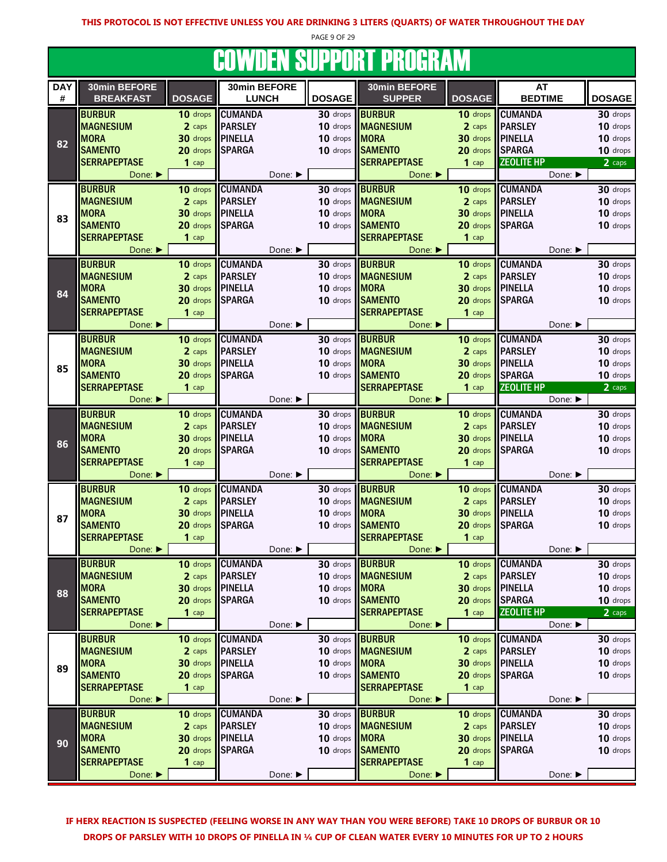PAGE 9 OF 29

# COWDEN SUPPORT PROGRAM

|                 |                                                    |               |                              |               | UUTTIJLII UUT I UILI I ILUUILIIITI |                        |                              |               |
|-----------------|----------------------------------------------------|---------------|------------------------------|---------------|------------------------------------|------------------------|------------------------------|---------------|
| <b>DAY</b><br># | 30min BEFORE<br><b>BREAKFAST</b>                   | <b>DOSAGE</b> | 30min BEFORE<br><b>LUNCH</b> | <b>DOSAGE</b> | 30min BEFORE<br><b>SUPPER</b>      | <b>DOSAGE</b>          | AT<br><b>BEDTIME</b>         | <b>DOSAGE</b> |
|                 | <b>BURBUR</b>                                      | 10 drops      | <b>CUMANDA</b>               | 30 drops      | <b>BURBUR</b>                      | 10 drops               | <b>CUMANDA</b>               | 30 drops      |
|                 | <b>MAGNESIUM</b>                                   | 2 caps        | <b>PARSLEY</b>               | 10 drops      | <b>MAGNESIUM</b>                   | 2 caps                 | <b>PARSLEY</b>               | 10 drops      |
| 82              | <b>MORA</b>                                        | 30 drops      | <b>PINELLA</b>               | 10 drops      | <b>MORA</b>                        | 30 drops               | <b>PINELLA</b>               | 10 drops      |
|                 | <b>SAMENTO</b>                                     | 20 drops      | <b>SPARGA</b>                | 10 drops      | <b>SAMENTO</b>                     | 20 drops               | <b>SPARGA</b>                | 10 drops      |
|                 | <b>SERRAPEPTASE</b>                                | $1$ cap       |                              |               | <b>SERRAPEPTASE</b>                | $1$ cap                | <b>ZEOLITE HP</b>            | 2 caps        |
|                 | Done: $\blacktriangleright$                        |               | Done: ▶                      |               | Done: ▶                            |                        | Done: ▶                      |               |
|                 | <b>BURBUR</b>                                      | 10 drops      | <b>CUMANDA</b>               | 30 drops      | <b>BURBUR</b>                      | 10 drops               | <b>CUMANDA</b>               | 30 drops      |
|                 | <b>MAGNESIUM</b>                                   | 2 caps        | <b>PARSLEY</b>               | 10 drops      | <b>MAGNESIUM</b>                   | 2 caps                 | <b>PARSLEY</b>               | 10 drops      |
| 83              | <b>MORA</b>                                        | 30 drops      | <b>PINELLA</b>               | 10 drops      | <b>MORA</b>                        | 30 drops               | <b>PINELLA</b>               | 10 drops      |
|                 | <b>SAMENTO</b>                                     | 20 drops      | <b>SPARGA</b>                | 10 drops      | <b>SAMENTO</b>                     | 20 drops               | <b>SPARGA</b>                | 10 drops      |
|                 | <b>SERRAPEPTASE</b>                                | $1$ cap       |                              |               | <b>SERRAPEPTASE</b>                | $1$ cap                |                              |               |
|                 | Done: ▶                                            |               | Done: ▶                      |               | Done: ▶                            |                        | Done: ▶                      |               |
|                 | <b>BURBUR</b>                                      | 10 drops      | <b>CUMANDA</b>               | 30 drops      | <b>BURBUR</b>                      |                        | 10 drops CUMANDA             | 30 drops      |
|                 | <b>MAGNESIUM</b>                                   | 2 caps        | <b>PARSLEY</b>               | 10 drops      | <b>MAGNESIUM</b>                   | 2 caps                 | <b>PARSLEY</b>               | 10 drops      |
| 84              | <b>MORA</b>                                        | 30 drops      | <b>PINELLA</b>               | 10 drops      | <b>MORA</b>                        |                        | 30 drops PINELLA             | 10 drops      |
|                 | <b>SAMENTO</b>                                     | 20 drops      | <b>SPARGA</b>                | 10 drops      | <b>SAMENTO</b>                     |                        | 20 drops SPARGA              | 10 drops      |
|                 | <b>SERRAPEPTASE</b>                                | $1$ cap       |                              |               | <b>SERRAPEPTASE</b>                | $1$ cap                |                              |               |
|                 | Done: $\blacktriangleright$<br><b>BURBUR</b>       | 10 drops      | Done: ▶<br><b>CUMANDA</b>    | 30 drops      | Done: ▶<br><b>BURBUR</b>           | 10 drops               | Done: ▶<br><b>CUMANDA</b>    | 30 drops      |
|                 | <b>MAGNESIUM</b>                                   | 2 caps        | <b>PARSLEY</b>               | 10 drops      | <b>MAGNESIUM</b>                   | 2 caps                 | <b>PARSLEY</b>               | 10 drops      |
|                 | <b>MORA</b>                                        | 30 drops      | <b>PINELLA</b>               | 10 drops      | <b>MORA</b>                        | 30 drops               | <b>PINELLA</b>               | 10 drops      |
| 85              | <b>SAMENTO</b>                                     | 20 drops      | <b>SPARGA</b>                | 10 drops      | <b>SAMENTO</b>                     | 20 drops SPARGA        |                              | 10 drops      |
|                 | <b>SERRAPEPTASE</b>                                | $1$ cap       |                              |               | <b>SERRAPEPTASE</b>                | $1$ cap                | <b>ZEOLITE HP</b>            | 2 caps        |
|                 | Done: ▶                                            |               | Done: ▶                      |               | Done:                              |                        | Done: ▶                      |               |
|                 | <b>BURBUR</b>                                      | 10 drops      | <b>CUMANDA</b>               | 30 drops      | <b>BURBUR</b>                      |                        | 10 drops CUMANDA             | 30 drops      |
|                 | <b>MAGNESIUM</b>                                   | 2 caps        | <b>PARSLEY</b>               | 10 drops      | <b>MAGNESIUM</b>                   | 2 caps                 | <b>PARSLEY</b>               | 10 drops      |
|                 | <b>MORA</b>                                        | 30 drops      | <b>PINELLA</b>               | 10 drops      | <b>MORA</b>                        |                        | 30 drops PINELLA             | 10 drops      |
| 86              | <b>SAMENTO</b>                                     | 20 drops      | <b>SPARGA</b>                | 10 drops      | <b>SAMENTO</b>                     |                        | 20 drops SPARGA              | 10 drops      |
|                 | <b>SERRAPEPTASE</b>                                | $1$ cap       |                              |               | <b>SERRAPEPTASE</b>                | $1$ cap                |                              |               |
|                 | Done: $\blacktriangleright$                        |               | Done: ▶                      |               | Done: $\blacktriangleright$        |                        | Done: ▶                      |               |
|                 | <b>BURBUR</b>                                      | 10 drops      | <b>CUMANDA</b>               | 30 drops      | <b>BURBUR</b>                      | 10 drops               | <b>CUMANDA</b>               | 30 drops      |
|                 | <b>MAGNESIUM</b>                                   | 2 caps        | <b>PARSLEY</b>               | 10 drops      | <b>MAGNESIUM</b>                   | 2 caps                 | <b>PARSLEY</b>               | 10 drops      |
| 87              | <b>MORA</b>                                        | 30 drops      | <b>PINELLA</b>               | 10 drops      | <b>MORA</b>                        | 30 drops               | <b>PINELLA</b>               | 10 drops      |
|                 | <b>SAMENTO</b>                                     | 20 drops      | <b>SPARGA</b>                | 10 drops      | <b>SAMENTO</b>                     |                        | 20 drops SPARGA              | 10 drops      |
|                 | <b>SERRAPEPTASE</b>                                | $1$ cap       |                              |               | <b>SERRAPEPTASE</b>                | $1$ cap                |                              |               |
|                 | Done: ▶                                            |               | Done: ▶                      |               | Done: $\blacktriangleright$        |                        | Done: $\blacktriangleright$  |               |
|                 | <b>BURBUR</b>                                      | 10 drops      | <b>CUMANDA</b>               |               | 30 drops <b>BURBUR</b>             |                        | 10 drops CUMANDA             | 30 drops      |
|                 | <b>MAGNESIUM</b>                                   | 2 caps        | <b>PARSLEY</b>               | 10 drops      | <b>MAGNESIUM</b>                   | 2 caps                 | <b>PARSLEY</b>               | 10 drops      |
| 88              | <b>MORA</b>                                        | 30 drops      | <b>IPINELLA</b>              | 10 drops MORA |                                    |                        | 30 drops PINELLA             | 10 drops      |
|                 | <b>SAMENTO</b>                                     | 20 drops      | <b>SPARGA</b>                | 10 drops      | <b>SAMENTO</b>                     |                        | 20 drops SPARGA              | 10 drops      |
|                 | <b>SERRAPEPTASE</b><br>Done: $\blacktriangleright$ | $1$ cap       | Done: ▶                      |               | <b>SERRAPEPTASE</b><br>Done: ▶     | $1$ cap                | <b>ZEOLITE HP</b><br>Done: ▶ | 2 caps        |
|                 | <b>BURBUR</b>                                      | 10 drops      | <b>CUMANDA</b>               |               | 30 drops <b>BURBUR</b>             |                        | 10 drops CUMANDA             | 30 drops      |
|                 | <b>MAGNESIUM</b>                                   | 2 caps        | <b>PARSLEY</b>               | 10 drops      | <b>MAGNESIUM</b>                   | 2 caps                 | <b>PARSLEY</b>               | 10 drops      |
|                 | <b>MORA</b>                                        | 30 drops      | <b>PINELLA</b>               | 10 drops      | <b>MORA</b>                        | $30$ drops $\parallel$ | <b>PINELLA</b>               | 10 drops      |
| 89              | <b>SAMENTO</b>                                     | 20 drops      | <b>SPARGA</b>                | 10 drops      | <b>SAMENTO</b>                     |                        | 20 drops SPARGA              | 10 drops      |
|                 | <b>SERRAPEPTASE</b>                                | $1$ cap       |                              |               | <b>SERRAPEPTASE</b>                | $1$ cap                |                              |               |
|                 | Done: ▶                                            |               | Done: ▶                      |               | Done: ▶                            |                        | Done: ▶                      |               |
|                 | <b>BURBUR</b>                                      | 10 drops      | <b>CUMANDA</b>               |               | 30 drops <b>BURBUR</b>             |                        | 10 drops CUMANDA             | 30 drops      |
|                 | <b>MAGNESIUM</b>                                   | 2 caps        | <b>PARSLEY</b>               | 10 drops      | <b>MAGNESIUM</b>                   | 2 caps                 | <b>PARSLEY</b>               | 10 drops      |
| 90              | <b>MORA</b>                                        | 30 drops      | <b>IPINELLA</b>              | 10 drops MORA |                                    |                        | <b>30 drops PINELLA</b>      | 10 drops      |
|                 | <b>SAMENTO</b>                                     | 20 drops      | <b>SPARGA</b>                | 10 drops      | <b>SAMENTO</b>                     |                        | 20 drops SPARGA              | 10 drops      |
|                 | <b>SERRAPEPTASE</b>                                | $1$ cap       |                              |               | <b>SERRAPEPTASE</b>                | $1$ cap                |                              |               |
|                 | Done: ▶                                            |               | Done: ▶                      |               | Done: ▶                            |                        | Done: ▶                      |               |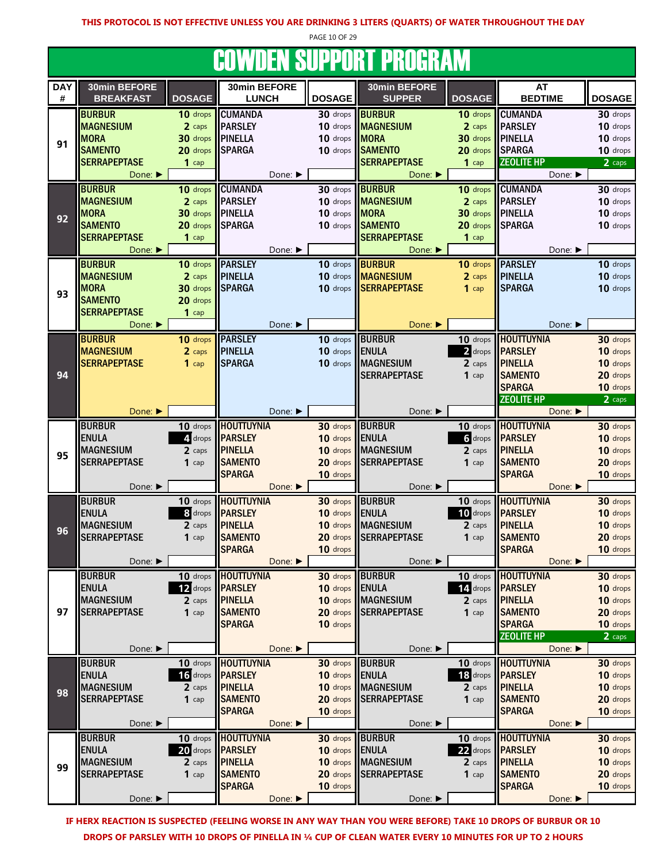PAGE 10 OF 29

# **COWDEN SUPPORT PROGRAM**

|                 |                                  |               |                              |                | UUTTIJLII UUI I UILI I ILVUILIITI |                |                             |               |
|-----------------|----------------------------------|---------------|------------------------------|----------------|-----------------------------------|----------------|-----------------------------|---------------|
| <b>DAY</b><br># | 30min BEFORE<br><b>BREAKFAST</b> | <b>DOSAGE</b> | 30min BEFORE<br><b>LUNCH</b> | <b>DOSAGE</b>  | 30min BEFORE<br><b>SUPPER</b>     | <b>DOSAGE</b>  | AT<br><b>BEDTIME</b>        | <b>DOSAGE</b> |
|                 |                                  |               |                              |                |                                   |                |                             |               |
|                 | <b>BURBUR</b>                    | 10 drops      | <b>CUMANDA</b>               | 30 drops       | <b>BURBUR</b>                     | 10 drops       | <b>CUMANDA</b>              | 30 drops      |
|                 | <b>MAGNESIUM</b>                 | 2 caps        | <b>PARSLEY</b>               | 10 drops       | <b>MAGNESIUM</b>                  | 2 caps         | <b>PARSLEY</b>              | 10 drops      |
| 91              | <b>MORA</b>                      | 30 drops      | <b>PINELLA</b>               | 10 drops MORA  |                                   | 30 drops       | <b>PINELLA</b>              | 10 drops      |
|                 | <b>SAMENTO</b>                   | 20 drops      | <b>SPARGA</b>                |                | 10 drops SAMENTO                  | 20 drops       | <b>SPARGA</b>               | 10 drops      |
|                 | <b>SERRAPEPTASE</b>              | $1$ cap       |                              |                | <b>SERRAPEPTASE</b>               | $1$ cap        | <b>ZEOLITE HP</b>           | 2 caps        |
|                 | Done:                            |               | Done: ▶                      |                | Done:                             |                | Done: ▶                     |               |
|                 | <b>BURBUR</b>                    | 10 drops      | <b>CUMANDA</b>               | 30 drops       | <b>BURBUR</b>                     | 10 drops       | <b>CUMANDA</b>              | 30 drops      |
|                 | <b>MAGNESIUM</b>                 | 2 caps        | <b>PARSLEY</b>               |                | 10 drops MAGNESIUM                | 2 caps         | <b>PARSLEY</b>              | 10 drops      |
| 92              | <b>MORA</b>                      | 30 drops      | <b>PINELLA</b>               | 10 drops MORA  |                                   | 30 drops       | <b>PINELLA</b>              | 10 drops      |
|                 | <b>SAMENTO</b>                   | 20 drops      | <b>SPARGA</b>                |                | 10 drops SAMENTO                  | 20 drops       | <b>SPARGA</b>               | 10 drops      |
|                 | <b>SERRAPEPTASE</b>              | $1$ cap       |                              |                | <b>SERRAPEPTASE</b>               | $1$ cap        |                             |               |
|                 | Done: ▶                          |               | Done: ▶                      |                | Done: ▶                           |                | Done: ▶                     |               |
|                 | <b>BURBUR</b>                    | 10 drops      | <b>PARSLEY</b>               | 10 drops       | <b>BURBUR</b>                     | 10 drops       | <b>PARSLEY</b>              | 10 drops      |
|                 | <b>MAGNESIUM</b>                 | 2 caps        | <b>PINELLA</b>               | 10 drops       | <b>MAGNESIUM</b>                  | 2 caps         | <b>PINELLA</b>              | 10 drops      |
|                 | <b>MORA</b>                      | 30 drops      | <b>SPARGA</b>                |                | 10 drops SERRAPEPTASE             | $1$ cap        | <b>SPARGA</b>               | 10 drops      |
| 93              | <b>SAMENTO</b>                   | 20 drops      |                              |                |                                   |                |                             |               |
|                 | <b>SERRAPEPTASE</b>              | $1$ cap       |                              |                |                                   |                |                             |               |
|                 | Done: ▶                          |               | Done:                        |                | Done: ▶                           |                | Done: ▶                     |               |
|                 | <b>BURBUR</b>                    | 10 drops      | <b>PARSLEY</b>               | 10 drops       | <b>BURBUR</b>                     | 10 drops       | <b>HOUTTUYNIA</b>           | 30 drops      |
|                 | <b>MAGNESIUM</b>                 | 2 caps        | <b>PINELLA</b>               | 10 drops       | ENULA                             | 2 drops        | <b>PARSLEY</b>              | 10 drops      |
|                 | <b>SERRAPEPTASE</b>              | $1$ cap       | <b>SPARGA</b>                | 10 drops       | <b>MAGNESIUM</b>                  | 2 caps         | <b>PINELLA</b>              | 10 drops      |
| 94              |                                  |               |                              |                |                                   |                |                             |               |
|                 |                                  |               |                              |                | <b>SERRAPEPTASE</b>               | $1$ cap        | <b>SAMENTO</b>              | 20 drops      |
|                 |                                  |               |                              |                |                                   |                | <b>SPARGA</b>               | 10 drops      |
|                 |                                  |               |                              |                |                                   |                | <b>ZEOLITE HP</b>           | 2 caps        |
|                 | Done: ▶                          |               | Done: ▶                      |                | Done: ▶                           |                | Done: ▶                     |               |
|                 | <b>BURBUR</b>                    | 10 drops      | <b>HOUTTUYNIA</b>            |                | 30 drops BURBUR                   | 10 drops       | <b>HOUTTUYNIA</b>           | 30 drops      |
|                 | <b>ENULA</b>                     | 4. drops      | <b>PARSLEY</b>               | 10 drops ENULA |                                   | $\delta$ drops | <b>PARSLEY</b>              | 10 drops      |
| 95              | <b>MAGNESIUM</b>                 | 2 caps        | <b>PINELLA</b>               |                | 10 drops MAGNESIUM                | 2 caps         | <b>PINELLA</b>              | 10 drops      |
|                 | <b>SERRAPEPTASE</b>              | $1$ cap       | <b>SAMENTO</b>               | 20 drops       | <b>SERRAPEPTASE</b>               | $1$ cap        | <b>SAMENTO</b>              | 20 drops      |
|                 |                                  |               | <b>SPARGA</b>                | 10 drops       |                                   |                | <b>SPARGA</b>               | 10 drops      |
|                 | Done: ▶                          |               | Done: ▶                      |                | Done: ▶                           |                | Done: $\blacktriangleright$ |               |
|                 | <b>BURBUR</b>                    | 10 drops      | <b>HOUTTUYNIA</b>            |                | 30 drops BURBUR                   | 10 drops       | <b>HOUTTUYNIA</b>           | 30 drops      |
|                 | <b>ENULA</b>                     | 8 drops       | <b>PARSLEY</b>               | 10 drops       | <b>ENULA</b>                      | 10 drops       | <b>PARSLEY</b>              | 10 drops      |
| 96              | <b>MAGNESIUM</b>                 | 2 caps        | <b>PINELLA</b>               | 10 drops       | <b>MAGNESIUM</b>                  | 2 caps         | <b>PINELLA</b>              | 10 drops      |
|                 | <b>SERRAPEPTASE</b>              | $1$ cap       | <b>SAMENTO</b>               | 20 drops       | <b>SERRAPEPTASE</b>               | $1$ cap        | <b>SAMENTO</b>              | 20 drops      |
|                 |                                  |               | <b>SPARGA</b>                | 10 drops       |                                   |                | <b>SPARGA</b>               | 10 drops      |
|                 | Done: ▶                          |               | Done: ▶                      |                | Done: ▶                           |                | Done:                       |               |
|                 | <b>BURBUR</b>                    | 10 drops      | <b>HOUTTUYNIA</b>            |                | 30 drops BURBUR                   |                | 10 drops HOUTTUYNIA         | 30 drops      |
|                 | <b>ENULA</b>                     | 12 drops      | <b>PARSLEY</b>               | 10 drops ENULA |                                   | 14. drops      | <b>PARSLEY</b>              | 10 drops      |
|                 | <b>MAGNESIUM</b>                 | 2 caps        | <b>PINELLA</b>               |                | 10 drops MAGNESIUM                | 2 caps         | <b>PINELLA</b>              | 10 drops      |
| 97              | <b>SERRAPEPTASE</b>              | $1$ cap       | <b>SAMENTO</b>               |                | 20 drops SERRAPEPTASE             | $1$ cap        | <b>SAMENTO</b>              | 20 drops      |
|                 |                                  |               | <b>SPARGA</b>                | 10 drops       |                                   |                | <b>SPARGA</b>               | 10 drops      |
|                 |                                  |               |                              |                |                                   |                | <b>ZEOLITE HP</b>           | 2 caps        |
|                 | Done: ▶                          |               | Done:                        |                | Done: ▶                           |                | Done: ▶                     |               |
|                 | <b>BURBUR</b>                    | 10 drops      | <b>HOUTTUYNIA</b>            |                | 30 drops BURBUR                   | 10 drops       | <b>HOUTTUYNIA</b>           | 30 drops      |
|                 | <b>ENULA</b>                     | 16 drops      | <b>PARSLEY</b>               | 10 drops       | ENULA                             | 18 drops       | <b>PARSLEY</b>              | 10 drops      |
|                 | <b>MAGNESIUM</b>                 | 2 caps        | <b>PINELLA</b>               |                | 10 drops MAGNESIUM                | 2 caps         | <b>PINELLA</b>              | 10 drops      |
| 98              | <b>SERRAPEPTASE</b>              | $1$ cap       | <b>SAMENTO</b>               |                | 20 drops SERRAPEPTASE             | $1$ cap        | <b>SAMENTO</b>              | 20 drops      |
|                 |                                  |               | <b>SPARGA</b>                | 10 drops       |                                   |                | <b>SPARGA</b>               | 10 drops      |
|                 | Done: ▶                          |               | Done: ▶                      |                | Done: ▶                           |                | Done: ▶                     |               |
|                 | <b>BURBUR</b>                    | 10 drops      | <b>HOUTTUYNIA</b>            |                | 30 drops BURBUR                   | 10 drops       | <b>HOUTTUYNIA</b>           | 30 drops      |
|                 | <b>ENULA</b>                     | 20 drops      | <b>PARSLEY</b>               | 10 drops ENULA |                                   | 22 drops       | <b>PARSLEY</b>              | 10 drops      |
|                 | <b>MAGNESIUM</b>                 | 2 caps        | <b>PINELLA</b>               |                | 10 drops MAGNESIUM                | 2 caps         | <b>PINELLA</b>              | 10 drops      |
| 99              | <b>SERRAPEPTASE</b>              | $1$ cap       | <b>SAMENTO</b>               | 20 drops       | <b>SERRAPEPTASE</b>               | $1$ cap        | <b>SAMENTO</b>              | 20 drops      |
|                 |                                  |               | <b>SPARGA</b>                | 10 drops       |                                   |                | <b>SPARGA</b>               | 10 drops      |
|                 | Done: ▶                          |               | Done: ▶                      |                | Done: ▶                           |                | Done: ▶                     |               |
|                 |                                  |               |                              |                |                                   |                |                             |               |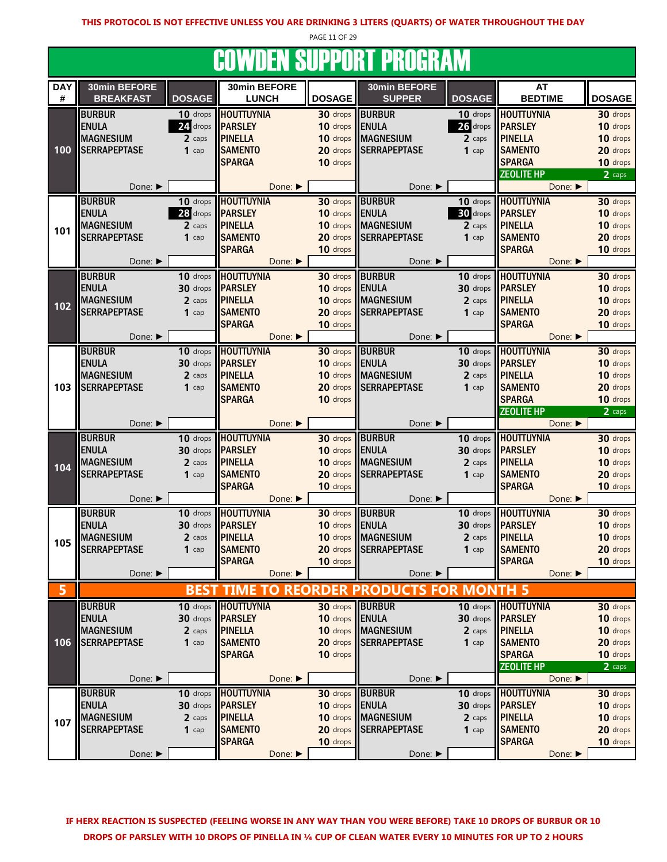PAGE 11 OF 29

### **COWDEN SUPPORT PROGRAM**

|            |                             |               |                        |                 | UUTTBEN UUI I UNI I NUUNTITI |                |                            |               |
|------------|-----------------------------|---------------|------------------------|-----------------|------------------------------|----------------|----------------------------|---------------|
| <b>DAY</b> | 30min BEFORE                |               | 30min BEFORE           |                 | 30min BEFORE                 |                | AT                         |               |
| #          | <b>BREAKFAST</b>            | <b>DOSAGE</b> | <b>LUNCH</b>           | <b>DOSAGE</b>   | <b>SUPPER</b>                | <b>DOSAGE</b>  | <b>BEDTIME</b>             | <b>DOSAGE</b> |
|            | <b>BURBUR</b>               | 10 drops      | <b>HOUTTUYNIA</b>      | 30 drops        | <b>BURBUR</b>                | 10 drops       | <b>HOUTTUYNIA</b>          | 30 drops      |
|            | <b>ENULA</b>                | 24 drops      | <b>PARSLEY</b>         | 10 drops        | <b>ENULA</b>                 |                | 26 drops <b>PARSLEY</b>    | 10 drops      |
|            | <b>MAGNESIUM</b>            | 2 caps        | <b>PINELLA</b>         | 10 drops        | <b>MAGNESIUM</b>             | 2 caps         | <b>PINELLA</b>             | 10 drops      |
| 100        | <b>SERRAPEPTASE</b>         | $1$ cap       | <b>SAMENTO</b>         | 20 drops        | <b>SERRAPEPTASE</b>          | $1$ cap        | <b>SAMENTO</b>             | 20 drops      |
|            |                             |               | <b>SPARGA</b>          |                 |                              |                | <b>SPARGA</b>              | 10 drops      |
|            |                             |               |                        | 10 drops        |                              |                | <b>ZEOLITE HP</b>          |               |
|            |                             |               |                        |                 | Done:                        |                |                            | 2 caps        |
|            | Done: ▶                     |               | Done:                  |                 |                              |                | Done: ▶                    |               |
|            | <b>BURBUR</b>               | 10 drops      | <b>HOUTTUYNIA</b>      | 30 drops        | <b>BURBUR</b>                | 10 drops       | <b>HOUTTUYNIA</b>          | 30 drops      |
|            | <b>ENULA</b>                | 28 drops      | <b>PARSLEY</b>         | 10 drops        | <b>ENULA</b>                 | 30 drops       | <b>IIPARSLEY</b>           | 10 drops      |
| 101        | <b>MAGNESIUM</b>            | 2 caps        | <b>PINELLA</b>         | 10 drops        | <b>MAGNESIUM</b>             | 2 caps         | <b>PINELLA</b>             | 10 drops      |
|            | <b>SERRAPEPTASE</b>         | $1$ cap       | <b>SAMENTO</b>         | 20 drops        | <b>SERRAPEPTASE</b>          | $1$ cap        | <b>SAMENTO</b>             | 20 drops      |
|            |                             |               | <b>SPARGA</b>          | 10 drops        |                              |                | <b>SPARGA</b>              | 10 drops      |
|            | Done: ▶                     |               | Done: ▶                |                 | Done: ▶                      |                | Done: ▶                    |               |
|            | <b>BURBUR</b>               | 10 drops      | <b>HOUTTUYNIA</b>      | 30 drops        | <b>BURBUR</b>                |                | 10 drops <b>HOUTTUYNIA</b> | 30 drops      |
|            | <b>ENULA</b>                | 30 drops      | <b>PARSLEY</b>         | 10 drops        | <b>ENULA</b>                 |                | 30 drops <b>PARSLEY</b>    | 10 drops      |
|            | <b>MAGNESIUM</b>            | 2 caps        | <b>PINELLA</b>         | 10 drops        | <b>MAGNESIUM</b>             | 2 caps         | <b>PINELLA</b>             | 10 drops      |
| 102        | <b>SERRAPEPTASE</b>         | $1$ cap       | <b>SAMENTO</b>         | 20 drops        | <b>SERRAPEPTASE</b>          | $1$ cap        | <b>SAMENTO</b>             | 20 drops      |
|            |                             |               | <b>SPARGA</b>          | 10 drops        |                              |                | <b>SPARGA</b>              | 10 drops      |
|            | Done: ▶                     |               | Done: ▶                |                 | Done: ▶                      |                | Done: ▶                    |               |
|            | <b>BURBUR</b>               | 10 drops      | <b>HOUTTUYNIA</b>      | 30 drops        | <b>BURBUR</b>                |                | 10 drops HOUTTUYNIA        | 30 drops      |
|            | <b>ENULA</b>                | 30 drops      | <b>PARSLEY</b>         | 10 drops        | <b>ENULA</b>                 | 30 drops       | <b>PARSLEY</b>             | 10 drops      |
|            | <b>MAGNESIUM</b>            | 2 caps        | <b>PINELLA</b>         | 10 drops        | <b>MAGNESIUM</b>             | 2 caps         | <b>PINELLA</b>             | 10 drops      |
| 103        | <b>SERRAPEPTASE</b>         | $1$ cap       | <b>SAMENTO</b>         | 20 drops        | <b>SERRAPEPTASE</b>          | $1$ cap        | <b>SAMENTO</b>             | 20 drops      |
|            |                             |               | <b>SPARGA</b>          | 10 drops        |                              |                | <b>SPARGA</b>              | 10 drops      |
|            |                             |               |                        |                 |                              |                | <b>ZEOLITE HP</b>          | 2 caps        |
|            |                             |               |                        |                 |                              |                |                            |               |
|            |                             |               |                        |                 |                              |                |                            |               |
|            | Done: ▶                     |               | Done: ▶                |                 | Done: ▶                      |                | Done:                      |               |
|            | <b>BURBUR</b>               | 10 drops      | <b>HOUTTUYNIA</b>      | 30 drops        | <b>BURBUR</b>                |                | 10 drops <b>HOUTTUYNIA</b> | 30 drops      |
|            | <b>ENULA</b>                | 30 drops      | <b>PARSLEY</b>         | 10 drops ENULA  |                              |                | 30 drops <b>PARSLEY</b>    | 10 drops      |
| 104        | <b>MAGNESIUM</b>            | 2 caps        | <b>PINELLA</b>         |                 | 10 drops MAGNESIUM           | 2 caps         | <b>PINELLA</b>             | 10 drops      |
|            | <b>SERRAPEPTASE</b>         | $1$ cap       | <b>SAMENTO</b>         | 20 drops        | <b>SERRAPEPTASE</b>          | $1$ cap        | <b>SAMENTO</b>             | 20 drops      |
|            |                             |               | <b>SPARGA</b>          | 10 drops        |                              |                | <b>SPARGA</b>              | 10 drops      |
|            | Done: ▶                     |               | Done:                  |                 | Done: ▶                      |                | Done: ▶                    |               |
|            | <b>BURBUR</b>               | 10 drops      | <b>HOUTTUYNIA</b>      | 30 drops BURBUR |                              |                | 10 drops <b>HOUTTUYNIA</b> | 30 drops      |
|            | <b>ENULA</b>                | 30 drops      | <b>PARSLEY</b>         | 10 drops        | <b>ENULA</b>                 | $30$ drops     | <b>PARSLEY</b>             | 10 drops      |
|            | <b>MAGNESIUM</b>            | 2 caps        | <b>PINELLA</b>         | 10 drops        | <b>MAGNESIUM</b>             | 2 caps         | <b>PINELLA</b>             | 10 drops      |
| 105        | <b>SERRAPEPTASE</b>         | $1$ cap       | <b>SAMENTO</b>         |                 | 20 drops SERRAPEPTASE        | $1$ cap        | <b>SAMENTO</b>             | 20 drops      |
|            |                             |               | <b>SPARGA</b>          | 10 drops        |                              |                | <b>SPARGA</b>              | 10 drops      |
|            | Done: ▶                     |               | Done: ▶                |                 | Done: ▶                      |                | Done:                      |               |
|            |                             |               | О<br><b>TIME</b>       | <b>REORDER</b>  | <b>PRODUCTS FOR</b>          |                |                            |               |
|            |                             | <b>BEST</b>   |                        |                 |                              | <b>MONTH 5</b> |                            |               |
|            | <b>BURBUR</b>               | 10 drops      | <b>HOUTTUYNIA</b>      | 30 drops        | <b>BURBUR</b>                |                | 10 drops   HOUTTUYNIA      | 30 drops      |
|            | <b>ENULA</b>                | 30 drops      | <b>PARSLEY</b>         | 10 drops        | <b>ENULA</b>                 |                | 30 drops <b>PARSLEY</b>    | 10 drops      |
|            | <b>MAGNESIUM</b>            | 2 caps        | <b>PINELLA</b>         | 10 drops        | <b>MAGNESIUM</b>             | 2 caps         | <b>PINELLA</b>             | 10 drops      |
| 106        | <b>SERRAPEPTASE</b>         | $1$ cap       | <b>SAMENTO</b>         | 20 drops        | <b>SERRAPEPTASE</b>          | $1$ cap        | <b>SAMENTO</b>             | 20 drops      |
|            |                             |               | <b>SPARGA</b>          | 10 drops        |                              |                | <b>SPARGA</b>              | 10 drops      |
|            |                             |               |                        |                 |                              |                | <b>ZEOLITE HP</b>          | 2 caps        |
|            | Done: ▶                     |               | Done: ▶                |                 | Done: ▶                      |                | Done: ▶                    |               |
|            | <b>BURBUR</b>               | 10 drops      | <b>HOUTTUYNIA</b>      | 30 drops        | <b>BURBUR</b>                |                | 10 drops <b>HOUTTUYNIA</b> | 30 drops      |
|            | <b>ENULA</b>                | 30 drops      | <b>PARSLEY</b>         | 10 drops        | <b>ENULA</b>                 |                | 30 drops <b>PARSLEY</b>    | 10 drops      |
| 107        | <b>MAGNESIUM</b>            | 2 caps        | <b>PINELLA</b>         | 10 drops        | <b>MAGNESIUM</b>             | 2 caps         | <b>PINELLA</b>             | 10 drops      |
|            | <b>SERRAPEPTASE</b>         | $1$ cap       | <b>SAMENTO</b>         | 20 drops        | <b>SERRAPEPTASE</b>          | $1$ cap        | <b>SAMENTO</b>             | 20 drops      |
|            | Done: $\blacktriangleright$ |               | <b>SPARGA</b><br>Done: | 10 drops        | Done: ▶                      |                | <b>SPARGA</b><br>Done: ▶   | 10 drops      |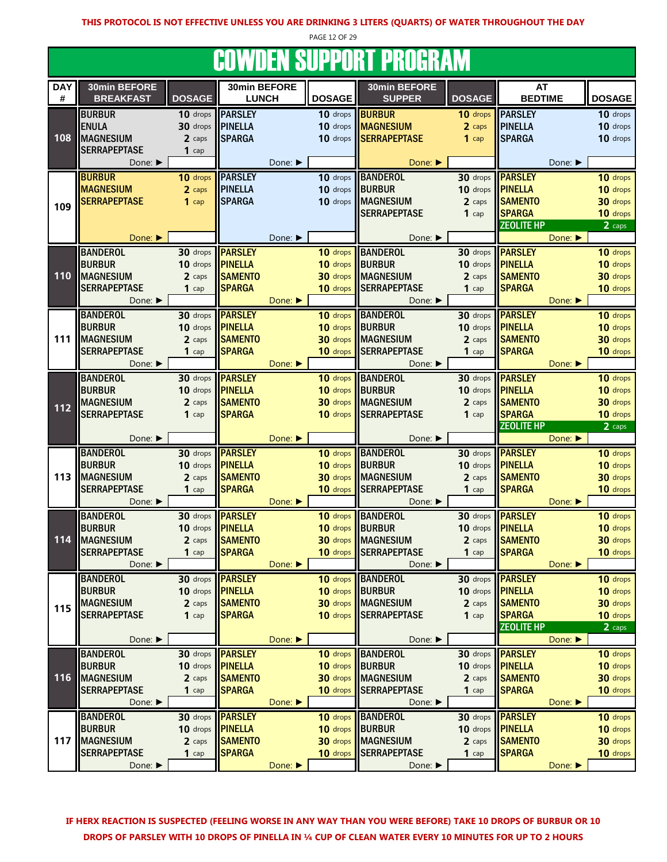PAGE 12 OF 29

# **COWDEN SUPPORT PROGRAM**

| <b>DAY</b> | 30min BEFORE        |               | 30min BEFORE   |         |                             | 30min BEFORE          |                                     | <b>AT</b>               |                             |               |
|------------|---------------------|---------------|----------------|---------|-----------------------------|-----------------------|-------------------------------------|-------------------------|-----------------------------|---------------|
| #          | <b>BREAKFAST</b>    | <b>DOSAGE</b> | <b>LUNCH</b>   |         | <b>DOSAGE</b>               | <b>SUPPER</b>         | <b>DOSAGE</b>                       | <b>BEDTIME</b>          |                             | <b>DOSAGE</b> |
|            | <b>BURBUR</b>       | 10 drops      | <b>PARSLEY</b> |         | 10 drops                    | <b>BURBUR</b>         | 10 drops                            | <b>PARSLEY</b>          |                             | 10 drops      |
|            | <b>ENULA</b>        | 30 drops      | <b>PINELLA</b> |         | 10 drops                    | <b>MAGNESIUM</b>      | 2 caps                              | <b>PINELLA</b>          |                             | 10 drops      |
| 108        | <b>MAGNESIUM</b>    | 2 caps        | <b>SPARGA</b>  |         |                             | 10 drops SERRAPEPTASE | $1$ cap                             | <b>SPARGA</b>           |                             | 10 drops      |
|            | <b>SERRAPEPTASE</b> | $1$ cap       |                |         |                             |                       |                                     |                         |                             |               |
|            | Done: ▶             |               |                | Done: ▶ |                             | Done: ▶               |                                     |                         | Done: ▶                     |               |
|            | <b>BURBUR</b>       |               | <b>PARSLEY</b> |         |                             |                       |                                     |                         |                             |               |
|            | <b>MAGNESIUM</b>    | 10 drops      |                |         | 10 drops<br>10 drops BURBUR | <b>BANDEROL</b>       | 30 drops<br>10 drops <b>PINELLA</b> | <b>PARSLEY</b>          |                             | 10 drops      |
|            |                     | 2 caps        | <b>PINELLA</b> |         |                             |                       |                                     |                         |                             | 10 drops      |
| 109        | <b>SERRAPEPTASE</b> | $1$ cap       | <b>SPARGA</b>  |         |                             | 10 drops MAGNESIUM    | 2 caps                              | <b>SAMENTO</b>          |                             | 30 drops      |
|            |                     |               |                |         |                             | <b>SERRAPEPTASE</b>   | $1$ cap                             | <b>SPARGA</b>           |                             | 10 drops      |
|            |                     |               |                |         |                             |                       |                                     | <b>ZEOLITE HP</b>       |                             | 2 caps        |
|            | Done: ▶             |               |                | Done: ▶ |                             | Done:                 |                                     |                         | Done:                       |               |
|            | <b>BANDEROL</b>     | 30 drops      | <b>PARSLEY</b> |         | 10 drops                    | <b>BANDEROL</b>       | 30 drops                            | <b>PARSLEY</b>          |                             | 10 drops      |
|            | <b>BURBUR</b>       | 10 drops      | <b>PINELLA</b> |         | 10 drops                    | <b>BURBUR</b>         | 10 drops <b>PINELLA</b>             |                         |                             | 10 drops      |
| 110        | <b>MAGNESIUM</b>    | 2 caps        | <b>SAMENTO</b> |         | 30 drops                    | <b>MAGNESIUM</b>      | 2 caps                              | <b>SAMENTO</b>          |                             | 30 drops      |
|            | <b>SERRAPEPTASE</b> | $1$ cap       | <b>SPARGA</b>  |         | 10 drops                    | <b>SERRAPEPTASE</b>   | $1$ cap                             | <b>SPARGA</b>           |                             | 10 drops      |
|            | Done: ▶             |               |                | Done:   |                             | Done: ▶               |                                     |                         | Done: $\blacktriangleright$ |               |
|            | <b>BANDEROL</b>     | $30$ drops    | <b>PARSLEY</b> |         |                             | 10 drops BANDEROL     |                                     | 30 drops <b>PARSLEY</b> |                             | 10 drops      |
|            | <b>BURBUR</b>       | 10 drops      | <b>PINELLA</b> |         | 10 drops                    | <b>BURBUR</b>         | 10 drops <b>PINELLA</b>             |                         |                             | 10 drops      |
| 111        | <b>MAGNESIUM</b>    | 2 caps        | <b>SAMENTO</b> |         | 30 drops                    | <b>MAGNESIUM</b>      | 2 caps                              | <b>SAMENTO</b>          |                             | 30 drops      |
|            | <b>SERRAPEPTASE</b> | $1$ cap       | <b>SPARGA</b>  |         | 10 drops                    | <b>SERRAPEPTASE</b>   | $1$ cap                             | <b>SPARGA</b>           |                             | 10 drops      |
|            | Done:               |               |                | Done: ▶ |                             | Done: ▶               |                                     |                         | Done: ▶                     |               |
|            | <b>BANDEROL</b>     | 30 drops      | <b>PARSLEY</b> |         | 10 drops                    | <b>BANDEROL</b>       | 30 drops                            | <b>PARSLEY</b>          |                             | 10 drops      |
|            | <b>BURBUR</b>       | 10 drops      | <b>PINELLA</b> |         | 10 drops BURBUR             |                       | 10 drops                            | <b>PINELLA</b>          |                             | 10 drops      |
|            | <b>MAGNESIUM</b>    |               | <b>SAMENTO</b> |         | 30 drops                    | <b>MAGNESIUM</b>      | 2 caps                              | <b>SAMENTO</b>          |                             | 30 drops      |
| 112        |                     | 2 caps        |                |         |                             |                       |                                     |                         |                             |               |
|            | <b>SERRAPEPTASE</b> | $1$ cap       | <b>SPARGA</b>  |         | 10 drops                    | <b>SERRAPEPTASE</b>   | $1$ cap                             | <b>SPARGA</b>           |                             | 10 drops      |
|            | Done: ▶             |               |                |         |                             | Done: ▶               |                                     | <b>ZEOLITE HP</b>       | Done:                       | 2 caps        |
|            |                     |               |                | Done:   |                             |                       |                                     |                         |                             |               |
|            | <b>BANDEROL</b>     | 30 drops      | <b>PARSLEY</b> |         | 10 drops                    | <b>BANDEROL</b>       |                                     | 30 drops <b>PARSLEY</b> |                             | 10 drops      |
|            | <b>BURBUR</b>       | 10 drops      | <b>PINELLA</b> |         | 10 drops BURBUR             |                       | 10 drops <b>PINELLA</b>             |                         |                             | 10 drops      |
| 113        | <b>MAGNESIUM</b>    | 2 caps        | <b>SAMENTO</b> |         |                             | 30 drops MAGNESIUM    | 2 caps                              | <b>SAMENTO</b>          |                             | 30 drops      |
|            | <b>SERRAPEPTASE</b> | $1$ cap       | <b>SPARGA</b>  |         | 10 drops                    | <b>SERRAPEPTASE</b>   | $1$ cap                             | <b>SPARGA</b>           |                             | 10 drops      |
|            | Done: ▶             |               |                | Done:   |                             |                       |                                     |                         |                             |               |
|            |                     |               |                |         |                             | Done: ▶               |                                     |                         | Done:                       |               |
|            | <b>BANDEROL</b>     | 30 drops      | <b>PARSLEY</b> |         | 10 drops                    | <b>BANDEROL</b>       | 30 drops                            | <b>PARSLEY</b>          |                             | 10 drops      |
|            | <b>BURBUR</b>       | 10 drops      | <b>PINELLA</b> |         | 10 drops BURBUR             |                       | 10 drops <b>PINELLA</b>             |                         |                             | 10 drops      |
| 114        | <b>MAGNESIUM</b>    | 2 caps        | <b>SAMENTO</b> |         |                             | 30 drops MAGNESIUM    | 2 caps                              | <b>SAMENTO</b>          |                             | 30 drops      |
|            | <b>SERRAPEPTASE</b> | $1$ cap       | <b>SPARGA</b>  |         |                             | 10 drops SERRAPEPTASE | $1$ cap                             | <b>SPARGA</b>           |                             | 10 drops      |
|            | Done: ▶             |               |                | Done: ▶ |                             | Done: ▶               |                                     |                         | Done:                       |               |
|            |                     |               |                |         |                             |                       |                                     |                         |                             |               |
|            | <b>BANDEROL</b>     | 30 drops      | <b>PARSLEY</b> |         |                             | 10 drops  BANDEROL    | 30 drops                            | <b>PARSLEY</b>          |                             | 10 drops      |
|            | <b>BURBUR</b>       | 10 drops      | <b>PINELLA</b> |         | 10 drops                    | <b>BURBUR</b>         | 10 drops                            | <b>PINELLA</b>          |                             | 10 drops      |
| 115        | <b>MAGNESIUM</b>    | 2 caps        | <b>SAMENTO</b> |         |                             | 30 drops MAGNESIUM    | 2 caps                              | <b>SAMENTO</b>          |                             | 30 drops      |
|            | <b>SERRAPEPTASE</b> | $1$ cap       | <b>SPARGA</b>  |         |                             | 10 drops SERRAPEPTASE | $1$ cap                             | <b>SPARGA</b>           |                             | 10 drops      |
|            |                     |               |                |         |                             |                       |                                     | <b>ZEOLITE HP</b>       |                             | 2 caps        |
|            | Done: ▶             |               |                | Done: ▶ |                             | Done: ▶               |                                     |                         | Done: ▶                     |               |
|            | <b>BANDEROL</b>     | 30 drops      | <b>PARSLEY</b> |         |                             | 10 drops BANDEROL     |                                     | 30 drops <b>PARSLEY</b> |                             | 10 drops      |
|            | <b>BURBUR</b>       | 10 drops      | <b>PINELLA</b> |         | 10 drops BURBUR             |                       | 10 drops <b>PINELLA</b>             |                         |                             | 10 drops      |
| 116        | <b>IMAGNESIUM</b>   | 2 caps        | <b>SAMENTO</b> |         |                             | 30 drops MAGNESIUM    | 2 caps                              | <b>SAMENTO</b>          |                             | 30 drops      |
|            | <b>SERRAPEPTASE</b> | $1$ cap       | <b>SPARGA</b>  |         |                             | 10 drops SERRAPEPTASE | $1$ cap                             | <b>SPARGA</b>           |                             | 10 drops      |
|            | Done: ▶             |               |                | Done:   |                             | Done: ▶               |                                     |                         | Done:                       |               |
|            | <b>BANDEROL</b>     | 30 drops      | <b>PARSLEY</b> |         |                             | 10 drops BANDEROL     | 30 drops                            | <b>PARSLEY</b>          |                             | 10 drops      |
|            | <b>BURBUR</b>       | 10 drops      | <b>PINELLA</b> |         | 10 drops                    | <b>BURBUR</b>         | 10 drops <b>PINELLA</b>             |                         |                             | 10 drops      |
| 117        | <b>MAGNESIUM</b>    | 2 caps        | <b>SAMENTO</b> |         | 30 drops                    | <b>MAGNESIUM</b>      | 2 caps                              | <b>SAMENTO</b>          |                             | 30 drops      |
|            | <b>SERRAPEPTASE</b> | $1$ cap       | <b>SPARGA</b>  | Done:   | 10 drops                    | <b>SERRAPEPTASE</b>   | $1$ cap                             | <b>SPARGA</b>           | Done:                       | 10 drops      |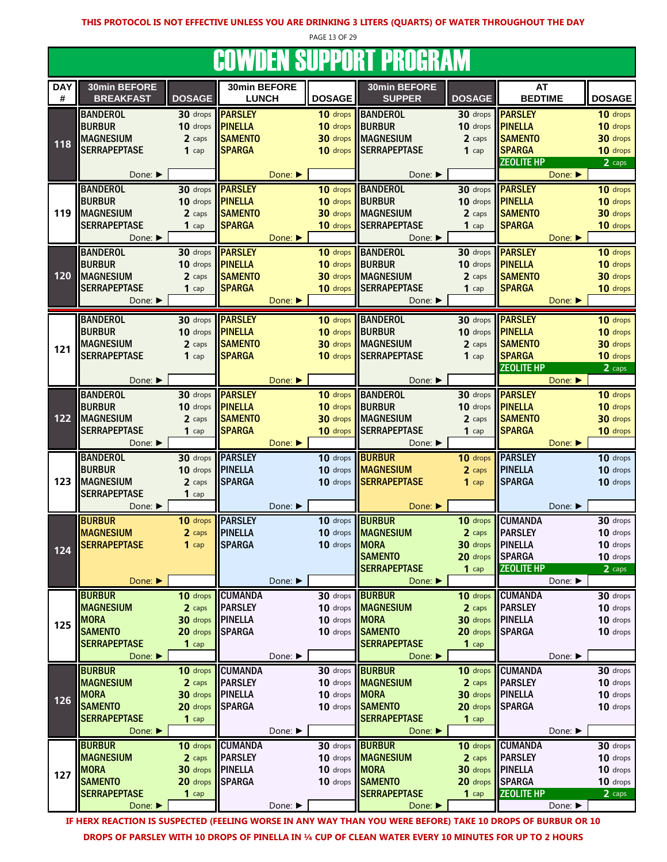PAGE 13 OF 29

# COWDEN SUPPORT PROGRAM

| 30min BEFORE<br>30min BEFORE<br>30min BEFORE<br><b>DAY</b><br>AT<br>#<br><b>BREAKFAST</b><br><b>DOSAGE</b><br><b>DOSAGE</b><br><b>SUPPER</b><br><b>DOSAGE</b><br><b>BEDTIME</b><br><b>DOSAGE</b><br><b>LUNCH</b><br><b>PARSLEY</b><br><b>BANDEROL</b><br>30 drops <b>PARSLEY</b><br><b>BANDEROL</b><br>30 drops<br>10 drops<br>10 drops<br><b>BURBUR</b><br><b>PINELLA</b><br>10 drops<br><b>BURBUR</b><br>10 drops <b>PINELLA</b><br>10 drops<br>10 drops<br><b>MAGNESIUM</b><br><b>SAMENTO</b><br>30 drops MAGNESIUM<br><b>SAMENTO</b><br>30 drops<br>2 caps<br>2 caps<br>118<br><b>SERRAPEPTASE</b><br><b>SPARGA</b><br><b>SERRAPEPTASE</b><br><b>SPARGA</b><br>10 drops<br>10 drops<br>$1$ cap<br>$1$ cap<br><b>ZEOLITE HP</b><br>$2 \overline{ \text{ caps}}$<br>Done: ▶<br>Done:<br>Done:<br>Done: $\blacktriangleright$<br><b>BANDEROL</b><br>30 drops<br><b>PARSLEY</b><br>10 drops<br><b>BANDEROL</b><br>30 drops<br><b>PARSLEY</b><br>10 drops<br><b>BURBUR</b><br>10 drops<br><b>PINELLA</b><br>10 drops<br><b>BURBUR</b><br><b>PINELLA</b><br>10 drops<br>10 drops<br>119<br><b>MAGNESIUM</b><br><b>SAMENTO</b><br>30 drops<br><b>MAGNESIUM</b><br><b>SAMENTO</b><br>30 drops<br>2 caps<br>2 caps<br><b>SERRAPEPTASE</b><br><b>SPARGA</b><br><b>SERRAPEPTASE</b><br><b>SPARGA</b><br>10 drops<br>10 drops<br>$1$ cap<br>$1$ cap<br>Done: ▶<br>Done:<br>Done: ▶<br>Done: ▶<br><b>BANDEROL</b><br><b>PARSLEY</b><br><b>PARSLEY</b><br><b>BANDEROL</b><br>30 drops<br>10 drops<br>30 drops<br>10 drops<br><b>BURBUR</b><br><b>PINELLA</b><br><b>BURBUR</b><br>10 drops <b>PINELLA</b><br>10 drops<br>10 drops<br>10 drops<br>120<br><b>SAMENTO</b><br><b>MAGNESIUM</b><br><b>MAGNESIUM</b><br><b>SAMENTO</b><br>30 drops<br>2 caps<br>30 drops<br>2 caps<br><b>SERRAPEPTASE</b><br><b>SPARGA</b><br><b>SERRAPEPTASE</b><br><b>SPARGA</b><br>10 drops<br>$1$ cap<br>10 drops<br>$1$ cap<br>Done: ▶<br>Done:<br>Done: ▶<br>Done:<br><b>BANDEROL</b><br>10 drops BANDEROL<br>10 drops<br>30 drops<br><b>PARSLEY</b><br>30 drops <b>PARSLEY</b><br><b>BURBUR</b><br><b>PINELLA</b><br><b>BURBUR</b><br>10 drops<br>10 drops<br>$10$ drops<br><b>PINELLA</b><br>10 drops<br><b>MAGNESIUM</b><br><b>MAGNESIUM</b><br><b>SAMENTO</b><br><b>SAMENTO</b><br>30 drops<br>30 drops<br>2 caps<br>2 caps<br>121<br><b>SPARGA</b><br><b>SPARGA</b><br><b>SERRAPEPTASE</b><br><b>SERRAPEPTASE</b><br>10 drops<br>$1$ cap<br>$10$ drops<br>$1$ cap<br><b>ZEOLITE HP</b><br>2 caps<br>Done: ▶<br>Done:<br>Done:<br>Done: ▶<br><b>BANDEROL</b><br><b>PARSLEY</b><br>10 drops BANDEROL<br>30 drops <b>PARSLEY</b><br>10 drops<br>30 drops<br><b>BURBUR</b><br><b>PINELLA</b><br><b>BURBUR</b><br>10 drops <b>PINELLA</b><br>10 drops<br>10 drops<br>10 drops<br>122<br><b>MAGNESIUM</b><br><b>SAMENTO</b><br><b>MAGNESIUM</b><br><b>SAMENTO</b><br>30 drops<br>30 drops<br>2 caps<br>2 caps<br><b>SERRAPEPTASE</b><br><b>SPARGA</b><br><b>SPARGA</b><br><b>SERRAPEPTASE</b><br>10 drops<br>10 drops<br>$1$ cap<br>$1$ cap<br>Done:<br>Done: ▶<br>Done: ▶<br>Done: $\blacktriangleright$<br><b>PARSLEY</b><br><b>PARSLEY</b><br><b>BANDEROL</b><br><b>BURBUR</b><br>10 drops<br>30 drops<br>$10$ drops<br>10 drops<br><b>BURBUR</b><br><b>PINELLA</b><br><b>MAGNESIUM</b><br><b>PINELLA</b><br>10 drops<br>10 drops<br>10 drops<br>2 caps<br>123<br><b>MAGNESIUM</b><br><b>SPARGA</b><br><b>SERRAPEPTASE</b><br><b>SPARGA</b><br>10 drops<br>2 caps<br>10 drops<br>$1$ cap<br><b>SERRAPEPTASE</b><br>$1$ cap<br>Done: ▶<br>Done:<br>Done: ▶<br>Done: ▶<br><b>PARSLEY</b><br><b>BURBUR</b><br><b>BURBUR</b><br><b>CUMANDA</b><br>10 drops<br>30 drops<br>10 drops<br>10 drops<br><b>MAGNESIUM</b><br><b>PINELLA</b><br><b>MAGNESIUM</b><br><b>PARSLEY</b><br>10 drops<br>10 drops<br>2 caps<br>2 caps<br><b>SPARGA</b><br>30 drops PINELLA<br><b>SERRAPEPTASE</b><br><b>MORA</b><br>10 drops<br>10 drops<br>$1$ cap<br>124<br><b>SAMENTO</b><br>SPARGA<br>20 drops<br>10 drops<br><b>SERRAPEPTASE</b><br><b>ZEOLITE HP</b><br>$1$ cap<br>2 caps<br>Done: ▶<br>Done: ▶<br>Done:<br>Done: ▶<br><b>BURBUR</b><br><b>CUMANDA</b><br><b>BURBUR</b><br><b>CUMANDA</b><br>10 drops<br>30 drops<br>30 drops<br>10 drops<br><b>MAGNESIUM</b><br><b>PARSLEY</b><br><b>PARSLEY</b><br>10 drops<br>2 caps<br>10 drops MAGNESIUM<br>2 caps<br><b>MORA</b><br><b>PINELLA</b><br><b>MORA</b><br>30 drops PINELLA<br>10 drops<br>30 drops<br>10 drops<br>125<br><b>SAMENTO</b><br><b>SAMENTO</b><br><b>SPARGA</b><br>10 drops<br>20 drops SPARGA<br>20 drops<br>10 drops<br><b>SERRAPEPTASE</b><br><b>SERRAPEPTASE</b><br>$1$ cap<br>$1$ cap<br>Done: ▶<br>Done: ▶<br>Done: ▶<br>Done: ▶<br><b>BURBUR</b><br><b>CUMANDA</b><br><b>BURBUR</b><br><b>CUMANDA</b><br>30 drops<br>30 drops<br>10 drops<br>10 drops<br><b>MAGNESIUM</b><br><b>PARSLEY</b><br><b>PARSLEY</b><br><b>MAGNESIUM</b><br>10 drops<br>2 caps<br>10 drops<br>2 caps<br><b>MORA</b><br>30 drops<br><b>PINELLA</b><br><b>MORA</b><br>30 drops PINELLA<br>10 drops<br>10 drops<br>126<br><b>SAMENTO</b><br><b>SPARGA</b><br><b>SAMENTO</b><br>20 drops SPARGA<br>20 drops<br>10 drops<br>10 drops<br><b>SERRAPEPTASE</b><br><b>SERRAPEPTASE</b><br>$1$ cap<br>$1$ cap<br>Done: ▶<br>Done: ▶<br>Done: $\blacktriangleright$<br>Done: ▶<br><b>BURBUR</b><br><b>CUMANDA</b><br><b>BURBUR</b><br><b>CUMANDA</b><br>10 drops<br>30 drops<br>10 drops<br>30 drops<br><b>MAGNESIUM</b><br><b>PARSLEY</b><br><b>PARSLEY</b><br>10 drops <b>MAGNESIUM</b><br>10 drops<br>2 caps<br>2 caps<br><b>MORA</b><br><b>PINELLA</b><br><b>MORA</b><br><b>I</b> PINELLA<br>30 drops<br>10 drops<br>30 drops<br>10 drops<br>127<br><b>SAMENTO</b><br>20 drops<br><b>SPARGA</b><br><b>SAMENTO</b><br>10 drops<br>20 drops   <br><b>SPARGA</b><br>10 drops<br><b>SERRAPEPTASE</b><br><b>SERRAPEPTASE</b><br><b>ZEOLITE HP</b><br>$1$ cap<br>$1$ cap<br>2 caps<br>Done: ▶<br>Done: ▶<br>Done: ▶<br>Done: ▶ |  |  |  | oottpen ooi i ont i hoghlin. |  |  |
|-------------------------------------------------------------------------------------------------------------------------------------------------------------------------------------------------------------------------------------------------------------------------------------------------------------------------------------------------------------------------------------------------------------------------------------------------------------------------------------------------------------------------------------------------------------------------------------------------------------------------------------------------------------------------------------------------------------------------------------------------------------------------------------------------------------------------------------------------------------------------------------------------------------------------------------------------------------------------------------------------------------------------------------------------------------------------------------------------------------------------------------------------------------------------------------------------------------------------------------------------------------------------------------------------------------------------------------------------------------------------------------------------------------------------------------------------------------------------------------------------------------------------------------------------------------------------------------------------------------------------------------------------------------------------------------------------------------------------------------------------------------------------------------------------------------------------------------------------------------------------------------------------------------------------------------------------------------------------------------------------------------------------------------------------------------------------------------------------------------------------------------------------------------------------------------------------------------------------------------------------------------------------------------------------------------------------------------------------------------------------------------------------------------------------------------------------------------------------------------------------------------------------------------------------------------------------------------------------------------------------------------------------------------------------------------------------------------------------------------------------------------------------------------------------------------------------------------------------------------------------------------------------------------------------------------------------------------------------------------------------------------------------------------------------------------------------------------------------------------------------------------------------------------------------------------------------------------------------------------------------------------------------------------------------------------------------------------------------------------------------------------------------------------------------------------------------------------------------------------------------------------------------------------------------------------------------------------------------------------------------------------------------------------------------------------------------------------------------------------------------------------------------------------------------------------------------------------------------------------------------------------------------------------------------------------------------------------------------------------------------------------------------------------------------------------------------------------------------------------------------------------------------------------------------------------------------------------------------------------------------------------------------------------------------------------------------------------------------------------------------------------------------------------------------------------------------------------------------------------------------------------------------------------------------------------------------------------------------------------------------------------------------------------------------------------------------------------------------------------------------------------------------------------------------------------------------------------------------------------------------------------------------------------------------------------------------------------------------------------------------------------------------------------------------------------------------------------------------------------------------------------------------------------------------------------------------------------------------------------------------------------------------------------------------------------------------------------------------------------------------------------------------------------------------------------------------------------------------------------------------------------------------------------------------------------------------------------------------------------------------------------------------------------------------------------------------------------------------------------------------------------------------------------------------------------------------------------------------------------------------------------------------------------------------|--|--|--|------------------------------|--|--|
|                                                                                                                                                                                                                                                                                                                                                                                                                                                                                                                                                                                                                                                                                                                                                                                                                                                                                                                                                                                                                                                                                                                                                                                                                                                                                                                                                                                                                                                                                                                                                                                                                                                                                                                                                                                                                                                                                                                                                                                                                                                                                                                                                                                                                                                                                                                                                                                                                                                                                                                                                                                                                                                                                                                                                                                                                                                                                                                                                                                                                                                                                                                                                                                                                                                                                                                                                                                                                                                                                                                                                                                                                                                                                                                                                                                                                                                                                                                                                                                                                                                                                                                                                                                                                                                                                                                                                                                                                                                                                                                                                                                                                                                                                                                                                                                                                                                                                                                                                                                                                                                                                                                                                                                                                                                                                                                                                                                                                                                                                                                                                                                                                                                                                                                                                                                                                                                                                                                         |  |  |  |                              |  |  |
|                                                                                                                                                                                                                                                                                                                                                                                                                                                                                                                                                                                                                                                                                                                                                                                                                                                                                                                                                                                                                                                                                                                                                                                                                                                                                                                                                                                                                                                                                                                                                                                                                                                                                                                                                                                                                                                                                                                                                                                                                                                                                                                                                                                                                                                                                                                                                                                                                                                                                                                                                                                                                                                                                                                                                                                                                                                                                                                                                                                                                                                                                                                                                                                                                                                                                                                                                                                                                                                                                                                                                                                                                                                                                                                                                                                                                                                                                                                                                                                                                                                                                                                                                                                                                                                                                                                                                                                                                                                                                                                                                                                                                                                                                                                                                                                                                                                                                                                                                                                                                                                                                                                                                                                                                                                                                                                                                                                                                                                                                                                                                                                                                                                                                                                                                                                                                                                                                                                         |  |  |  |                              |  |  |
|                                                                                                                                                                                                                                                                                                                                                                                                                                                                                                                                                                                                                                                                                                                                                                                                                                                                                                                                                                                                                                                                                                                                                                                                                                                                                                                                                                                                                                                                                                                                                                                                                                                                                                                                                                                                                                                                                                                                                                                                                                                                                                                                                                                                                                                                                                                                                                                                                                                                                                                                                                                                                                                                                                                                                                                                                                                                                                                                                                                                                                                                                                                                                                                                                                                                                                                                                                                                                                                                                                                                                                                                                                                                                                                                                                                                                                                                                                                                                                                                                                                                                                                                                                                                                                                                                                                                                                                                                                                                                                                                                                                                                                                                                                                                                                                                                                                                                                                                                                                                                                                                                                                                                                                                                                                                                                                                                                                                                                                                                                                                                                                                                                                                                                                                                                                                                                                                                                                         |  |  |  |                              |  |  |
|                                                                                                                                                                                                                                                                                                                                                                                                                                                                                                                                                                                                                                                                                                                                                                                                                                                                                                                                                                                                                                                                                                                                                                                                                                                                                                                                                                                                                                                                                                                                                                                                                                                                                                                                                                                                                                                                                                                                                                                                                                                                                                                                                                                                                                                                                                                                                                                                                                                                                                                                                                                                                                                                                                                                                                                                                                                                                                                                                                                                                                                                                                                                                                                                                                                                                                                                                                                                                                                                                                                                                                                                                                                                                                                                                                                                                                                                                                                                                                                                                                                                                                                                                                                                                                                                                                                                                                                                                                                                                                                                                                                                                                                                                                                                                                                                                                                                                                                                                                                                                                                                                                                                                                                                                                                                                                                                                                                                                                                                                                                                                                                                                                                                                                                                                                                                                                                                                                                         |  |  |  |                              |  |  |
|                                                                                                                                                                                                                                                                                                                                                                                                                                                                                                                                                                                                                                                                                                                                                                                                                                                                                                                                                                                                                                                                                                                                                                                                                                                                                                                                                                                                                                                                                                                                                                                                                                                                                                                                                                                                                                                                                                                                                                                                                                                                                                                                                                                                                                                                                                                                                                                                                                                                                                                                                                                                                                                                                                                                                                                                                                                                                                                                                                                                                                                                                                                                                                                                                                                                                                                                                                                                                                                                                                                                                                                                                                                                                                                                                                                                                                                                                                                                                                                                                                                                                                                                                                                                                                                                                                                                                                                                                                                                                                                                                                                                                                                                                                                                                                                                                                                                                                                                                                                                                                                                                                                                                                                                                                                                                                                                                                                                                                                                                                                                                                                                                                                                                                                                                                                                                                                                                                                         |  |  |  |                              |  |  |
|                                                                                                                                                                                                                                                                                                                                                                                                                                                                                                                                                                                                                                                                                                                                                                                                                                                                                                                                                                                                                                                                                                                                                                                                                                                                                                                                                                                                                                                                                                                                                                                                                                                                                                                                                                                                                                                                                                                                                                                                                                                                                                                                                                                                                                                                                                                                                                                                                                                                                                                                                                                                                                                                                                                                                                                                                                                                                                                                                                                                                                                                                                                                                                                                                                                                                                                                                                                                                                                                                                                                                                                                                                                                                                                                                                                                                                                                                                                                                                                                                                                                                                                                                                                                                                                                                                                                                                                                                                                                                                                                                                                                                                                                                                                                                                                                                                                                                                                                                                                                                                                                                                                                                                                                                                                                                                                                                                                                                                                                                                                                                                                                                                                                                                                                                                                                                                                                                                                         |  |  |  |                              |  |  |
|                                                                                                                                                                                                                                                                                                                                                                                                                                                                                                                                                                                                                                                                                                                                                                                                                                                                                                                                                                                                                                                                                                                                                                                                                                                                                                                                                                                                                                                                                                                                                                                                                                                                                                                                                                                                                                                                                                                                                                                                                                                                                                                                                                                                                                                                                                                                                                                                                                                                                                                                                                                                                                                                                                                                                                                                                                                                                                                                                                                                                                                                                                                                                                                                                                                                                                                                                                                                                                                                                                                                                                                                                                                                                                                                                                                                                                                                                                                                                                                                                                                                                                                                                                                                                                                                                                                                                                                                                                                                                                                                                                                                                                                                                                                                                                                                                                                                                                                                                                                                                                                                                                                                                                                                                                                                                                                                                                                                                                                                                                                                                                                                                                                                                                                                                                                                                                                                                                                         |  |  |  |                              |  |  |
|                                                                                                                                                                                                                                                                                                                                                                                                                                                                                                                                                                                                                                                                                                                                                                                                                                                                                                                                                                                                                                                                                                                                                                                                                                                                                                                                                                                                                                                                                                                                                                                                                                                                                                                                                                                                                                                                                                                                                                                                                                                                                                                                                                                                                                                                                                                                                                                                                                                                                                                                                                                                                                                                                                                                                                                                                                                                                                                                                                                                                                                                                                                                                                                                                                                                                                                                                                                                                                                                                                                                                                                                                                                                                                                                                                                                                                                                                                                                                                                                                                                                                                                                                                                                                                                                                                                                                                                                                                                                                                                                                                                                                                                                                                                                                                                                                                                                                                                                                                                                                                                                                                                                                                                                                                                                                                                                                                                                                                                                                                                                                                                                                                                                                                                                                                                                                                                                                                                         |  |  |  |                              |  |  |
|                                                                                                                                                                                                                                                                                                                                                                                                                                                                                                                                                                                                                                                                                                                                                                                                                                                                                                                                                                                                                                                                                                                                                                                                                                                                                                                                                                                                                                                                                                                                                                                                                                                                                                                                                                                                                                                                                                                                                                                                                                                                                                                                                                                                                                                                                                                                                                                                                                                                                                                                                                                                                                                                                                                                                                                                                                                                                                                                                                                                                                                                                                                                                                                                                                                                                                                                                                                                                                                                                                                                                                                                                                                                                                                                                                                                                                                                                                                                                                                                                                                                                                                                                                                                                                                                                                                                                                                                                                                                                                                                                                                                                                                                                                                                                                                                                                                                                                                                                                                                                                                                                                                                                                                                                                                                                                                                                                                                                                                                                                                                                                                                                                                                                                                                                                                                                                                                                                                         |  |  |  |                              |  |  |
|                                                                                                                                                                                                                                                                                                                                                                                                                                                                                                                                                                                                                                                                                                                                                                                                                                                                                                                                                                                                                                                                                                                                                                                                                                                                                                                                                                                                                                                                                                                                                                                                                                                                                                                                                                                                                                                                                                                                                                                                                                                                                                                                                                                                                                                                                                                                                                                                                                                                                                                                                                                                                                                                                                                                                                                                                                                                                                                                                                                                                                                                                                                                                                                                                                                                                                                                                                                                                                                                                                                                                                                                                                                                                                                                                                                                                                                                                                                                                                                                                                                                                                                                                                                                                                                                                                                                                                                                                                                                                                                                                                                                                                                                                                                                                                                                                                                                                                                                                                                                                                                                                                                                                                                                                                                                                                                                                                                                                                                                                                                                                                                                                                                                                                                                                                                                                                                                                                                         |  |  |  |                              |  |  |
|                                                                                                                                                                                                                                                                                                                                                                                                                                                                                                                                                                                                                                                                                                                                                                                                                                                                                                                                                                                                                                                                                                                                                                                                                                                                                                                                                                                                                                                                                                                                                                                                                                                                                                                                                                                                                                                                                                                                                                                                                                                                                                                                                                                                                                                                                                                                                                                                                                                                                                                                                                                                                                                                                                                                                                                                                                                                                                                                                                                                                                                                                                                                                                                                                                                                                                                                                                                                                                                                                                                                                                                                                                                                                                                                                                                                                                                                                                                                                                                                                                                                                                                                                                                                                                                                                                                                                                                                                                                                                                                                                                                                                                                                                                                                                                                                                                                                                                                                                                                                                                                                                                                                                                                                                                                                                                                                                                                                                                                                                                                                                                                                                                                                                                                                                                                                                                                                                                                         |  |  |  |                              |  |  |
|                                                                                                                                                                                                                                                                                                                                                                                                                                                                                                                                                                                                                                                                                                                                                                                                                                                                                                                                                                                                                                                                                                                                                                                                                                                                                                                                                                                                                                                                                                                                                                                                                                                                                                                                                                                                                                                                                                                                                                                                                                                                                                                                                                                                                                                                                                                                                                                                                                                                                                                                                                                                                                                                                                                                                                                                                                                                                                                                                                                                                                                                                                                                                                                                                                                                                                                                                                                                                                                                                                                                                                                                                                                                                                                                                                                                                                                                                                                                                                                                                                                                                                                                                                                                                                                                                                                                                                                                                                                                                                                                                                                                                                                                                                                                                                                                                                                                                                                                                                                                                                                                                                                                                                                                                                                                                                                                                                                                                                                                                                                                                                                                                                                                                                                                                                                                                                                                                                                         |  |  |  |                              |  |  |
|                                                                                                                                                                                                                                                                                                                                                                                                                                                                                                                                                                                                                                                                                                                                                                                                                                                                                                                                                                                                                                                                                                                                                                                                                                                                                                                                                                                                                                                                                                                                                                                                                                                                                                                                                                                                                                                                                                                                                                                                                                                                                                                                                                                                                                                                                                                                                                                                                                                                                                                                                                                                                                                                                                                                                                                                                                                                                                                                                                                                                                                                                                                                                                                                                                                                                                                                                                                                                                                                                                                                                                                                                                                                                                                                                                                                                                                                                                                                                                                                                                                                                                                                                                                                                                                                                                                                                                                                                                                                                                                                                                                                                                                                                                                                                                                                                                                                                                                                                                                                                                                                                                                                                                                                                                                                                                                                                                                                                                                                                                                                                                                                                                                                                                                                                                                                                                                                                                                         |  |  |  |                              |  |  |
|                                                                                                                                                                                                                                                                                                                                                                                                                                                                                                                                                                                                                                                                                                                                                                                                                                                                                                                                                                                                                                                                                                                                                                                                                                                                                                                                                                                                                                                                                                                                                                                                                                                                                                                                                                                                                                                                                                                                                                                                                                                                                                                                                                                                                                                                                                                                                                                                                                                                                                                                                                                                                                                                                                                                                                                                                                                                                                                                                                                                                                                                                                                                                                                                                                                                                                                                                                                                                                                                                                                                                                                                                                                                                                                                                                                                                                                                                                                                                                                                                                                                                                                                                                                                                                                                                                                                                                                                                                                                                                                                                                                                                                                                                                                                                                                                                                                                                                                                                                                                                                                                                                                                                                                                                                                                                                                                                                                                                                                                                                                                                                                                                                                                                                                                                                                                                                                                                                                         |  |  |  |                              |  |  |
|                                                                                                                                                                                                                                                                                                                                                                                                                                                                                                                                                                                                                                                                                                                                                                                                                                                                                                                                                                                                                                                                                                                                                                                                                                                                                                                                                                                                                                                                                                                                                                                                                                                                                                                                                                                                                                                                                                                                                                                                                                                                                                                                                                                                                                                                                                                                                                                                                                                                                                                                                                                                                                                                                                                                                                                                                                                                                                                                                                                                                                                                                                                                                                                                                                                                                                                                                                                                                                                                                                                                                                                                                                                                                                                                                                                                                                                                                                                                                                                                                                                                                                                                                                                                                                                                                                                                                                                                                                                                                                                                                                                                                                                                                                                                                                                                                                                                                                                                                                                                                                                                                                                                                                                                                                                                                                                                                                                                                                                                                                                                                                                                                                                                                                                                                                                                                                                                                                                         |  |  |  |                              |  |  |
|                                                                                                                                                                                                                                                                                                                                                                                                                                                                                                                                                                                                                                                                                                                                                                                                                                                                                                                                                                                                                                                                                                                                                                                                                                                                                                                                                                                                                                                                                                                                                                                                                                                                                                                                                                                                                                                                                                                                                                                                                                                                                                                                                                                                                                                                                                                                                                                                                                                                                                                                                                                                                                                                                                                                                                                                                                                                                                                                                                                                                                                                                                                                                                                                                                                                                                                                                                                                                                                                                                                                                                                                                                                                                                                                                                                                                                                                                                                                                                                                                                                                                                                                                                                                                                                                                                                                                                                                                                                                                                                                                                                                                                                                                                                                                                                                                                                                                                                                                                                                                                                                                                                                                                                                                                                                                                                                                                                                                                                                                                                                                                                                                                                                                                                                                                                                                                                                                                                         |  |  |  |                              |  |  |
|                                                                                                                                                                                                                                                                                                                                                                                                                                                                                                                                                                                                                                                                                                                                                                                                                                                                                                                                                                                                                                                                                                                                                                                                                                                                                                                                                                                                                                                                                                                                                                                                                                                                                                                                                                                                                                                                                                                                                                                                                                                                                                                                                                                                                                                                                                                                                                                                                                                                                                                                                                                                                                                                                                                                                                                                                                                                                                                                                                                                                                                                                                                                                                                                                                                                                                                                                                                                                                                                                                                                                                                                                                                                                                                                                                                                                                                                                                                                                                                                                                                                                                                                                                                                                                                                                                                                                                                                                                                                                                                                                                                                                                                                                                                                                                                                                                                                                                                                                                                                                                                                                                                                                                                                                                                                                                                                                                                                                                                                                                                                                                                                                                                                                                                                                                                                                                                                                                                         |  |  |  |                              |  |  |
|                                                                                                                                                                                                                                                                                                                                                                                                                                                                                                                                                                                                                                                                                                                                                                                                                                                                                                                                                                                                                                                                                                                                                                                                                                                                                                                                                                                                                                                                                                                                                                                                                                                                                                                                                                                                                                                                                                                                                                                                                                                                                                                                                                                                                                                                                                                                                                                                                                                                                                                                                                                                                                                                                                                                                                                                                                                                                                                                                                                                                                                                                                                                                                                                                                                                                                                                                                                                                                                                                                                                                                                                                                                                                                                                                                                                                                                                                                                                                                                                                                                                                                                                                                                                                                                                                                                                                                                                                                                                                                                                                                                                                                                                                                                                                                                                                                                                                                                                                                                                                                                                                                                                                                                                                                                                                                                                                                                                                                                                                                                                                                                                                                                                                                                                                                                                                                                                                                                         |  |  |  |                              |  |  |
|                                                                                                                                                                                                                                                                                                                                                                                                                                                                                                                                                                                                                                                                                                                                                                                                                                                                                                                                                                                                                                                                                                                                                                                                                                                                                                                                                                                                                                                                                                                                                                                                                                                                                                                                                                                                                                                                                                                                                                                                                                                                                                                                                                                                                                                                                                                                                                                                                                                                                                                                                                                                                                                                                                                                                                                                                                                                                                                                                                                                                                                                                                                                                                                                                                                                                                                                                                                                                                                                                                                                                                                                                                                                                                                                                                                                                                                                                                                                                                                                                                                                                                                                                                                                                                                                                                                                                                                                                                                                                                                                                                                                                                                                                                                                                                                                                                                                                                                                                                                                                                                                                                                                                                                                                                                                                                                                                                                                                                                                                                                                                                                                                                                                                                                                                                                                                                                                                                                         |  |  |  |                              |  |  |
|                                                                                                                                                                                                                                                                                                                                                                                                                                                                                                                                                                                                                                                                                                                                                                                                                                                                                                                                                                                                                                                                                                                                                                                                                                                                                                                                                                                                                                                                                                                                                                                                                                                                                                                                                                                                                                                                                                                                                                                                                                                                                                                                                                                                                                                                                                                                                                                                                                                                                                                                                                                                                                                                                                                                                                                                                                                                                                                                                                                                                                                                                                                                                                                                                                                                                                                                                                                                                                                                                                                                                                                                                                                                                                                                                                                                                                                                                                                                                                                                                                                                                                                                                                                                                                                                                                                                                                                                                                                                                                                                                                                                                                                                                                                                                                                                                                                                                                                                                                                                                                                                                                                                                                                                                                                                                                                                                                                                                                                                                                                                                                                                                                                                                                                                                                                                                                                                                                                         |  |  |  |                              |  |  |
|                                                                                                                                                                                                                                                                                                                                                                                                                                                                                                                                                                                                                                                                                                                                                                                                                                                                                                                                                                                                                                                                                                                                                                                                                                                                                                                                                                                                                                                                                                                                                                                                                                                                                                                                                                                                                                                                                                                                                                                                                                                                                                                                                                                                                                                                                                                                                                                                                                                                                                                                                                                                                                                                                                                                                                                                                                                                                                                                                                                                                                                                                                                                                                                                                                                                                                                                                                                                                                                                                                                                                                                                                                                                                                                                                                                                                                                                                                                                                                                                                                                                                                                                                                                                                                                                                                                                                                                                                                                                                                                                                                                                                                                                                                                                                                                                                                                                                                                                                                                                                                                                                                                                                                                                                                                                                                                                                                                                                                                                                                                                                                                                                                                                                                                                                                                                                                                                                                                         |  |  |  |                              |  |  |
|                                                                                                                                                                                                                                                                                                                                                                                                                                                                                                                                                                                                                                                                                                                                                                                                                                                                                                                                                                                                                                                                                                                                                                                                                                                                                                                                                                                                                                                                                                                                                                                                                                                                                                                                                                                                                                                                                                                                                                                                                                                                                                                                                                                                                                                                                                                                                                                                                                                                                                                                                                                                                                                                                                                                                                                                                                                                                                                                                                                                                                                                                                                                                                                                                                                                                                                                                                                                                                                                                                                                                                                                                                                                                                                                                                                                                                                                                                                                                                                                                                                                                                                                                                                                                                                                                                                                                                                                                                                                                                                                                                                                                                                                                                                                                                                                                                                                                                                                                                                                                                                                                                                                                                                                                                                                                                                                                                                                                                                                                                                                                                                                                                                                                                                                                                                                                                                                                                                         |  |  |  |                              |  |  |
|                                                                                                                                                                                                                                                                                                                                                                                                                                                                                                                                                                                                                                                                                                                                                                                                                                                                                                                                                                                                                                                                                                                                                                                                                                                                                                                                                                                                                                                                                                                                                                                                                                                                                                                                                                                                                                                                                                                                                                                                                                                                                                                                                                                                                                                                                                                                                                                                                                                                                                                                                                                                                                                                                                                                                                                                                                                                                                                                                                                                                                                                                                                                                                                                                                                                                                                                                                                                                                                                                                                                                                                                                                                                                                                                                                                                                                                                                                                                                                                                                                                                                                                                                                                                                                                                                                                                                                                                                                                                                                                                                                                                                                                                                                                                                                                                                                                                                                                                                                                                                                                                                                                                                                                                                                                                                                                                                                                                                                                                                                                                                                                                                                                                                                                                                                                                                                                                                                                         |  |  |  |                              |  |  |
|                                                                                                                                                                                                                                                                                                                                                                                                                                                                                                                                                                                                                                                                                                                                                                                                                                                                                                                                                                                                                                                                                                                                                                                                                                                                                                                                                                                                                                                                                                                                                                                                                                                                                                                                                                                                                                                                                                                                                                                                                                                                                                                                                                                                                                                                                                                                                                                                                                                                                                                                                                                                                                                                                                                                                                                                                                                                                                                                                                                                                                                                                                                                                                                                                                                                                                                                                                                                                                                                                                                                                                                                                                                                                                                                                                                                                                                                                                                                                                                                                                                                                                                                                                                                                                                                                                                                                                                                                                                                                                                                                                                                                                                                                                                                                                                                                                                                                                                                                                                                                                                                                                                                                                                                                                                                                                                                                                                                                                                                                                                                                                                                                                                                                                                                                                                                                                                                                                                         |  |  |  |                              |  |  |
|                                                                                                                                                                                                                                                                                                                                                                                                                                                                                                                                                                                                                                                                                                                                                                                                                                                                                                                                                                                                                                                                                                                                                                                                                                                                                                                                                                                                                                                                                                                                                                                                                                                                                                                                                                                                                                                                                                                                                                                                                                                                                                                                                                                                                                                                                                                                                                                                                                                                                                                                                                                                                                                                                                                                                                                                                                                                                                                                                                                                                                                                                                                                                                                                                                                                                                                                                                                                                                                                                                                                                                                                                                                                                                                                                                                                                                                                                                                                                                                                                                                                                                                                                                                                                                                                                                                                                                                                                                                                                                                                                                                                                                                                                                                                                                                                                                                                                                                                                                                                                                                                                                                                                                                                                                                                                                                                                                                                                                                                                                                                                                                                                                                                                                                                                                                                                                                                                                                         |  |  |  |                              |  |  |
|                                                                                                                                                                                                                                                                                                                                                                                                                                                                                                                                                                                                                                                                                                                                                                                                                                                                                                                                                                                                                                                                                                                                                                                                                                                                                                                                                                                                                                                                                                                                                                                                                                                                                                                                                                                                                                                                                                                                                                                                                                                                                                                                                                                                                                                                                                                                                                                                                                                                                                                                                                                                                                                                                                                                                                                                                                                                                                                                                                                                                                                                                                                                                                                                                                                                                                                                                                                                                                                                                                                                                                                                                                                                                                                                                                                                                                                                                                                                                                                                                                                                                                                                                                                                                                                                                                                                                                                                                                                                                                                                                                                                                                                                                                                                                                                                                                                                                                                                                                                                                                                                                                                                                                                                                                                                                                                                                                                                                                                                                                                                                                                                                                                                                                                                                                                                                                                                                                                         |  |  |  |                              |  |  |
|                                                                                                                                                                                                                                                                                                                                                                                                                                                                                                                                                                                                                                                                                                                                                                                                                                                                                                                                                                                                                                                                                                                                                                                                                                                                                                                                                                                                                                                                                                                                                                                                                                                                                                                                                                                                                                                                                                                                                                                                                                                                                                                                                                                                                                                                                                                                                                                                                                                                                                                                                                                                                                                                                                                                                                                                                                                                                                                                                                                                                                                                                                                                                                                                                                                                                                                                                                                                                                                                                                                                                                                                                                                                                                                                                                                                                                                                                                                                                                                                                                                                                                                                                                                                                                                                                                                                                                                                                                                                                                                                                                                                                                                                                                                                                                                                                                                                                                                                                                                                                                                                                                                                                                                                                                                                                                                                                                                                                                                                                                                                                                                                                                                                                                                                                                                                                                                                                                                         |  |  |  |                              |  |  |
|                                                                                                                                                                                                                                                                                                                                                                                                                                                                                                                                                                                                                                                                                                                                                                                                                                                                                                                                                                                                                                                                                                                                                                                                                                                                                                                                                                                                                                                                                                                                                                                                                                                                                                                                                                                                                                                                                                                                                                                                                                                                                                                                                                                                                                                                                                                                                                                                                                                                                                                                                                                                                                                                                                                                                                                                                                                                                                                                                                                                                                                                                                                                                                                                                                                                                                                                                                                                                                                                                                                                                                                                                                                                                                                                                                                                                                                                                                                                                                                                                                                                                                                                                                                                                                                                                                                                                                                                                                                                                                                                                                                                                                                                                                                                                                                                                                                                                                                                                                                                                                                                                                                                                                                                                                                                                                                                                                                                                                                                                                                                                                                                                                                                                                                                                                                                                                                                                                                         |  |  |  |                              |  |  |
|                                                                                                                                                                                                                                                                                                                                                                                                                                                                                                                                                                                                                                                                                                                                                                                                                                                                                                                                                                                                                                                                                                                                                                                                                                                                                                                                                                                                                                                                                                                                                                                                                                                                                                                                                                                                                                                                                                                                                                                                                                                                                                                                                                                                                                                                                                                                                                                                                                                                                                                                                                                                                                                                                                                                                                                                                                                                                                                                                                                                                                                                                                                                                                                                                                                                                                                                                                                                                                                                                                                                                                                                                                                                                                                                                                                                                                                                                                                                                                                                                                                                                                                                                                                                                                                                                                                                                                                                                                                                                                                                                                                                                                                                                                                                                                                                                                                                                                                                                                                                                                                                                                                                                                                                                                                                                                                                                                                                                                                                                                                                                                                                                                                                                                                                                                                                                                                                                                                         |  |  |  |                              |  |  |
|                                                                                                                                                                                                                                                                                                                                                                                                                                                                                                                                                                                                                                                                                                                                                                                                                                                                                                                                                                                                                                                                                                                                                                                                                                                                                                                                                                                                                                                                                                                                                                                                                                                                                                                                                                                                                                                                                                                                                                                                                                                                                                                                                                                                                                                                                                                                                                                                                                                                                                                                                                                                                                                                                                                                                                                                                                                                                                                                                                                                                                                                                                                                                                                                                                                                                                                                                                                                                                                                                                                                                                                                                                                                                                                                                                                                                                                                                                                                                                                                                                                                                                                                                                                                                                                                                                                                                                                                                                                                                                                                                                                                                                                                                                                                                                                                                                                                                                                                                                                                                                                                                                                                                                                                                                                                                                                                                                                                                                                                                                                                                                                                                                                                                                                                                                                                                                                                                                                         |  |  |  |                              |  |  |
|                                                                                                                                                                                                                                                                                                                                                                                                                                                                                                                                                                                                                                                                                                                                                                                                                                                                                                                                                                                                                                                                                                                                                                                                                                                                                                                                                                                                                                                                                                                                                                                                                                                                                                                                                                                                                                                                                                                                                                                                                                                                                                                                                                                                                                                                                                                                                                                                                                                                                                                                                                                                                                                                                                                                                                                                                                                                                                                                                                                                                                                                                                                                                                                                                                                                                                                                                                                                                                                                                                                                                                                                                                                                                                                                                                                                                                                                                                                                                                                                                                                                                                                                                                                                                                                                                                                                                                                                                                                                                                                                                                                                                                                                                                                                                                                                                                                                                                                                                                                                                                                                                                                                                                                                                                                                                                                                                                                                                                                                                                                                                                                                                                                                                                                                                                                                                                                                                                                         |  |  |  |                              |  |  |
|                                                                                                                                                                                                                                                                                                                                                                                                                                                                                                                                                                                                                                                                                                                                                                                                                                                                                                                                                                                                                                                                                                                                                                                                                                                                                                                                                                                                                                                                                                                                                                                                                                                                                                                                                                                                                                                                                                                                                                                                                                                                                                                                                                                                                                                                                                                                                                                                                                                                                                                                                                                                                                                                                                                                                                                                                                                                                                                                                                                                                                                                                                                                                                                                                                                                                                                                                                                                                                                                                                                                                                                                                                                                                                                                                                                                                                                                                                                                                                                                                                                                                                                                                                                                                                                                                                                                                                                                                                                                                                                                                                                                                                                                                                                                                                                                                                                                                                                                                                                                                                                                                                                                                                                                                                                                                                                                                                                                                                                                                                                                                                                                                                                                                                                                                                                                                                                                                                                         |  |  |  |                              |  |  |
|                                                                                                                                                                                                                                                                                                                                                                                                                                                                                                                                                                                                                                                                                                                                                                                                                                                                                                                                                                                                                                                                                                                                                                                                                                                                                                                                                                                                                                                                                                                                                                                                                                                                                                                                                                                                                                                                                                                                                                                                                                                                                                                                                                                                                                                                                                                                                                                                                                                                                                                                                                                                                                                                                                                                                                                                                                                                                                                                                                                                                                                                                                                                                                                                                                                                                                                                                                                                                                                                                                                                                                                                                                                                                                                                                                                                                                                                                                                                                                                                                                                                                                                                                                                                                                                                                                                                                                                                                                                                                                                                                                                                                                                                                                                                                                                                                                                                                                                                                                                                                                                                                                                                                                                                                                                                                                                                                                                                                                                                                                                                                                                                                                                                                                                                                                                                                                                                                                                         |  |  |  |                              |  |  |
|                                                                                                                                                                                                                                                                                                                                                                                                                                                                                                                                                                                                                                                                                                                                                                                                                                                                                                                                                                                                                                                                                                                                                                                                                                                                                                                                                                                                                                                                                                                                                                                                                                                                                                                                                                                                                                                                                                                                                                                                                                                                                                                                                                                                                                                                                                                                                                                                                                                                                                                                                                                                                                                                                                                                                                                                                                                                                                                                                                                                                                                                                                                                                                                                                                                                                                                                                                                                                                                                                                                                                                                                                                                                                                                                                                                                                                                                                                                                                                                                                                                                                                                                                                                                                                                                                                                                                                                                                                                                                                                                                                                                                                                                                                                                                                                                                                                                                                                                                                                                                                                                                                                                                                                                                                                                                                                                                                                                                                                                                                                                                                                                                                                                                                                                                                                                                                                                                                                         |  |  |  |                              |  |  |
|                                                                                                                                                                                                                                                                                                                                                                                                                                                                                                                                                                                                                                                                                                                                                                                                                                                                                                                                                                                                                                                                                                                                                                                                                                                                                                                                                                                                                                                                                                                                                                                                                                                                                                                                                                                                                                                                                                                                                                                                                                                                                                                                                                                                                                                                                                                                                                                                                                                                                                                                                                                                                                                                                                                                                                                                                                                                                                                                                                                                                                                                                                                                                                                                                                                                                                                                                                                                                                                                                                                                                                                                                                                                                                                                                                                                                                                                                                                                                                                                                                                                                                                                                                                                                                                                                                                                                                                                                                                                                                                                                                                                                                                                                                                                                                                                                                                                                                                                                                                                                                                                                                                                                                                                                                                                                                                                                                                                                                                                                                                                                                                                                                                                                                                                                                                                                                                                                                                         |  |  |  |                              |  |  |
|                                                                                                                                                                                                                                                                                                                                                                                                                                                                                                                                                                                                                                                                                                                                                                                                                                                                                                                                                                                                                                                                                                                                                                                                                                                                                                                                                                                                                                                                                                                                                                                                                                                                                                                                                                                                                                                                                                                                                                                                                                                                                                                                                                                                                                                                                                                                                                                                                                                                                                                                                                                                                                                                                                                                                                                                                                                                                                                                                                                                                                                                                                                                                                                                                                                                                                                                                                                                                                                                                                                                                                                                                                                                                                                                                                                                                                                                                                                                                                                                                                                                                                                                                                                                                                                                                                                                                                                                                                                                                                                                                                                                                                                                                                                                                                                                                                                                                                                                                                                                                                                                                                                                                                                                                                                                                                                                                                                                                                                                                                                                                                                                                                                                                                                                                                                                                                                                                                                         |  |  |  |                              |  |  |
|                                                                                                                                                                                                                                                                                                                                                                                                                                                                                                                                                                                                                                                                                                                                                                                                                                                                                                                                                                                                                                                                                                                                                                                                                                                                                                                                                                                                                                                                                                                                                                                                                                                                                                                                                                                                                                                                                                                                                                                                                                                                                                                                                                                                                                                                                                                                                                                                                                                                                                                                                                                                                                                                                                                                                                                                                                                                                                                                                                                                                                                                                                                                                                                                                                                                                                                                                                                                                                                                                                                                                                                                                                                                                                                                                                                                                                                                                                                                                                                                                                                                                                                                                                                                                                                                                                                                                                                                                                                                                                                                                                                                                                                                                                                                                                                                                                                                                                                                                                                                                                                                                                                                                                                                                                                                                                                                                                                                                                                                                                                                                                                                                                                                                                                                                                                                                                                                                                                         |  |  |  |                              |  |  |
|                                                                                                                                                                                                                                                                                                                                                                                                                                                                                                                                                                                                                                                                                                                                                                                                                                                                                                                                                                                                                                                                                                                                                                                                                                                                                                                                                                                                                                                                                                                                                                                                                                                                                                                                                                                                                                                                                                                                                                                                                                                                                                                                                                                                                                                                                                                                                                                                                                                                                                                                                                                                                                                                                                                                                                                                                                                                                                                                                                                                                                                                                                                                                                                                                                                                                                                                                                                                                                                                                                                                                                                                                                                                                                                                                                                                                                                                                                                                                                                                                                                                                                                                                                                                                                                                                                                                                                                                                                                                                                                                                                                                                                                                                                                                                                                                                                                                                                                                                                                                                                                                                                                                                                                                                                                                                                                                                                                                                                                                                                                                                                                                                                                                                                                                                                                                                                                                                                                         |  |  |  |                              |  |  |
|                                                                                                                                                                                                                                                                                                                                                                                                                                                                                                                                                                                                                                                                                                                                                                                                                                                                                                                                                                                                                                                                                                                                                                                                                                                                                                                                                                                                                                                                                                                                                                                                                                                                                                                                                                                                                                                                                                                                                                                                                                                                                                                                                                                                                                                                                                                                                                                                                                                                                                                                                                                                                                                                                                                                                                                                                                                                                                                                                                                                                                                                                                                                                                                                                                                                                                                                                                                                                                                                                                                                                                                                                                                                                                                                                                                                                                                                                                                                                                                                                                                                                                                                                                                                                                                                                                                                                                                                                                                                                                                                                                                                                                                                                                                                                                                                                                                                                                                                                                                                                                                                                                                                                                                                                                                                                                                                                                                                                                                                                                                                                                                                                                                                                                                                                                                                                                                                                                                         |  |  |  |                              |  |  |
|                                                                                                                                                                                                                                                                                                                                                                                                                                                                                                                                                                                                                                                                                                                                                                                                                                                                                                                                                                                                                                                                                                                                                                                                                                                                                                                                                                                                                                                                                                                                                                                                                                                                                                                                                                                                                                                                                                                                                                                                                                                                                                                                                                                                                                                                                                                                                                                                                                                                                                                                                                                                                                                                                                                                                                                                                                                                                                                                                                                                                                                                                                                                                                                                                                                                                                                                                                                                                                                                                                                                                                                                                                                                                                                                                                                                                                                                                                                                                                                                                                                                                                                                                                                                                                                                                                                                                                                                                                                                                                                                                                                                                                                                                                                                                                                                                                                                                                                                                                                                                                                                                                                                                                                                                                                                                                                                                                                                                                                                                                                                                                                                                                                                                                                                                                                                                                                                                                                         |  |  |  |                              |  |  |
|                                                                                                                                                                                                                                                                                                                                                                                                                                                                                                                                                                                                                                                                                                                                                                                                                                                                                                                                                                                                                                                                                                                                                                                                                                                                                                                                                                                                                                                                                                                                                                                                                                                                                                                                                                                                                                                                                                                                                                                                                                                                                                                                                                                                                                                                                                                                                                                                                                                                                                                                                                                                                                                                                                                                                                                                                                                                                                                                                                                                                                                                                                                                                                                                                                                                                                                                                                                                                                                                                                                                                                                                                                                                                                                                                                                                                                                                                                                                                                                                                                                                                                                                                                                                                                                                                                                                                                                                                                                                                                                                                                                                                                                                                                                                                                                                                                                                                                                                                                                                                                                                                                                                                                                                                                                                                                                                                                                                                                                                                                                                                                                                                                                                                                                                                                                                                                                                                                                         |  |  |  |                              |  |  |
|                                                                                                                                                                                                                                                                                                                                                                                                                                                                                                                                                                                                                                                                                                                                                                                                                                                                                                                                                                                                                                                                                                                                                                                                                                                                                                                                                                                                                                                                                                                                                                                                                                                                                                                                                                                                                                                                                                                                                                                                                                                                                                                                                                                                                                                                                                                                                                                                                                                                                                                                                                                                                                                                                                                                                                                                                                                                                                                                                                                                                                                                                                                                                                                                                                                                                                                                                                                                                                                                                                                                                                                                                                                                                                                                                                                                                                                                                                                                                                                                                                                                                                                                                                                                                                                                                                                                                                                                                                                                                                                                                                                                                                                                                                                                                                                                                                                                                                                                                                                                                                                                                                                                                                                                                                                                                                                                                                                                                                                                                                                                                                                                                                                                                                                                                                                                                                                                                                                         |  |  |  |                              |  |  |
|                                                                                                                                                                                                                                                                                                                                                                                                                                                                                                                                                                                                                                                                                                                                                                                                                                                                                                                                                                                                                                                                                                                                                                                                                                                                                                                                                                                                                                                                                                                                                                                                                                                                                                                                                                                                                                                                                                                                                                                                                                                                                                                                                                                                                                                                                                                                                                                                                                                                                                                                                                                                                                                                                                                                                                                                                                                                                                                                                                                                                                                                                                                                                                                                                                                                                                                                                                                                                                                                                                                                                                                                                                                                                                                                                                                                                                                                                                                                                                                                                                                                                                                                                                                                                                                                                                                                                                                                                                                                                                                                                                                                                                                                                                                                                                                                                                                                                                                                                                                                                                                                                                                                                                                                                                                                                                                                                                                                                                                                                                                                                                                                                                                                                                                                                                                                                                                                                                                         |  |  |  |                              |  |  |
|                                                                                                                                                                                                                                                                                                                                                                                                                                                                                                                                                                                                                                                                                                                                                                                                                                                                                                                                                                                                                                                                                                                                                                                                                                                                                                                                                                                                                                                                                                                                                                                                                                                                                                                                                                                                                                                                                                                                                                                                                                                                                                                                                                                                                                                                                                                                                                                                                                                                                                                                                                                                                                                                                                                                                                                                                                                                                                                                                                                                                                                                                                                                                                                                                                                                                                                                                                                                                                                                                                                                                                                                                                                                                                                                                                                                                                                                                                                                                                                                                                                                                                                                                                                                                                                                                                                                                                                                                                                                                                                                                                                                                                                                                                                                                                                                                                                                                                                                                                                                                                                                                                                                                                                                                                                                                                                                                                                                                                                                                                                                                                                                                                                                                                                                                                                                                                                                                                                         |  |  |  |                              |  |  |
|                                                                                                                                                                                                                                                                                                                                                                                                                                                                                                                                                                                                                                                                                                                                                                                                                                                                                                                                                                                                                                                                                                                                                                                                                                                                                                                                                                                                                                                                                                                                                                                                                                                                                                                                                                                                                                                                                                                                                                                                                                                                                                                                                                                                                                                                                                                                                                                                                                                                                                                                                                                                                                                                                                                                                                                                                                                                                                                                                                                                                                                                                                                                                                                                                                                                                                                                                                                                                                                                                                                                                                                                                                                                                                                                                                                                                                                                                                                                                                                                                                                                                                                                                                                                                                                                                                                                                                                                                                                                                                                                                                                                                                                                                                                                                                                                                                                                                                                                                                                                                                                                                                                                                                                                                                                                                                                                                                                                                                                                                                                                                                                                                                                                                                                                                                                                                                                                                                                         |  |  |  |                              |  |  |
|                                                                                                                                                                                                                                                                                                                                                                                                                                                                                                                                                                                                                                                                                                                                                                                                                                                                                                                                                                                                                                                                                                                                                                                                                                                                                                                                                                                                                                                                                                                                                                                                                                                                                                                                                                                                                                                                                                                                                                                                                                                                                                                                                                                                                                                                                                                                                                                                                                                                                                                                                                                                                                                                                                                                                                                                                                                                                                                                                                                                                                                                                                                                                                                                                                                                                                                                                                                                                                                                                                                                                                                                                                                                                                                                                                                                                                                                                                                                                                                                                                                                                                                                                                                                                                                                                                                                                                                                                                                                                                                                                                                                                                                                                                                                                                                                                                                                                                                                                                                                                                                                                                                                                                                                                                                                                                                                                                                                                                                                                                                                                                                                                                                                                                                                                                                                                                                                                                                         |  |  |  |                              |  |  |
|                                                                                                                                                                                                                                                                                                                                                                                                                                                                                                                                                                                                                                                                                                                                                                                                                                                                                                                                                                                                                                                                                                                                                                                                                                                                                                                                                                                                                                                                                                                                                                                                                                                                                                                                                                                                                                                                                                                                                                                                                                                                                                                                                                                                                                                                                                                                                                                                                                                                                                                                                                                                                                                                                                                                                                                                                                                                                                                                                                                                                                                                                                                                                                                                                                                                                                                                                                                                                                                                                                                                                                                                                                                                                                                                                                                                                                                                                                                                                                                                                                                                                                                                                                                                                                                                                                                                                                                                                                                                                                                                                                                                                                                                                                                                                                                                                                                                                                                                                                                                                                                                                                                                                                                                                                                                                                                                                                                                                                                                                                                                                                                                                                                                                                                                                                                                                                                                                                                         |  |  |  |                              |  |  |
|                                                                                                                                                                                                                                                                                                                                                                                                                                                                                                                                                                                                                                                                                                                                                                                                                                                                                                                                                                                                                                                                                                                                                                                                                                                                                                                                                                                                                                                                                                                                                                                                                                                                                                                                                                                                                                                                                                                                                                                                                                                                                                                                                                                                                                                                                                                                                                                                                                                                                                                                                                                                                                                                                                                                                                                                                                                                                                                                                                                                                                                                                                                                                                                                                                                                                                                                                                                                                                                                                                                                                                                                                                                                                                                                                                                                                                                                                                                                                                                                                                                                                                                                                                                                                                                                                                                                                                                                                                                                                                                                                                                                                                                                                                                                                                                                                                                                                                                                                                                                                                                                                                                                                                                                                                                                                                                                                                                                                                                                                                                                                                                                                                                                                                                                                                                                                                                                                                                         |  |  |  |                              |  |  |
|                                                                                                                                                                                                                                                                                                                                                                                                                                                                                                                                                                                                                                                                                                                                                                                                                                                                                                                                                                                                                                                                                                                                                                                                                                                                                                                                                                                                                                                                                                                                                                                                                                                                                                                                                                                                                                                                                                                                                                                                                                                                                                                                                                                                                                                                                                                                                                                                                                                                                                                                                                                                                                                                                                                                                                                                                                                                                                                                                                                                                                                                                                                                                                                                                                                                                                                                                                                                                                                                                                                                                                                                                                                                                                                                                                                                                                                                                                                                                                                                                                                                                                                                                                                                                                                                                                                                                                                                                                                                                                                                                                                                                                                                                                                                                                                                                                                                                                                                                                                                                                                                                                                                                                                                                                                                                                                                                                                                                                                                                                                                                                                                                                                                                                                                                                                                                                                                                                                         |  |  |  |                              |  |  |
|                                                                                                                                                                                                                                                                                                                                                                                                                                                                                                                                                                                                                                                                                                                                                                                                                                                                                                                                                                                                                                                                                                                                                                                                                                                                                                                                                                                                                                                                                                                                                                                                                                                                                                                                                                                                                                                                                                                                                                                                                                                                                                                                                                                                                                                                                                                                                                                                                                                                                                                                                                                                                                                                                                                                                                                                                                                                                                                                                                                                                                                                                                                                                                                                                                                                                                                                                                                                                                                                                                                                                                                                                                                                                                                                                                                                                                                                                                                                                                                                                                                                                                                                                                                                                                                                                                                                                                                                                                                                                                                                                                                                                                                                                                                                                                                                                                                                                                                                                                                                                                                                                                                                                                                                                                                                                                                                                                                                                                                                                                                                                                                                                                                                                                                                                                                                                                                                                                                         |  |  |  |                              |  |  |
|                                                                                                                                                                                                                                                                                                                                                                                                                                                                                                                                                                                                                                                                                                                                                                                                                                                                                                                                                                                                                                                                                                                                                                                                                                                                                                                                                                                                                                                                                                                                                                                                                                                                                                                                                                                                                                                                                                                                                                                                                                                                                                                                                                                                                                                                                                                                                                                                                                                                                                                                                                                                                                                                                                                                                                                                                                                                                                                                                                                                                                                                                                                                                                                                                                                                                                                                                                                                                                                                                                                                                                                                                                                                                                                                                                                                                                                                                                                                                                                                                                                                                                                                                                                                                                                                                                                                                                                                                                                                                                                                                                                                                                                                                                                                                                                                                                                                                                                                                                                                                                                                                                                                                                                                                                                                                                                                                                                                                                                                                                                                                                                                                                                                                                                                                                                                                                                                                                                         |  |  |  |                              |  |  |
|                                                                                                                                                                                                                                                                                                                                                                                                                                                                                                                                                                                                                                                                                                                                                                                                                                                                                                                                                                                                                                                                                                                                                                                                                                                                                                                                                                                                                                                                                                                                                                                                                                                                                                                                                                                                                                                                                                                                                                                                                                                                                                                                                                                                                                                                                                                                                                                                                                                                                                                                                                                                                                                                                                                                                                                                                                                                                                                                                                                                                                                                                                                                                                                                                                                                                                                                                                                                                                                                                                                                                                                                                                                                                                                                                                                                                                                                                                                                                                                                                                                                                                                                                                                                                                                                                                                                                                                                                                                                                                                                                                                                                                                                                                                                                                                                                                                                                                                                                                                                                                                                                                                                                                                                                                                                                                                                                                                                                                                                                                                                                                                                                                                                                                                                                                                                                                                                                                                         |  |  |  |                              |  |  |
|                                                                                                                                                                                                                                                                                                                                                                                                                                                                                                                                                                                                                                                                                                                                                                                                                                                                                                                                                                                                                                                                                                                                                                                                                                                                                                                                                                                                                                                                                                                                                                                                                                                                                                                                                                                                                                                                                                                                                                                                                                                                                                                                                                                                                                                                                                                                                                                                                                                                                                                                                                                                                                                                                                                                                                                                                                                                                                                                                                                                                                                                                                                                                                                                                                                                                                                                                                                                                                                                                                                                                                                                                                                                                                                                                                                                                                                                                                                                                                                                                                                                                                                                                                                                                                                                                                                                                                                                                                                                                                                                                                                                                                                                                                                                                                                                                                                                                                                                                                                                                                                                                                                                                                                                                                                                                                                                                                                                                                                                                                                                                                                                                                                                                                                                                                                                                                                                                                                         |  |  |  |                              |  |  |
|                                                                                                                                                                                                                                                                                                                                                                                                                                                                                                                                                                                                                                                                                                                                                                                                                                                                                                                                                                                                                                                                                                                                                                                                                                                                                                                                                                                                                                                                                                                                                                                                                                                                                                                                                                                                                                                                                                                                                                                                                                                                                                                                                                                                                                                                                                                                                                                                                                                                                                                                                                                                                                                                                                                                                                                                                                                                                                                                                                                                                                                                                                                                                                                                                                                                                                                                                                                                                                                                                                                                                                                                                                                                                                                                                                                                                                                                                                                                                                                                                                                                                                                                                                                                                                                                                                                                                                                                                                                                                                                                                                                                                                                                                                                                                                                                                                                                                                                                                                                                                                                                                                                                                                                                                                                                                                                                                                                                                                                                                                                                                                                                                                                                                                                                                                                                                                                                                                                         |  |  |  |                              |  |  |
|                                                                                                                                                                                                                                                                                                                                                                                                                                                                                                                                                                                                                                                                                                                                                                                                                                                                                                                                                                                                                                                                                                                                                                                                                                                                                                                                                                                                                                                                                                                                                                                                                                                                                                                                                                                                                                                                                                                                                                                                                                                                                                                                                                                                                                                                                                                                                                                                                                                                                                                                                                                                                                                                                                                                                                                                                                                                                                                                                                                                                                                                                                                                                                                                                                                                                                                                                                                                                                                                                                                                                                                                                                                                                                                                                                                                                                                                                                                                                                                                                                                                                                                                                                                                                                                                                                                                                                                                                                                                                                                                                                                                                                                                                                                                                                                                                                                                                                                                                                                                                                                                                                                                                                                                                                                                                                                                                                                                                                                                                                                                                                                                                                                                                                                                                                                                                                                                                                                         |  |  |  |                              |  |  |
|                                                                                                                                                                                                                                                                                                                                                                                                                                                                                                                                                                                                                                                                                                                                                                                                                                                                                                                                                                                                                                                                                                                                                                                                                                                                                                                                                                                                                                                                                                                                                                                                                                                                                                                                                                                                                                                                                                                                                                                                                                                                                                                                                                                                                                                                                                                                                                                                                                                                                                                                                                                                                                                                                                                                                                                                                                                                                                                                                                                                                                                                                                                                                                                                                                                                                                                                                                                                                                                                                                                                                                                                                                                                                                                                                                                                                                                                                                                                                                                                                                                                                                                                                                                                                                                                                                                                                                                                                                                                                                                                                                                                                                                                                                                                                                                                                                                                                                                                                                                                                                                                                                                                                                                                                                                                                                                                                                                                                                                                                                                                                                                                                                                                                                                                                                                                                                                                                                                         |  |  |  |                              |  |  |
|                                                                                                                                                                                                                                                                                                                                                                                                                                                                                                                                                                                                                                                                                                                                                                                                                                                                                                                                                                                                                                                                                                                                                                                                                                                                                                                                                                                                                                                                                                                                                                                                                                                                                                                                                                                                                                                                                                                                                                                                                                                                                                                                                                                                                                                                                                                                                                                                                                                                                                                                                                                                                                                                                                                                                                                                                                                                                                                                                                                                                                                                                                                                                                                                                                                                                                                                                                                                                                                                                                                                                                                                                                                                                                                                                                                                                                                                                                                                                                                                                                                                                                                                                                                                                                                                                                                                                                                                                                                                                                                                                                                                                                                                                                                                                                                                                                                                                                                                                                                                                                                                                                                                                                                                                                                                                                                                                                                                                                                                                                                                                                                                                                                                                                                                                                                                                                                                                                                         |  |  |  |                              |  |  |
|                                                                                                                                                                                                                                                                                                                                                                                                                                                                                                                                                                                                                                                                                                                                                                                                                                                                                                                                                                                                                                                                                                                                                                                                                                                                                                                                                                                                                                                                                                                                                                                                                                                                                                                                                                                                                                                                                                                                                                                                                                                                                                                                                                                                                                                                                                                                                                                                                                                                                                                                                                                                                                                                                                                                                                                                                                                                                                                                                                                                                                                                                                                                                                                                                                                                                                                                                                                                                                                                                                                                                                                                                                                                                                                                                                                                                                                                                                                                                                                                                                                                                                                                                                                                                                                                                                                                                                                                                                                                                                                                                                                                                                                                                                                                                                                                                                                                                                                                                                                                                                                                                                                                                                                                                                                                                                                                                                                                                                                                                                                                                                                                                                                                                                                                                                                                                                                                                                                         |  |  |  |                              |  |  |
|                                                                                                                                                                                                                                                                                                                                                                                                                                                                                                                                                                                                                                                                                                                                                                                                                                                                                                                                                                                                                                                                                                                                                                                                                                                                                                                                                                                                                                                                                                                                                                                                                                                                                                                                                                                                                                                                                                                                                                                                                                                                                                                                                                                                                                                                                                                                                                                                                                                                                                                                                                                                                                                                                                                                                                                                                                                                                                                                                                                                                                                                                                                                                                                                                                                                                                                                                                                                                                                                                                                                                                                                                                                                                                                                                                                                                                                                                                                                                                                                                                                                                                                                                                                                                                                                                                                                                                                                                                                                                                                                                                                                                                                                                                                                                                                                                                                                                                                                                                                                                                                                                                                                                                                                                                                                                                                                                                                                                                                                                                                                                                                                                                                                                                                                                                                                                                                                                                                         |  |  |  |                              |  |  |
|                                                                                                                                                                                                                                                                                                                                                                                                                                                                                                                                                                                                                                                                                                                                                                                                                                                                                                                                                                                                                                                                                                                                                                                                                                                                                                                                                                                                                                                                                                                                                                                                                                                                                                                                                                                                                                                                                                                                                                                                                                                                                                                                                                                                                                                                                                                                                                                                                                                                                                                                                                                                                                                                                                                                                                                                                                                                                                                                                                                                                                                                                                                                                                                                                                                                                                                                                                                                                                                                                                                                                                                                                                                                                                                                                                                                                                                                                                                                                                                                                                                                                                                                                                                                                                                                                                                                                                                                                                                                                                                                                                                                                                                                                                                                                                                                                                                                                                                                                                                                                                                                                                                                                                                                                                                                                                                                                                                                                                                                                                                                                                                                                                                                                                                                                                                                                                                                                                                         |  |  |  |                              |  |  |
|                                                                                                                                                                                                                                                                                                                                                                                                                                                                                                                                                                                                                                                                                                                                                                                                                                                                                                                                                                                                                                                                                                                                                                                                                                                                                                                                                                                                                                                                                                                                                                                                                                                                                                                                                                                                                                                                                                                                                                                                                                                                                                                                                                                                                                                                                                                                                                                                                                                                                                                                                                                                                                                                                                                                                                                                                                                                                                                                                                                                                                                                                                                                                                                                                                                                                                                                                                                                                                                                                                                                                                                                                                                                                                                                                                                                                                                                                                                                                                                                                                                                                                                                                                                                                                                                                                                                                                                                                                                                                                                                                                                                                                                                                                                                                                                                                                                                                                                                                                                                                                                                                                                                                                                                                                                                                                                                                                                                                                                                                                                                                                                                                                                                                                                                                                                                                                                                                                                         |  |  |  |                              |  |  |
|                                                                                                                                                                                                                                                                                                                                                                                                                                                                                                                                                                                                                                                                                                                                                                                                                                                                                                                                                                                                                                                                                                                                                                                                                                                                                                                                                                                                                                                                                                                                                                                                                                                                                                                                                                                                                                                                                                                                                                                                                                                                                                                                                                                                                                                                                                                                                                                                                                                                                                                                                                                                                                                                                                                                                                                                                                                                                                                                                                                                                                                                                                                                                                                                                                                                                                                                                                                                                                                                                                                                                                                                                                                                                                                                                                                                                                                                                                                                                                                                                                                                                                                                                                                                                                                                                                                                                                                                                                                                                                                                                                                                                                                                                                                                                                                                                                                                                                                                                                                                                                                                                                                                                                                                                                                                                                                                                                                                                                                                                                                                                                                                                                                                                                                                                                                                                                                                                                                         |  |  |  |                              |  |  |
|                                                                                                                                                                                                                                                                                                                                                                                                                                                                                                                                                                                                                                                                                                                                                                                                                                                                                                                                                                                                                                                                                                                                                                                                                                                                                                                                                                                                                                                                                                                                                                                                                                                                                                                                                                                                                                                                                                                                                                                                                                                                                                                                                                                                                                                                                                                                                                                                                                                                                                                                                                                                                                                                                                                                                                                                                                                                                                                                                                                                                                                                                                                                                                                                                                                                                                                                                                                                                                                                                                                                                                                                                                                                                                                                                                                                                                                                                                                                                                                                                                                                                                                                                                                                                                                                                                                                                                                                                                                                                                                                                                                                                                                                                                                                                                                                                                                                                                                                                                                                                                                                                                                                                                                                                                                                                                                                                                                                                                                                                                                                                                                                                                                                                                                                                                                                                                                                                                                         |  |  |  |                              |  |  |
|                                                                                                                                                                                                                                                                                                                                                                                                                                                                                                                                                                                                                                                                                                                                                                                                                                                                                                                                                                                                                                                                                                                                                                                                                                                                                                                                                                                                                                                                                                                                                                                                                                                                                                                                                                                                                                                                                                                                                                                                                                                                                                                                                                                                                                                                                                                                                                                                                                                                                                                                                                                                                                                                                                                                                                                                                                                                                                                                                                                                                                                                                                                                                                                                                                                                                                                                                                                                                                                                                                                                                                                                                                                                                                                                                                                                                                                                                                                                                                                                                                                                                                                                                                                                                                                                                                                                                                                                                                                                                                                                                                                                                                                                                                                                                                                                                                                                                                                                                                                                                                                                                                                                                                                                                                                                                                                                                                                                                                                                                                                                                                                                                                                                                                                                                                                                                                                                                                                         |  |  |  |                              |  |  |
|                                                                                                                                                                                                                                                                                                                                                                                                                                                                                                                                                                                                                                                                                                                                                                                                                                                                                                                                                                                                                                                                                                                                                                                                                                                                                                                                                                                                                                                                                                                                                                                                                                                                                                                                                                                                                                                                                                                                                                                                                                                                                                                                                                                                                                                                                                                                                                                                                                                                                                                                                                                                                                                                                                                                                                                                                                                                                                                                                                                                                                                                                                                                                                                                                                                                                                                                                                                                                                                                                                                                                                                                                                                                                                                                                                                                                                                                                                                                                                                                                                                                                                                                                                                                                                                                                                                                                                                                                                                                                                                                                                                                                                                                                                                                                                                                                                                                                                                                                                                                                                                                                                                                                                                                                                                                                                                                                                                                                                                                                                                                                                                                                                                                                                                                                                                                                                                                                                                         |  |  |  |                              |  |  |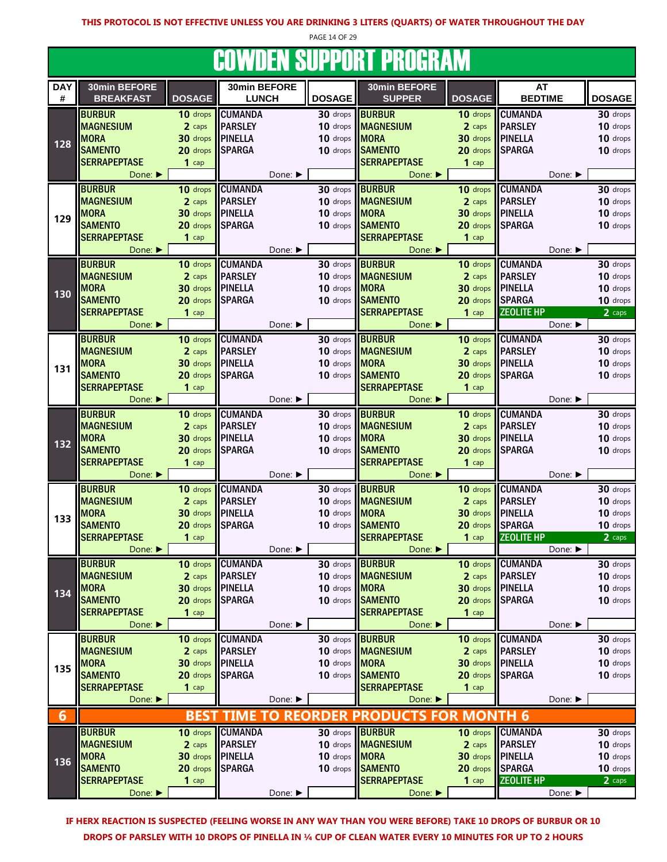PAGE 14 OF 29

# COWDEN SUPPORT PROGRAM

| <b>DAY</b> | 30min BEFORE                |               | 30min BEFORE     |         |                      | 30min BEFORE                  |                    | AT                |               |
|------------|-----------------------------|---------------|------------------|---------|----------------------|-------------------------------|--------------------|-------------------|---------------|
| #          | <b>BREAKFAST</b>            | <b>DOSAGE</b> | <b>LUNCH</b>     |         | <b>DOSAGE</b>        | <b>SUPPER</b>                 | <b>DOSAGE</b>      | <b>BEDTIME</b>    | <b>DOSAGE</b> |
|            | <b>BURBUR</b>               | 10 drops      | <b>CUMANDA</b>   |         | 30 drops             | <b>BURBUR</b>                 | 10 drops           | <b>CUMANDA</b>    | 30 drops      |
|            | <b>MAGNESIUM</b>            |               | <b>PARSLEY</b>   |         | 10 drops             | <b>MAGNESIUM</b>              | 2 caps             | <b>PARSLEY</b>    | 10 drops      |
|            |                             | 2 caps        |                  |         |                      |                               |                    |                   |               |
| 128        | <b>MORA</b>                 | 30 drops      | <b>PINELLA</b>   |         | 10 drops             | <b>MORA</b>                   | 30 drops           | <b>PINELLA</b>    | 10 drops      |
|            | <b>SAMENTO</b>              | 20 drops      | <b>SPARGA</b>    |         | 10 drops             | <b>SAMENTO</b>                | 20 drops           | <b>SPARGA</b>     | 10 drops      |
|            | <b>SERRAPEPTASE</b>         | $1$ cap       |                  |         |                      | <b>SERRAPEPTASE</b>           | $1$ cap            |                   |               |
|            | Done: $\blacktriangleright$ |               |                  | Done: ▶ |                      | Done: ▶                       |                    | Done: ▶           |               |
|            | <b>BURBUR</b>               | 10 drops      | <b>CUMANDA</b>   |         | 30 drops             | <b>BURBUR</b>                 | 10 drops           | <b>CUMANDA</b>    | 30 drops      |
|            | <b>MAGNESIUM</b>            |               | <b>PARSLEY</b>   |         | 10 drops             |                               |                    |                   |               |
|            |                             | 2 caps        |                  |         |                      | <b>MAGNESIUM</b>              | 2 caps             | <b>PARSLEY</b>    | 10 drops      |
| 129        | <b>MORA</b>                 | 30 drops      | <b>PINELLA</b>   |         | 10 drops             | <b>MORA</b>                   | 30 drops           | <b>PINELLA</b>    | 10 drops      |
|            | <b>SAMENTO</b>              | 20 drops      | <b>SPARGA</b>    |         | 10 drops             | <b>SAMENTO</b>                | 20 drops           | <b>SPARGA</b>     | 10 drops      |
|            | <b>SERRAPEPTASE</b>         | $1$ cap       |                  |         |                      | <b>SERRAPEPTASE</b>           | $1$ cap            |                   |               |
|            | Done: ▶                     |               |                  | Done: ▶ |                      | Done: ▶                       |                    | Done: ▶           |               |
|            | <b>BURBUR</b>               | 10 drops      | <b>CUMANDA</b>   |         | $30$ drops           | <b>BURBUR</b>                 | 10 drops           | <b>CUMANDA</b>    | 30 drops      |
|            |                             |               |                  |         | 10 drops             |                               |                    |                   |               |
|            | <b>MAGNESIUM</b>            | 2 caps        | <b>PARSLEY</b>   |         |                      | <b>MAGNESIUM</b>              | 2 caps             | <b>PARSLEY</b>    | 10 drops      |
| 130        | <b>MORA</b>                 | 30 drops      | <b>PINELLA</b>   |         | 10 drops             | MORA                          | 30 drops           | <b>PINELLA</b>    | 10 drops      |
|            | <b>SAMENTO</b>              | 20 drops      | <b>SPARGA</b>    |         | $10$ drops           | <b>SAMENTO</b>                | 20 drops           | <b>SPARGA</b>     | 10 drops      |
|            | <b>SERRAPEPTASE</b>         | $1$ cap       |                  |         |                      | <b>SERRAPEPTASE</b>           | $1$ cap            | <b>ZEOLITE HP</b> | 2 caps        |
|            | Done: $\blacktriangleright$ |               |                  | Done: ▶ |                      | Done: ▶                       |                    | Done: ▶           |               |
|            | <b>BURBUR</b>               | 10 drops      | <b>CUMANDA</b>   |         | 30 drops             | <b>BURBUR</b>                 | 10 drops           | <b>CUMANDA</b>    | 30 drops      |
|            | <b>MAGNESIUM</b>            | 2 caps        | <b>PARSLEY</b>   |         | 10 drops             | <b>MAGNESIUM</b>              | 2 caps             | <b>PARSLEY</b>    | 10 drops      |
|            |                             |               |                  |         |                      |                               |                    |                   |               |
| 131        | <b>MORA</b>                 | 30 drops      | <b>PINELLA</b>   |         | 10 drops MORA        |                               | $30$ drops         | <b>PINELLA</b>    | 10 drops      |
|            | <b>SAMENTO</b>              | 20 drops      | <b>SPARGA</b>    |         | 10 drops             | <b>SAMENTO</b>                | 20 drops           | <b>SPARGA</b>     | 10 drops      |
|            | <b>SERRAPEPTASE</b>         | $1$ cap       |                  |         |                      | <b>SERRAPEPTASE</b>           | $1$ cap            |                   |               |
|            | Done: ▶                     |               |                  | Done: ▶ |                      | Done: ▶                       |                    | Done: ▶           |               |
|            | <b>BURBUR</b>               | 10 drops      | <b>CUMANDA</b>   |         | $30$ drops           | <b>BURBUR</b>                 | 10 drops           | <b>CUMANDA</b>    | 30 drops      |
|            | <b>MAGNESIUM</b>            | 2 caps        | <b>PARSLEY</b>   |         | 10 drops             | <b>MAGNESIUM</b>              | 2 caps             | <b>PARSLEY</b>    | 10 drops      |
|            | <b>MORA</b>                 |               | <b>PINELLA</b>   |         | 10 drops             | <b>MORA</b>                   |                    | <b>PINELLA</b>    |               |
| 132        |                             | 30 drops      |                  |         |                      |                               | 30 drops           |                   | 10 drops      |
|            | <b>SAMENTO</b>              | 20 drops      | <b>SPARGA</b>    |         | 10 drops             | <b>SAMENTO</b>                | 20 drops           | <b>SPARGA</b>     | 10 drops      |
|            | <b>SERRAPEPTASE</b>         | $1$ cap       |                  |         |                      | <b>SERRAPEPTASE</b>           | $1$ cap            |                   |               |
|            | Done: $\blacktriangleright$ |               |                  | Done: ▶ |                      | Done: ▶                       |                    | Done: ▶           |               |
|            | <b>BURBUR</b>               | 10 drops      | <b>CUMANDA</b>   |         | 30 drops             | <b>BURBUR</b>                 | 10 drops           | <b>CUMANDA</b>    | 30 drops      |
|            | <b>MAGNESIUM</b>            | 2 caps        | <b>PARSLEY</b>   |         | 10 drops             | <b>MAGNESIUM</b>              | 2 caps             | <b>PARSLEY</b>    | 10 drops      |
|            | <b>MORA</b>                 | 30 drops      | <b>PINELLA</b>   |         | 10 drops             | <b>IMORA</b>                  | 30 drops           | <b>PINELLA</b>    | 10 drops      |
| 133        | <b>SAMENTO</b>              | 20 drops      | <b>SPARGA</b>    |         | 10 drops             | <b>SAMENTO</b>                | 20 drops           | <b>SPARGA</b>     | 10 drops      |
|            | <b>SERRAPEPTASE</b>         |               |                  |         |                      | <b>SERRAPEPTASE</b>           |                    |                   |               |
|            |                             | $1$ cap       |                  |         |                      |                               | $1$ cap            | <b>ZEOLITE HP</b> | 2 caps        |
|            | Done: ▶                     |               |                  | Done: ▶ |                      | Done: ▶                       |                    | Done: ▶           |               |
|            | <b>BURBUR</b>               |               | 10 drops CUMANDA |         |                      | 30 drops <b>BURBUR</b>        |                    | 10 drops CUMANDA  | 30 drops      |
|            | <b>MAGNESIUM</b>            | 2 caps        | <b>PARSLEY</b>   |         |                      | 10 drops MAGNESIUM            | 2 caps             | <b>PARSLEY</b>    | 10 drops      |
|            | <b>MORA</b>                 | 30 drops      | <b>IPINELLA</b>  |         | 10 drops <b>MORA</b> |                               | 30 drops           | <b>PINELLA</b>    | 10 drops      |
| 134        | <b>SAMENTO</b>              | 20 drops      | <b>SPARGA</b>    |         | 10 drops             | <b>SAMENTO</b>                | 20 drops           | <b>SPARGA</b>     | 10 drops      |
|            | <b>SERRAPEPTASE</b>         | $1$ cap       |                  |         |                      | <b>SERRAPEPTASE</b>           | $1$ cap            |                   |               |
|            | Done: ▶                     |               |                  | Done: ▶ |                      | Done: ▶                       |                    | Done: ▶           |               |
|            |                             |               |                  |         |                      |                               |                    |                   |               |
|            | <b>BURBUR</b>               | 10 drops      | <b>CUMANDA</b>   |         | 30 drops             | <b>BURBUR</b>                 | 10 drops           | <b>CUMANDA</b>    | 30 drops      |
|            | <b>MAGNESIUM</b>            | 2 caps        | <b>PARSLEY</b>   |         |                      | 10 drops <b>MAGNESIUM</b>     | 2 caps             | <b>PARSLEY</b>    | 10 drops      |
| 135        | <b>MORA</b>                 | 30 drops      | <b>IPINELLA</b>  |         | 10 drops <b>MORA</b> |                               | 30 drops   PINELLA |                   | 10 drops      |
|            | <b>SAMENTO</b>              | 20 drops      | <b>SPARGA</b>    |         |                      | 10 drops SAMENTO              | 20 drops SPARGA    |                   | 10 drops      |
|            | <b>SERRAPEPTASE</b>         | $1$ cap       |                  |         |                      | <b>SERRAPEPTASE</b>           | $1$ cap            |                   |               |
|            | Done: ▶                     |               |                  | Done: ▶ |                      | Done: ▶                       |                    | Done:             |               |
|            |                             |               |                  |         |                      |                               |                    |                   |               |
| 6          |                             | <b>BES1</b>   | TIME.            | TO      | <b>REORDER</b>       | <b>PRODUCTS</b><br><b>FOR</b> | <b>MONTH 6</b>     |                   |               |
|            | <b>BURBUR</b>               | 10 drops      | <b>CUMANDA</b>   |         |                      | 30 drops <b>BURBUR</b>        | 10 drops           | <b>CUMANDA</b>    | 30 drops      |
|            | <b>MAGNESIUM</b>            | 2 caps        | <b>PARSLEY</b>   |         |                      | 10 drops <b>MAGNESIUM</b>     | 2 caps             | <b>PARSLEY</b>    | 10 drops      |
|            | <b>MORA</b>                 | 30 drops      | <b>PINELLA</b>   |         | 10 drops MORA        |                               | 30 drops           | <b>PINELLA</b>    | 10 drops      |
| 136        | <b>SAMENTO</b>              | 20 drops      | <b>SPARGA</b>    |         | 10 drops             | <b>SAMENTO</b>                | 20 drops           | <b>SPARGA</b>     | 10 drops      |
|            | <b>SERRAPEPTASE</b>         | $1$ cap       |                  |         |                      | <b>SERRAPEPTASE</b>           | $1$ cap            | <b>ZEOLITE HP</b> | 2 caps        |
|            | Done:                       |               |                  | Done: ▶ |                      | Done: ▶                       |                    | Done: ▶           |               |
|            |                             |               |                  |         |                      |                               |                    |                   |               |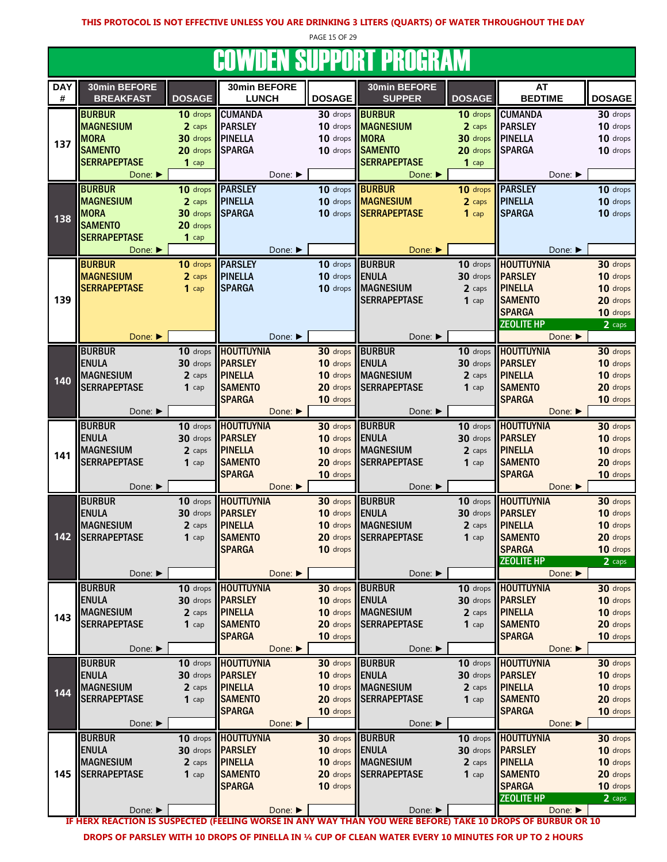PAGE 15 OF 29

## **COWDEN SUPPORT PROGRAM**

|                 |                                  |               |                              |               | <u>JUTTIJEN JUI I UNI I NUUNINIT</u> |                    |                             |               |
|-----------------|----------------------------------|---------------|------------------------------|---------------|--------------------------------------|--------------------|-----------------------------|---------------|
| <b>DAY</b><br># | 30min BEFORE<br><b>BREAKFAST</b> | <b>DOSAGE</b> | 30min BEFORE<br><b>LUNCH</b> | <b>DOSAGE</b> | 30min BEFORE<br><b>SUPPER</b>        | <b>DOSAGE</b>      | <b>AT</b><br><b>BEDTIME</b> | <b>DOSAGE</b> |
|                 | <b>BURBUR</b>                    | 10 drops      | <b>CUMANDA</b>               | 30 drops      | <b>BURBUR</b>                        | 10 drops           | <b>CUMANDA</b>              | 30 drops      |
|                 | <b>MAGNESIUM</b>                 | 2 caps        | <b>PARSLEY</b>               | 10 drops      | <b>MAGNESIUM</b>                     | 2 caps             | <b>PARSLEY</b>              | 10 drops      |
|                 | <b>MORA</b>                      | 30 drops      | <b>PINELLA</b>               | 10 drops      | <b>MORA</b>                          | 30 drops   PINELLA |                             | 10 drops      |
| 137             | <b>SAMENTO</b>                   | 20 drops      | <b>SPARGA</b>                | 10 drops      | <b>SAMENTO</b>                       | 20 drops           | <b>SPARGA</b>               | 10 drops      |
|                 | <b>SERRAPEPTASE</b>              | $1$ cap       |                              |               | <b>SERRAPEPTASE</b>                  | $1$ cap            |                             |               |
|                 | Done:                            |               | Done: ▶                      |               | Done: ▶                              |                    | Done: ▶                     |               |
|                 | <b>BURBUR</b>                    | 10 drops      | <b>PARSLEY</b>               | 10 drops      | <b>BURBUR</b>                        | 10 drops           | <b>PARSLEY</b>              | 10 drops      |
|                 | <b>MAGNESIUM</b>                 | 2 caps        | <b>PINELLA</b>               | 10 drops      | <b>MAGNESIUM</b>                     | 2 caps             | <b>PINELLA</b>              | 10 drops      |
|                 | <b>MORA</b>                      | 30 drops      | <b>SPARGA</b>                | 10 drops      | <b>SERRAPEPTASE</b>                  | $1$ cap            | <b>SPARGA</b>               | 10 drops      |
| 138             | <b>SAMENTO</b>                   | 20 drops      |                              |               |                                      |                    |                             |               |
|                 | <b>SERRAPEPTASE</b>              | $1$ cap       |                              |               |                                      |                    |                             |               |
|                 | Done: ▶                          |               | Done: ▶                      |               | Done:                                |                    | Done: ▶                     |               |
|                 |                                  |               |                              |               |                                      |                    |                             |               |
|                 | <b>BURBUR</b>                    | $10$ drops    | <b>PARSLEY</b>               | 10 drops      | <b>BURBUR</b>                        | 10 drops           | <b>HOUTTUYNIA</b>           | 30 drops      |
|                 | <b>MAGNESIUM</b>                 | 2 caps        | <b>PINELLA</b>               | 10 drops      | <b>ENULA</b>                         |                    | 30 drops <b>PARSLEY</b>     | 10 drops      |
|                 | <b>SERRAPEPTASE</b>              | $1$ cap       | <b>SPARGA</b>                | 10 drops      | <b>MAGNESIUM</b>                     | 2 caps             | <b>PINELLA</b>              | 10 drops      |
| 139             |                                  |               |                              |               | <b>SERRAPEPTASE</b>                  | $1$ cap            | <b>SAMENTO</b>              | 20 drops      |
|                 |                                  |               |                              |               |                                      |                    | <b>SPARGA</b>               | 10 drops      |
|                 |                                  |               |                              |               |                                      |                    | <b>ZEOLITE HP</b>           | 2 caps        |
|                 | Done: ▶                          |               | Done: ▶                      |               | Done: ▶                              |                    | Done: ▶                     |               |
|                 | <b>BURBUR</b>                    | 10 drops      | <b>HOUTTUYNIA</b>            | 30 drops      | <b>BURBUR</b>                        | 10 drops           | <b>HOUTTUYNIA</b>           | 30 drops      |
|                 | <b>ENULA</b>                     | 30 drops      | <b>PARSLEY</b>               | 10 drops      | <b>ENULA</b>                         | 30 drops           | <b>PARSLEY</b>              | 10 drops      |
| 140             | <b>MAGNESIUM</b>                 | 2 caps        | <b>PINELLA</b>               | 10 drops      | <b>MAGNESIUM</b>                     | 2 caps             | <b>PINELLA</b>              | 10 drops      |
|                 | <b>SERRAPEPTASE</b>              | $1$ cap       | <b>SAMENTO</b>               | 20 drops      | <b>SERRAPEPTASE</b>                  | $1$ cap            | <b>SAMENTO</b>              | 20 drops      |
|                 |                                  |               | <b>SPARGA</b>                | 10 drops      |                                      |                    | <b>SPARGA</b>               | 10 drops      |
|                 | Done: ▶                          |               | Done: ▶                      |               | Done: ▶                              |                    | Done: ▶                     |               |
|                 | <b>BURBUR</b>                    | 10 drops      | <b>HOUTTUYNIA</b>            | 30 drops      | <b>BURBUR</b>                        |                    | 10 drops <b>HOUTTUYNIA</b>  | 30 drops      |
|                 | <b>ENULA</b>                     | 30 drops      | <b>PARSLEY</b>               | 10 drops      | <b>ENULA</b>                         |                    | 30 drops <b>PARSLEY</b>     | 10 drops      |
| 141             | <b>MAGNESIUM</b>                 | 2 caps        | <b>PINELLA</b>               | 10 drops      | <b>MAGNESIUM</b>                     | 2 caps             | <b>PINELLA</b>              | 10 drops      |
|                 | <b>SERRAPEPTASE</b>              | $1$ cap       | <b>SAMENTO</b>               | 20 drops      | <b>SERRAPEPTASE</b>                  | $1$ cap            | <b>SAMENTO</b>              | 20 drops      |
|                 |                                  |               | <b>SPARGA</b>                | 10 drops      |                                      |                    | <b>SPARGA</b>               | 10 drops      |
|                 | Done: ▶                          |               | Done: ▶                      |               | Done: ▶                              |                    | Done:                       |               |
|                 | <b>BURBUR</b>                    | 10 drops      | <b>HOUTTUYNIA</b>            | 30 drops      | <b>BURBUR</b>                        | 10 drops           | <b>HOUTTUYNIA</b>           | 30 drops      |
|                 | <b>ENULA</b>                     | 30 drops      | <b>PARSLEY</b>               | 10 drops      | <b>ENULA</b>                         | 30 drops           | <b>PARSLEY</b>              | 10 drops      |
|                 | <b>MAGNESIUM</b>                 | 2 caps        | <b>PINELLA</b>               | 10 drops      | <b>MAGNESIUM</b>                     | 2 caps             | <b>PINELLA</b>              | 10 drops      |
| 142             | <b>SERRAPEPTASE</b>              | $1$ cap       | <b>SAMENTO</b>               | 20 drops      | <b>SERRAPEPTASE</b>                  | $1$ cap            | <b>SAMENTO</b>              | 20 drops      |
|                 |                                  |               | <b>SPARGA</b>                | 10 drops      |                                      |                    | <b>SPARGA</b>               | 10 drops      |
|                 |                                  |               |                              |               |                                      |                    | <b>ZEOLITE HP</b>           | 2 caps        |
|                 | Done: ▶                          |               | Done: ▶                      |               | Done: ▶                              |                    | Done: ▶                     |               |
|                 | <b>BURBUR</b>                    | 10 drops      | <b>HOUTTUYNIA</b>            | 30 drops      | <b>BURBUR</b>                        |                    | 10 drops   HOUTTUYNIA       | 30 drops      |
|                 | <b>ENULA</b>                     | 30 drops      | <b>PARSLEY</b>               | 10 drops      | <b>ENULA</b>                         | 30 drops           | <b>PARSLEY</b>              | 10 drops      |
|                 | <b>MAGNESIUM</b>                 | 2 caps        | <b>PINELLA</b>               | 10 drops      | <b>MAGNESIUM</b>                     | 2 caps             | <b>PINELLA</b>              | 10 drops      |
| 143             | <b>SERRAPEPTASE</b>              | $1$ cap       | <b>SAMENTO</b>               | 20 drops      | <b>SERRAPEPTASE</b>                  | $1$ cap            | <b>SAMENTO</b>              | 20 drops      |
|                 |                                  |               | <b>SPARGA</b>                | 10 drops      |                                      |                    | <b>SPARGA</b>               | 10 drops      |
|                 | Done: ▶                          |               | Done: ▶                      |               | Done: ▶                              |                    | Done: ▶                     |               |
|                 | <b>BURBUR</b>                    | 10 drops      | <b>HOUTTUYNIA</b>            | 30 drops      | <b>BURBUR</b>                        | 10 drops           | <b>HOUTTUYNIA</b>           | 30 drops      |
|                 | <b>ENULA</b>                     | 30 drops      | <b>PARSLEY</b>               | 10 drops      | <b>ENULA</b>                         | 30 drops           | <b>PARSLEY</b>              | 10 drops      |
|                 | <b>MAGNESIUM</b>                 | 2 caps        | <b>PINELLA</b>               | 10 drops      | <b>MAGNESIUM</b>                     | 2 caps             | <b>PINELLA</b>              | 10 drops      |
| 144             | <b>SERRAPEPTASE</b>              | $1$ cap       | <b>SAMENTO</b>               | 20 drops      | <b>SERRAPEPTASE</b>                  | $1$ cap            | <b>SAMENTO</b>              | 20 drops      |
|                 |                                  |               | <b>SPARGA</b>                | 10 drops      |                                      |                    | <b>SPARGA</b>               | 10 drops      |
|                 | Done: ▶                          |               | Done: ▶                      |               | Done: ▶                              |                    | Done: ▶                     |               |
|                 | <b>BURBUR</b>                    | 10 drops      | <b>HOUTTUYNIA</b>            | 30 drops      | <b>BURBUR</b>                        | 10 drops           | HOUTTUYNIA                  | 30 drops      |
|                 | <b>ENULA</b>                     | 30 drops      | <b>PARSLEY</b>               | 10 drops      | <b>ENULA</b>                         |                    | 30 drops <b>PARSLEY</b>     | 10 drops      |
|                 | <b>MAGNESIUM</b>                 | 2 caps        | <b>PINELLA</b>               | 10 drops      | <b>MAGNESIUM</b>                     | 2 caps             | <b>PINELLA</b>              | 10 drops      |
| 145             | <b>SERRAPEPTASE</b>              | $1$ cap       | <b>SAMENTO</b>               | 20 drops      | <b>SERRAPEPTASE</b>                  | $1$ cap            | <b>SAMENTO</b>              | 20 drops      |
|                 |                                  |               | <b>SPARGA</b>                | 10 drops      |                                      |                    | <b>SPARGA</b>               | 10 drops      |
|                 |                                  |               |                              |               |                                      |                    | <b>ZEOLITE HP</b>           | 2 caps        |
|                 | Done: ▶                          |               | Done:                        |               | Done: ▶                              |                    | Done: ▶                     |               |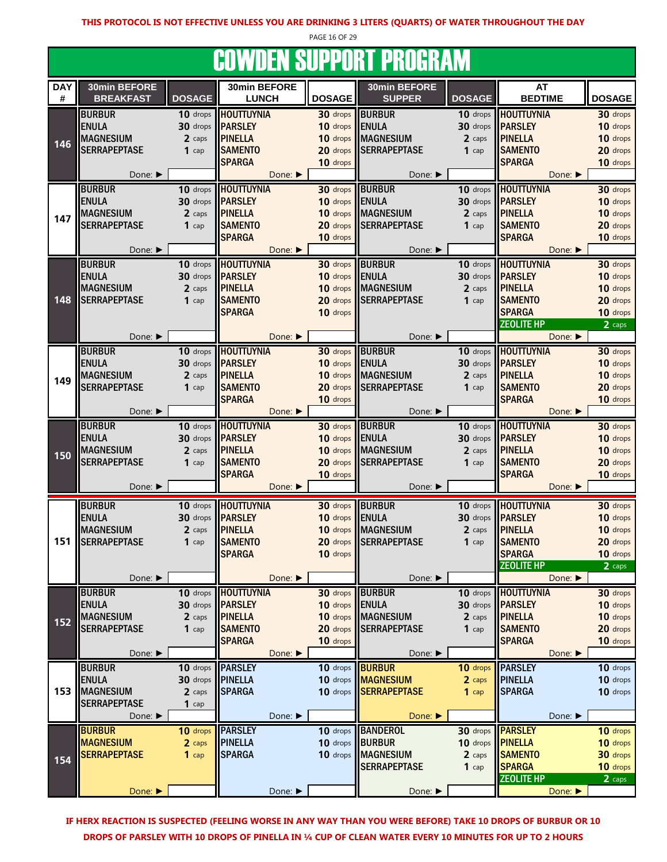PAGE 16 OF 29

#### COWDEN SUPPORT PROGRAM

|            |                             |               |                   |               | - - - - - - - - - - - - |               |                             |               |
|------------|-----------------------------|---------------|-------------------|---------------|-------------------------|---------------|-----------------------------|---------------|
| <b>DAY</b> | 30min BEFORE                |               | 30min BEFORE      |               | 30min BEFORE            |               | <b>AT</b>                   |               |
| #          | <b>BREAKFAST</b>            | <b>DOSAGE</b> | <b>LUNCH</b>      | <b>DOSAGE</b> | <b>SUPPER</b>           | <b>DOSAGE</b> | <b>BEDTIME</b>              | <b>DOSAGE</b> |
|            | <b>BURBUR</b>               |               | <b>HOUTTUYNIA</b> |               | <b>BURBUR</b>           |               | <b>HOUTTUYNIA</b>           |               |
|            |                             | 10 drops      |                   | 30 drops      |                         | 10 drops      |                             | 30 drops      |
|            | <b>ENULA</b>                | 30 drops      | <b>PARSLEY</b>    | 10 drops      | <b>ENULA</b>            | 30 drops      | <b>PARSLEY</b>              | 10 drops      |
| 146        | <b>MAGNESIUM</b>            | 2 caps        | <b>PINELLA</b>    | 10 drops      | <b>MAGNESIUM</b>        | 2 caps        | <b>PINELLA</b>              | 10 drops      |
|            | <b>SERRAPEPTASE</b>         | $1$ cap       | <b>SAMENTO</b>    | 20 drops      | <b>SERRAPEPTASE</b>     | $1$ cap       | <b>SAMENTO</b>              | 20 drops      |
|            |                             |               | <b>SPARGA</b>     | 10 drops      |                         |               | <b>SPARGA</b>               | 10 drops      |
|            | Done: ▶                     |               | Done:             |               | Done: ▶                 |               | Done: ▶                     |               |
|            |                             |               |                   |               |                         |               |                             |               |
|            | <b>BURBUR</b>               | 10 drops      | <b>HOUTTUYNIA</b> | 30 drops      | <b>BURBUR</b>           | 10 drops      | <b>HOUTTUYNIA</b>           | 30 drops      |
|            | <b>ENULA</b>                | 30 drops      | <b>PARSLEY</b>    | 10 drops      | <b>ENULA</b>            | 30 drops      | <b>PARSLEY</b>              | 10 drops      |
| 147        | <b>MAGNESIUM</b>            | 2 caps        | <b>PINELLA</b>    | 10 drops      | <b>MAGNESIUM</b>        | 2 caps        | <b>PINELLA</b>              | 10 drops      |
|            | <b>SERRAPEPTASE</b>         | $1$ cap       | <b>SAMENTO</b>    | 20 drops      | <b>SERRAPEPTASE</b>     | $1$ cap       | <b>SAMENTO</b>              | 20 drops      |
|            |                             |               | <b>SPARGA</b>     | 10 drops      |                         |               | <b>SPARGA</b>               | 10 drops      |
|            | Done: ▶                     |               | Done: ▶           |               | Done: ▶                 |               | Done: ▶                     |               |
|            |                             |               |                   |               |                         |               |                             |               |
|            | <b>BURBUR</b>               | 10 drops      | <b>HOUTTUYNIA</b> | 30 drops      | <b>BURBUR</b>           | 10 drops      | <b>HOUTTUYNIA</b>           | 30 drops      |
|            | <b>ENULA</b>                | 30 drops      | <b>PARSLEY</b>    | 10 drops      | <b>ENULA</b>            | 30 drops      | <b>PARSLEY</b>              | 10 drops      |
|            | <b>MAGNESIUM</b>            | 2 caps        | <b>PINELLA</b>    | 10 drops      | <b>MAGNESIUM</b>        | 2 caps        | <b>PINELLA</b>              | 10 drops      |
| 148        | <b>SERRAPEPTASE</b>         | $1$ cap       | <b>SAMENTO</b>    | 20 drops      | <b>SERRAPEPTASE</b>     | $1$ cap       | <b>SAMENTO</b>              | 20 drops      |
|            |                             |               | <b>SPARGA</b>     | 10 drops      |                         |               | <b>SPARGA</b>               | 10 drops      |
|            |                             |               |                   |               |                         |               | <b>ZEOLITE HP</b>           | 2 caps        |
|            | Done: ▶                     |               | Done: ▶           |               | Done: ▶                 |               | Done:                       |               |
|            | <b>BURBUR</b>               |               | <b>HOUTTUYNIA</b> |               | <b>BURBUR</b>           |               | <b>HOUTTUYNIA</b>           |               |
|            |                             | 10 drops      |                   | 30 drops      |                         | 10 drops      |                             | 30 drops      |
|            | <b>ENULA</b>                | 30 drops      | <b>PARSLEY</b>    | 10 drops      | <b>ENULA</b>            | 30 drops      | <b>PARSLEY</b>              | 10 drops      |
| 149        | <b>MAGNESIUM</b>            | 2 caps        | <b>PINELLA</b>    | 10 drops      | <b>MAGNESIUM</b>        | 2 caps        | <b>PINELLA</b>              | 10 drops      |
|            | <b>SERRAPEPTASE</b>         | $1$ cap       | <b>SAMENTO</b>    | 20 drops      | <b>SERRAPEPTASE</b>     | $1$ cap       | <b>SAMENTO</b>              | 20 drops      |
|            |                             |               | <b>SPARGA</b>     | 10 drops      |                         |               | <b>SPARGA</b>               | 10 drops      |
|            | Done: $\blacktriangleright$ |               | Done: ▶           |               | Done: ▶                 |               | Done: $\blacktriangleright$ |               |
|            | <b>BURBUR</b>               | 10 drops      | <b>HOUTTUYNIA</b> | 30 drops      | <b>BURBUR</b>           | 10 drops      | <b>HOUTTUYNIA</b>           | 30 drops      |
|            | <b>ENULA</b>                | 30 drops      | <b>PARSLEY</b>    | 10 drops      | <b>ENULA</b>            | 30 drops      | <b>PARSLEY</b>              | 10 drops      |
|            |                             |               |                   |               |                         |               |                             |               |
| 150        | <b>MAGNESIUM</b>            | 2 caps        | <b>PINELLA</b>    | 10 drops      | <b>MAGNESIUM</b>        | 2 caps        | <b>PINELLA</b>              | 10 drops      |
|            | <b>SERRAPEPTASE</b>         | $1$ cap       | <b>SAMENTO</b>    | 20 drops      | <b>SERRAPEPTASE</b>     | $1$ cap       | <b>SAMENTO</b>              | 20 drops      |
|            |                             |               | <b>SPARGA</b>     | 10 drops      |                         |               | <b>SPARGA</b>               | 10 drops      |
|            | Done: ▶                     |               | Done: ▶           |               | Done: ▶                 |               | Done: ▶                     |               |
|            | <b>BURBUR</b>               | 10 drops      | <b>HOUTTUYNIA</b> | 30 drops      | <b>BURBUR</b>           | 10 drops      | <b>HOUTTUYNIA</b>           | 30 drops      |
|            | <b>ENULA</b>                | 30 drops      | <b>PARSLEY</b>    | 10 drops      | <b>ENULA</b>            | 30 drops      | <b>PARSLEY</b>              | 10 drops      |
|            | <b>MAGNESIUM</b>            |               |                   |               |                         |               |                             |               |
|            |                             | 2 caps        | <b>PINELLA</b>    | 10 drops      | <b>MAGNESIUM</b>        | 2 caps        | <b>PINELLA</b>              | 10 drops      |
| 151        | <b>SERRAPEPTASE</b>         | $1$ cap       | <b>SAMENTO</b>    | 20 drops      | <b>SERRAPEPTASE</b>     | $1$ cap       | <b>SAMENTO</b>              | 20 drops      |
|            |                             |               | <b>SPARGA</b>     | 10 drops      |                         |               | <b>SPARGA</b>               | 10 drops      |
|            |                             |               |                   |               |                         |               | <b>ZEOLITE HP</b>           | 2 caps        |
|            | Done: ▶                     |               | Done: ▶           |               | Done: ▶                 |               | Done: ▶                     |               |
|            | <b>BURBUR</b>               | 10 drops      | <b>HOUTTUYNIA</b> | 30 drops      | <b>BURBUR</b>           | 10 drops      | <b>HOUTTUYNIA</b>           | 30 drops      |
|            | <b>ENULA</b>                | 30 drops      | <b>PARSLEY</b>    | 10 drops      | <b>ENULA</b>            | 30 drops      | <b>PARSLEY</b>              | 10 drops      |
|            | <b>MAGNESIUM</b>            | 2 caps        | <b>PINELLA</b>    | 10 drops      | <b>MAGNESIUM</b>        | 2 caps        | <b>PINELLA</b>              | 10 drops      |
| 152        | <b>SERRAPEPTASE</b>         | $1$ cap       | <b>SAMENTO</b>    | 20 drops      | <b>SERRAPEPTASE</b>     | $1$ cap       | <b>SAMENTO</b>              | 20 drops      |
|            |                             |               | <b>SPARGA</b>     | 10 drops      |                         |               | <b>SPARGA</b>               | 10 drops      |
|            | Done: ▶                     |               | Done: ▶           |               | Done: ▶                 |               | Done: ▶                     |               |
|            |                             |               |                   |               |                         |               |                             |               |
|            | <b>BURBUR</b>               | 10 drops      | <b>PARSLEY</b>    | 10 drops      | <b>BURBUR</b>           | 10 drops      | <b>PARSLEY</b>              | 10 drops      |
|            | <b>ENULA</b>                | 30 drops      | <b>PINELLA</b>    | 10 drops      | <b>MAGNESIUM</b>        | 2 caps        | <b>PINELLA</b>              | 10 drops      |
| 153        | <b>MAGNESIUM</b>            | 2 caps        | <b>SPARGA</b>     | 10 drops      | <b>SERRAPEPTASE</b>     | $1$ cap       | <b>SPARGA</b>               | 10 drops      |
|            | <b>SERRAPEPTASE</b>         | $1$ cap       |                   |               |                         |               |                             |               |
|            | Done: ▶                     |               | Done: ▶           |               | Done:                   |               | Done:                       |               |
|            | <b>BURBUR</b>               | 10 drops      | <b>PARSLEY</b>    | 10 drops      | <b>BANDEROL</b>         | 30 drops      | <b>PARSLEY</b>              | 10 drops      |
|            | <b>MAGNESIUM</b>            | 2 caps        | <b>PINELLA</b>    | 10 drops      | <b>BURBUR</b>           | 10 drops      | <b>PINELLA</b>              | 10 drops      |
|            | <b>SERRAPEPTASE</b>         | $1$ cap       | <b>SPARGA</b>     | 10 drops      | <b>MAGNESIUM</b>        | 2 caps        | <b>SAMENTO</b>              | 30 drops      |
| 154        |                             |               |                   |               | <b>SERRAPEPTASE</b>     | $1$ cap       | <b>SPARGA</b>               | 10 drops      |
|            |                             |               |                   |               |                         |               | <b>ZEOLITE HP</b>           | 2 caps        |
|            | Done: ▶                     |               | Done: ▶           |               | Done: ▶                 |               | Done:                       |               |
|            |                             |               |                   |               |                         |               |                             |               |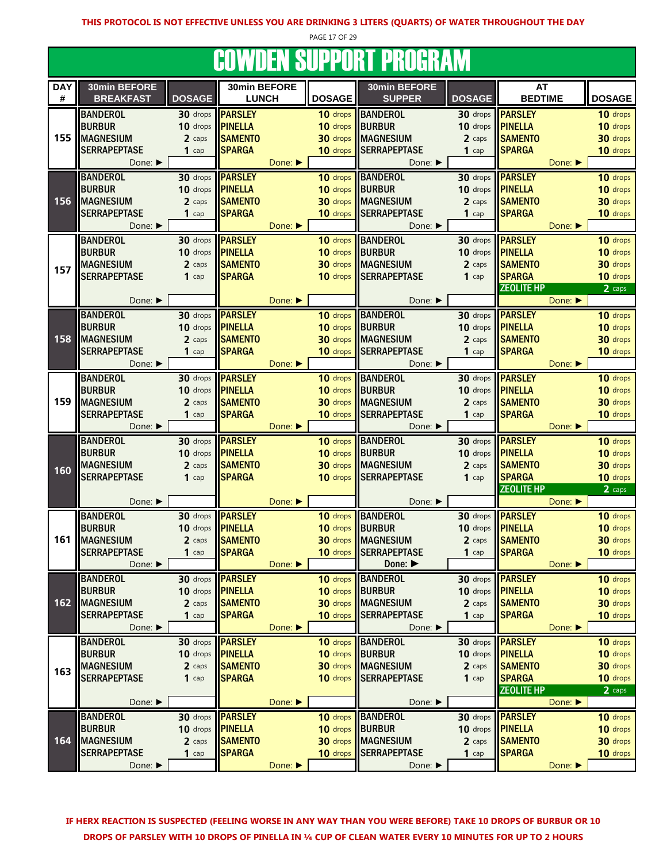PAGE 17 OF 29

#### COWDEN SUPPORT PROGRAM

|            |                     |               | oottpen ooi i ont i hoghlin. |                             |                 |                             |               |                   |                             |               |
|------------|---------------------|---------------|------------------------------|-----------------------------|-----------------|-----------------------------|---------------|-------------------|-----------------------------|---------------|
| <b>DAY</b> | 30min BEFORE        |               | 30min BEFORE                 |                             |                 | 30min BEFORE                |               | AT                |                             |               |
| #          | <b>BREAKFAST</b>    | <b>DOSAGE</b> | <b>LUNCH</b>                 |                             | <b>DOSAGE</b>   | <b>SUPPER</b>               | <b>DOSAGE</b> | <b>BEDTIME</b>    |                             | <b>DOSAGE</b> |
|            | <b>BANDEROL</b>     | 30 drops      | <b>PARSLEY</b>               |                             | 10 drops        | <b>BANDEROL</b>             | 30 drops      | <b>PARSLEY</b>    |                             | 10 drops      |
|            | <b>BURBUR</b>       | 10 drops      | <b>PINELLA</b>               |                             | 10 drops        | <b>BURBUR</b>               | 10 drops      | <b>PINELLA</b>    |                             | 10 drops      |
| 155        | <b>MAGNESIUM</b>    | 2 caps        | <b>SAMENTO</b>               |                             | 30 drops        | <b>IMAGNESIUM</b>           | 2 caps        | <b>SAMENTO</b>    |                             | 30 drops      |
|            | <b>SERRAPEPTASE</b> | $1$ cap       | <b>SPARGA</b>                |                             | 10 drops        | <b>SERRAPEPTASE</b>         | $1$ cap       | <b>SPARGA</b>     |                             | 10 drops      |
|            |                     |               |                              |                             |                 |                             |               |                   | Done: ▶                     |               |
|            | Done: ▶             |               |                              | Done: $\blacktriangleright$ |                 | Done: ▶                     |               |                   |                             |               |
|            | <b>BANDEROL</b>     | 30 drops      | <b>PARSLEY</b>               |                             | 10 drops        | <b>BANDEROL</b>             | 30 drops      | <b>PARSLEY</b>    |                             | 10 drops      |
|            | <b>BURBUR</b>       | 10 drops      | <b>PINELLA</b>               |                             | 10 drops        | <b>BURBUR</b>               | 10 drops      | <b>PINELLA</b>    |                             | 10 drops      |
| 156        | <b>MAGNESIUM</b>    | 2 caps        | <b>SAMENTO</b>               |                             | 30 drops        | <b>MAGNESIUM</b>            | 2 caps        | <b>SAMENTO</b>    |                             | 30 drops      |
|            | <b>SERRAPEPTASE</b> | $1$ cap       | <b>SPARGA</b>                |                             | 10 drops        | <b>SERRAPEPTASE</b>         | $1$ cap       | <b>SPARGA</b>     |                             | 10 drops      |
|            | Done: ▶             |               |                              | Done: ▶                     |                 | Done: ▶                     |               |                   | Done:                       |               |
|            | <b>BANDEROL</b>     | 30 drops      | <b>PARSLEY</b>               |                             | 10 drops        | <b>BANDEROL</b>             | 30 drops      | <b>PARSLEY</b>    |                             | 10 drops      |
|            | <b>BURBUR</b>       | 10 drops      | <b>PINELLA</b>               |                             | 10 drops        | <b>BURBUR</b>               | 10 drops      | <b>PINELLA</b>    |                             | 10 drops      |
|            | <b>MAGNESIUM</b>    | 2 caps        | <b>SAMENTO</b>               |                             | 30 drops        | <b>IMAGNESIUM</b>           | 2 caps        | <b>SAMENTO</b>    |                             | 30 drops      |
| 157        | <b>SERRAPEPTASE</b> | $1$ cap       | <b>SPARGA</b>                |                             | 10 drops        | <b>SERRAPEPTASE</b>         | $1$ cap       | <b>SPARGA</b>     |                             | 10 drops      |
|            |                     |               |                              |                             |                 |                             |               | <b>ZEOLITE HP</b> |                             | 2 caps        |
|            | Done: ▶             |               |                              | Done:                       |                 | Done:                       |               |                   | Done:                       |               |
|            |                     |               |                              |                             |                 |                             |               |                   |                             |               |
|            | <b>BANDEROL</b>     | 30 drops      | <b>PARSLEY</b>               |                             | 10 drops        | <b>BANDEROL</b>             | 30 drops      | <b>PARSLEY</b>    |                             | 10 drops      |
|            | <b>BURBUR</b>       | 10 drops      | <b>PINELLA</b>               |                             | 10 drops        | <b>BURBUR</b>               | 10 drops      | <b>PINELLA</b>    |                             | 10 drops      |
| 158        | <b>MAGNESIUM</b>    | 2 caps        | <b>SAMENTO</b>               |                             | 30 drops        | <b>MAGNESIUM</b>            | 2 caps        | <b>SAMENTO</b>    |                             | 30 drops      |
|            | <b>SERRAPEPTASE</b> | $1$ cap       | <b>SPARGA</b>                |                             | 10 drops        | <b>SERRAPEPTASE</b>         | 1 cap         | <b>SPARGA</b>     |                             | 10 drops      |
|            | Done: ▶             |               |                              | Done:                       |                 | Done: ▶                     |               |                   | Done: $\blacktriangleright$ |               |
|            | <b>BANDEROL</b>     | 30 drops      | <b>PARSLEY</b>               |                             |                 | 10 drops BANDEROL           | 30 drops      | <b>PARSLEY</b>    |                             | 10 drops      |
|            | <b>BURBUR</b>       | 10 drops      | <b>PINELLA</b>               |                             | 10 drops        | <b>BURBUR</b>               | 10 drops      | <b>PINELLA</b>    |                             | 10 drops      |
| 159        | <b>MAGNESIUM</b>    | 2 caps        | <b>SAMENTO</b>               |                             | 30 drops        | <b>MAGNESIUM</b>            | 2 caps        | <b>SAMENTO</b>    |                             | 30 drops      |
|            | <b>SERRAPEPTASE</b> | $1$ cap       | <b>SPARGA</b>                |                             | 10 drops        | <b>SERRAPEPTASE</b>         | $1$ cap       | <b>SPARGA</b>     |                             | 10 drops      |
|            | Done: ▶             |               |                              | Done:                       |                 | Done: ▶                     |               |                   | Done: ▶                     |               |
|            |                     |               |                              |                             |                 |                             |               |                   |                             |               |
|            | <b>BANDEROL</b>     | 30 drops      | <b>PARSLEY</b>               |                             | 10 drops        | <b>BANDEROL</b>             | $30$ drops    | <b>PARSLEY</b>    |                             | 10 drops      |
|            | <b>BURBUR</b>       | 10 drops      | <b>PINELLA</b>               |                             | 10 drops BURBUR |                             | 10 drops      | <b>PINELLA</b>    |                             | 10 drops      |
| 160        | <b>MAGNESIUM</b>    | 2 caps        | <b>SAMENTO</b>               |                             |                 | 30 drops MAGNESIUM          | 2 caps        | <b>SAMENTO</b>    |                             | 30 drops      |
|            | <b>SERRAPEPTASE</b> | $1$ cap       | <b>SPARGA</b>                |                             |                 | 10 drops SERRAPEPTASE       | $1$ cap       | <b>SPARGA</b>     |                             | 10 drops      |
|            |                     |               |                              |                             |                 |                             |               | <b>ZEOLITE HP</b> |                             | 2 caps        |
|            | Done: ▶             |               |                              | Done:                       |                 | Done: ▶                     |               |                   | Done: ▶                     |               |
|            | <b>BANDEROL</b>     | 30 drops      | <b>PARSLEY</b>               |                             | 10 drops        | BANDEROL                    | 30 drops      | <b>PARSLEY</b>    |                             | 10 drops      |
|            | <b>BURBUR</b>       | 10 drops      | <b>PINELLA</b>               |                             | 10 drops        | BURBUR                      | 10 drops      | <b>PINELLA</b>    |                             | 10 drops      |
| 161        | <b>MAGNESIUM</b>    | 2 caps        | <b>SAMENTO</b>               |                             | 30 drops        | <b>MAGNESIUM</b>            | 2 caps        | <b>SAMENTO</b>    |                             | 30 drops      |
|            | <b>SERRAPEPTASE</b> | $1$ cap       | <b>SPARGA</b>                |                             |                 | 10 drops SERRAPEPTASE       | $1$ cap       | <b>SPARGA</b>     |                             | 10 drops      |
|            | Done:               |               |                              | Done:                       |                 | Done: $\blacktriangleright$ |               |                   | Done:                       |               |
|            | <b>BANDEROL</b>     | 30 drops      | <b>PARSLEY</b>               |                             | 10 drops        | <b>BANDEROL</b>             | 30 drops      | <b>PARSLEY</b>    |                             | 10 drops      |
|            | <b>BURBUR</b>       | 10 drops      | <b>PINELLA</b>               |                             | 10 drops        | <b>BURBUR</b>               | 10 drops      | <b>PINELLA</b>    |                             | 10 drops      |
| 162        | <b>MAGNESIUM</b>    | 2 caps        | <b>SAMENTO</b>               |                             |                 | 30 drops MAGNESIUM          | 2 caps        | <b>SAMENTO</b>    |                             | 30 drops      |
|            | <b>SERRAPEPTASE</b> | $1$ cap       | <b>SPARGA</b>                |                             | 10 drops        | <b>SERRAPEPTASE</b>         | $1$ cap       | <b>SPARGA</b>     |                             | 10 drops      |
|            | Done: ▶             |               |                              | Done:                       |                 | Done: ▶                     |               |                   | Done:                       |               |
|            |                     |               |                              |                             |                 |                             |               |                   |                             |               |
|            | <b>BANDEROL</b>     | 30 drops      | <b>PARSLEY</b>               |                             |                 | 10 drops BANDEROL           | $30$ drops    | <b>PARSLEY</b>    |                             | 10 drops      |
|            | <b>BURBUR</b>       | 10 drops      | <b>PINELLA</b>               |                             | 10 drops BURBUR |                             | 10 drops      | <b>PINELLA</b>    |                             | 10 drops      |
| 163        | <b>MAGNESIUM</b>    | 2 caps        | <b>SAMENTO</b>               |                             |                 | 30 drops MAGNESIUM          | 2 caps        | <b>SAMENTO</b>    |                             | 30 drops      |
|            | <b>SERRAPEPTASE</b> | $1$ cap       | <b>SPARGA</b>                |                             |                 | 10 drops SERRAPEPTASE       | $1$ cap       | <b>SPARGA</b>     |                             | 10 drops      |
|            |                     |               |                              |                             |                 |                             |               | <b>ZEOLITE HP</b> |                             | 2 caps        |
|            | Done: ▶             |               |                              | Done:                       |                 | Done: ▶                     |               |                   | Done: ▶                     |               |
|            | <b>BANDEROL</b>     | 30 drops      | <b>PARSLEY</b>               |                             | 10 drops        | <b>BANDEROL</b>             | 30 drops      | <b>PARSLEY</b>    |                             | 10 drops      |
|            | <b>BURBUR</b>       | 10 drops      | <b>PINELLA</b>               |                             | 10 drops        | <b>BURBUR</b>               | 10 drops      | <b>PINELLA</b>    |                             | 10 drops      |
| 164        | <b>MAGNESIUM</b>    | 2 caps        | <b>SAMENTO</b>               |                             |                 | 30 drops MAGNESIUM          | 2 caps        | <b>SAMENTO</b>    |                             | 30 drops      |
|            | <b>SERRAPEPTASE</b> | $1$ cap       | <b>SPARGA</b>                |                             | 10 drops        | <b>SERRAPEPTASE</b>         | $1$ cap       | <b>SPARGA</b>     |                             | 10 drops      |
|            | Done: ▶             |               |                              | Done: ▶                     |                 | Done: ▶                     |               |                   | Done:                       |               |
|            |                     |               |                              |                             |                 |                             |               |                   |                             |               |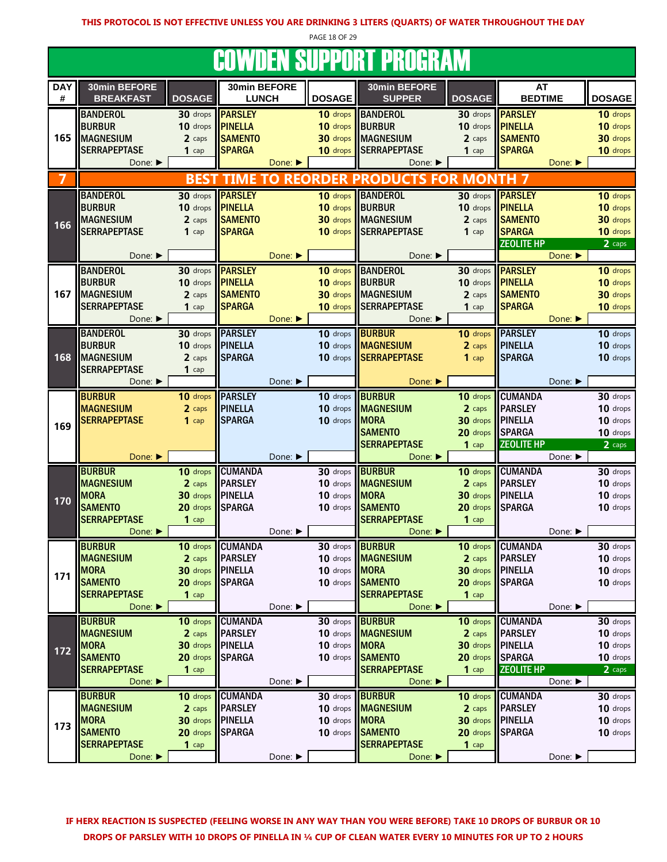PAGE 18 OF 29

#### COWDEN SUPPORT PROGRAM

| <u>UUTI DLIT UUI I UILI I HUUHAIVI</u> |                             |                         |                             |         |               |                             |                  |                         |               |  |
|----------------------------------------|-----------------------------|-------------------------|-----------------------------|---------|---------------|-----------------------------|------------------|-------------------------|---------------|--|
| <b>DAY</b>                             | 30min BEFORE                |                         | 30min BEFORE                |         |               | 30min BEFORE                |                  | AT                      |               |  |
| #                                      | <b>BREAKFAST</b>            | <b>DOSAGE</b>           | <b>LUNCH</b>                |         | <b>DOSAGE</b> | <b>SUPPER</b>               | <b>DOSAGE</b>    | <b>BEDTIME</b>          | <b>DOSAGE</b> |  |
|                                        | <b>BANDEROL</b>             | $30$ drops              | <b>PARSLEY</b>              |         | 10 drops      | <b>BANDEROL</b>             | $30$ drops       | <b>PARSLEY</b>          | 10 drops      |  |
|                                        | <b>BURBUR</b>               | 10 drops                | <b>PINELLA</b>              |         | 10 drops      | <b>BURBUR</b>               | 10 drops         | PINELLA                 | 10 drops      |  |
| 165                                    | <b>MAGNESIUM</b>            | 2 caps                  | <b>SAMENTO</b>              |         | 30 drops      | <b>MAGNESIUM</b>            | 2 caps           | <b>SAMENTO</b>          | 30 drops      |  |
|                                        | <b>SERRAPEPTASE</b>         | $1$ cap                 | <b>SPARGA</b>               |         | 10 drops      | <b>SERRAPEPTASE</b>         | $1$ cap          | <b>SPARGA</b>           | 10 drops      |  |
|                                        | Done: ▶                     |                         |                             | Done:   |               | Done: ▶                     |                  | Done: ▶                 |               |  |
|                                        |                             |                         | <b>BEST TIME TO REORDER</b> |         |               | <b>PRODUCTS FOR MONTH</b>   |                  |                         |               |  |
|                                        |                             |                         |                             |         |               |                             |                  |                         |               |  |
|                                        | <b>BANDEROL</b>             | 30 drops                | <b>PARSLEY</b>              |         | 10 drops      | <b>BANDEROL</b>             |                  | 30 drops <b>PARSLEY</b> | 10 drops      |  |
|                                        | <b>BURBUR</b>               | 10 drops                | <b>PINELLA</b>              |         | 10 drops      | <b>BURBUR</b>               | 10 drops         | <b>PINELLA</b>          | 10 drops      |  |
| 166                                    | <b>MAGNESIUM</b>            | 2 caps                  | <b>SAMENTO</b>              |         | 30 drops      | <b>MAGNESIUM</b>            | 2 caps           | <b>SAMENTO</b>          | 30 drops      |  |
|                                        | <b>SERRAPEPTASE</b>         | $1$ cap                 | <b>SPARGA</b>               |         | 10 drops      | <b>SERRAPEPTASE</b>         | $1$ cap          | <b>SPARGA</b>           | 10 drops      |  |
|                                        |                             |                         |                             |         |               |                             |                  | <b>ZEOLITE HP</b>       | 2 caps        |  |
|                                        | Done: ▶                     |                         |                             | Done: ▶ |               | Done: $\blacktriangleright$ |                  | Done: ▶                 |               |  |
|                                        | <b>BANDEROL</b>             | 30 drops                | <b>PARSLEY</b>              |         | 10 drops      | <b>BANDEROL</b>             | 30 drops         | <b>PARSLEY</b>          | 10 drops      |  |
|                                        | <b>BURBUR</b>               | 10 drops                | <b>PINELLA</b>              |         | 10 drops      | <b>BURBUR</b>               | 10 drops         | <b>PINELLA</b>          | 10 drops      |  |
| 167                                    | <b>MAGNESIUM</b>            | 2 caps                  | <b>SAMENTO</b>              |         | 30 drops      | <b>MAGNESIUM</b>            | 2 caps           | <b>SAMENTO</b>          | 30 drops      |  |
|                                        | <b>SERRAPEPTASE</b>         | $1$ cap                 | <b>SPARGA</b>               |         | 10 drops      | <b>SERRAPEPTASE</b>         | 1 $cap$          | <b>SPARGA</b>           | 10 drops      |  |
|                                        | Done:                       |                         |                             | Done:   |               | Done:                       |                  | Done:                   |               |  |
|                                        | <b>BANDEROL</b>             | 30 drops                | <b>PARSLEY</b>              |         | 10 drops      | <b>BURBUR</b>               | 10 drops         | <b>PARSLEY</b>          | 10 drops      |  |
|                                        | <b>BURBUR</b>               | 10 drops                | <b>IPINELLA</b>             |         | 10 drops      | <b>MAGNESIUM</b>            | 2 caps           | <b>PINELLA</b>          | 10 drops      |  |
| 168                                    | <b>MAGNESIUM</b>            | 2 caps                  | <b>SPARGA</b>               |         | 10 drops      | <b>SERRAPEPTASE</b>         | $1$ cap          | <b>SPARGA</b>           | 10 drops      |  |
|                                        | <b>SERRAPEPTASE</b>         | $1$ cap                 |                             |         |               |                             |                  |                         |               |  |
|                                        | Done: ▶                     |                         |                             | Done: ▶ |               | Done:                       |                  | Done: ▶                 |               |  |
|                                        | <b>BURBUR</b>               | 10 drops                | <b>PARSLEY</b>              |         | 10 drops      | <b>BURBUR</b>               | 10 drops         | <b>CUMANDA</b>          | 30 drops      |  |
|                                        | <b>MAGNESIUM</b>            | 2 caps                  | <b>PINELLA</b>              |         | 10 drops      | <b>MAGNESIUM</b>            | 2 caps           | <b>PARSLEY</b>          | 10 drops      |  |
| 169                                    | <b>SERRAPEPTASE</b>         | $1$ cap                 | <b>SPARGA</b>               |         | 10 drops      | <b>MORA</b>                 | 30 drops         | <b>IPINELLA</b>         | 10 drops      |  |
|                                        |                             |                         |                             |         |               | <b>SAMENTO</b>              | 20 drops         | <b>SPARGA</b>           | 10 drops      |  |
|                                        |                             |                         |                             |         |               | <b>SERRAPEPTASE</b>         | $1$ cap          | <b>ZEOLITE HP</b>       | 2 caps        |  |
|                                        | Done:                       |                         |                             | Done: ▶ |               | Done: ▶                     |                  | Done: ▶                 |               |  |
|                                        | <b>BURBUR</b>               | 10 drops                | <b>CUMANDA</b>              |         | 30 drops      | <b>BURBUR</b>               | 10 drops         | <b>CUMANDA</b>          | 30 drops      |  |
|                                        | <b>MAGNESIUM</b>            | 2 caps                  | <b>PARSLEY</b>              |         | 10 drops      | <b>MAGNESIUM</b>            | 2 caps           | <b>PARSLEY</b>          | 10 drops      |  |
| 170                                    | <b>MORA</b>                 | 30 drops                | <b>I</b> PINELLA            |         | 10 drops      | <b>MORA</b>                 | 30 drops PINELLA |                         | 10 drops      |  |
|                                        | <b>SAMENTO</b>              | 20 drops                | <b>SPARGA</b>               |         | 10 drops      | <b>SAMENTO</b>              | 20 drops         | <b>SPARGA</b>           | 10 drops      |  |
|                                        | <b>SERRAPEPTASE</b>         | $1$ cap                 |                             |         |               | <b>SERRAPEPTASE</b>         | $1$ cap          |                         |               |  |
|                                        | Done:                       |                         |                             | Done: ▶ |               | Done: ▶                     |                  | Done: ▶                 |               |  |
|                                        | <b>BURBUR</b>               |                         | 10 drops CUMANDA            |         | 30 drops      | <b>BURBUR</b>               | 10 drops         | <b>CUMANDA</b>          | 30 drops      |  |
|                                        | <b>MAGNESIUM</b>            | 2 caps                  | <b>PARSLEY</b>              |         |               | 10 drops MAGNESIUM          | 2 caps           | PARSLEY                 | 10 drops      |  |
| 171                                    | <b>MORA</b>                 | 30 drops <b>PINELLA</b> |                             |         | 10 drops      | <b>MORA</b>                 | 30 drops         | <b>PINELLA</b>          | 10 drops      |  |
|                                        | <b>SAMENTO</b>              | 20 drops                | <b>SPARGA</b>               |         | 10 drops      | <b>SAMENTO</b>              | 20 drops         | <b>ISPARGA</b>          | 10 drops      |  |
|                                        | <b>SERRAPEPTASE</b>         | $1$ cap                 |                             |         |               | <b>SERRAPEPTASE</b>         | $1$ cap          |                         |               |  |
|                                        | Done: ▶                     |                         |                             | Done: ▶ |               | Done:                       |                  | Done: ▶                 |               |  |
|                                        | <b>BURBUR</b>               | 10 drops                | <b>CUMANDA</b>              |         | 30 drops      | <b>BURBUR</b>               | 10 drops         | <b>CUMANDA</b>          | 30 drops      |  |
|                                        | <b>MAGNESIUM</b>            | 2 caps                  | <b>PARSLEY</b>              |         |               | 10 drops <b>MAGNESIUM</b>   | 2 caps           | <b>PARSLEY</b>          | 10 drops      |  |
| 172                                    | <b>MORA</b>                 | 30 drops <b>PINELLA</b> |                             |         | 10 drops MORA |                             | 30 drops         | <b>PINELLA</b>          | 10 drops      |  |
|                                        | <b>SAMENTO</b>              | 20 drops                | <b>SPARGA</b>               |         | 10 drops      | <b>SAMENTO</b>              | 20 drops         | <b>SPARGA</b>           | 10 drops      |  |
|                                        | <b>SERRAPEPTASE</b>         | $1$ cap                 |                             |         |               | <b>SERRAPEPTASE</b>         | $1$ cap          | <b>ZEOLITE HP</b>       | 2 caps        |  |
|                                        | Done: $\blacktriangleright$ |                         |                             | Done: ▶ |               | Done: ▶                     |                  | Done: ▶                 |               |  |
|                                        | <b>BURBUR</b>               | 10 drops                | <b>CUMANDA</b>              |         | 30 drops      | <b>BURBUR</b>               | 10 drops         | <b>CUMANDA</b>          | 30 drops      |  |
|                                        | <b>MAGNESIUM</b>            | 2 caps                  | <b>PARSLEY</b>              |         |               | 10 drops <b>MAGNESIUM</b>   | 2 caps           | <b>PARSLEY</b>          | 10 drops      |  |
| 173                                    | <b>MORA</b>                 | 30 drops                | <b>IPINELLA</b>             |         | 10 drops      | <b>MORA</b>                 | 30 drops         | <b>I</b> PINELLA        | 10 drops      |  |
|                                        | <b>SAMENTO</b>              | 20 drops                | <b>SPARGA</b>               |         | 10 drops      | <b>SAMENTO</b>              | 20 drops         | <b>ISPARGA</b>          | 10 drops      |  |
|                                        | <b>SERRAPEPTASE</b>         | $1$ cap                 |                             |         |               | <b>SERRAPEPTASE</b>         | $1$ cap          |                         |               |  |
|                                        | Done: ▶                     |                         |                             | Done: ▶ |               | Done: ▶                     |                  | Done: ▶                 |               |  |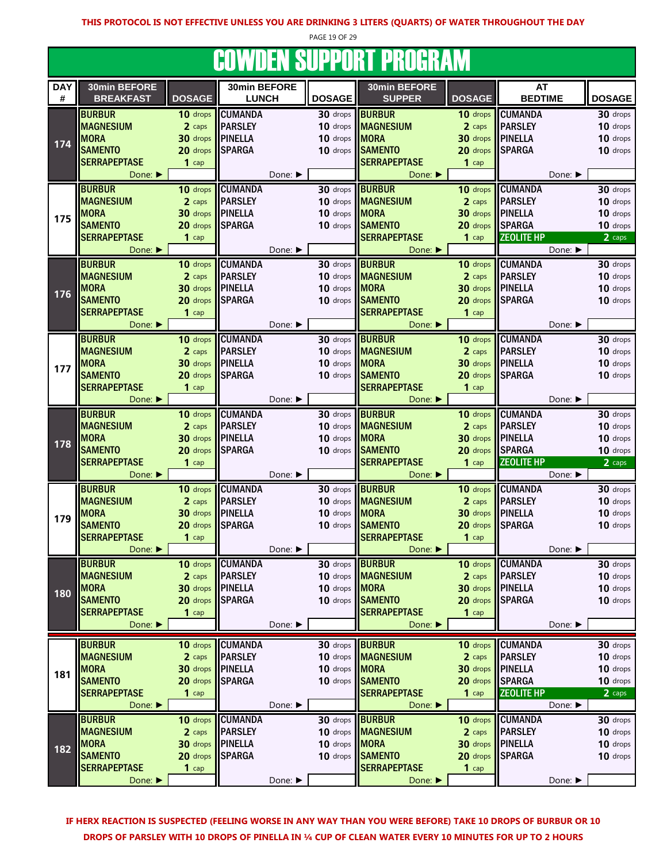PAGE 19 OF 29

# COWDEN SUPPORT PROGRAM

| <b>DAY</b> | 30min BEFORE                |               | 30min BEFORE    |                      | 30min BEFORE              |                  | <b>AT</b>         |               |
|------------|-----------------------------|---------------|-----------------|----------------------|---------------------------|------------------|-------------------|---------------|
| #          | <b>BREAKFAST</b>            | <b>DOSAGE</b> | <b>LUNCH</b>    | <b>DOSAGE</b>        | <b>SUPPER</b>             | <b>DOSAGE</b>    | <b>BEDTIME</b>    | <b>DOSAGE</b> |
|            |                             |               |                 |                      |                           |                  |                   |               |
|            | <b>BURBUR</b>               | 10 drops      | <b>CUMANDA</b>  | 30 drops             | <b>BURBUR</b>             | 10 drops         | <b>CUMANDA</b>    | 30 drops      |
|            | <b>MAGNESIUM</b>            | 2 caps        | <b>PARSLEY</b>  | 10 drops             | <b>MAGNESIUM</b>          | 2 caps           | <b>PARSLEY</b>    | 10 drops      |
|            | <b>MORA</b>                 | 30 drops      | <b>PINELLA</b>  | 10 drops             | <b>MORA</b>               | 30 drops PINELLA |                   | 10 drops      |
| 174        | <b>SAMENTO</b>              | 20 drops      | <b>SPARGA</b>   | 10 drops             | <b>SAMENTO</b>            | 20 drops         | <b>SPARGA</b>     | 10 drops      |
|            |                             |               |                 |                      |                           |                  |                   |               |
|            | <b>SERRAPEPTASE</b>         | $1$ cap       |                 |                      | <b>SERRAPEPTASE</b>       | $1$ cap          |                   |               |
|            | Done: ▶                     |               | Done: ▶         |                      | Done:                     |                  | Done: ▶           |               |
|            | <b>BURBUR</b>               | 10 drops      | <b>CUMANDA</b>  |                      | 30 drops BURBUR           | 10 drops         | <b>CUMANDA</b>    | 30 drops      |
|            | <b>MAGNESIUM</b>            | 2 caps        | <b>PARSLEY</b>  | 10 drops             | <b>MAGNESIUM</b>          | 2 caps           | <b>PARSLEY</b>    | 10 drops      |
|            |                             |               |                 |                      |                           |                  |                   |               |
| 175        | <b>MORA</b>                 | 30 drops      | <b>PINELLA</b>  | 10 drops             | <b>MORA</b>               | $30$ drops       | <b>PINELLA</b>    | 10 drops      |
|            | <b>SAMENTO</b>              | 20 drops      | <b>SPARGA</b>   | 10 drops             | <b>SAMENTO</b>            | 20 drops         | <b>SPARGA</b>     | 10 drops      |
|            | <b>SERRAPEPTASE</b>         | $1$ cap       |                 |                      | <b>SERRAPEPTASE</b>       | $1$ cap          | <b>ZEOLITE HP</b> | 2 caps        |
|            | Done: ▶                     |               | Done: ▶         |                      | Done: ▶                   |                  | Done: ▶           |               |
|            |                             |               |                 |                      |                           |                  |                   |               |
|            | <b>BURBUR</b>               | 10 drops      | <b>CUMANDA</b>  | $30$ drops           | <b>BURBUR</b>             |                  | 10 drops CUMANDA  | 30 drops      |
|            | <b>MAGNESIUM</b>            | 2 caps        | <b>PARSLEY</b>  | 10 drops             | <b>MAGNESIUM</b>          | 2 caps           | <b>PARSLEY</b>    | 10 drops      |
|            | <b>MORA</b>                 | 30 drops      | <b>PINELLA</b>  | 10 drops             | MORA                      | 30 drops PINELLA |                   | 10 drops      |
| 176        | <b>SAMENTO</b>              | 20 drops      | <b>SPARGA</b>   | 10 drops             | <b>SAMENTO</b>            | 20 drops         | <b>SPARGA</b>     | 10 drops      |
|            | <b>SERRAPEPTASE</b>         | $1$ cap       |                 |                      | <b>SERRAPEPTASE</b>       | $1$ cap          |                   |               |
|            |                             |               |                 |                      |                           |                  |                   |               |
|            | Done: ▶                     |               | Done: ▶         |                      | Done: ▶                   |                  | Done: ▶           |               |
|            | <b>BURBUR</b>               | 10 drops      | <b>CUMANDA</b>  | 30 drops             | <b>BURBUR</b>             | 10 drops         | <b>CUMANDA</b>    | 30 drops      |
|            | <b>MAGNESIUM</b>            | 2 caps        | <b>PARSLEY</b>  | 10 drops             | <b>MAGNESIUM</b>          | 2 caps           | <b>PARSLEY</b>    | 10 drops      |
|            | <b>MORA</b>                 | 30 drops      | <b>PINELLA</b>  | 10 drops MORA        |                           | 30 drops PINELLA |                   | 10 drops      |
| 177        |                             |               |                 |                      |                           |                  |                   |               |
|            | <b>SAMENTO</b>              | 20 drops      | <b>SPARGA</b>   | $10$ drops           | <b>SAMENTO</b>            | 20 drops         | <b>SPARGA</b>     | 10 drops      |
|            | <b>SERRAPEPTASE</b>         | $1$ cap       |                 |                      | <b>SERRAPEPTASE</b>       | $1$ cap          |                   |               |
|            | Done: ▶                     |               | Done: ▶         |                      | Done: ▶                   |                  | Done: ▶           |               |
|            | <b>BURBUR</b>               | $10$ drops    | <b>CUMANDA</b>  | 30 drops             | <b>BURBUR</b>             |                  | 10 drops CUMANDA  | 30 drops      |
|            |                             |               |                 |                      |                           |                  |                   |               |
|            | <b>MAGNESIUM</b>            | 2 caps        | <b>PARSLEY</b>  | 10 drops             | <b>MAGNESIUM</b>          | 2 caps           | <b>PARSLEY</b>    | 10 drops      |
| 178        | <b>MORA</b>                 | 30 drops      | <b>PINELLA</b>  | 10 drops             | <b>MORA</b>               | 30 drops         | <b>I</b> PINELLA  | 10 drops      |
|            | <b>SAMENTO</b>              | 20 drops      | <b>SPARGA</b>   | 10 drops             | <b>SAMENTO</b>            | 20 drops         | <b>SPARGA</b>     | 10 drops      |
|            | <b>SERRAPEPTASE</b>         | $1$ cap       |                 |                      | <b>SERRAPEPTASE</b>       | $1$ cap          | <b>ZEOLITE HP</b> | 2 caps        |
|            | Done:                       |               | Done: ▶         |                      | Done: ▶                   |                  | Done: ▶           |               |
|            |                             |               |                 |                      |                           |                  |                   |               |
|            | <b>BURBUR</b>               | 10 drops      | <b>CUMANDA</b>  | 30 drops             | <b>BURBUR</b>             | 10 drops         | <b>CUMANDA</b>    | 30 drops      |
|            | <b>MAGNESIUM</b>            | 2 caps        | <b>PARSLEY</b>  | 10 drops             | <b>MAGNESIUM</b>          | 2 caps           | <b>PARSLEY</b>    | 10 drops      |
|            | <b>MORA</b>                 | 30 drops      | <b>PINELLA</b>  | 10 drops <b>MORA</b> |                           |                  | 30 drops PINELLA  | 10 drops      |
| 179        | <b>SAMENTO</b>              | 20 drops      | <b>SPARGA</b>   | 10 drops             | <b>SAMENTO</b>            | 20 drops         | <b>SPARGA</b>     | 10 drops      |
|            | <b>SERRAPEPTASE</b>         |               |                 |                      | <b>SERRAPEPTASE</b>       |                  |                   |               |
|            |                             | $1$ cap       |                 |                      |                           | $1$ cap          |                   |               |
|            | Done: ▶                     |               | Done: ▶         |                      | Done: ▶                   |                  | Done: ▶           |               |
|            | <b>BURBUR</b>               | 10 drops      | <b>CUMANDA</b>  |                      | 30 drops <b>BURBUR</b>    |                  | 10 drops CUMANDA  | 30 drops      |
|            | <b>MAGNESIUM</b>            | 2 caps        | <b>PARSLEY</b>  |                      | 10 drops MAGNESIUM        | 2 caps           | <b>PARSLEY</b>    | 10 drops      |
|            | <b>MORA</b>                 | 30 drops      | <b>IPINELLA</b> | 10 drops MORA        |                           |                  | 30 drops PINELLA  | 10 drops      |
| 180        |                             |               |                 |                      |                           |                  |                   |               |
|            | <b>SAMENTO</b>              | 20 drops      | <b>SPARGA</b>   | 10 drops             | <b>SAMENTO</b>            | 20 drops SPARGA  |                   | 10 drops      |
|            | <b>SERRAPEPTASE</b>         | $1$ cap       |                 |                      | <b>SERRAPEPTASE</b>       | $1$ cap          |                   |               |
|            | Done: ▶                     |               | Done: ▶         |                      | Done: ▶                   |                  | Done: ▶           |               |
|            |                             |               |                 |                      |                           |                  |                   |               |
|            | <b>BURBUR</b>               | 10 drops      | <b>CUMANDA</b>  |                      | 30 drops <b>BURBUR</b>    |                  | 10 drops CUMANDA  | 30 drops      |
|            | <b>MAGNESIUM</b>            | 2 caps        | <b>PARSLEY</b>  |                      | 10 drops MAGNESIUM        | 2 caps           | <b>PARSLEY</b>    | 10 drops      |
|            | <b>MORA</b>                 | 30 drops      | <b>PINELLA</b>  | 10 drops <b>MORA</b> |                           |                  | 30 drops PINELLA  | 10 drops      |
| 181        |                             |               |                 |                      |                           |                  |                   |               |
|            | <b>SAMENTO</b>              | 20 drops      | <b>SPARGA</b>   |                      | 10 drops SAMENTO          | 20 drops SPARGA  |                   | 10 drops      |
|            | <b>SERRAPEPTASE</b>         | $1$ cap       |                 |                      | <b>SERRAPEPTASE</b>       | $1$ cap          | <b>ZEOLITE HP</b> | 2 caps        |
|            | Done: $\blacktriangleright$ |               | Done: ▶         |                      | Done: ▶                   |                  | Done: ▶           |               |
|            | <b>BURBUR</b>               |               | <b>CUMANDA</b>  |                      | 30 drops <b>BURBUR</b>    | 10 drops         | <b>CUMANDA</b>    |               |
|            |                             | 10 drops      |                 |                      |                           |                  |                   | 30 drops      |
|            | <b>MAGNESIUM</b>            | 2 caps        | <b>PARSLEY</b>  |                      | 10 drops <b>MAGNESIUM</b> | 2 caps           | <b>PARSLEY</b>    | 10 drops      |
| 182        | <b>MORA</b>                 | 30 drops      | <b>PINELLA</b>  | 10 drops             | <b>MORA</b>               |                  | 30 drops PINELLA  | 10 drops      |
|            | <b>SAMENTO</b>              | 20 drops      | <b>SPARGA</b>   | 10 drops             | <b>SAMENTO</b>            | 20 drops SPARGA  |                   | 10 drops      |
|            | <b>SERRAPEPTASE</b>         | $1$ cap       |                 |                      | <b>SERRAPEPTASE</b>       | $1$ cap          |                   |               |
|            |                             |               |                 |                      |                           |                  |                   |               |
|            | Done: ▶                     |               | Done: ▶         |                      | Done: ▶                   |                  | Done: ▶           |               |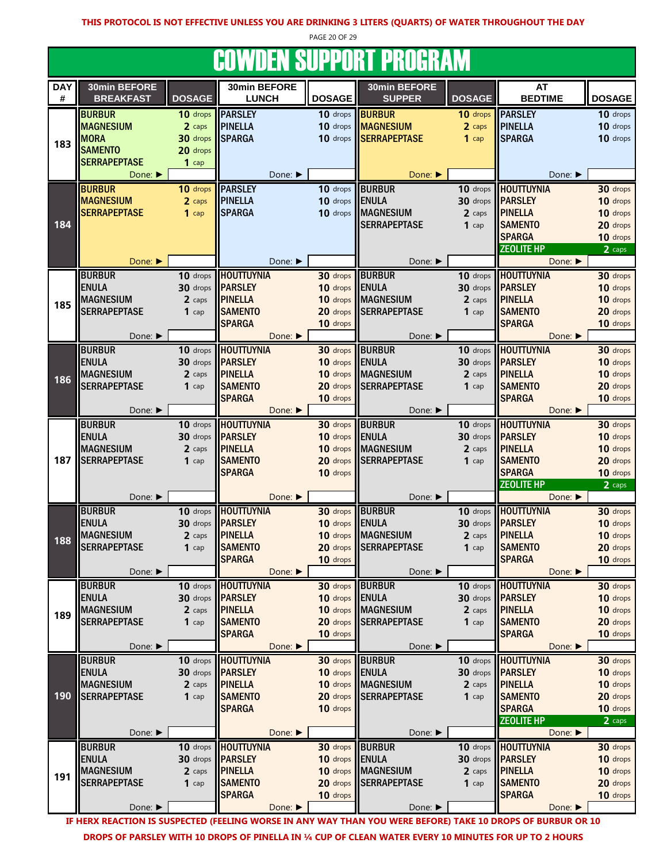PAGE 20 OF 29

## **COWDEN SUPPORT PROGRAM**

|            |                               |               | <u>JUMBEN UUI I UNI I NUUMMIN</u>            |                      |                               |                      |                            |                      |
|------------|-------------------------------|---------------|----------------------------------------------|----------------------|-------------------------------|----------------------|----------------------------|----------------------|
| <b>DAY</b> | 30min BEFORE                  |               | 30min BEFORE                                 |                      | 30min BEFORE                  |                      | <b>AT</b>                  |                      |
| #          | <b>BREAKFAST</b>              | <b>DOSAGE</b> | <b>LUNCH</b>                                 | <b>DOSAGE</b>        | <b>SUPPER</b>                 | <b>DOSAGE</b>        | <b>BEDTIME</b>             | <b>DOSAGE</b>        |
|            | <b>BURBUR</b>                 | 10 drops      | <b>PARSLEY</b>                               | 10 drops             | <b>BURBUR</b>                 | 10 drops             | <b>PARSLEY</b>             | 10 drops             |
|            |                               |               |                                              |                      |                               |                      |                            |                      |
|            | <b>MAGNESIUM</b>              | 2 caps        | <b>PINELLA</b>                               | 10 drops             | <b>MAGNESIUM</b>              | 2 caps               | <b>PINELLA</b>             | 10 drops             |
| 183        | <b>MORA</b>                   | 30 drops      | <b>SPARGA</b>                                | 10 drops             | <b>SERRAPEPTASE</b>           | $1$ cap              | <b>SPARGA</b>              | 10 drops             |
|            | <b>SAMENTO</b>                | 20 drops      |                                              |                      |                               |                      |                            |                      |
|            | <b>SERRAPEPTASE</b>           | $1$ cap       |                                              |                      |                               |                      |                            |                      |
|            | Done: ▶                       |               | Done: ▶                                      |                      | Done:                         |                      | Done: ▶                    |                      |
|            | <b>BURBUR</b>                 | 10 drops      | <b>PARSLEY</b>                               | 10 drops             | <b>BURBUR</b>                 | 10 drops             | <b>HOUTTUYNIA</b>          | 30 drops             |
|            | <b>MAGNESIUM</b>              | 2 caps        | <b>PINELLA</b>                               | 10 drops             | <b>ENULA</b>                  | 30 drops             | <b>PARSLEY</b>             | 10 drops             |
|            |                               |               | <b>SPARGA</b>                                | 10 drops             | <b>MAGNESIUM</b>              |                      | <b>PINELLA</b>             | 10 drops             |
|            | <b>SERRAPEPTASE</b>           | $1$ cap       |                                              |                      |                               | 2 caps               |                            |                      |
| 184        |                               |               |                                              |                      | <b>SERRAPEPTASE</b>           | $1$ cap              | <b>SAMENTO</b>             | 20 drops             |
|            |                               |               |                                              |                      |                               |                      | <b>SPARGA</b>              | 10 drops             |
|            |                               |               |                                              |                      |                               |                      | <b>ZEOLITE HP</b>          | 2 caps               |
|            | Done: ▶                       |               | Done: ▶                                      |                      | Done: ▶                       |                      | Done:                      |                      |
|            | <b>BURBUR</b>                 |               | 10 drops <b>HOUTTUYNIA</b>                   | 30 drops             | <b>BURBUR</b>                 | 10 drops             | <b>HOUTTUYNIA</b>          | 30 drops             |
|            | <b>ENULA</b>                  | 30 drops      | <b>IPARSLEY</b>                              | 10 drops             | <b>ENULA</b>                  | 30 drops             | <b>PARSLEY</b>             | 10 drops             |
|            | <b>MAGNESIUM</b>              | 2 caps        | <b>PINELLA</b>                               | 10 drops             | <b>MAGNESIUM</b>              | 2 caps               | <b>PINELLA</b>             | 10 drops             |
| 185        | <b>SERRAPEPTASE</b>           | $1$ cap       | <b>SAMENTO</b>                               | 20 drops             | <b>SERRAPEPTASE</b>           | $1$ cap              | <b>SAMENTO</b>             | 20 drops             |
|            |                               |               | <b>SPARGA</b>                                | 10 drops             |                               |                      | <b>SPARGA</b>              | 10 drops             |
|            | Done: ▶                       |               | Done: ▶                                      |                      | Done: ▶                       |                      | Done:                      |                      |
|            |                               |               |                                              |                      |                               |                      | <b>HOUTTUYNIA</b>          |                      |
|            | <b>BURBUR</b>                 | 10 drops      | <b>HOUTTUYNIA</b>                            | 30 drops             | <b>BURBUR</b>                 | 10 drops             |                            | 30 drops             |
|            | <b>ENULA</b>                  | 30 drops      | <b>PARSLEY</b>                               | 10 drops             | <b>ENULA</b>                  | 30 drops             | <b>PARSLEY</b>             | 10 drops             |
| 186        | <b>MAGNESIUM</b>              | 2 caps        | <b>PINELLA</b>                               | 10 drops             | <b>MAGNESIUM</b>              | 2 caps               | <b>PINELLA</b>             | 10 drops             |
|            | <b>SERRAPEPTASE</b>           | $1$ cap       | <b>SAMENTO</b>                               | 20 drops             | <b>SERRAPEPTASE</b>           | $1$ cap              | <b>SAMENTO</b>             | 20 drops             |
|            |                               |               | <b>SPARGA</b>                                | 10 drops             |                               |                      | <b>SPARGA</b>              | 10 drops             |
|            | Done: ▶                       |               | Done:                                        |                      | Done: ▶                       |                      | Done:                      |                      |
|            | <b>BURBUR</b>                 | 10 drops      | <b>HOUTTUYNIA</b>                            | 30 drops             | <b>BURBUR</b>                 | 10 drops             | <b>HOUTTUYNIA</b>          | 30 drops             |
|            | <b>ENULA</b>                  | 30 drops      | <b>PARSLEY</b>                               | 10 drops             | <b>ENULA</b>                  | 30 drops             | <b>PARSLEY</b>             | 10 drops             |
|            | <b>MAGNESIUM</b>              | 2 caps        | <b>PINELLA</b>                               | 10 drops             | <b>MAGNESIUM</b>              | 2 caps               | <b>PINELLA</b>             | 10 drops             |
| 187        | <b>SERRAPEPTASE</b>           | $1$ cap       | <b>SAMENTO</b>                               | 20 drops             | <b>SERRAPEPTASE</b>           | $1$ cap              | <b>SAMENTO</b>             | 20 drops             |
|            |                               |               | <b>SPARGA</b>                                | 10 drops             |                               |                      | <b>SPARGA</b>              | 10 drops             |
|            |                               |               |                                              |                      |                               |                      | <b>ZEOLITE HP</b>          | 2 caps               |
|            | Done: ▶                       |               | Done:                                        |                      | Done: ▶                       |                      | Done: ▶                    |                      |
|            | <b>BURBUR</b>                 |               | 10 drops HOUTTUYNIA                          | 30 drops             | <b>BURBUR</b>                 |                      | 10 drops HOUTTUYNIA        | 30 drops             |
|            | <b>ENULA</b>                  | 30 drops      | <b>PARSLEY</b>                               | 10 drops             | <b>ENULA</b>                  | 30 drops             | <b>PARSLEY</b>             | 10 drops             |
|            | <b>MAGNESIUM</b>              | 2 caps        | <b>PINELLA</b>                               | 10 drops             | <b>MAGNESIUM</b>              | 2 caps               | <b>PINELLA</b>             | 10 drops             |
| 188        | <b>SERRAPEPTASE</b>           | $1$ cap       | <b>SAMENTO</b>                               | 20 drops             | <b>SERRAPEPTASE</b>           | $1$ cap              | <b>SAMENTO</b>             | 20 drops             |
|            |                               |               | <b>SPARGA</b>                                | 10 drops             |                               |                      | <b>SPARGA</b>              | 10 drops             |
|            | Done: ▶                       |               | Done:                                        |                      | Done: ▶                       |                      | Done: ▶                    |                      |
|            |                               |               |                                              |                      |                               |                      | <b>HOUTTUYNIA</b>          |                      |
|            | <b>BURBUR</b><br><b>ENULA</b> | 30 drops      | 10 drops <b>HOUTTUYNIA</b><br><b>PARSLEY</b> | 30 drops<br>10 drops | <b>BURBUR</b><br><b>ENULA</b> | 10 drops<br>30 drops | <b>PARSLEY</b>             | 30 drops<br>10 drops |
|            | <b>MAGNESIUM</b>              | 2 caps        | <b>PINELLA</b>                               | 10 drops             | <b>MAGNESIUM</b>              | 2 caps               | <b>PINELLA</b>             | 10 drops             |
| 189        | <b>SERRAPEPTASE</b>           |               |                                              |                      | <b>SERRAPEPTASE</b>           |                      |                            |                      |
|            |                               | $1$ cap       | <b>SAMENTO</b>                               | 20 drops             |                               | $1$ cap              | <b>SAMENTO</b>             | 20 drops             |
|            | Done: ▶                       |               | <b>SPARGA</b><br>Done: ▶                     | 10 drops             | Done: ▶                       |                      | <b>SPARGA</b><br>Done:     | 10 drops             |
|            | <b>BURBUR</b>                 | 10 drops      | <b>HOUTTUYNIA</b>                            | 30 drops             | <b>BURBUR</b>                 | 10 drops             | <b>HOUTTUYNIA</b>          | 30 drops             |
|            | <b>ENULA</b>                  |               | <b>PARSLEY</b>                               | 10 drops             |                               | 30 drops             | <b>PARSLEY</b>             |                      |
|            |                               | 30 drops      |                                              |                      | <b>ENULA</b>                  |                      |                            | 10 drops             |
|            | <b>MAGNESIUM</b>              | 2 caps        | <b>PINELLA</b>                               | 10 drops             | <b>MAGNESIUM</b>              | 2 caps               | <b>PINELLA</b>             | 10 drops             |
| 190        | <b>SERRAPEPTASE</b>           | $1$ cap       | <b>SAMENTO</b>                               | 20 drops             | <b>SERRAPEPTASE</b>           | $1$ cap              | <b>SAMENTO</b>             | 20 drops             |
|            |                               |               | <b>SPARGA</b>                                | 10 drops             |                               |                      | <b>SPARGA</b>              | 10 drops             |
|            |                               |               |                                              |                      |                               |                      | <b>ZEOLITE HP</b>          | 2 caps               |
|            | Done: ▶                       |               | Done: ▶                                      |                      | Done: ▶                       |                      | Done: ▶                    |                      |
|            | <b>BURBUR</b>                 | 10 drops      | <b>HOUTTUYNIA</b>                            | 30 drops             | <b>BURBUR</b>                 |                      | 10 drops <b>HOUTTUYNIA</b> | 30 drops             |
|            | <b>ENULA</b>                  |               | 30 drops <b>PARSLEY</b>                      | 10 drops             | <b>ENULA</b>                  |                      | 30 drops <b>PARSLEY</b>    | 10 drops             |
| 191        | <b>MAGNESIUM</b>              | 2 caps        | <b>PINELLA</b>                               | 10 drops             | <b>MAGNESIUM</b>              | 2 caps               | <b>PINELLA</b>             | 10 drops             |
|            | <b>SERRAPEPTASE</b>           | $1$ cap       | <b>SAMENTO</b>                               | 20 drops             | <b>SERRAPEPTASE</b>           | $1$ cap              | <b>SAMENTO</b>             | 20 drops             |
|            |                               |               | <b>SPARGA</b>                                | 10 drops             |                               |                      | <b>SPARGA</b>              | 10 drops             |
|            | Done: ▶                       |               | Done: ▶                                      |                      | Done: ▶                       |                      | Done: ▶                    |                      |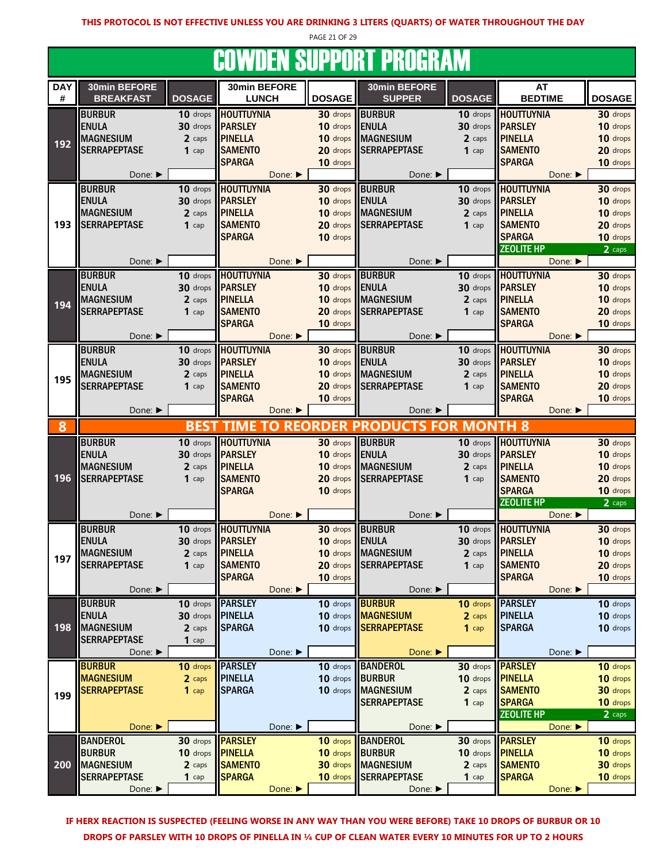PAGE 21 OF 29 **COWDEN SUDDORT DROGRAM** 

|            |                     |                         |                                 |                      | <u>UUTIVLII OUFFUILI FIIUUILAITI</u> |                        |                                    |                      |
|------------|---------------------|-------------------------|---------------------------------|----------------------|--------------------------------------|------------------------|------------------------------------|----------------------|
| <b>DAY</b> | 30min BEFORE        |                         | 30min BEFORE                    |                      | 30min BEFORE                         |                        | AT                                 |                      |
| #          | <b>BREAKFAST</b>    | <b>DOSAGE</b>           | <b>LUNCH</b>                    | <b>DOSAGE</b>        | <b>SUPPER</b>                        | <b>DOSAGE</b>          | <b>BEDTIME</b>                     | <b>DOSAGE</b>        |
|            | <b>BURBUR</b>       | 10 drops                | <b>HOUTTUYNIA</b>               | 30 drops             | <b>BURBUR</b>                        | 10 drops               | <b>HOUTTUYNIA</b>                  | 30 drops             |
|            | <b>ENULA</b>        | 30 drops                | <b>PARSLEY</b>                  | 10 drops             | <b>ENULA</b>                         | 30 drops               | <b>PARSLEY</b>                     | 10 drops             |
| 192        | <b>MAGNESIUM</b>    | 2 caps                  | <b>PINELLA</b>                  | 10 drops             | <b>MAGNESIUM</b>                     | 2 caps                 | <b>PINELLA</b>                     | 10 drops             |
|            | <b>SERRAPEPTASE</b> | $1$ cap                 | <b>SAMENTO</b>                  | 20 drops             | <b>SERRAPEPTASE</b>                  | $1$ cap                | <b>SAMENTO</b>                     | 20 drops             |
|            |                     |                         | <b>SPARGA</b>                   | 10 drops             |                                      |                        | <b>SPARGA</b>                      | 10 drops             |
|            | Done: ▶             |                         | Done: ▶                         |                      | Done: ▶                              |                        | Done:                              |                      |
|            | <b>BURBUR</b>       | 10 drops                | <b>HOUTTUYNIA</b>               | 30 drops             | <b>BURBUR</b>                        | 10 drops               | <b>HOUTTUYNIA</b>                  | 30 drops             |
|            | <b>ENULA</b>        | 30 drops                | <b>PARSLEY</b>                  | 10 drops             | <b>ENULA</b>                         | 30 drops               | <b>PARSLEY</b>                     | 10 drops             |
|            | <b>MAGNESIUM</b>    | 2 caps                  | <b>PINELLA</b>                  | 10 drops             | <b>MAGNESIUM</b>                     | 2 caps                 | <b>PINELLA</b>                     | 10 drops             |
| 193        | <b>SERRAPEPTASE</b> | $1$ cap                 | <b>SAMENTO</b>                  | 20 drops             | <b>SERRAPEPTASE</b>                  | $1$ cap                | <b>SAMENTO</b>                     | 20 drops             |
|            |                     |                         | <b>SPARGA</b>                   | 10 drops             |                                      |                        | <b>SPARGA</b>                      | 10 drops             |
|            |                     |                         |                                 |                      |                                      |                        | <b>ZEOLITE HP</b>                  | 2 caps               |
|            | Done: ▶             |                         | Done: ▶                         |                      | Done: ▶                              |                        | Done:                              |                      |
|            | <b>BURBUR</b>       | 10 drops                | <b>HOUTTUYNIA</b>               | 30 drops             | <b>BURBUR</b>                        | 10 drops               | <b>HOUTTUYNIA</b>                  | 30 drops             |
|            | <b>ENULA</b>        | 30 drops                | <b>PARSLEY</b>                  | 10 drops             | <b>ENULA</b>                         | 30 drops               | <b>PARSLEY</b>                     | 10 drops             |
| 194        | <b>MAGNESIUM</b>    | 2 caps                  | <b>PINELLA</b>                  | 10 drops             | <b>MAGNESIUM</b>                     | 2 caps                 | <b>PINELLA</b>                     | 10 drops             |
|            | <b>SERRAPEPTASE</b> | $1$ cap                 | <b>SAMENTO</b><br><b>SPARGA</b> | 20 drops             | <b>SERRAPEPTASE</b>                  | $1$ cap                | <b>SAMENTO</b><br><b>SPARGA</b>    | 20 drops             |
|            | Done: ▶             |                         | Done: ▶                         | 10 drops             | Done: ▶                              |                        | Done: ▶                            | 10 drops             |
|            | <b>BURBUR</b>       |                         | 10 drops <b>HOUTTUYNIA</b>      |                      | <b>BURBUR</b>                        |                        | <b>HOUTTUYNIA</b>                  |                      |
|            | <b>ENULA</b>        |                         | 30 drops <b>PARSLEY</b>         | 30 drops<br>10 drops | <b>ENULA</b>                         | $10$ drops<br>30 drops | <b>PARSLEY</b>                     | 30 drops<br>10 drops |
|            | <b>MAGNESIUM</b>    | 2 caps                  | <b>PINELLA</b>                  | 10 drops             | <b>MAGNESIUM</b>                     | 2 caps                 | <b>PINELLA</b>                     | 10 drops             |
| 195        | <b>SERRAPEPTASE</b> | $1$ cap                 | <b>SAMENTO</b>                  | 20 drops             | <b>SERRAPEPTASE</b>                  | $1$ cap                | <b>SAMENTO</b>                     | 20 drops             |
|            |                     |                         | <b>SPARGA</b>                   | 10 drops             |                                      |                        | <b>SPARGA</b>                      | 10 drops             |
|            | Done: ▶             |                         | Done:                           |                      | Done: $\blacktriangleright$          |                        | Done: ▶                            |                      |
| 8          |                     |                         | <b>BEST TIME TO REORDER</b>     |                      | <b>PRODUCTS FOR MONTH 8</b>          |                        |                                    |                      |
|            | <b>BURBUR</b>       |                         | 10 drops <b>HOUTTUYNIA</b>      |                      | 30 drops BURBUR                      |                        | 10 drops <b>HOUTTUYNIA</b>         | 30 drops             |
|            | <b>ENULA</b>        |                         | 30 drops <b>PARSLEY</b>         | 10 drops             | <b>ENULA</b>                         |                        | 30 drops <b>PARSLEY</b>            | 10 drops             |
|            | <b>MAGNESIUM</b>    | 2 caps                  | <b>PINELLA</b>                  | 10 drops             | <b>MAGNESIUM</b>                     | 2 caps                 | <b>PINELLA</b>                     | 10 drops             |
| 196        | <b>SERRAPEPTASE</b> | $1$ cap                 | <b>SAMENTO</b>                  | 20 drops             | <b>SERRAPEPTASE</b>                  | $1$ cap                | <b>SAMENTO</b>                     | 20 drops             |
|            |                     |                         | <b>SPARGA</b>                   | 10 drops             |                                      |                        | <b>SPARGA</b>                      | 10 drops             |
|            |                     |                         |                                 |                      |                                      |                        | <b>ZEOLITE HP</b>                  | 2 caps               |
|            | Done: ▶             |                         | Done: ▶                         |                      | Done: ▶                              |                        | Done: $\blacktriangleright$        |                      |
|            | <b>BURBUR</b>       | $10$ drops              | <b>HOUTTUYNIA</b>               | 30 drops             | <b>BURBUR</b>                        | 10 drops               | <b>HOUTTUYNIA</b>                  | 30 drops             |
|            | <b>ENULA</b>        |                         | 30 drops <b>PARSLEY</b>         | 10 drops             | <b>ENULA</b>                         | 30 drops               | <b>PARSLEY</b>                     | 10 drops             |
| 197        | <b>MAGNESIUM</b>    | 2 caps                  | PINELLA                         |                      | 10 drops MAGNESIUM                   | 2 caps                 | <b>PINELLA</b>                     | 10 drops             |
|            | <b>SERRAPEPTASE</b> | $1$ cap                 | <b>SAMENTO</b>                  | 20 drops             | <b>SERRAPEPTASE</b>                  | $1$ cap                | <b>SAMENTO</b>                     | 20 drops             |
|            |                     |                         | <b>SPARGA</b>                   | 10 drops             |                                      |                        | <b>SPARGA</b>                      | 10 drops             |
|            | Done: ▶             |                         | Done: ▶                         |                      | Done: ▶                              |                        | Done: ▶                            |                      |
|            | <b>BURBUR</b>       | 10 drops                | <b>PARSLEY</b>                  | 10 drops             | <b>BURBUR</b>                        | 10 drops               | <b>PARSLEY</b>                     | 10 drops             |
|            | <b>ENULA</b>        | 30 drops                | <b>PINELLA</b>                  | 10 drops             | <b>MAGNESIUM</b>                     | 2 caps                 | <b>PINELLA</b>                     | 10 drops             |
| 198        | <b>MAGNESIUM</b>    | 2 caps                  | <b>SPARGA</b>                   | 10 drops             | <b>SERRAPEPTASE</b>                  | $1$ cap                | <b>SPARGA</b>                      | 10 drops             |
|            | <b>SERRAPEPTASE</b> | $1$ cap                 |                                 |                      |                                      |                        |                                    |                      |
|            | Done: ▶             |                         | Done: ▶                         |                      | Done:                                |                        | Done: ▶                            |                      |
|            | <b>BURBUR</b>       | 10 drops                | <b>IPARSLEY</b>                 | 10 drops             | <b>BANDEROL</b>                      | 30 drops               | <b>PARSLEY</b>                     | 10 drops             |
|            | <b>MAGNESIUM</b>    | 2 caps                  | <b>PINELLA</b>                  | 10 drops             | <b>BURBUR</b>                        | 10 drops               | <b>PINELLA</b>                     | 10 drops             |
| 199        | <b>SERRAPEPTASE</b> | $1$ cap                 | <b>SPARGA</b>                   | 10 drops             | <b>MAGNESIUM</b>                     | 2 caps                 | <b>SAMENTO</b>                     | 30 drops             |
|            |                     |                         |                                 |                      | <b>SERRAPEPTASE</b>                  | $1$ cap                | <b>SPARGA</b><br><b>ZEOLITE HP</b> | 10 drops             |
|            | Done: ▶             |                         | Done: ▶                         |                      | Done: ▶                              |                        | Done:                              | 2 caps               |
|            | <b>BANDEROL</b>     | 30 drops                | <b>PARSLEY</b>                  | 10 drops             | <b>BANDEROL</b>                      | 30 drops               | <b>PARSLEY</b>                     | 10 drops             |
|            | <b>BURBUR</b>       | 10 drops <b>PINELLA</b> |                                 | 10 drops             | <b>BURBUR</b>                        | 10 drops               | <b>PINELLA</b>                     | 10 drops             |
| 200        | <b>MAGNESIUM</b>    | 2 caps                  | <b>SAMENTO</b>                  | 30 drops             | <b>MAGNESIUM</b>                     | 2 caps                 | <b>SAMENTO</b>                     | 30 drops             |
|            | <b>SERRAPEPTASE</b> | $1$ cap                 | <b>SPARGA</b>                   | 10 drops             | <b>SERRAPEPTASE</b>                  | $1$ cap                | <b>SPARGA</b>                      | 10 drops             |
|            | Done: ▶             |                         | Done: ▶                         |                      | Done: ▶                              |                        | Done: ▶                            |                      |
|            |                     |                         |                                 |                      |                                      |                        |                                    |                      |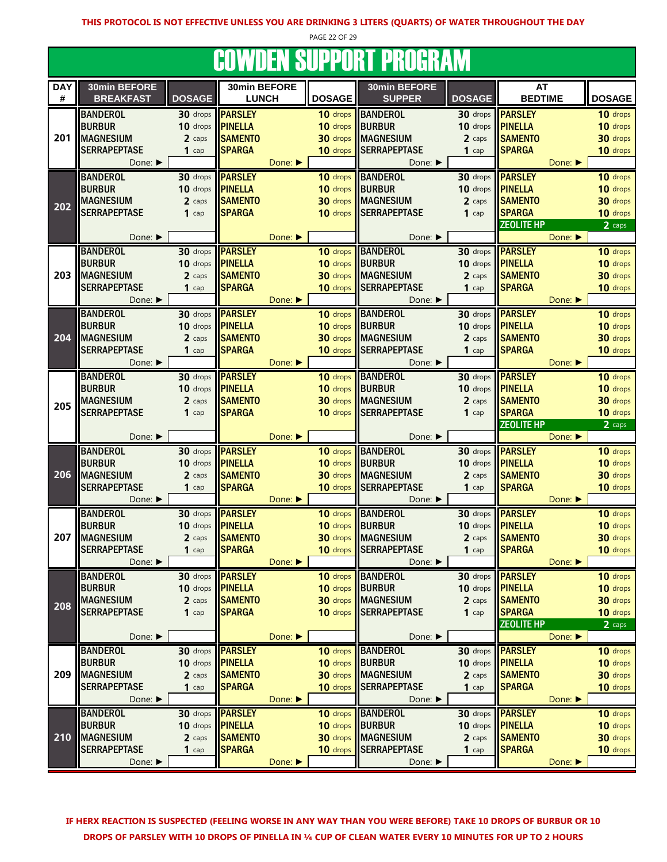PAGE 22 OF 29

# COWDEN SUPPORT PROGRAM

| <b>DAY</b> | 30min BEFORE                |               | 30min BEFORE   |         |                 | 30min BEFORE          |               | AT                |                             |               |
|------------|-----------------------------|---------------|----------------|---------|-----------------|-----------------------|---------------|-------------------|-----------------------------|---------------|
| #          | <b>BREAKFAST</b>            | <b>DOSAGE</b> | <b>LUNCH</b>   |         | <b>DOSAGE</b>   | <b>SUPPER</b>         | <b>DOSAGE</b> | <b>BEDTIME</b>    |                             | <b>DOSAGE</b> |
|            | <b>BANDEROL</b>             | 30 drops      | <b>PARSLEY</b> |         | 10 drops        | <b>BANDEROL</b>       | 30 drops      | <b>PARSLEY</b>    |                             | 10 drops      |
|            | <b>BURBUR</b>               | 10 drops      | <b>PINELLA</b> |         | 10 drops        | <b>BURBUR</b>         | 10 drops      | <b>PINELLA</b>    |                             | 10 drops      |
| 201        | <b>MAGNESIUM</b>            | 2 caps        | <b>SAMENTO</b> |         | 30 drops        | <b>IMAGNESIUM</b>     | 2 caps        | <b>SAMENTO</b>    |                             | 30 drops      |
|            | <b>SERRAPEPTASE</b>         | $1$ cap       | <b>SPARGA</b>  |         | 10 drops        | <b>SERRAPEPTASE</b>   | $1$ cap       | <b>SPARGA</b>     |                             | 10 drops      |
|            | Done: ▶                     |               |                | Done:   |                 | Done: ▶               |               |                   | Done: ▶                     |               |
|            |                             |               |                |         |                 |                       |               |                   |                             |               |
|            | <b>BANDEROL</b>             | 30 drops      | <b>PARSLEY</b> |         | 10 drops        | <b>BANDEROL</b>       | 30 drops      | <b>PARSLEY</b>    |                             | 10 drops      |
|            | <b>BURBUR</b>               | 10 drops      | <b>PINELLA</b> |         | 10 drops        | <b>IBURBUR</b>        | 10 drops      | <b>PINELLA</b>    |                             | 10 drops      |
| 202        | <b>MAGNESIUM</b>            | 2 caps        | <b>SAMENTO</b> |         | 30 drops        | <b>MAGNESIUM</b>      | 2 caps        | <b>SAMENTO</b>    |                             | 30 drops      |
|            | <b>SERRAPEPTASE</b>         | $1$ cap       | <b>SPARGA</b>  |         | 10 drops        | <b>SERRAPEPTASE</b>   | $1$ cap       | <b>SPARGA</b>     |                             | 10 drops      |
|            |                             |               |                |         |                 |                       |               | <b>ZEOLITE HP</b> |                             | 2 caps        |
|            | Done: ▶                     |               |                | Done:   |                 | Done: ▶               |               |                   | Done:                       |               |
|            | <b>BANDEROL</b>             | 30 drops      | <b>PARSLEY</b> |         |                 | 10 drops BANDEROL     | 30 drops      | <b>PARSLEY</b>    |                             | 10 drops      |
|            | <b>BURBUR</b>               | 10 drops      | <b>PINELLA</b> |         | 10 drops        | <b>BURBUR</b>         | 10 drops      | <b>PINELLA</b>    |                             | 10 drops      |
| 203        | <b>MAGNESIUM</b>            | 2 caps        | <b>SAMENTO</b> |         | 30 drops        | <b>MAGNESIUM</b>      | 2 caps        | <b>SAMENTO</b>    |                             | 30 drops      |
|            | <b>SERRAPEPTASE</b>         | $1$ cap       | <b>SPARGA</b>  |         | 10 drops        | <b>SERRAPEPTASE</b>   | $1$ cap       | <b>SPARGA</b>     |                             | 10 drops      |
|            | Done: ▶                     |               |                | Done: ▶ |                 | Done: ▶               |               |                   | Done: $\blacktriangleright$ |               |
|            | <b>BANDEROL</b>             | 30 drops      | <b>PARSLEY</b> |         | 10 drops        | <b>BANDEROL</b>       | $30$ drops    | <b>PARSLEY</b>    |                             | 10 drops      |
|            | <b>BURBUR</b>               | 10 drops      | <b>PINELLA</b> |         | 10 drops        | BURBUR                | 10 drops      | <b>PINELLA</b>    |                             | 10 drops      |
| 204        | <b>MAGNESIUM</b>            | 2 caps        | <b>SAMENTO</b> |         | 30 drops        | <b>MAGNESIUM</b>      | 2 caps        | <b>SAMENTO</b>    |                             | 30 drops      |
|            | <b>SERRAPEPTASE</b>         | $1$ cap       | <b>SPARGA</b>  |         | 10 drops        | <b>SERRAPEPTASE</b>   | $1$ cap       | <b>SPARGA</b>     |                             | 10 drops      |
|            | Done: ▶                     |               |                | Done:   |                 | Done: ▶               |               |                   | Done: $\blacktriangleright$ |               |
|            |                             |               |                |         |                 |                       |               |                   |                             |               |
|            | <b>BANDEROL</b>             | 30 drops      | <b>PARSLEY</b> |         | 10 drops        | <b>BANDEROL</b>       | 30 drops      | <b>PARSLEY</b>    |                             | 10 drops      |
|            | <b>BURBUR</b>               | 10 drops      | <b>PINELLA</b> |         | 10 drops        | <b>BURBUR</b>         | 10 drops      | <b>PINELLA</b>    |                             | 10 drops      |
| 205        | <b>MAGNESIUM</b>            | 2 caps        | <b>SAMENTO</b> |         |                 | 30 drops MAGNESIUM    | 2 caps        | <b>SAMENTO</b>    |                             | 30 drops      |
|            | <b>SERRAPEPTASE</b>         | $1$ cap       | <b>SPARGA</b>  |         |                 | 10 drops SERRAPEPTASE | $1$ cap       | <b>SPARGA</b>     |                             | 10 drops      |
|            |                             |               |                |         |                 |                       |               | <b>ZEOLITE HP</b> |                             | 2 caps        |
|            | Done: $\blacktriangleright$ |               |                | Done: ▶ |                 |                       |               |                   |                             |               |
|            |                             |               |                |         |                 | Done: ▶               |               |                   | Done: ▶                     |               |
|            | <b>BANDEROL</b>             | 30 drops      | <b>PARSLEY</b> |         | 10 drops        | <b>BANDEROL</b>       | 30 drops      | <b>PARSLEY</b>    |                             | 10 drops      |
|            | <b>BURBUR</b>               | 10 drops      | <b>PINELLA</b> |         | 10 drops        | BURBUR                | 10 drops      | <b>PINELLA</b>    |                             | 10 drops      |
| 206        | <b>MAGNESIUM</b>            | 2 caps        | <b>SAMENTO</b> |         | 30 drops        | <b>MAGNESIUM</b>      | 2 caps        | <b>SAMENTO</b>    |                             | 30 drops      |
|            | <b>SERRAPEPTASE</b>         | $1$ cap       | <b>SPARGA</b>  |         | 10 drops        | <b>SERRAPEPTASE</b>   | $1$ cap       | <b>SPARGA</b>     |                             | 10 drops      |
|            | Done: $\blacktriangleright$ |               |                | Done:   |                 | Done: ▶               |               |                   | Done: ▶                     |               |
|            | <b>BANDEROL</b>             | 30 drops      | <b>PARSLEY</b> |         | 10 drops        | <b>BANDEROL</b>       | 30 drops      | <b>PARSLEY</b>    |                             | 10 drops      |
|            | <b>BURBUR</b>               | 10 drops      | <b>PINELLA</b> |         | 10 drops        | <b>BURBUR</b>         | 10 drops      | <b>PINELLA</b>    |                             | 10 drops      |
| 207        | <b>MAGNESIUM</b>            | 2 caps        | <b>SAMENTO</b> |         | 30 drops        | <b>MAGNESIUM</b>      | 2 caps        | <b>SAMENTO</b>    |                             | 30 drops      |
|            | <b>SERRAPEPTASE</b>         | $1$ cap       | <b>SPARGA</b>  |         |                 | 10 drops SERRAPEPTASE | $1$ cap       | <b>SPARGA</b>     |                             | 10 drops      |
|            | Done: ▶                     |               |                | Done: ▶ |                 | Done: ▶               |               |                   | Done:                       |               |
|            |                             |               |                |         |                 |                       |               |                   |                             |               |
|            | <b>BANDEROL</b>             | 30 drops      | <b>PARSLEY</b> |         |                 | 10 drops BANDEROL     | 30 drops      | <b>PARSLEY</b>    |                             | 10 drops      |
|            | <b>BURBUR</b>               | 10 drops      | <b>PINELLA</b> |         | 10 drops BURBUR |                       | 10 drops      | <b>PINELLA</b>    |                             | 10 drops      |
| 208        | <b>MAGNESIUM</b>            | 2 caps        | <b>SAMENTO</b> |         |                 | 30 drops MAGNESIUM    | 2 caps        | <b>SAMENTO</b>    |                             | 30 drops      |
|            | <b>SERRAPEPTASE</b>         | $1$ cap       | <b>SPARGA</b>  |         |                 | 10 drops SERRAPEPTASE | $1$ cap       | <b>SPARGA</b>     |                             | 10 drops      |
|            |                             |               |                |         |                 |                       |               | <b>ZEOLITE HP</b> |                             | 2 caps        |
|            | Done: ▶                     |               |                | Done:   |                 | Done: ▶               |               |                   | Done: ▶                     |               |
|            | <b>BANDEROL</b>             | 30 drops      | <b>PARSLEY</b> |         | 10 drops        | <b>BANDEROL</b>       | 30 drops      | <b>PARSLEY</b>    |                             | 10 drops      |
|            | <b>BURBUR</b>               | 10 drops      | <b>PINELLA</b> |         | 10 drops        | <b>BURBUR</b>         | $10$ drops    | <b>PINELLA</b>    |                             | 10 drops      |
| 209        | <b>MAGNESIUM</b>            | 2 caps        | <b>SAMENTO</b> |         | 30 drops        | <b>MAGNESIUM</b>      | 2 caps        | <b>SAMENTO</b>    |                             | 30 drops      |
|            | <b>SERRAPEPTASE</b>         | $1$ cap       | <b>SPARGA</b>  |         | 10 drops        | <b>SERRAPEPTASE</b>   | $1$ cap       | <b>SPARGA</b>     |                             | 10 drops      |
|            | Done: ▶                     |               |                | Done:   |                 | Done: ▶               |               |                   | Done:                       |               |
|            | <b>BANDEROL</b>             | 30 drops      | <b>PARSLEY</b> |         | 10 drops        | BANDEROL              | 30 drops      | <b>PARSLEY</b>    |                             | 10 drops      |
|            | <b>BURBUR</b>               | 10 drops      | <b>PINELLA</b> |         | 10 drops        | <b>BURBUR</b>         | 10 drops      | <b>PINELLA</b>    |                             | 10 drops      |
| 210        | <b>MAGNESIUM</b>            | 2 caps        | <b>SAMENTO</b> |         | 30 drops        | <b>MAGNESIUM</b>      | 2 caps        | <b>SAMENTO</b>    |                             | 30 drops      |
|            | <b>SERRAPEPTASE</b>         | $1$ cap       | <b>SPARGA</b>  |         | 10 drops        | <b>SERRAPEPTASE</b>   | $1$ cap       | <b>SPARGA</b>     |                             | 10 drops      |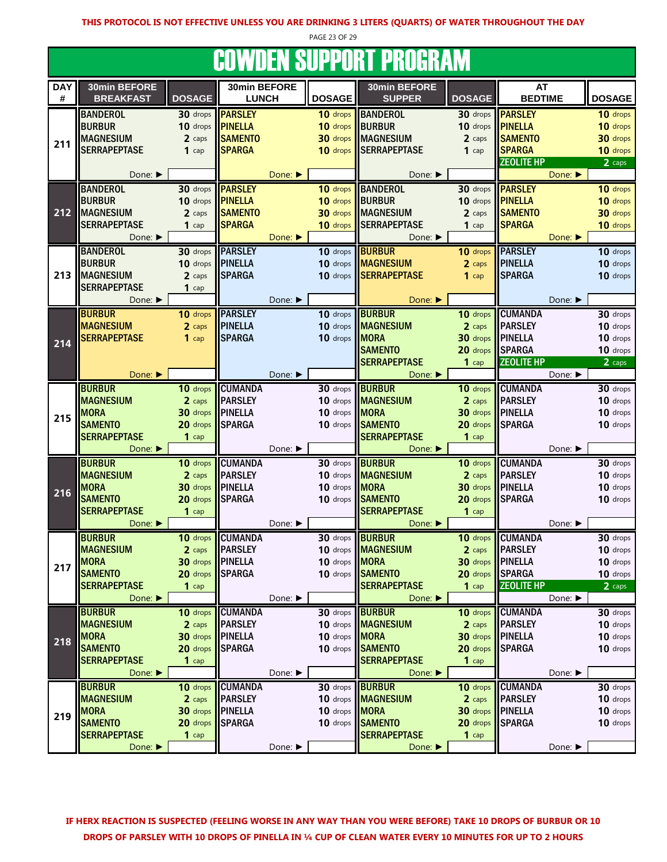PAGE 23 OF 29

#### **COWDEN SUPPORT PROGRAM**

| UUTTIJLIT UUT I UITT<br><b>FILOMENTIA</b> |                             |                  |                |         |               |                             |                    |                   |               |  |  |
|-------------------------------------------|-----------------------------|------------------|----------------|---------|---------------|-----------------------------|--------------------|-------------------|---------------|--|--|
| <b>DAY</b>                                | 30min BEFORE                |                  | 30min BEFORE   |         |               | 30min BEFORE                |                    | AT                |               |  |  |
| $\#$                                      | <b>BREAKFAST</b>            | <b>DOSAGE</b>    | <b>LUNCH</b>   |         | <b>DOSAGE</b> | <b>SUPPER</b>               | <b>DOSAGE</b>      | <b>BEDTIME</b>    | <b>DOSAGE</b> |  |  |
|                                           |                             |                  |                |         |               |                             |                    |                   |               |  |  |
|                                           | <b>BANDEROL</b>             | 30 drops         | <b>PARSLEY</b> |         | 10 drops      | <b>BANDEROL</b>             | 30 drops           | <b>PARSLEY</b>    | 10 drops      |  |  |
|                                           | <b>BURBUR</b>               | 10 drops         | <b>PINELLA</b> |         | 10 drops      | <b>BURBUR</b>               | 10 drops           | <b>PINELLA</b>    | 10 drops      |  |  |
| 211                                       | <b>MAGNESIUM</b>            | 2 caps           | <b>SAMENTO</b> |         | 30 drops      | <b>MAGNESIUM</b>            | 2 caps             | <b>SAMENTO</b>    | 30 drops      |  |  |
|                                           | <b>SERRAPEPTASE</b>         | $1$ cap          | <b>SPARGA</b>  |         | 10 drops      | <b>SERRAPEPTASE</b>         | $1$ cap            | <b>SPARGA</b>     | 10 drops      |  |  |
|                                           |                             |                  |                |         |               |                             |                    | <b>ZEOLITE HP</b> | 2 caps        |  |  |
|                                           | Done: ▶                     |                  |                | Done:   |               | Done:                       |                    | Done:             |               |  |  |
|                                           | <b>BANDEROL</b>             | 30 drops         | <b>PARSLEY</b> |         | 10 drops      | <b>BANDEROL</b>             | 30 drops           | <b>PARSLEY</b>    | 10 drops      |  |  |
|                                           | <b>BURBUR</b>               | 10 drops         | <b>PINELLA</b> |         | 10 drops      | <b>BURBUR</b>               | 10 drops           | <b>PINELLA</b>    | 10 drops      |  |  |
| 212                                       |                             |                  | <b>SAMENTO</b> |         |               |                             |                    |                   |               |  |  |
|                                           | <b>MAGNESIUM</b>            | 2 caps           |                |         | 30 drops      | <b>MAGNESIUM</b>            | 2 caps             | <b>SAMENTO</b>    | 30 drops      |  |  |
|                                           | <b>SERRAPEPTASE</b>         | $1$ cap          | <b>SPARGA</b>  |         | 10 drops      | <b>SERRAPEPTASE</b>         | $1$ cap            | <b>SPARGA</b>     | 10 drops      |  |  |
|                                           | Done: ▶                     |                  |                | Done:   |               | Done: ▶                     |                    | Done:             |               |  |  |
|                                           | <b>BANDEROL</b>             | 30 drops         | <b>PARSLEY</b> |         | 10 drops      | <b>BURBUR</b>               | 10 drops           | <b>PARSLEY</b>    | 10 drops      |  |  |
|                                           | <b>BURBUR</b>               | 10 drops         | <b>PINELLA</b> |         | 10 drops      | <b>MAGNESIUM</b>            | 2 caps             | <b>PINELLA</b>    | 10 drops      |  |  |
| 213                                       | <b>MAGNESIUM</b>            | 2 caps           | <b>SPARGA</b>  |         | 10 drops      | <b>SERRAPEPTASE</b>         | $1$ cap            | <b>SPARGA</b>     | 10 drops      |  |  |
|                                           | <b>SERRAPEPTASE</b>         | $1$ cap          |                |         |               |                             |                    |                   |               |  |  |
|                                           | Done: ▶                     |                  |                | Done: ▶ |               | Done: $\blacktriangleright$ |                    | Done: ▶           |               |  |  |
|                                           |                             |                  |                |         |               |                             |                    |                   |               |  |  |
|                                           | <b>BURBUR</b>               | 10 drops         | <b>PARSLEY</b> |         | 10 drops      | <b>BURBUR</b>               | 10 drops           | <b>CUMANDA</b>    | 30 drops      |  |  |
|                                           | <b>MAGNESIUM</b>            | 2 caps           | <b>PINELLA</b> |         | 10 drops      | <b>MAGNESIUM</b>            | 2 caps             | <b>PARSLEY</b>    | 10 drops      |  |  |
| 214                                       | <b>SERRAPEPTASE</b>         | $1$ cap          | <b>SPARGA</b>  |         | 10 drops      | <b>MORA</b>                 | 30 drops           | <b>IPINELLA</b>   | 10 drops      |  |  |
|                                           |                             |                  |                |         |               | <b>SAMENTO</b>              | 20 drops           | <b>SPARGA</b>     | 10 drops      |  |  |
|                                           |                             |                  |                |         |               | <b>SERRAPEPTASE</b>         | $1$ cap            | <b>ZEOLITE HP</b> | 2 caps        |  |  |
|                                           | Done: ▶                     |                  |                | Done: ▶ |               | Done: $\blacktriangleright$ |                    | Done: ▶           |               |  |  |
|                                           | <b>BURBUR</b>               | 10 drops         | <b>CUMANDA</b> |         | 30 drops      | <b>BURBUR</b>               | 10 drops           | <b>CUMANDA</b>    | 30 drops      |  |  |
|                                           | <b>MAGNESIUM</b>            | 2 caps           | <b>PARSLEY</b> |         | 10 drops      | <b>MAGNESIUM</b>            | 2 caps             | <b>PARSLEY</b>    | 10 drops      |  |  |
|                                           | <b>MORA</b>                 | 30 drops         | <b>PINELLA</b> |         | 10 drops      | <b>MORA</b>                 | 30 drops   PINELLA |                   | 10 drops      |  |  |
| 215                                       |                             |                  |                |         |               |                             |                    |                   |               |  |  |
|                                           | <b>SAMENTO</b>              | 20 drops         | <b>SPARGA</b>  |         | 10 drops      | <b>SAMENTO</b>              | 20 drops           | <b>SPARGA</b>     | 10 drops      |  |  |
|                                           | <b>SERRAPEPTASE</b>         | $1$ cap          |                |         |               | <b>SERRAPEPTASE</b>         | $1$ cap            |                   |               |  |  |
|                                           | Done: ▶                     |                  |                | Done: ▶ |               | Done:                       |                    | Done: ▶           |               |  |  |
|                                           | <b>BURBUR</b>               | 10 drops         | <b>CUMANDA</b> |         | $30$ drops    | <b>BURBUR</b>               | 10 drops           | <b>CUMANDA</b>    | 30 drops      |  |  |
|                                           | <b>MAGNESIUM</b>            | 2 caps           | <b>PARSLEY</b> |         | 10 drops      | <b>MAGNESIUM</b>            | 2 caps             | <b>PARSLEY</b>    | 10 drops      |  |  |
|                                           | <b>MORA</b>                 | 30 drops         | <b>PINELLA</b> |         | 10 drops      | <b>MORA</b>                 | 30 drops           | <b>I</b> PINELLA  | 10 drops      |  |  |
| 216                                       | <b>SAMENTO</b>              | 20 drops         | <b>SPARGA</b>  |         | 10 drops      | <b>SAMENTO</b>              | 20 drops           | <b>SPARGA</b>     | 10 drops      |  |  |
|                                           | <b>SERRAPEPTASE</b>         | $1$ cap          |                |         |               | <b>SERRAPEPTASE</b>         | $1$ cap            |                   |               |  |  |
|                                           | Done: ▶                     |                  |                | Done: ▶ |               | Done: ▶                     |                    | Done: ▶           |               |  |  |
|                                           |                             |                  |                |         |               |                             |                    |                   |               |  |  |
|                                           | <b>BURBUR</b>               | 10 drops         | <b>CUMANDA</b> |         | 30 drops      | <b>BURBUR</b>               | 10 drops           | <b>CUMANDA</b>    | 30 drops      |  |  |
|                                           | <b>MAGNESIUM</b>            | 2 caps           | <b>PARSLEY</b> |         |               | 10 drops MAGNESIUM          | 2 caps             | <b>PARSLEY</b>    | 10 drops      |  |  |
| 217                                       | <b>MORA</b>                 | 30 drops PINELLA |                |         | 10 drops MORA |                             | 30 drops PINELLA   |                   | 10 drops      |  |  |
|                                           | <b>SAMENTO</b>              | 20 drops         | <b>SPARGA</b>  |         | 10 drops      | <b>SAMENTO</b>              | 20 drops           | <b>SPARGA</b>     | 10 drops      |  |  |
|                                           | <b>SERRAPEPTASE</b>         | $1$ cap          |                |         |               | <b>SERRAPEPTASE</b>         | $1$ cap            | <b>ZEOLITE HP</b> | 2 caps        |  |  |
|                                           | Done: $\blacktriangleright$ |                  |                | Done: ▶ |               | Done: $\blacktriangleright$ |                    | Done: ▶           |               |  |  |
|                                           | <b>BURBUR</b>               | 10 drops         | <b>CUMANDA</b> |         | 30 drops      | <b>BURBUR</b>               | 10 drops           | <b>CUMANDA</b>    | 30 drops      |  |  |
|                                           | <b>MAGNESIUM</b>            | 2 caps           | <b>PARSLEY</b> |         | 10 drops      | <b>MAGNESIUM</b>            | 2 caps             | <b>PARSLEY</b>    | 10 drops      |  |  |
|                                           | <b>MORA</b>                 | 30 drops         | <b>PINELLA</b> |         | 10 drops      | <b>MORA</b>                 | 30 drops           | <b>PINELLA</b>    | 10 drops      |  |  |
| 218                                       | <b>SAMENTO</b>              | 20 drops         | <b>SPARGA</b>  |         | 10 drops      | <b>SAMENTO</b>              | 20 drops           | <b>SPARGA</b>     | 10 drops      |  |  |
|                                           | <b>SERRAPEPTASE</b>         |                  |                |         |               | <b>SERRAPEPTASE</b>         |                    |                   |               |  |  |
|                                           |                             | $1$ cap          |                |         |               |                             | $1$ cap            |                   |               |  |  |
|                                           | Done: ▶                     |                  |                | Done: ▶ |               | Done: $\blacktriangleright$ |                    | Done: ▶           |               |  |  |
|                                           | <b>BURBUR</b>               | 10 drops         | <b>CUMANDA</b> |         | 30 drops      | <b>BURBUR</b>               | 10 drops           | <b>CUMANDA</b>    | 30 drops      |  |  |
|                                           | <b>MAGNESIUM</b>            | 2 caps           | <b>PARSLEY</b> |         | 10 drops      | <b>MAGNESIUM</b>            | 2 caps             | <b>PARSLEY</b>    | 10 drops      |  |  |
| 219                                       | <b>MORA</b>                 | 30 drops         | <b>PINELLA</b> |         | 10 drops      | <b>MORA</b>                 | 30 drops PINELLA   |                   | 10 drops      |  |  |
|                                           | <b>SAMENTO</b>              | 20 drops         | <b>SPARGA</b>  |         | 10 drops      | <b>SAMENTO</b>              | 20 drops           | <b>SPARGA</b>     | 10 drops      |  |  |
|                                           | <b>SERRAPEPTASE</b>         | $1$ cap          |                |         |               | <b>SERRAPEPTASE</b>         | $1$ cap            |                   |               |  |  |
|                                           | Done:                       |                  |                | Done:   |               | Done:                       |                    | Done:             |               |  |  |
|                                           |                             |                  |                |         |               |                             |                    |                   |               |  |  |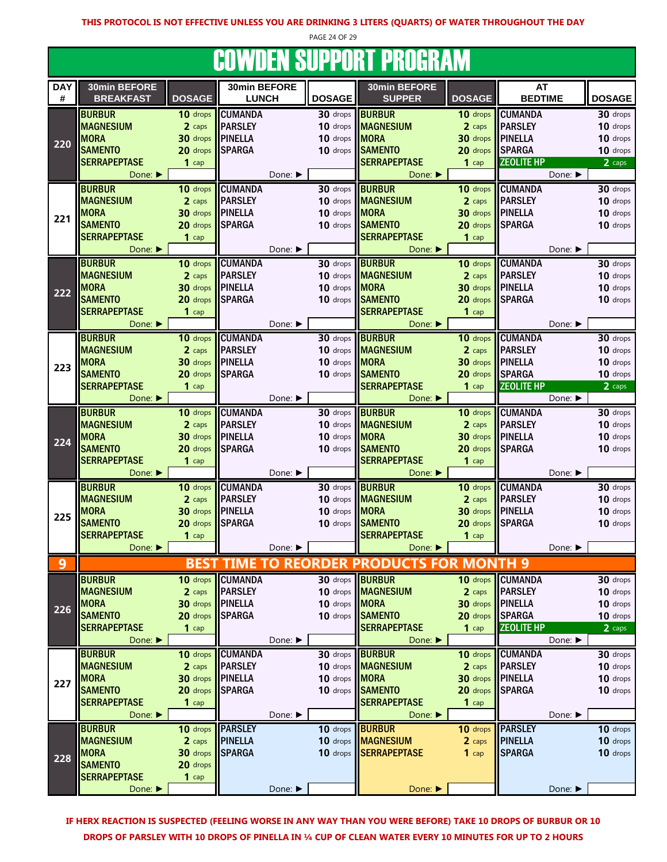PAGE 24 OF 29

# COWDEN SUPPORT PROGRAM

| <b>DAY</b> | 30min BEFORE                |               | 30min BEFORE     |         |                        | 30min BEFORE                              |                  | <b>AT</b>         |                             |
|------------|-----------------------------|---------------|------------------|---------|------------------------|-------------------------------------------|------------------|-------------------|-----------------------------|
| #          | <b>BREAKFAST</b>            | <b>DOSAGE</b> | <b>LUNCH</b>     |         | <b>DOSAGE</b>          | <b>SUPPER</b>                             | <b>DOSAGE</b>    | <b>BEDTIME</b>    | <b>DOSAGE</b>               |
|            | <b>BURBUR</b>               | 10 drops      | <b>CUMANDA</b>   |         | 30 drops               | <b>BURBUR</b>                             | 10 drops         | <b>CUMANDA</b>    | 30 drops                    |
|            | <b>MAGNESIUM</b>            | 2 caps        | <b>PARSLEY</b>   |         | 10 drops               | <b>MAGNESIUM</b>                          | 2 caps           | <b>PARSLEY</b>    | 10 drops                    |
|            | <b>MORA</b>                 | 30 drops      | <b>PINELLA</b>   |         | 10 drops <b>MORA</b>   |                                           | 30 drops         | <b>PINELLA</b>    | 10 drops                    |
| 220        | <b>SAMENTO</b>              | 20 drops      | <b>SPARGA</b>    |         |                        | 10 drops SAMENTO                          | 20 drops         | <b>SPARGA</b>     | 10 drops                    |
|            | <b>SERRAPEPTASE</b>         | $1$ cap       |                  |         |                        | <b>SERRAPEPTASE</b>                       | $1$ cap          | <b>ZEOLITE HP</b> | 2 caps                      |
|            |                             |               |                  | Done: ▶ |                        |                                           |                  |                   | Done: ▶                     |
|            | Done: $\blacktriangleright$ |               |                  |         |                        | Done: ▶                                   |                  |                   |                             |
|            | <b>BURBUR</b>               | $10$ drops    | <b>CUMANDA</b>   |         | 30 drops               | <b>IBURBUR</b>                            | 10 drops         | <b>CUMANDA</b>    | 30 drops                    |
|            | <b>MAGNESIUM</b>            | 2 caps        | <b>PARSLEY</b>   |         |                        | 10 drops <b>MAGNESIUM</b>                 | 2 caps           | <b>PARSLEY</b>    | 10 drops                    |
| 221        | <b>MORA</b>                 | 30 drops      | <b>PINELLA</b>   |         | 10 drops <b>MORA</b>   |                                           | $30$ drops       | <b>PINELLA</b>    | 10 drops                    |
|            | <b>SAMENTO</b>              | 20 drops      | <b>SPARGA</b>    |         |                        | 10 drops SAMENTO                          | 20 drops         | <b>SPARGA</b>     | 10 drops                    |
|            | <b>SERRAPEPTASE</b>         | $1$ cap       |                  |         |                        | <b>SERRAPEPTASE</b>                       | $1$ cap          |                   |                             |
|            | Done: ▶                     |               |                  | Done: ▶ |                        | Done: ▶                                   |                  |                   | Done: ▶                     |
|            | <b>BURBUR</b>               | 10 drops      | <b>CUMANDA</b>   |         | 30 drops               | <b>BURBUR</b>                             | 10 drops         | <b>CUMANDA</b>    | 30 drops                    |
|            | <b>MAGNESIUM</b>            | 2 caps        | <b>PARSLEY</b>   |         |                        | 10 drops MAGNESIUM                        | 2 caps           | <b>PARSLEY</b>    | 10 drops                    |
|            | <b>MORA</b>                 | 30 drops      | <b>PINELLA</b>   |         | 10 drops               | <b>MORA</b>                               | 30 drops         | <b>PINELLA</b>    | 10 drops                    |
| 222        | <b>SAMENTO</b>              |               |                  |         |                        | 10 drops SAMENTO                          | 20 drops         |                   | 10 drops                    |
|            |                             | 20 drops      | <b>SPARGA</b>    |         |                        |                                           |                  | <b>SPARGA</b>     |                             |
|            | <b>SERRAPEPTASE</b>         | $1$ cap       |                  |         |                        | <b>SERRAPEPTASE</b>                       | $1$ cap          |                   |                             |
|            | Done:                       |               |                  | Done: ▶ |                        | Done:                                     |                  |                   | Done: ▶                     |
|            | <b>BURBUR</b>               | 10 drops      | <b>CUMANDA</b>   |         | 30 drops BURBUR        |                                           | 10 drops         | <b>CUMANDA</b>    | 30 drops                    |
|            | <b>MAGNESIUM</b>            | 2 caps        | <b>PARSLEY</b>   |         |                        | 10 drops <b>MAGNESIUM</b>                 | 2 caps           | <b>PARSLEY</b>    | 10 drops                    |
| 223        | <b>MORA</b>                 | 30 drops      | PINELLA          |         | 10 drops <b>MORA</b>   |                                           | 30 drops         | <b>PINELLA</b>    | 10 drops                    |
|            | <b>SAMENTO</b>              | 20 drops      | <b>SPARGA</b>    |         |                        | 10 drops SAMENTO                          | 20 drops         | <b>SPARGA</b>     | 10 drops                    |
|            | <b>SERRAPEPTASE</b>         | $1$ cap       |                  |         |                        | <b>SERRAPEPTASE</b>                       | $1$ cap          | <b>ZEOLITE HP</b> | 2 caps                      |
|            | Done: $\blacktriangleright$ |               |                  | Done: ▶ |                        | Done: $\blacktriangleright$               |                  |                   | Done: ▶                     |
|            | <b>BURBUR</b>               | 10 drops      | <b>CUMANDA</b>   |         | 30 drops BURBUR        |                                           | 10 drops         | <b>CUMANDA</b>    | 30 drops                    |
|            | <b>MAGNESIUM</b>            | 2 caps        | <b>PARSLEY</b>   |         | 10 drops               | <b>MAGNESIUM</b>                          | 2 caps           | <b>PARSLEY</b>    | 10 drops                    |
|            |                             |               |                  |         |                        |                                           | 30 drops         |                   |                             |
| 224        | <b>MORA</b>                 | 30 drops      | <b>PINELLA</b>   |         | 10 drops               | <b>MORA</b>                               |                  | <b>PINELLA</b>    | 10 drops                    |
|            | <b>SAMENTO</b>              | 20 drops      | <b>SPARGA</b>    |         |                        | 10 drops SAMENTO                          | 20 drops         | <b>SPARGA</b>     | 10 drops                    |
|            | <b>SERRAPEPTASE</b>         | $1$ cap       |                  |         |                        | <b>SERRAPEPTASE</b>                       | $1$ cap          |                   |                             |
|            | Done: ▶                     |               |                  | Done: ▶ |                        | Done: ▶                                   |                  |                   | Done: $\blacktriangleright$ |
|            | <b>BURBUR</b>               | 10 drops      | <b>CUMANDA</b>   |         | 30 drops <b>BURBUR</b> |                                           | 10 drops         | <b>CUMANDA</b>    | 30 drops                    |
|            | <b>MAGNESIUM</b>            | 2 caps        | <b>PARSLEY</b>   |         |                        | 10 drops <b>MAGNESIUM</b>                 | 2 caps           | <b>PARSLEY</b>    | 10 drops                    |
| 225        | <b>MORA</b>                 | 30 drops      | <b>PINELLA</b>   |         | 10 drops MORA          |                                           | 30 drops PINELLA |                   | 10 drops                    |
|            | <b>SAMENTO</b>              | 20 drops      | <b>SPARGA</b>    |         |                        | 10 drops SAMENTO                          | 20 drops         | <b>SPARGA</b>     | 10 drops                    |
|            | <b>SERRAPEPTASE</b>         | $1$ cap       |                  |         |                        | <b>SERRAPEPTASE</b>                       | $1$ cap          |                   |                             |
|            | Done: $\blacktriangleright$ |               |                  | Done: ▶ |                        | Done: $\blacktriangleright$               |                  |                   | Done: $\blacktriangleright$ |
| 9          |                             |               |                  |         |                        | BEST TIME TO REORDER PRODUCTS FOR MONTH 9 |                  |                   |                             |
|            |                             |               |                  |         |                        |                                           |                  |                   |                             |
|            | <b>BURBUR</b>               | 10 drops      | <b>CUMANDA</b>   |         |                        | 30 drops <b>BURBUR</b>                    | 10 drops         | <b>CUMANDA</b>    | $30$ drops                  |
|            | <b>MAGNESIUM</b>            | 2 caps        | <b>PARSLEY</b>   |         |                        | 10 drops MAGNESIUM                        | 2 caps           | <b>PARSLEY</b>    | 10 drops                    |
| 226        | <b>MORA</b>                 | 30 drops      | <b>  PINELLA</b> |         | 10 drops MORA          |                                           | 30 drops         | <b>PINELLA</b>    | 10 drops                    |
|            | <b>SAMENTO</b>              | 20 drops      | <b>SPARGA</b>    |         |                        | 10 drops SAMENTO                          | 20 drops         | <b>SPARGA</b>     | 10 drops                    |
|            | <b>SERRAPEPTASE</b>         | $1$ cap       |                  |         |                        | <b>SERRAPEPTASE</b>                       | $1$ cap          | <b>ZEOLITE HP</b> | 2 caps                      |
|            | Done: ▶                     |               |                  | Done: ▶ |                        | Done: ▶                                   |                  |                   | Done: ▶                     |
|            | <b>BURBUR</b>               | 10 drops      | <b>CUMANDA</b>   |         | 30 drops <b>BURBUR</b> |                                           | 10 drops         | <b>CUMANDA</b>    | 30 drops                    |
|            | <b>MAGNESIUM</b>            | 2 caps        | <b>PARSLEY</b>   |         | 10 drops               | <b>MAGNESIUM</b>                          | 2 caps           | <b>PARSLEY</b>    | 10 drops                    |
|            | <b>MORA</b>                 | 30 drops      | <b>PINELLA</b>   |         | 10 drops               | <b>MORA</b>                               | 30 drops         | <b>PINELLA</b>    | 10 drops                    |
| 227        | <b>SAMENTO</b>              | 20 drops      | <b>SPARGA</b>    |         |                        | 10 drops SAMENTO                          | 20 drops         | <b>SPARGA</b>     | 10 drops                    |
|            | <b>SERRAPEPTASE</b>         | $1$ cap       |                  |         |                        | <b>SERRAPEPTASE</b>                       | $1$ cap          |                   |                             |
|            | Done: ▶                     |               |                  | Done: ▶ |                        | Done:                                     |                  |                   | Done: ▶                     |
|            |                             |               |                  |         |                        |                                           |                  |                   |                             |
|            | <b>BURBUR</b>               |               | 10 drops PARSLEY |         | 10 drops <b>BURBUR</b> |                                           | 10 drops         | <b>PARSLEY</b>    | 10 drops                    |
|            | <b>MAGNESIUM</b>            | 2 caps        | <b>PINELLA</b>   |         |                        | 10 drops <b>MAGNESIUM</b>                 | 2 caps           | <b>PINELLA</b>    | 10 drops                    |
| 228        | <b>MORA</b>                 | 30 drops      | <b>SPARGA</b>    |         |                        | 10 drops SERRAPEPTASE                     | $1$ cap          | <b>SPARGA</b>     | 10 drops                    |
|            | <b>SAMENTO</b>              | 20 drops      |                  |         |                        |                                           |                  |                   |                             |
|            | <b>SERRAPEPTASE</b>         | $1$ cap       |                  |         |                        |                                           |                  |                   |                             |
|            | Done: ▶                     |               |                  | Done: ▶ |                        | Done: ▶                                   |                  |                   | Done: ▶                     |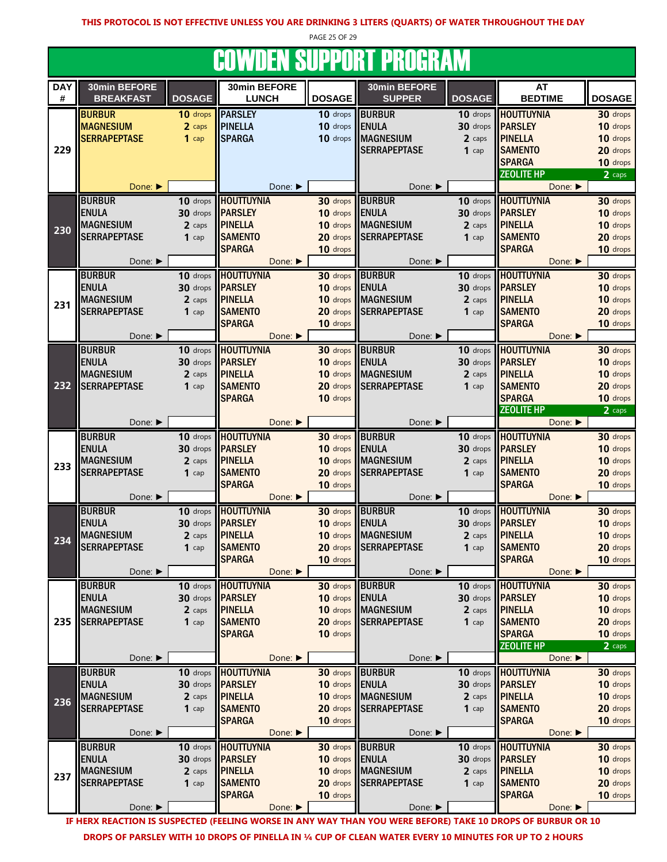PAGE 25 OF 29

# COWDEN SUPPORT PROGRAM

| <b>DAY</b> | 30min BEFORE                |               | 30min BEFORE                    |                      | 30min BEFORE        |               | AT                                 |                      |
|------------|-----------------------------|---------------|---------------------------------|----------------------|---------------------|---------------|------------------------------------|----------------------|
| #          | <b>BREAKFAST</b>            | <b>DOSAGE</b> | <b>LUNCH</b>                    | <b>DOSAGE</b>        | <b>SUPPER</b>       | <b>DOSAGE</b> | <b>BEDTIME</b>                     | <b>DOSAGE</b>        |
|            | <b>BURBUR</b>               | 10 drops      | <b>PARSLEY</b>                  | 10 drops             | <b>BURBUR</b>       | 10 drops      | <b>HOUTTUYNIA</b>                  | 30 drops             |
|            | <b>MAGNESIUM</b>            | 2 caps        | <b>PINELLA</b>                  | 10 drops             | <b>ENULA</b>        | 30 drops      | <b>PARSLEY</b>                     | 10 drops             |
|            | <b>SERRAPEPTASE</b>         | $1$ cap       | <b>SPARGA</b>                   | 10 drops             | <b>MAGNESIUM</b>    | 2 caps        | <b>PINELLA</b>                     | 10 drops             |
| 229        |                             |               |                                 |                      | <b>SERRAPEPTASE</b> | $1$ cap       | <b>SAMENTO</b>                     | 20 drops             |
|            |                             |               |                                 |                      |                     |               | <b>SPARGA</b>                      | 10 drops             |
|            |                             |               |                                 |                      |                     |               | <b>ZEOLITE HP</b>                  | 2 caps               |
|            | Done:                       |               | Done:                           |                      | Done: ▶             |               | Done:                              |                      |
|            | <b>BURBUR</b>               | 10 drops      | <b>HOUTTUYNIA</b>               | 30 drops             | <b>BURBUR</b>       | 10 drops      | <b>HOUTTUYNIA</b>                  | 30 drops             |
|            | <b>ENULA</b>                | 30 drops      | <b>IPARSLEY</b>                 | 10 drops             | <b>ENULA</b>        | 30 drops      | <b>PARSLEY</b>                     | 10 drops             |
| 230        | <b>MAGNESIUM</b>            | 2 caps        | <b>PINELLA</b>                  | 10 drops             | <b>MAGNESIUM</b>    | 2 caps        | <b>PINELLA</b>                     | 10 drops             |
|            | <b>SERRAPEPTASE</b>         | $1$ cap       | <b>SAMENTO</b><br><b>SPARGA</b> | 20 drops<br>10 drops | <b>SERRAPEPTASE</b> | $1$ cap       | <b>SAMENTO</b><br><b>SPARGA</b>    | 20 drops             |
|            | Done: ▶                     |               | Done:                           |                      | Done: ▶             |               | Done:                              | 10 drops             |
|            | <b>BURBUR</b>               | 10 drops      | <b>HOUTTUYNIA</b>               | 30 drops             | <b>BURBUR</b>       | 10 drops      | <b>HOUTTUYNIA</b>                  | 30 drops             |
|            | <b>ENULA</b>                | 30 drops      | <b>PARSLEY</b>                  | 10 drops             | <b>ENULA</b>        | 30 drops      | <b>PARSLEY</b>                     | 10 drops             |
|            | <b>MAGNESIUM</b>            | 2 caps        | <b>PINELLA</b>                  | 10 drops             | <b>MAGNESIUM</b>    | 2 caps        | <b>PINELLA</b>                     | 10 drops             |
| 231        | <b>SERRAPEPTASE</b>         | $1$ cap       | <b>SAMENTO</b>                  | 20 drops             | <b>SERRAPEPTASE</b> | $1$ cap       | <b>SAMENTO</b>                     | 20 drops             |
|            |                             |               | <b>SPARGA</b>                   | 10 drops             |                     |               | <b>SPARGA</b>                      | 10 drops             |
|            | Done: ▶                     |               | Done: ▶                         |                      | Done: ▶             |               | Done: ▶                            |                      |
|            | <b>BURBUR</b>               | 10 drops      | <b>HOUTTUYNIA</b>               | 30 drops             | <b>BURBUR</b>       | 10 drops      | <b>HOUTTUYNIA</b>                  | 30 drops             |
|            | <b>ENULA</b>                | 30 drops      | <b>PARSLEY</b>                  | 10 drops             | <b>ENULA</b>        | 30 drops      | <b>PARSLEY</b>                     | 10 drops             |
|            | <b>MAGNESIUM</b>            | 2 caps        | <b>PINELLA</b>                  | 10 drops             | <b>MAGNESIUM</b>    | 2 caps        | <b>PINELLA</b>                     | 10 drops             |
| 232        | <b>SERRAPEPTASE</b>         | $1$ cap       | <b>SAMENTO</b>                  | 20 drops             | <b>SERRAPEPTASE</b> | $1$ cap       | <b>SAMENTO</b>                     | 20 drops             |
|            |                             |               | <b>SPARGA</b>                   | 10 drops             |                     |               | <b>SPARGA</b><br><b>ZEOLITE HP</b> | 10 drops<br>2 caps   |
|            | Done: ▶                     |               | Done: ▶                         |                      | Done: ▶             |               | Done: ▶                            |                      |
|            | <b>BURBUR</b>               | 10 drops      | <b>HOUTTUYNIA</b>               | 30 drops             | <b>BURBUR</b>       | 10 drops      | <b>HOUTTUYNIA</b>                  | 30 drops             |
|            | <b>ENULA</b>                | 30 drops      | <b>PARSLEY</b>                  | 10 drops             | <b>ENULA</b>        | 30 drops      | <b>PARSLEY</b>                     | 10 drops             |
| 233        | <b>MAGNESIUM</b>            | 2 caps        | <b>PINELLA</b>                  | 10 drops             | <b>MAGNESIUM</b>    | 2 caps        | <b>PINELLA</b>                     | 10 drops             |
|            | <b>SERRAPEPTASE</b>         | $1$ cap       | <b>SAMENTO</b>                  | 20 drops             | <b>SERRAPEPTASE</b> | $1$ cap       | <b>SAMENTO</b>                     | 20 drops             |
|            |                             |               | <b>SPARGA</b>                   | 10 drops             |                     |               | <b>SPARGA</b>                      | 10 drops             |
|            | Done: ▶                     |               | Done: ▶                         |                      | Done: ▶             |               | Done: ▶                            |                      |
|            | <b>BURBUR</b>               | 10 drops      | <b>HOUTTUYNIA</b>               | 30 drops             | <b>BURBUR</b>       | 10 drops      | <b>HOUTTUYNIA</b>                  | 30 drops             |
|            | <b>ENULA</b>                | 30 drops      | <b>PARSLEY</b>                  | 10 drops             | <b>ENULA</b>        | 30 drops      | <b>PARSLEY</b>                     | 10 drops             |
| 234        | <b>MAGNESIUM</b>            | 2 caps        | <b>PINELLA</b>                  | 10 drops             | <b>MAGNESIUM</b>    | 2 caps        | <b>PINELLA</b>                     | 10 drops             |
|            | <b>SERRAPEPTASE</b>         | $1$ cap       | <b>SAMENTO</b><br><b>SPARGA</b> | 20 drops<br>10 drops | <b>SERRAPEPTASE</b> | $1$ cap       | <b>SAMENTO</b><br><b>SPARGA</b>    | 20 drops<br>10 drops |
|            | Done: ▶                     |               | Done: ▶                         |                      | Done: ▶             |               | Done:                              |                      |
|            | <b>BURBUR</b>               | 10 drops      | <b>HOUTTUYNIA</b>               | 30 drops             | <b>BURBUR</b>       | 10 drops      | <b>HOUTTUYNIA</b>                  | 30 drops             |
|            | <b>ENULA</b>                | 30 drops      | <b>PARSLEY</b>                  | 10 drops             | <b>ENULA</b>        | 30 drops      | <b>PARSLEY</b>                     | 10 drops             |
|            | <b>MAGNESIUM</b>            | 2 caps        | <b>PINELLA</b>                  | 10 drops             | <b>MAGNESIUM</b>    | 2 caps        | <b>PINELLA</b>                     | 10 drops             |
| 235        | <b>SERRAPEPTASE</b>         | $1$ cap       | <b>SAMENTO</b>                  | 20 drops             | <b>SERRAPEPTASE</b> | $1$ cap       | <b>SAMENTO</b>                     | 20 drops             |
|            |                             |               | <b>SPARGA</b>                   | 10 drops             |                     |               | <b>SPARGA</b>                      | 10 drops             |
|            |                             |               |                                 |                      |                     |               | <b>ZEOLITE HP</b>                  | 2 caps               |
|            | Done: ▶                     |               | Done: ▶                         |                      | Done: ▶             |               | Done: ▶                            |                      |
|            | <b>BURBUR</b>               |               | 10 drops <b>HOUTTUYNIA</b>      | 30 drops             | <b>BURBUR</b>       |               | 10 drops <b>HOUTTUYNIA</b>         | 30 drops             |
|            | <b>ENULA</b>                |               | 30 drops <b>PARSLEY</b>         | 10 drops             | <b>ENULA</b>        | 30 drops      | <b>PARSLEY</b>                     | 10 drops             |
| 236        | <b>MAGNESIUM</b>            | 2 caps        | <b>PINELLA</b>                  | 10 drops             | <b>MAGNESIUM</b>    | 2 caps        | <b>PINELLA</b>                     | 10 drops             |
|            | <b>SERRAPEPTASE</b>         | $1$ cap       | <b>SAMENTO</b><br><b>SPARGA</b> | 20 drops<br>10 drops | <b>SERRAPEPTASE</b> | $1$ cap       | <b>SAMENTO</b><br><b>SPARGA</b>    | 20 drops<br>10 drops |
|            | Done: ▶                     |               | Done:                           |                      | Done: ▶             |               | Done: ▶                            |                      |
|            | <b>BURBUR</b>               |               | 10 drops <b>HOUTTUYNIA</b>      | 30 drops             | <b>BURBUR</b>       | 10 drops      | <b>HOUTTUYNIA</b>                  | 30 drops             |
|            | <b>ENULA</b>                | 30 drops      | <b>PARSLEY</b>                  | 10 drops             | <b>ENULA</b>        | 30 drops      | <b>PARSLEY</b>                     | 10 drops             |
|            | <b>MAGNESIUM</b>            | 2 caps        | <b>PINELLA</b>                  | 10 drops             | <b>MAGNESIUM</b>    | 2 caps        | <b>PINELLA</b>                     | 10 drops             |
| 237        | <b>SERRAPEPTASE</b>         | $1$ cap       | <b>SAMENTO</b>                  | 20 drops             | <b>SERRAPEPTASE</b> | $1$ cap       | <b>SAMENTO</b>                     | 20 drops             |
|            |                             |               | <b>SPARGA</b>                   | 10 drops             |                     |               | <b>SPARGA</b>                      | 10 drops             |
|            | Done: $\blacktriangleright$ |               | Done: ▶                         |                      | Done: ▶             |               | Done:                              |                      |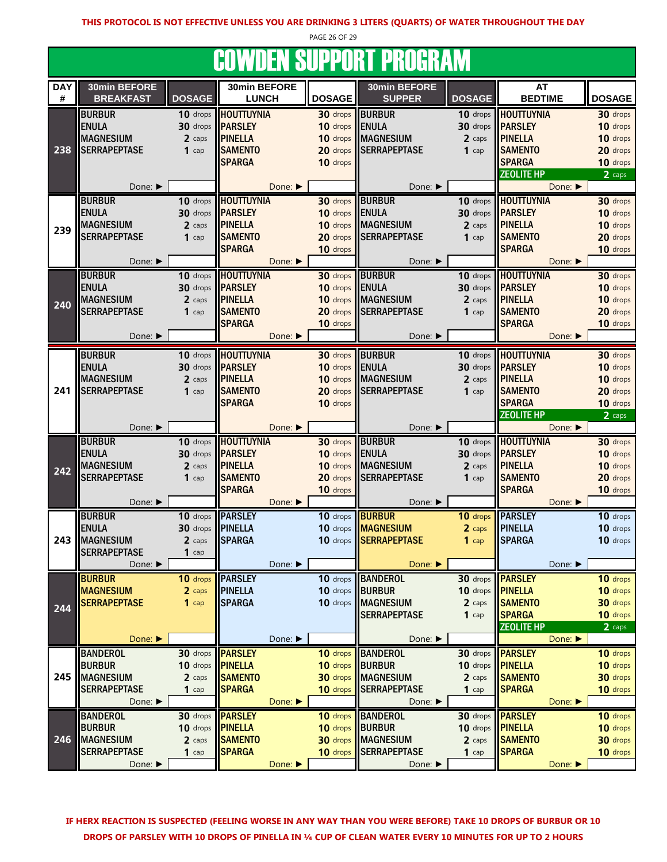PAGE 26 OF 29

#### COWDEN SUPPORT PROGRAM

| <b>DAY</b> | 30min BEFORE                   |               | 30min BEFORE               |                      | 30min BEFORE                   |                         | <b>AT</b>                  |               |
|------------|--------------------------------|---------------|----------------------------|----------------------|--------------------------------|-------------------------|----------------------------|---------------|
| $\#$       | <b>BREAKFAST</b>               | <b>DOSAGE</b> | <b>LUNCH</b>               | <b>DOSAGE</b>        | <b>SUPPER</b>                  | <b>DOSAGE</b>           | <b>BEDTIME</b>             | <b>DOSAGE</b> |
|            |                                |               |                            |                      |                                |                         |                            |               |
|            | <b>BURBUR</b>                  | 10 drops      | <b>HOUTTUYNIA</b>          | 30 drops             | <b>BURBUR</b>                  |                         | 10 drops <b>HOUTTUYNIA</b> | 30 drops      |
|            | <b>ENULA</b>                   | 30 drops      | <b>PARSLEY</b>             | 10 drops             | <b>ENULA</b>                   | 30 drops                | <b>PARSLEY</b>             | 10 drops      |
|            | <b>MAGNESIUM</b>               | 2 caps        | <b>PINELLA</b>             | 10 drops             | <b>MAGNESIUM</b>               | 2 caps                  | <b>PINELLA</b>             | 10 drops      |
| 238        | <b>SERRAPEPTASE</b>            | $1$ cap       | <b>SAMENTO</b>             | 20 drops             | <b>SERRAPEPTASE</b>            | $1$ cap                 | <b>SAMENTO</b>             | 20 drops      |
|            |                                |               | <b>SPARGA</b>              | 10 drops             |                                |                         | <b>SPARGA</b>              | 10 drops      |
|            |                                |               |                            |                      |                                |                         | <b>ZEOLITE HP</b>          | 2 caps        |
|            | Done: ▶                        |               | Done:                      |                      | Done: ▶                        |                         | Done:                      |               |
|            | <b>BURBUR</b>                  | 10 drops      | <b>HOUTTUYNIA</b>          | 30 drops             | <b>BURBUR</b>                  | 10 drops                | <b>HOUTTUYNIA</b>          | 30 drops      |
|            | <b>ENULA</b>                   | 30 drops      | <b>PARSLEY</b>             | 10 drops             | <b>ENULA</b>                   |                         | 30 drops <b>PARSLEY</b>    | 10 drops      |
|            | <b>MAGNESIUM</b>               | 2 caps        | <b>PINELLA</b>             | 10 drops             | <b>MAGNESIUM</b>               | 2 caps                  | <b>PINELLA</b>             | 10 drops      |
| 239        | <b>SERRAPEPTASE</b>            |               | <b>SAMENTO</b>             | 20 drops             | <b>SERRAPEPTASE</b>            | $1$ cap                 | <b>SAMENTO</b>             | 20 drops      |
|            |                                | $1$ cap       |                            |                      |                                |                         |                            |               |
|            |                                |               | <b>SPARGA</b>              | 10 drops             |                                |                         | <b>SPARGA</b>              | 10 drops      |
|            | Done: ▶                        |               | Done:                      |                      | Done: ▶                        |                         | Done: ▶                    |               |
|            | <b>BURBUR</b>                  | 10 drops      | <b>HOUTTUYNIA</b>          | 30 drops             | <b>BURBUR</b>                  | 10 drops                | <b>HOUTTUYNIA</b>          | 30 drops      |
|            | <b>ENULA</b>                   | 30 drops      | <b>PARSLEY</b>             | 10 drops             | <b>ENULA</b>                   | 30 drops                | <b>PARSLEY</b>             | 10 drops      |
| 240        | <b>MAGNESIUM</b>               | 2 caps        | <b>PINELLA</b>             | 10 drops             | <b>MAGNESIUM</b>               | 2 caps                  | <b>PINELLA</b>             | 10 drops      |
|            | <b>SERRAPEPTASE</b>            | $1$ cap       | <b>SAMENTO</b>             | 20 drops             | <b>SERRAPEPTASE</b>            | $1$ cap                 | <b>SAMENTO</b>             | 20 drops      |
|            |                                |               | <b>SPARGA</b>              | 10 drops             |                                |                         | <b>SPARGA</b>              | 10 drops      |
|            | Done: ▶                        |               | Done: ▶                    |                      | Done: ▶                        |                         | Done: ▶                    |               |
|            |                                |               |                            |                      |                                |                         |                            |               |
|            | <b>BURBUR</b>                  | 10 drops      | <b>HOUTTUYNIA</b>          | 30 drops             | <b>BURBUR</b>                  | 10 drops                | <b>HOUTTUYNIA</b>          | 30 drops      |
|            | <b>ENULA</b>                   | 30 drops      | <b>PARSLEY</b>             | 10 drops             | <b>ENULA</b>                   | 30 drops                | <b>PARSLEY</b>             | 10 drops      |
|            | <b>MAGNESIUM</b>               | 2 caps        | <b>PINELLA</b>             | 10 drops             | <b>MAGNESIUM</b>               | 2 caps                  | <b>PINELLA</b>             | 10 drops      |
| 241        | <b>SERRAPEPTASE</b>            | $1$ cap       | <b>SAMENTO</b>             | 20 drops             | <b>SERRAPEPTASE</b>            | $1$ cap                 | <b>SAMENTO</b>             | 20 drops      |
|            |                                |               | <b>SPARGA</b>              | 10 drops             |                                |                         | <b>SPARGA</b>              | 10 drops      |
|            |                                |               |                            |                      |                                |                         | <b>ZEOLITE HP</b>          | 2 caps        |
|            | Done: ▶                        |               | Done: ▶                    |                      | Done: ▶                        |                         |                            |               |
|            |                                |               |                            |                      |                                |                         | Done: ▶                    |               |
|            |                                |               |                            |                      |                                |                         |                            |               |
|            | <b>BURBUR</b>                  |               | 10 drops <b>HOUTTUYNIA</b> | 30 drops             | <b>BURBUR</b>                  | 10 drops                | <b>HOUTTUYNIA</b>          | 30 drops      |
|            | <b>ENULA</b>                   | 30 drops      | <b>PARSLEY</b>             | 10 drops             | <b>ENULA</b>                   |                         | 30 drops <b>PARSLEY</b>    | 10 drops      |
| 242        | <b>MAGNESIUM</b>               | 2 caps        | <b>PINELLA</b>             | 10 drops             | <b>MAGNESIUM</b>               | 2 caps                  | <b>PINELLA</b>             | 10 drops      |
|            | <b>SERRAPEPTASE</b>            | $1$ cap       | <b>SAMENTO</b>             | 20 drops             | <b>SERRAPEPTASE</b>            | $1$ cap                 | <b>SAMENTO</b>             | 20 drops      |
|            |                                |               | <b>SPARGA</b>              | 10 drops             |                                |                         | <b>SPARGA</b>              | 10 drops      |
|            | Done: ▶                        |               | Done:                      |                      | Done: ▶                        |                         | Done: ▶                    |               |
|            | <b>BURBUR</b>                  | 10 drops      | <b>PARSLEY</b>             | 10 drops             | <b>BURBUR</b>                  | 10 drops                | <b>PARSLEY</b>             | 10 drops      |
|            | <b>ENULA</b>                   | 30 drops      | <b>PINELLA</b>             | 10 drops             | <b>MAGNESIUM</b>               | 2 caps                  | <b>PINELLA</b>             | 10 drops      |
| 243        | <b>MAGNESIUM</b>               | 2 caps        | <b>SPARGA</b>              | 10 drops             | <b>SERRAPEPTASE</b>            | $1$ cap                 | <b>SPARGA</b>              | 10 drops      |
|            | <b>SERRAPEPTASE</b>            | $1$ cap       |                            |                      |                                |                         |                            |               |
|            | Done: ▶                        |               | Done: ▶                    |                      | Done: ▶                        |                         | Done: ▶                    |               |
|            |                                |               |                            |                      |                                |                         |                            |               |
|            | <b>BURBUR</b>                  | 10 drops      | <b>PARSLEY</b>             | 10 drops             | <b>BANDEROL</b>                |                         | 30 drops <b>PARSLEY</b>    | 10 drops      |
|            | <b>MAGNESIUM</b>               | 2 caps        | <b>PINELLA</b>             | 10 drops             | <b>BURBUR</b>                  | 10 drops <b>PINELLA</b> |                            | 10 drops      |
| 244        | <b>SERRAPEPTASE</b>            | $1$ cap       | <b>SPARGA</b>              | 10 drops             | <b>MAGNESIUM</b>               | 2 caps                  | <b>SAMENTO</b>             | 30 drops      |
|            |                                |               |                            |                      | <b>SERRAPEPTASE</b>            | $1$ cap                 | <b>SPARGA</b>              | 10 drops      |
|            |                                |               |                            |                      |                                |                         | <b>ZEOLITE HP</b>          | 2 caps        |
|            | Done: ▶                        |               | Done: ▶                    |                      | Done: ▶                        |                         | Done: ▶                    |               |
|            | <b>BANDEROL</b>                | 30 drops      | <b>PARSLEY</b>             | 10 drops             | <b>BANDEROL</b>                | 30 drops                | <b>PARSLEY</b>             | 10 drops      |
|            | <b>BURBUR</b>                  | 10 drops      | <b>PINELLA</b>             | 10 drops             | <b>BURBUR</b>                  | 10 drops                | <b>PINELLA</b>             | 10 drops      |
| 245        | <b>MAGNESIUM</b>               | 2 caps        | <b>SAMENTO</b>             | 30 drops             | <b>MAGNESIUM</b>               | 2 caps                  | <b>SAMENTO</b>             | 30 drops      |
|            | <b>SERRAPEPTASE</b>            | $1$ cap       | <b>SPARGA</b>              | 10 drops             | <b>SERRAPEPTASE</b>            | $1$ cap                 | <b>SPARGA</b>              | 10 drops      |
|            | Done: ▶                        |               | Done: ▶                    |                      | Done: ▶                        |                         | Done:                      |               |
|            |                                | 30 drops      |                            |                      |                                |                         |                            |               |
|            | <b>BANDEROL</b>                | 10 drops      | <b>PARSLEY</b>             | 10 drops<br>10 drops | <b>BANDEROL</b>                | 30 drops                | <b>TPARSLEY</b>            | 10 drops      |
|            | <b>BURBUR</b>                  |               | <b>PINELLA</b>             |                      | <b>BURBUR</b>                  |                         | 10 drops <b>PINELLA</b>    | 10 drops      |
| 246        | <b>MAGNESIUM</b>               | 2 caps        | <b>SAMENTO</b>             | 30 drops             | <b>MAGNESIUM</b>               | 2 caps                  | <b>SAMENTO</b>             | 30 drops      |
|            | <b>SERRAPEPTASE</b><br>Done: ▶ | $1$ cap       | <b>SPARGA</b><br>Done: ▶   | 10 drops             | <b>SERRAPEPTASE</b><br>Done: ▶ | $1$ cap                 | <b>SPARGA</b><br>Done:     | 10 drops      |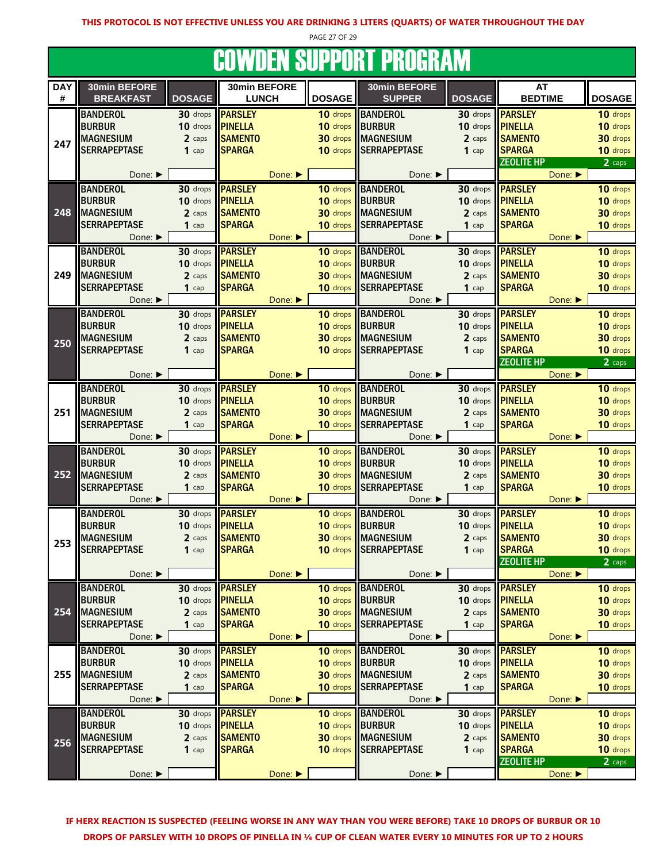PAGE 27 OF 29

# **COWDEN SUPPORT PROGRAM**

|                 | <u>JUTTELI UUI I UILI I NUUNTIII</u> |               |                              |         |                 |                               |                         |                                    |                    |  |
|-----------------|--------------------------------------|---------------|------------------------------|---------|-----------------|-------------------------------|-------------------------|------------------------------------|--------------------|--|
| <b>DAY</b><br># | 30min BEFORE<br><b>BREAKFAST</b>     | <b>DOSAGE</b> | 30min BEFORE<br><b>LUNCH</b> |         | <b>DOSAGE</b>   | 30min BEFORE<br><b>SUPPER</b> | <b>DOSAGE</b>           | <b>AT</b><br><b>BEDTIME</b>        | <b>DOSAGE</b>      |  |
|                 | <b>BANDEROL</b>                      | 30 drops      | <b>PARSLEY</b>               |         | 10 drops        | <b>BANDEROL</b>               | 30 drops                | <b>PARSLEY</b>                     | 10 drops           |  |
|                 | <b>BURBUR</b>                        | 10 drops      | <b>PINELLA</b>               |         | 10 drops        | BURBUR                        | 10 drops                | <b>PINELLA</b>                     | 10 drops           |  |
|                 | <b>MAGNESIUM</b>                     | 2 caps        | <b>SAMENTO</b>               |         |                 | <b>30 drops</b> MAGNESIUM     | 2 caps                  |                                    |                    |  |
| 247             | <b>SERRAPEPTASE</b>                  |               |                              |         |                 | 10 drops SERRAPEPTASE         |                         | <b>SAMENTO</b>                     | 30 drops           |  |
|                 |                                      | $1$ cap       | <b>SPARGA</b>                |         |                 |                               | $1$ cap                 | <b>SPARGA</b><br><b>ZEOLITE HP</b> | 10 drops<br>2 caps |  |
|                 | Done: $\blacktriangleright$          |               |                              | Done: ▶ |                 | Done: ▶                       |                         | Done:                              |                    |  |
|                 | <b>BANDEROL</b>                      | 30 drops      | <b>PARSLEY</b>               |         | 10 drops        | <b>BANDEROL</b>               | 30 drops                | <b>PARSLEY</b>                     | 10 drops           |  |
|                 | <b>BURBUR</b>                        | 10 drops      | <b>PINELLA</b>               |         | 10 drops        | BURBUR                        | 10 drops                | <b>PINELLA</b>                     | 10 drops           |  |
| 248             | <b>MAGNESIUM</b>                     | 2 caps        | <b>SAMENTO</b>               |         | 30 drops        | <b>MAGNESIUM</b>              | 2 caps                  | <b>SAMENTO</b>                     | 30 drops           |  |
|                 | <b>SERRAPEPTASE</b>                  | $1$ cap       | <b>SPARGA</b>                |         | 10 drops        | <b>SERRAPEPTASE</b>           | $1$ cap                 | <b>SPARGA</b>                      | 10 drops           |  |
|                 | Done: ▶                              |               |                              | Done:   |                 | Done: ▶                       |                         | Done: ▶                            |                    |  |
|                 | <b>BANDEROL</b>                      | 30 drops      | <b>PARSLEY</b>               |         | 10 drops        | <b>BANDEROL</b>               | 30 drops                | <b>PARSLEY</b>                     | 10 drops           |  |
|                 | <b>BURBUR</b>                        | 10 drops      | <b>PINELLA</b>               |         | 10 drops        | <b>BURBUR</b>                 | $10$ drops              | <b>PINELLA</b>                     | 10 drops           |  |
| 249             | <b>MAGNESIUM</b>                     | 2 caps        | <b>SAMENTO</b>               |         | 30 drops        | <b>IMAGNESIUM</b>             | 2 caps                  | <b>SAMENTO</b>                     | 30 drops           |  |
|                 | <b>SERRAPEPTASE</b>                  | $1$ cap       | <b>SPARGA</b>                |         | 10 drops        | <b>SERRAPEPTASE</b>           | $1$ cap                 | <b>SPARGA</b>                      | 10 drops           |  |
|                 |                                      |               |                              |         |                 |                               |                         |                                    |                    |  |
|                 | Done: ▶                              |               |                              | Done:   |                 | Done:                         |                         | Done:                              |                    |  |
|                 | <b>BANDEROL</b>                      | 30 drops      | <b>PARSLEY</b>               |         | 10 drops        | <b>BANDEROL</b>               | 30 drops                | <b>PARSLEY</b>                     | 10 drops           |  |
|                 | <b>BURBUR</b>                        | 10 drops      | <b>PINELLA</b>               |         | 10 drops        | BURBUR                        | 10 drops                | <b>PINELLA</b>                     | 10 drops           |  |
| 250             | <b>MAGNESIUM</b>                     | 2 caps        | <b>SAMENTO</b>               |         | 30 drops        | <b>MAGNESIUM</b>              | 2 caps                  | <b>SAMENTO</b>                     | 30 drops           |  |
|                 | <b>SERRAPEPTASE</b>                  | $1$ cap       | <b>SPARGA</b>                |         | 10 drops        | <b>SERRAPEPTASE</b>           | $1$ cap                 | <b>SPARGA</b>                      | 10 drops           |  |
|                 |                                      |               |                              |         |                 |                               |                         | <b>ZEOLITE HP</b>                  | 2 caps             |  |
|                 | Done: ▶                              |               |                              | Done:   |                 | Done: ▶                       |                         | Done:                              |                    |  |
| 251             | <b>BANDEROL</b>                      | 30 drops      | <b>PARSLEY</b>               |         | 10 drops        | <b>BANDEROL</b>               | 30 drops                | <b>PARSLEY</b>                     | 10 drops           |  |
|                 | <b>BURBUR</b>                        | 10 drops      | <b>PINELLA</b>               |         | 10 drops BURBUR |                               | 10 drops <b>PINELLA</b> |                                    | 10 drops           |  |
|                 | <b>MAGNESIUM</b>                     | 2 caps        | <b>SAMENTO</b>               |         |                 | <b>30 drops</b> MAGNESIUM     | 2 caps                  | <b>SAMENTO</b>                     | 30 drops           |  |
|                 | <b>SERRAPEPTASE</b>                  | $1$ cap       | <b>SPARGA</b>                |         | 10 drops        | <b>SERRAPEPTASE</b>           | $1$ cap                 | <b>SPARGA</b>                      | 10 drops           |  |
|                 | Done:                                |               |                              | Done:   |                 | Done:                         |                         | Done:                              |                    |  |
|                 | <b>BANDEROL</b>                      | 30 drops      | <b>PARSLEY</b>               |         | 10 drops        | <b>BANDEROL</b>               | 30 drops                | <b>PARSLEY</b>                     | 10 drops           |  |
|                 | <b>BURBUR</b>                        | 10 drops      | PINELLA                      |         | 10 drops        | BURBUR                        | 10 drops                | <b>PINELLA</b>                     | 10 drops           |  |
| 252             | <b>MAGNESIUM</b>                     | 2 caps        | <b>SAMENTO</b>               |         | 30 drops        | <b>MAGNESIUM</b>              | 2 caps                  | <b>SAMENTO</b>                     | 30 drops           |  |
|                 | <b>SERRAPEPTASE</b>                  | $1$ cap       | <b>SPARGA</b>                |         | 10 drops        | <b>SERRAPEPTASE</b>           | 1 cap                   | <b>SPARGA</b>                      | 10 drops           |  |
|                 | Done: ▶                              |               |                              | Done:   |                 | Done: $\blacktriangleright$   |                         | Done: ▶                            |                    |  |
|                 | <b>BANDEROL</b>                      | 30 drops      | <b>PARSLEY</b>               |         | 10 drops        | <b>BANDEROL</b>               | 30 drops                | <b>PARSLEY</b>                     | 10 drops           |  |
|                 | <b>BURBUR</b>                        | 10 drops      | <b>PINELLA</b>               |         | 10 drops        | <b>BURBUR</b>                 | 10 drops                | <b>PINELLA</b>                     | 10 drops           |  |
| 253             | <b>MAGNESIUM</b>                     | 2 caps        | <b>SAMENTO</b>               |         | 30 drops        | <b>MAGNESIUM</b>              | 2 caps                  | <b>SAMENTO</b>                     | 30 drops           |  |
|                 | <b>SERRAPEPTASE</b>                  | $1$ cap       | <b>SPARGA</b>                |         |                 | 10 drops SERRAPEPTASE         | $1$ cap                 | <b>SPARGA</b>                      | 10 drops           |  |
|                 |                                      |               |                              |         |                 |                               |                         | <b>ZEOLITE HP</b>                  | 2 caps             |  |
|                 | Done: ▶                              |               |                              | Done:   |                 | Done: ▶                       |                         | Done:                              |                    |  |
|                 | <b>BANDEROL</b>                      |               | 30 drops <b>PARSLEY</b>      |         | 10 drops        | <b>BANDEROL</b>               |                         | 30 drops <b>PARSLEY</b>            | 10 drops           |  |
|                 | <b>BURBUR</b>                        | 10 drops      | <b>PINELLA</b>               |         | 10 drops BURBUR |                               | 10 drops <b>PINELLA</b> |                                    | 10 drops           |  |
| 254             | <b>MAGNESIUM</b>                     | 2 caps        | <b>SAMENTO</b>               |         | 30 drops        | MAGNESIUM                     | 2 caps                  | <b>SAMENTO</b>                     | 30 drops           |  |
|                 | <b>SERRAPEPTASE</b>                  | $1$ cap       | <b>SPARGA</b>                |         | 10 drops        | <b>SERRAPEPTASE</b>           | $1$ cap                 | <b>SPARGA</b>                      | 10 drops           |  |
|                 | Done:                                |               |                              | Done:   |                 | Done: ▶                       |                         | Done: ▶                            |                    |  |
|                 | <b>BANDEROL</b>                      | 30 drops      | <b>PARSLEY</b>               |         | 10 drops        | <b>BANDEROL</b>               | 30 drops                | <b>PARSLEY</b>                     | 10 drops           |  |
|                 | <b>BURBUR</b>                        | 10 drops      | <b>PINELLA</b>               |         | 10 drops        | <b>BURBUR</b>                 | 10 drops                | <b>PINELLA</b>                     | 10 drops           |  |
| 255             | <b>MAGNESIUM</b>                     | 2 caps        | <b>SAMENTO</b>               |         |                 | 30 drops MAGNESIUM            | 2 caps                  | <b>SAMENTO</b>                     | 30 drops           |  |
|                 | <b>SERRAPEPTASE</b>                  | $1$ cap       | <b>SPARGA</b>                |         | 10 drops        | <b>SERRAPEPTASE</b>           | $1$ cap                 | <b>SPARGA</b>                      | 10 drops           |  |
|                 | Done: ▶                              |               |                              | Done:   |                 | Done:                         |                         | Done:                              |                    |  |
|                 | <b>BANDEROL</b>                      |               | 30 drops <b>PARSLEY</b>      |         |                 | 10 drops BANDEROL             |                         | 30 drops <b>PARSLEY</b>            | 10 drops           |  |
|                 | <b>BURBUR</b>                        | 10 drops      | <b>PINELLA</b>               |         | 10 drops BURBUR |                               | 10 drops                | <b>PINELLA</b>                     | 10 drops           |  |
| 256             | <b>MAGNESIUM</b>                     | 2 caps        | <b>SAMENTO</b>               |         |                 | <b>30 drops</b> MAGNESIUM     | 2 caps                  | <b>SAMENTO</b>                     | 30 drops           |  |
|                 | <b>SERRAPEPTASE</b>                  | $1$ cap       | <b>SPARGA</b>                |         |                 | 10 drops SERRAPEPTASE         | $1$ cap                 | <b>SPARGA</b>                      | 10 drops           |  |
|                 |                                      |               |                              | Done:   |                 |                               |                         | <b>ZEOLITE HP</b>                  | 2 caps             |  |
|                 | Done: ▶                              |               |                              |         |                 | Done: ▶                       |                         | Done:                              |                    |  |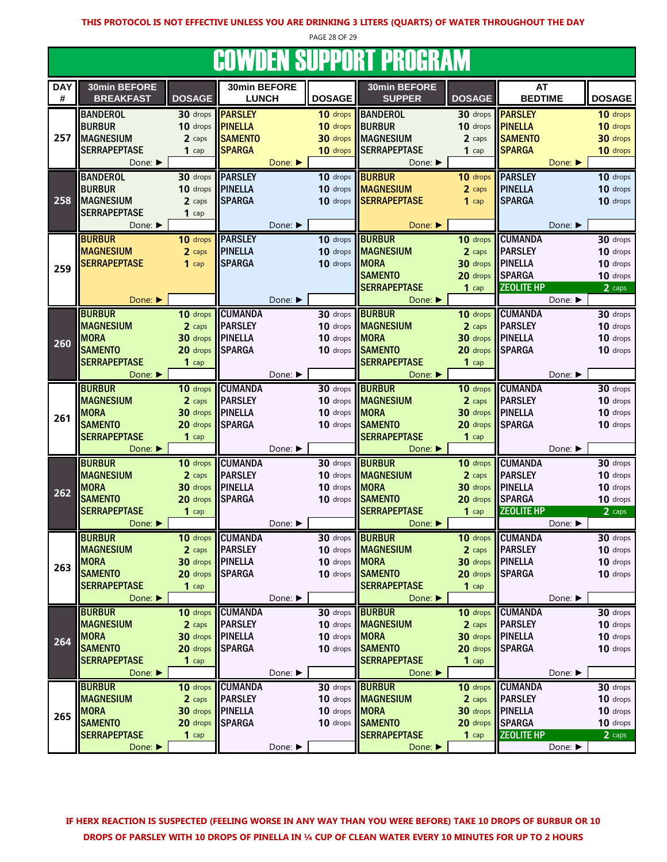PAGE 28 OF 29

# COWDEN SUPPORT PROGRAM

|            | .                           |                         |                 |         |               |                     |                  |                   |               |
|------------|-----------------------------|-------------------------|-----------------|---------|---------------|---------------------|------------------|-------------------|---------------|
| <b>DAY</b> | 30min BEFORE                |                         | 30min BEFORE    |         |               | 30min BEFORE        |                  | <b>AT</b>         |               |
| #          | <b>BREAKFAST</b>            | <b>DOSAGE</b>           | <b>LUNCH</b>    |         | <b>DOSAGE</b> | <b>SUPPER</b>       | <b>DOSAGE</b>    | <b>BEDTIME</b>    | <b>DOSAGE</b> |
|            | <b>BANDEROL</b>             | 30 drops <b>PARSLEY</b> |                 |         | 10 drops      | <b>BANDEROL</b>     | 30 drops         | <b>PARSLEY</b>    | 10 drops      |
| 257        | <b>BURBUR</b>               | 10 drops                | <b>PINELLA</b>  |         | 10 drops      | <b>BURBUR</b>       | 10 drops         | <b>PINELLA</b>    | 10 drops      |
|            | <b>MAGNESIUM</b>            | 2 caps                  | <b>SAMENTO</b>  |         | 30 drops      | <b>MAGNESIUM</b>    | 2 caps           | <b>SAMENTO</b>    | 30 drops      |
|            | <b>SERRAPEPTASE</b>         | $1$ cap                 | <b>SPARGA</b>   |         | 10 drops      | <b>SERRAPEPTASE</b> | $1$ cap          | <b>SPARGA</b>     | 10 drops      |
|            |                             |                         |                 |         |               |                     |                  |                   |               |
|            | Done: $\blacktriangleright$ |                         |                 | Done: ▶ |               | Done: ▶             |                  | Done:             |               |
|            | <b>BANDEROL</b>             | 30 drops                | <b>PARSLEY</b>  |         | 10 drops      | <b>BURBUR</b>       | 10 drops         | <b>PARSLEY</b>    | 10 drops      |
|            | <b>BURBUR</b>               | 10 drops                | PINELLA         |         | 10 drops      | <b>MAGNESIUM</b>    | 2 caps           | <b>PINELLA</b>    | 10 drops      |
| 258        | <b>MAGNESIUM</b>            | 2 caps                  | <b>SPARGA</b>   |         | 10 drops      | <b>SERRAPEPTASE</b> | $1$ cap          | <b>SPARGA</b>     | 10 drops      |
|            | <b>SERRAPEPTASE</b>         | $1$ cap                 |                 |         |               |                     |                  |                   |               |
|            | Done: ▶                     |                         |                 | Done: ▶ |               | Done: ▶             |                  | Done: ▶           |               |
|            | <b>BURBUR</b>               | 10 drops                | <b>PARSLEY</b>  |         | 10 drops      | <b>BURBUR</b>       | 10 drops         | <b>CUMANDA</b>    | 30 drops      |
|            | <b>MAGNESIUM</b>            | 2 caps                  | <b>PINELLA</b>  |         | 10 drops      | <b>MAGNESIUM</b>    | 2 caps           | <b>PARSLEY</b>    | 10 drops      |
|            | <b>SERRAPEPTASE</b>         | $1$ cap                 | <b>SPARGA</b>   |         | 10 drops      | <b>MORA</b>         | 30 drops         | <b>PINELLA</b>    | 10 drops      |
| 259        |                             |                         |                 |         |               | <b>SAMENTO</b>      | 20 drops         | <b>SPARGA</b>     | 10 drops      |
|            |                             |                         |                 |         |               | <b>SERRAPEPTASE</b> | $1$ cap          | <b>ZEOLITE HP</b> | 2 caps        |
|            | Done:                       |                         |                 | Done: ▶ |               | Done:               |                  | Done: ▶           |               |
|            | <b>BURBUR</b>               | 10 drops                | <b>CUMANDA</b>  |         | 30 drops      | <b>BURBUR</b>       | 10 drops         | <b>CUMANDA</b>    | 30 drops      |
|            |                             |                         | <b>PARSLEY</b>  |         | 10 drops      |                     |                  | <b>PARSLEY</b>    | 10 drops      |
|            | <b>MAGNESIUM</b>            | 2 caps                  |                 |         |               | <b>MAGNESIUM</b>    | 2 caps           |                   |               |
| 260        | <b>MORA</b>                 | 30 drops                | <b>PINELLA</b>  |         | 10 drops      | <b>MORA</b>         | 30 drops         | <b>PINELLA</b>    | 10 drops      |
|            | <b>SAMENTO</b>              | 20 drops                | <b>SPARGA</b>   |         | 10 drops      | <b>SAMENTO</b>      | 20 drops         | <b>SPARGA</b>     | 10 drops      |
|            | <b>SERRAPEPTASE</b>         | $1$ cap                 |                 |         |               | <b>SERRAPEPTASE</b> | $1$ cap          |                   |               |
|            | Done: ▶                     |                         |                 | Done: ▶ |               | Done: ▶             |                  | Done: ▶           |               |
|            | <b>BURBUR</b>               | 10 drops                | <b>CUMANDA</b>  |         | 30 drops      | <b>BURBUR</b>       | 10 drops         | <b>CUMANDA</b>    | 30 drops      |
|            | <b>MAGNESIUM</b>            | 2 caps                  | <b>PARSLEY</b>  |         | 10 drops      | <b>MAGNESIUM</b>    | 2 caps           | <b>PARSLEY</b>    | 10 drops      |
| 261        | <b>MORA</b>                 | 30 drops                | <b>PINELLA</b>  |         | 10 drops      | <b>MORA</b>         | 30 drops         | <b>PINELLA</b>    | 10 drops      |
|            | <b>SAMENTO</b>              | 20 drops                | <b>SPARGA</b>   |         | 10 drops      | <b>SAMENTO</b>      | 20 drops         | <b>SPARGA</b>     | 10 drops      |
|            | <b>SERRAPEPTASE</b>         | $1$ cap                 |                 |         |               | <b>SERRAPEPTASE</b> | $1$ cap          |                   |               |
|            | Done: $\blacktriangleright$ |                         |                 | Done: ▶ |               | Done: ▶             |                  | Done: ▶           |               |
|            | <b>BURBUR</b>               | 10 drops                | <b>CUMANDA</b>  |         | 30 drops      | <b>BURBUR</b>       | 10 drops         | <b>CUMANDA</b>    | 30 drops      |
|            | <b>MAGNESIUM</b>            | 2 caps                  | <b>PARSLEY</b>  |         | 10 drops      | <b>MAGNESIUM</b>    | 2 caps           | <b>PARSLEY</b>    | 10 drops      |
|            | <b>MORA</b>                 | 30 drops                | PINELLA         |         | 10 drops      | <b>MORA</b>         | 30 drops         | <b>PINELLA</b>    | 10 drops      |
| 262        | <b>SAMENTO</b>              | 20 drops                | <b>SPARGA</b>   |         | 10 drops      | <b>SAMENTO</b>      | 20 drops         | <b>SPARGA</b>     | 10 drops      |
|            | <b>SERRAPEPTASE</b>         | $1$ cap                 |                 |         |               | <b>SERRAPEPTASE</b> | $1$ cap          | <b>ZEOLITE HP</b> | 2 caps        |
|            | Done: ▶                     |                         |                 | Done: ▶ |               | Done: ▶             |                  | Done: ▶           |               |
|            |                             |                         |                 |         |               |                     |                  |                   |               |
|            | <b>BURBUR</b>               | 10 drops                | <b>CUMANDA</b>  |         | 30 drops      | <b>BURBUR</b>       | 10 drops         | <b>CUMANDA</b>    | 30 drops      |
|            | <b>MAGNESIUM</b>            | 2 caps                  | <b>PARSLEY</b>  |         | 10 drops      | <b>MAGNESIUM</b>    | 2 caps           | <b>PARSLEY</b>    | 10 drops      |
| 263        | <b>MORA</b>                 | 30 drops PINELLA        |                 |         | 10 drops MORA |                     | 30 drops PINELLA |                   | 10 drops      |
|            | <b>SAMENTO</b>              | 20 drops                | <b>SPARGA</b>   |         | 10 drops      | <b>SAMENTO</b>      | 20 drops         | <b>SPARGA</b>     | 10 drops      |
|            | <b>SERRAPEPTASE</b>         | $1$ cap                 |                 |         |               | <b>SERRAPEPTASE</b> | $1$ cap          |                   |               |
|            | Done: ▶                     |                         |                 | Done: ▶ |               | Done: ▶             |                  | Done: ▶           |               |
|            | <b>BURBUR</b>               | 10 drops                | <b>CUMANDA</b>  |         | 30 drops      | <b>BURBUR</b>       | 10 drops         | <b>CUMANDA</b>    | 30 drops      |
|            | <b>MAGNESIUM</b>            | 2 caps                  | <b>PARSLEY</b>  |         | 10 drops      | <b>MAGNESIUM</b>    | 2 caps           | <b>PARSLEY</b>    | 10 drops      |
| 264        | <b>MORA</b>                 | 30 drops <b>PINELLA</b> |                 |         | 10 drops      | <b>MORA</b>         | 30 drops         | <b>PINELLA</b>    | 10 drops      |
|            | <b>SAMENTO</b>              | 20 drops                | <b>SPARGA</b>   |         | 10 drops      | <b>SAMENTO</b>      | 20 drops         | <b>SPARGA</b>     | 10 drops      |
|            | <b>SERRAPEPTASE</b>         | $1$ cap                 |                 |         |               | <b>SERRAPEPTASE</b> | $1$ cap          |                   |               |
|            | Done: ▶                     |                         |                 | Done: ▶ |               | Done: ▶             |                  | Done: ▶           |               |
|            | <b>BURBUR</b>               | 10 drops                | <b>CUMANDA</b>  |         | 30 drops      | <b>BURBUR</b>       | 10 drops         | <b>CUMANDA</b>    | 30 drops      |
|            | <b>MAGNESIUM</b>            | 2 caps                  | <b>PARSLEY</b>  |         | 10 drops      | <b>MAGNESIUM</b>    | 2 caps           | <b>PARSLEY</b>    | 10 drops      |
|            | <b>MORA</b>                 | 30 drops                | <b>IPINELLA</b> |         | 10 drops      | <b>MORA</b>         | 30 drops         | <b>PINELLA</b>    | 10 drops      |
| 265        | <b>SAMENTO</b>              |                         | <b>SPARGA</b>   |         | 10 drops      | <b>SAMENTO</b>      |                  | <b>SPARGA</b>     |               |
|            |                             | 20 drops                |                 |         |               |                     | 20 drops         |                   | 10 drops      |
|            | <b>SERRAPEPTASE</b>         | $1$ cap                 |                 |         |               | <b>SERRAPEPTASE</b> | $1$ cap          | <b>ZEOLITE HP</b> | 2 caps        |
|            | Done: ▶                     |                         |                 | Done:   |               | Done: ▶             |                  | Done: ▶           |               |